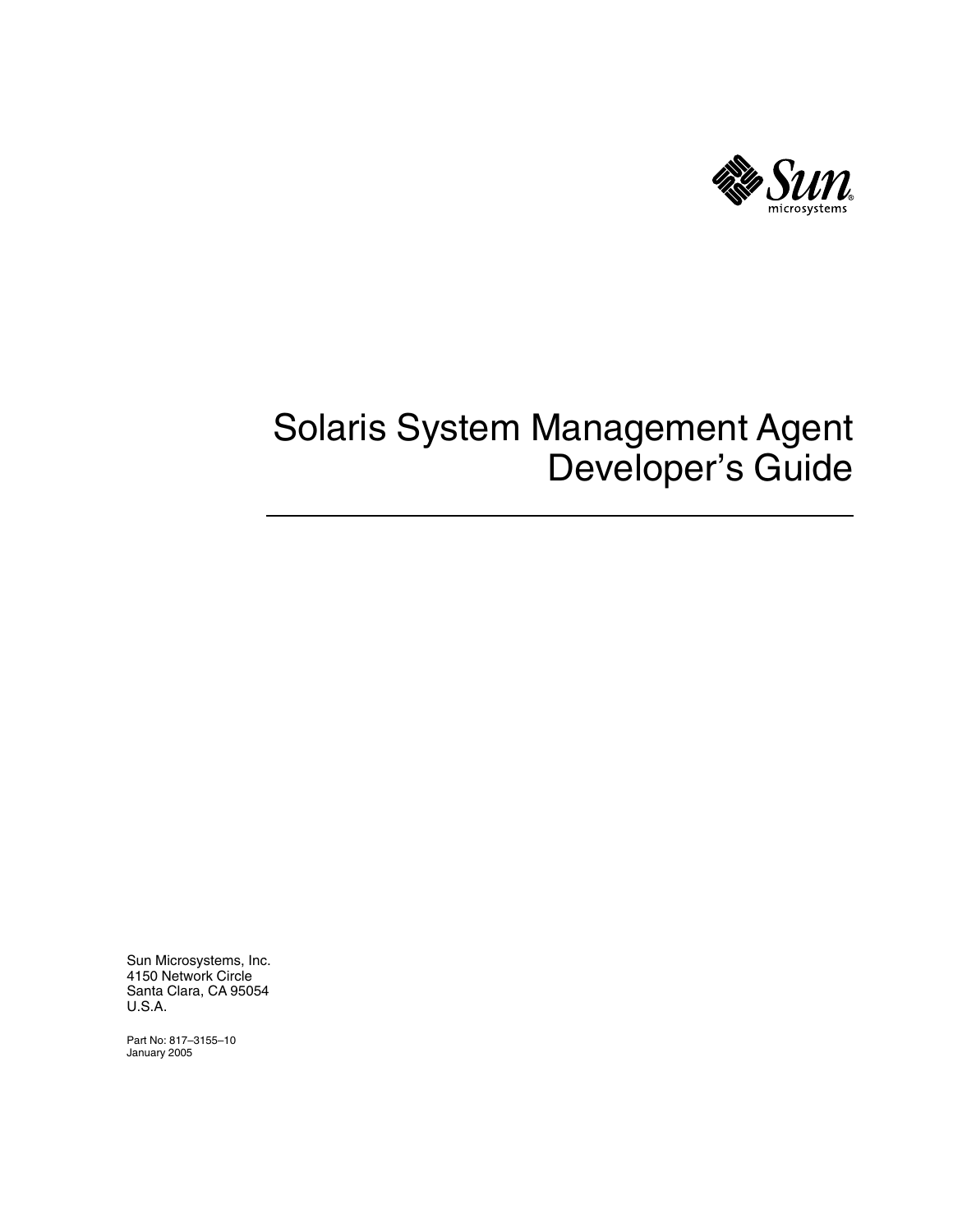

# Solaris System Management Agent Developer's Guide

Sun Microsystems, Inc. 4150 Network Circle Santa Clara, CA 95054 U.S.A.

Part No: 817–3155–10 January 2005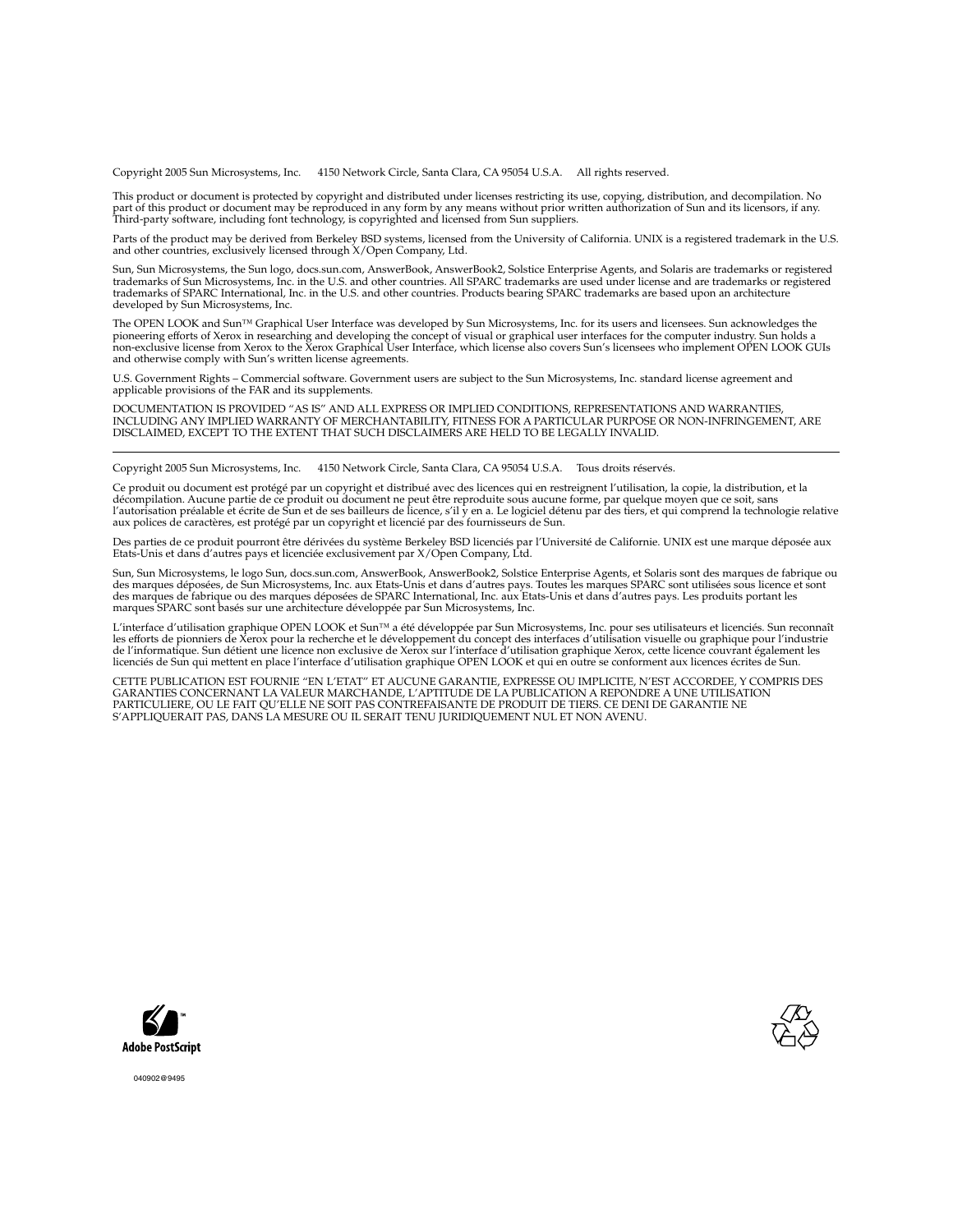Copyright 2005 Sun Microsystems, Inc. 4150 Network Circle, Santa Clara, CA 95054 U.S.A. All rights reserved.

This product or document is protected by copyright and distributed under licenses restricting its use, copying, distribution, and decompilation. No part of this product or document may be reproduced in any form by any means without prior written authorization of Sun and its licensors, if any.<br>Third-party software, including font technology, is copyrighted and licensed

Parts of the product may be derived from Berkeley BSD systems, licensed from the University of California. UNIX is a registered trademark in the U.S. and other countries, exclusively licensed through X/Open Company, Ltd.

Sun, Sun Microsystems, the Sun logo, docs.sun.com, AnswerBook, AnswerBook2, Solstice Enterprise Agents, and Solaris are trademarks or registered<br>trademarks of Sun Microsystems, Inc. in the U.S. and other countries. All SPA developed by Sun Microsystems, Inc.

The OPEN LOOK and Sun™ Graphical User Interface was developed by Sun Microsystems, Inc. for its users and licensees. Sun acknowledges the pioneering efforts of Xerox in researching and developing the concept of visual or graphical user interfaces for the computer industry. Sun holds a<br>non-exclusive license from Xerox to the Xerox Graphical User Interface, wh and otherwise comply with Sun's written license agreements.

U.S. Government Rights – Commercial software. Government users are subject to the Sun Microsystems, Inc. standard license agreement and applicable provisions of the FAR and its supplements.

DOCUMENTATION IS PROVIDED "AS IS" AND ALL EXPRESS OR IMPLIED CONDITIONS, REPRESENTATIONS AND WARRANTIES,<br>INCLUDING ANY IMPLIED WARRANTY OF MERCHANTABILITY, FITNESS FOR A PARTICULAR PURPOSE OR NON-INFRINGEMENT, ARE<br>DISCLAIM

Copyright 2005 Sun Microsystems, Inc. 4150 Network Circle, Santa Clara, CA 95054 U.S.A. Tous droits réservés.

Ce produit ou document est protégé par un copyright et distribué avec des licences qui en restreignent l'utilisation, la copie, la distribution, et la décompilation. Aucune partie de ce produit ou document ne peut être reproduite sous aucune forme, par quelque moyen que ce soit, sans<br>l'autorisation préalable et écrite de Sun et de ses bailleurs de licence, s'il y en a. L

Des parties de ce produit pourront être dérivées du système Berkeley BSD licenciés par l'Université de Californie. UNIX est une marque déposée aux Etats-Unis et dans d'autres pays et licenciée exclusivement par X/Open Company, Ltd.

Sun, Sun Microsystems, le logo Sun, docs.sun.com, AnswerBook, AnswerBook2, Solstice Enterprise Agents, et Solaris sont des marques de fabrique ou<br>des marques déposées, de Sun Microsystems, Inc. aux Etats-Unis et dans d'aut marques SPARC sont basés sur une architecture développée par Sun Microsystems, Inc.

L'interface d'utilisation graphique OPEN LOOK et Sun™a été développée par Sun Microsystems, Inc. pour ses utilisateurs et licenciés. Sun reconnaît<br>les efforts de pionniers de Xerox pour la recherche et le développement du de l'informatique. Sun détient une licence non exclusive de Xerox sur l'interface d'utilisation graphique Xerox, cette licence couvrant également les<br>licenciés de Sun qui mettent en place l'interface d'utilisation graphiqu

CETTE PUBLICATION EST FOURNIE "EN L'ETAT" ET AUCUNE GARANTIE, EXPRESSE OU IMPLICITE, N'EST ACCORDEE, Y COMPRIS DES GARANTIES CONCERNANT LA VALEUR MARCHANDE, L'APTITUDE DE LA PUBLICATION A REPONDRE A UNE UTILISATION<br>PARTICULIERE, OU LE FAIT QU'ELLE NE SOIT PAS CONTREFAISANTE DE PRODUIT DE TIERS. CE DENI DE GARANTIE NE<br>S'APPLIQUERAIT PAS





040902@9495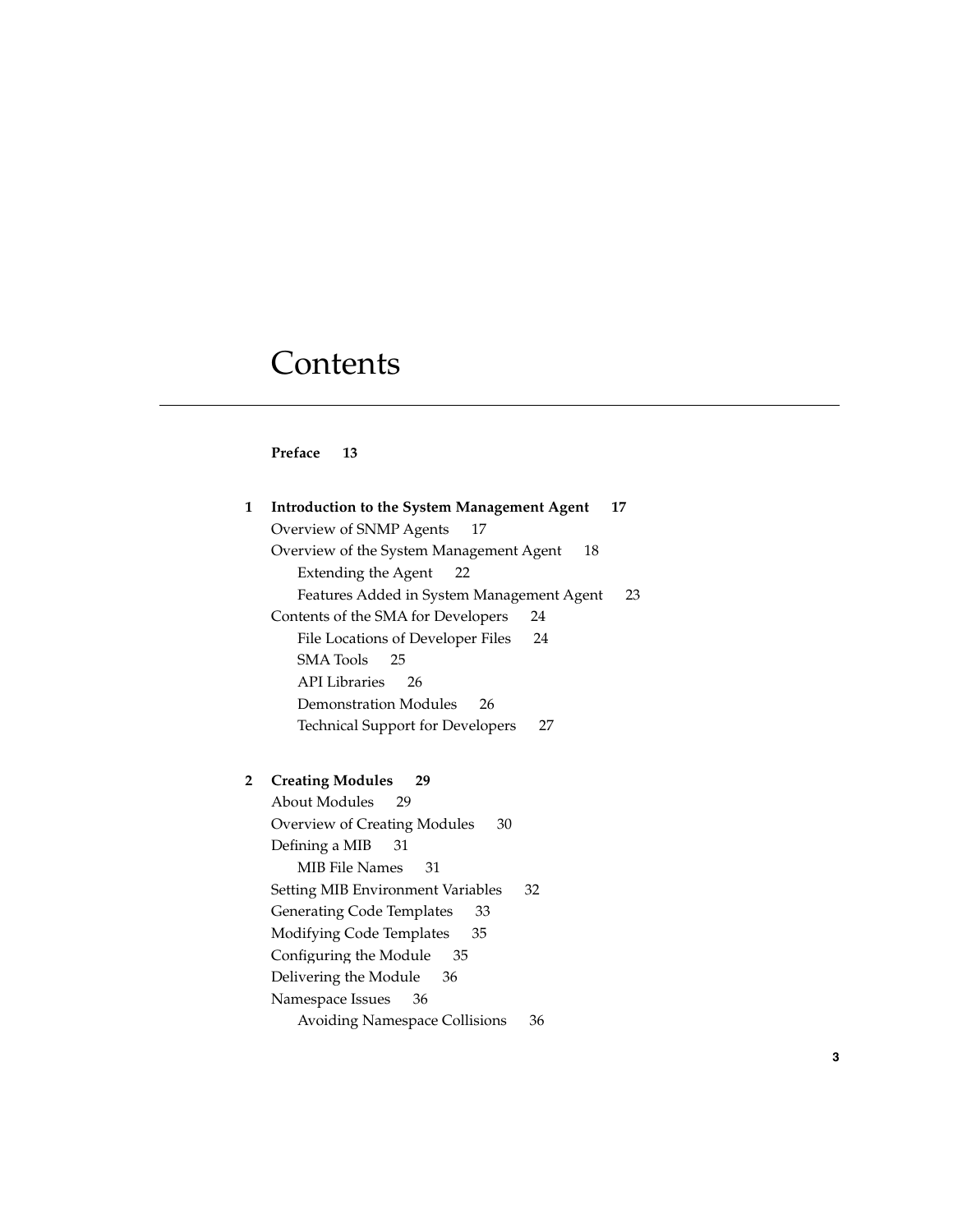## **Contents**

#### **[Preface 13](#page-12-0)**

| 1 | <b>Introduction to the System Management Agent</b> | 17 |
|---|----------------------------------------------------|----|
|   | Overview of SNMP Agents<br>17                      |    |
|   | Overview of the System Management Agent<br>18      |    |
|   | <b>Extending the Agent</b><br>22                   |    |
|   | Features Added in System Management Agent          | 23 |
|   | Contents of the SMA for Developers<br>24           |    |
|   | File Locations of Developer Files<br>24            |    |
|   | <b>SMA</b> Tools<br>25                             |    |
|   | <b>API</b> Libraries<br>26                         |    |
|   | <b>Demonstration Modules</b><br>26                 |    |
|   | <b>Technical Support for Developers</b><br>27      |    |
|   |                                                    |    |
| 2 | <b>Creating Modules</b><br>29                      |    |
|   | About Modules<br>29                                |    |
|   | <b>Overview of Creating Modules</b><br>30          |    |
|   | Defining a MIB<br>31                               |    |
|   | <b>MIB File Names</b><br>31                        |    |
|   | <b>Setting MIB Environment Variables</b><br>32     |    |
|   | <b>Generating Code Templates</b><br>33             |    |
|   | Modifying Code Templates<br>35                     |    |
|   | Configuring the Module<br>35                       |    |
|   | Delivering the Module<br>36                        |    |
|   | Namespace Issues<br>36                             |    |
|   | <b>Avoiding Namespace Collisions</b><br>36         |    |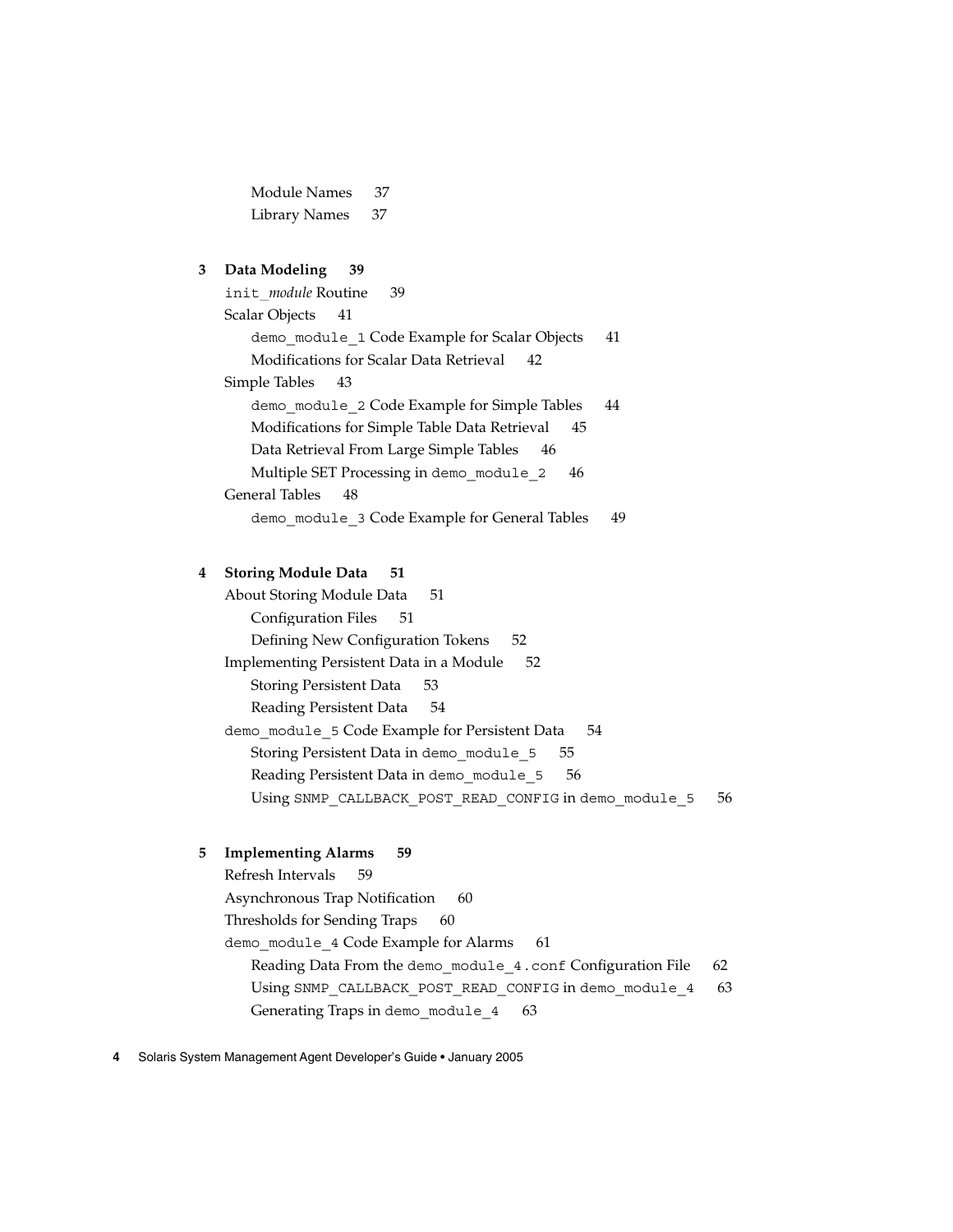[Module Names 37](#page-36-0) [Library Names 37](#page-36-0)

#### **[3 Data Modeling 39](#page-38-0)**

| init <i>module</i> Routine<br>39                    |    |
|-----------------------------------------------------|----|
| Scalar Objects 41                                   |    |
| demo module 1 Code Example for Scalar Objects       | 41 |
| Modifications for Scalar Data Retrieval<br>42       |    |
| Simple Tables 43                                    |    |
| demo module 2 Code Example for Simple Tables        | 44 |
| Modifications for Simple Table Data Retrieval<br>45 |    |
| Data Retrieval From Large Simple Tables<br>-46      |    |
| Multiple SET Processing in demo module 2<br>46      |    |
| <b>General Tables</b><br>48                         |    |
| demo module 3 Code Example for General Tables       | 49 |

#### **[4 Storing Module Data 51](#page-50-0)**

[About Storing Module Data 51](#page-50-0) [Configuration Files 51](#page-50-0) [Defining New Configuration Tokens 52](#page-51-0) [Implementing Persistent Data in a Module 52](#page-51-0) [Storing Persistent Data 53](#page-52-0) [Reading Persistent Data 54](#page-53-0) demo\_module\_5 [Code Example for Persistent Data 54](#page-53-0) [Storing Persistent Data in](#page-54-0) demo\_module\_5 55 [Reading Persistent Data in](#page-55-0) demo module 5 56 Using [SNMP\\_CALLBACK\\_POST\\_READ\\_CONFIG](#page-55-0) in demo\_module\_5 56

#### **[5 Implementing Alarms 59](#page-58-0)**

[Refresh Intervals 59](#page-58-0) [Asynchronous Trap Notification 60](#page-59-0) [Thresholds for Sending Traps 60](#page-59-0) demo\_module\_4 [Code Example for Alarms 61](#page-60-0) Reading Data From the [demo\\_module\\_4.conf](#page-61-0) Configuration File 62 Using [SNMP\\_CALLBACK\\_POST\\_READ\\_CONFIG](#page-62-0) in demo\_module\_4 63 [Generating Traps in](#page-62-0) demo module 4 63

**4** Solaris System Management Agent Developer's Guide • January 2005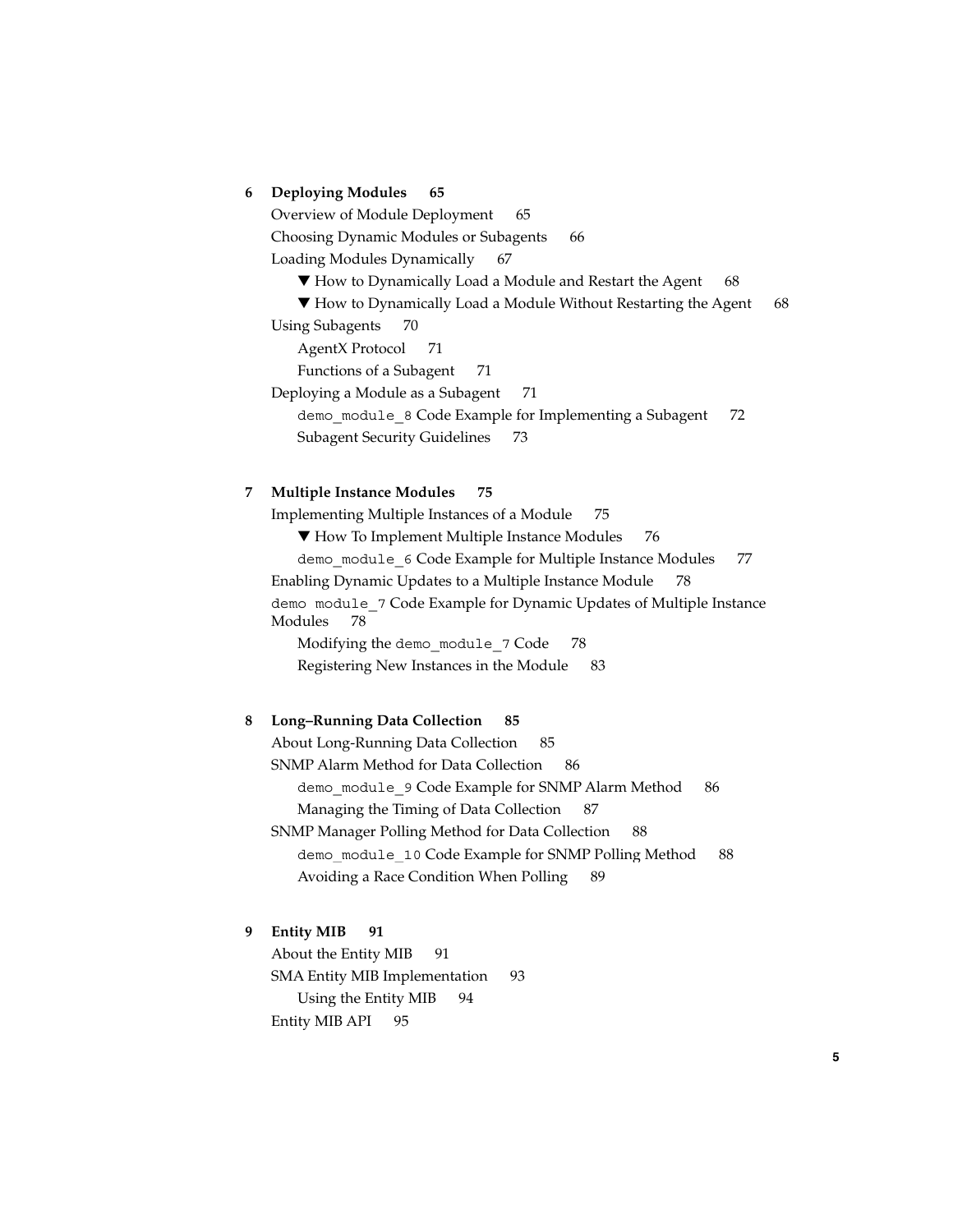#### **[6 Deploying Modules 65](#page-64-0)**

[Overview of Module Deployment 65](#page-64-0) [Choosing Dynamic Modules or Subagents 66](#page-65-0) [Loading Modules Dynamically 67](#page-66-0) ▼ [How to Dynamically Load a Module and Restart the Agent 68](#page-67-0) ▼ [How to Dynamically Load a Module Without Restarting the Agent 68](#page-67-0) [Using Subagents 70](#page-69-0) [AgentX Protocol 71](#page-70-0) [Functions of a Subagent 71](#page-70-0) [Deploying a Module as a Subagent 71](#page-70-0) demo\_module\_8 [Code Example for Implementing a Subagent 72](#page-71-0) [Subagent Security Guidelines 73](#page-72-0)

#### **[7 Multiple Instance Modules 75](#page-74-0)**

[Implementing Multiple Instances of a Module 75](#page-74-0)

▼ [How To Implement Multiple Instance Modules 76](#page-75-0)

demo\_module\_6 [Code Example for Multiple Instance Modules 77](#page-76-0) [Enabling Dynamic Updates to a Multiple Instance Module 78](#page-77-0) demo\_module\_7 [Code Example for Dynamic Updates of Multiple Instance](#page-77-0) [Modules 78](#page-77-0)

Modifying the demo module 7 Code 78 [Registering New Instances in the Module 83](#page-82-0)

**[8 Long–Running Data Collection 85](#page-84-0)** [About Long-Running Data Collection 85](#page-84-0) [SNMP Alarm Method for Data Collection 86](#page-85-0) demo\_module\_9 [Code Example for SNMP Alarm Method 86](#page-85-0) [Managing the Timing of Data Collection 87](#page-86-0) [SNMP Manager Polling Method for Data Collection 88](#page-87-0) demo\_module\_10 [Code Example for SNMP Polling Method 88](#page-87-0) [Avoiding a Race Condition When Polling 89](#page-88-0)

**[9 Entity MIB 91](#page-90-0)**

[About the Entity MIB 91](#page-90-0) [SMA Entity MIB Implementation 93](#page-92-0) [Using the Entity MIB 94](#page-93-0) [Entity MIB API 95](#page-94-0)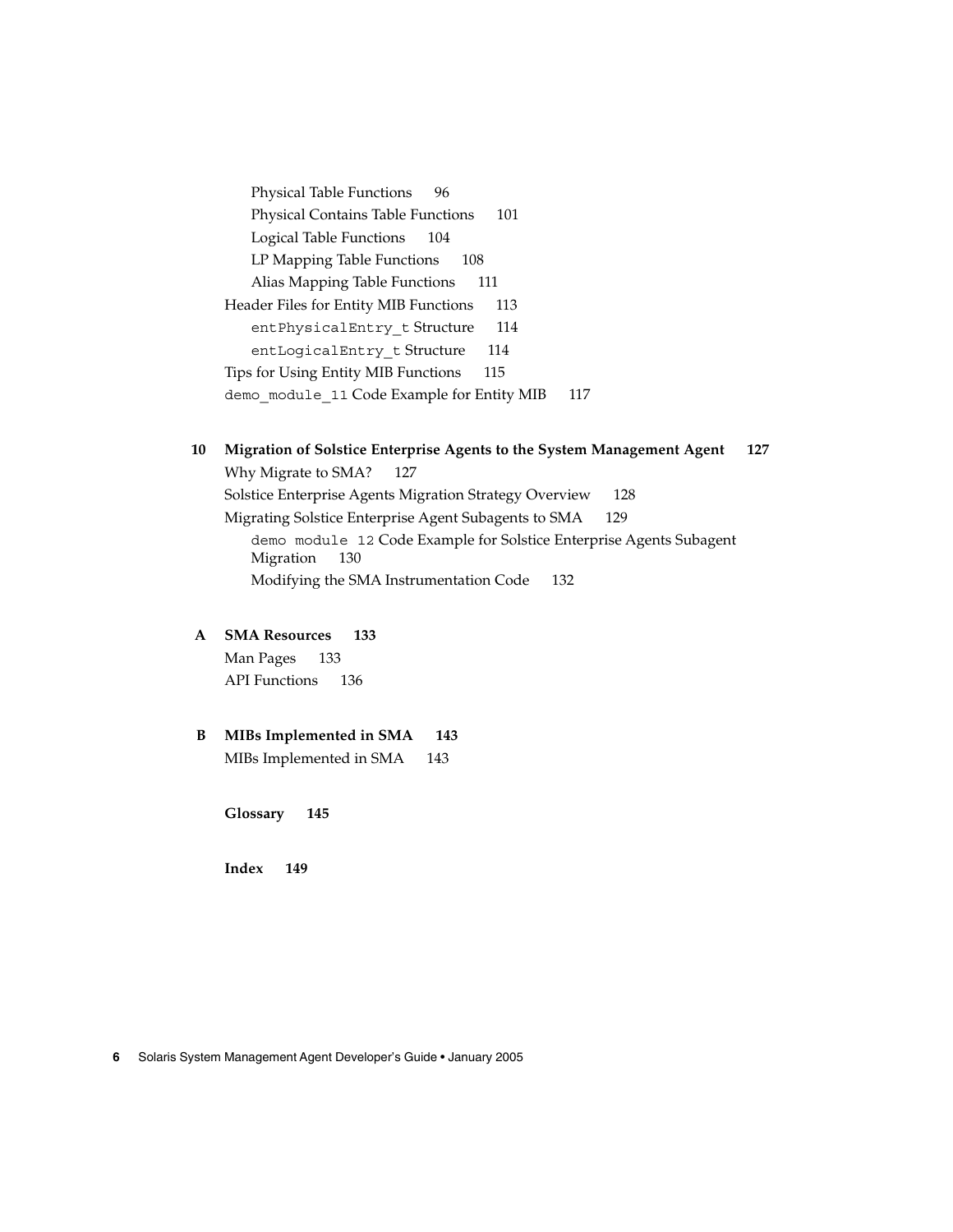[Physical Table Functions 96](#page-95-0) [Physical Contains Table Functions 101](#page-100-0) [Logical Table Functions 104](#page-103-0) [LP Mapping Table Functions 108](#page-107-0) [Alias Mapping Table Functions 111](#page-110-0) [Header Files for Entity MIB Functions 113](#page-112-0) entPhysicalEntry t Structure 114 [entLogicalEntry\\_t](#page-113-0) Structure 114 [Tips for Using Entity MIB Functions 115](#page-114-0) demo\_module\_11 [Code Example for Entity MIB 117](#page-116-0)

- **[10 Migration of Solstice Enterprise Agents to the System Management Agent 127](#page-126-0)** [Why Migrate to SMA? 127](#page-126-0) [Solstice Enterprise Agents Migration Strategy Overview 128](#page-127-0) [Migrating Solstice Enterprise Agent Subagents to SMA 129](#page-128-0) demo\_module\_12 [Code Example for Solstice Enterprise Agents Subagent](#page-129-0) [Migration 130](#page-129-0) [Modifying the SMA Instrumentation Code 132](#page-131-0)
- **[A SMA Resources 133](#page-132-0)**

[Man Pages 133](#page-132-0) [API Functions 136](#page-135-0)

**[B MIBs Implemented in SMA 143](#page-142-0)** [MIBs Implemented in SMA 143](#page-142-0)

**[Glossary 145](#page-144-0)**

**[Index 149](#page-148-0)**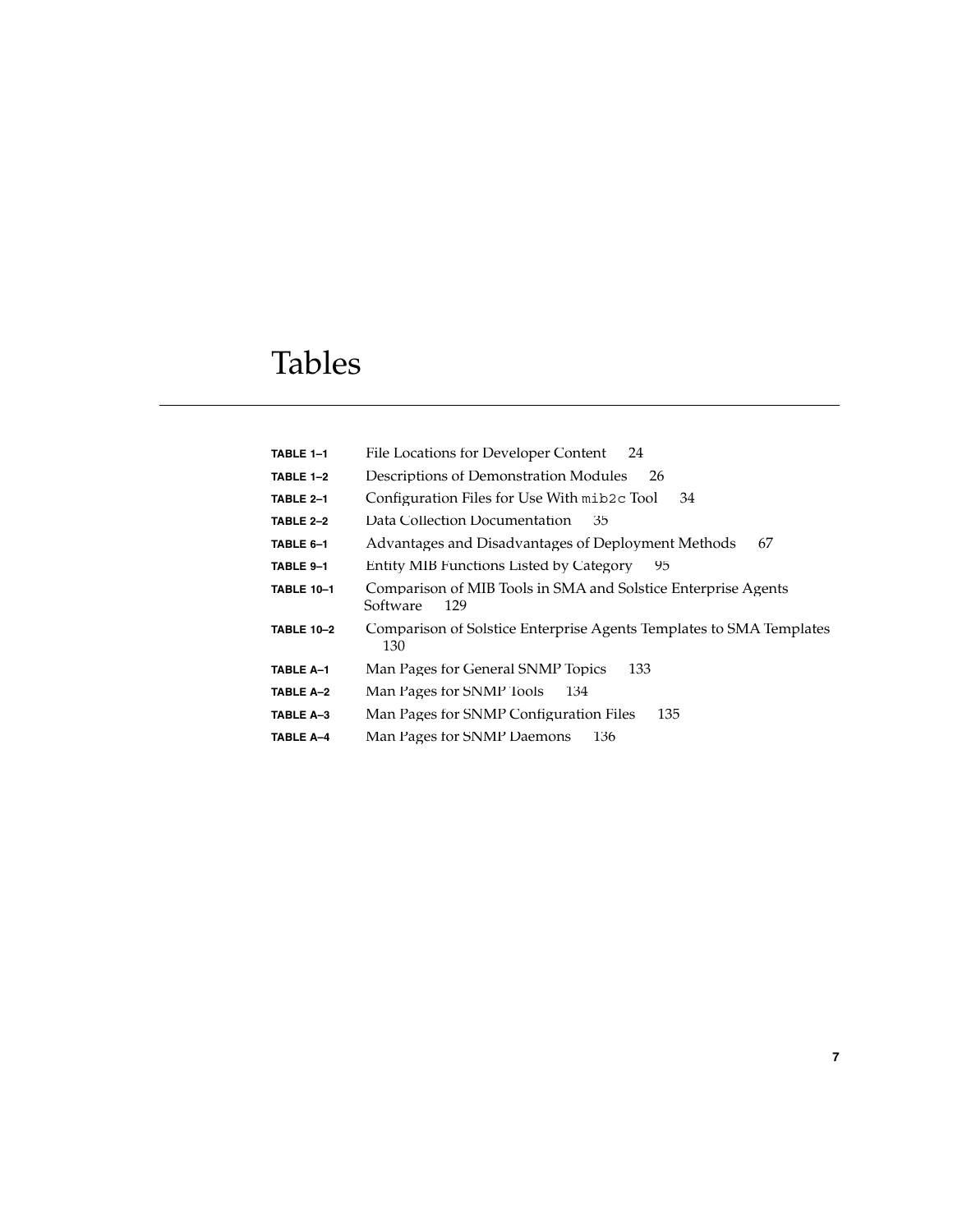# Tables

| TABLE 1-1         | File Locations for Developer Content<br>24                                       |
|-------------------|----------------------------------------------------------------------------------|
| TABLE 1-2         | Descriptions of Demonstration Modules<br>26                                      |
| TABLE 2-1         | Configuration Files for Use With mib2c Tool<br>34                                |
| TABLE 2-2         | Data Collection Documentation<br>35                                              |
| TABLE 6-1         | Advantages and Disadvantages of Deployment Methods<br>67                         |
| TABLE 9-1         | Entity MIB Functions Listed by Category<br>95                                    |
| <b>TABLE 10-1</b> | Comparison of MIB Tools in SMA and Solstice Enterprise Agents<br>Software<br>129 |
| <b>TABLE 10-2</b> | Comparison of Solstice Enterprise Agents Templates to SMA Templates<br>130       |
| <b>TABLE A-1</b>  | Man Pages for General SNMP Topics<br>133                                         |
| TABLE A-2         | Man Pages for SNMP Tools<br>134                                                  |
| TABLE A-3         | Man Pages for SNMP Configuration Files<br>135                                    |
| TABLE A-4         | Man Pages for SNMP Daemons<br>136                                                |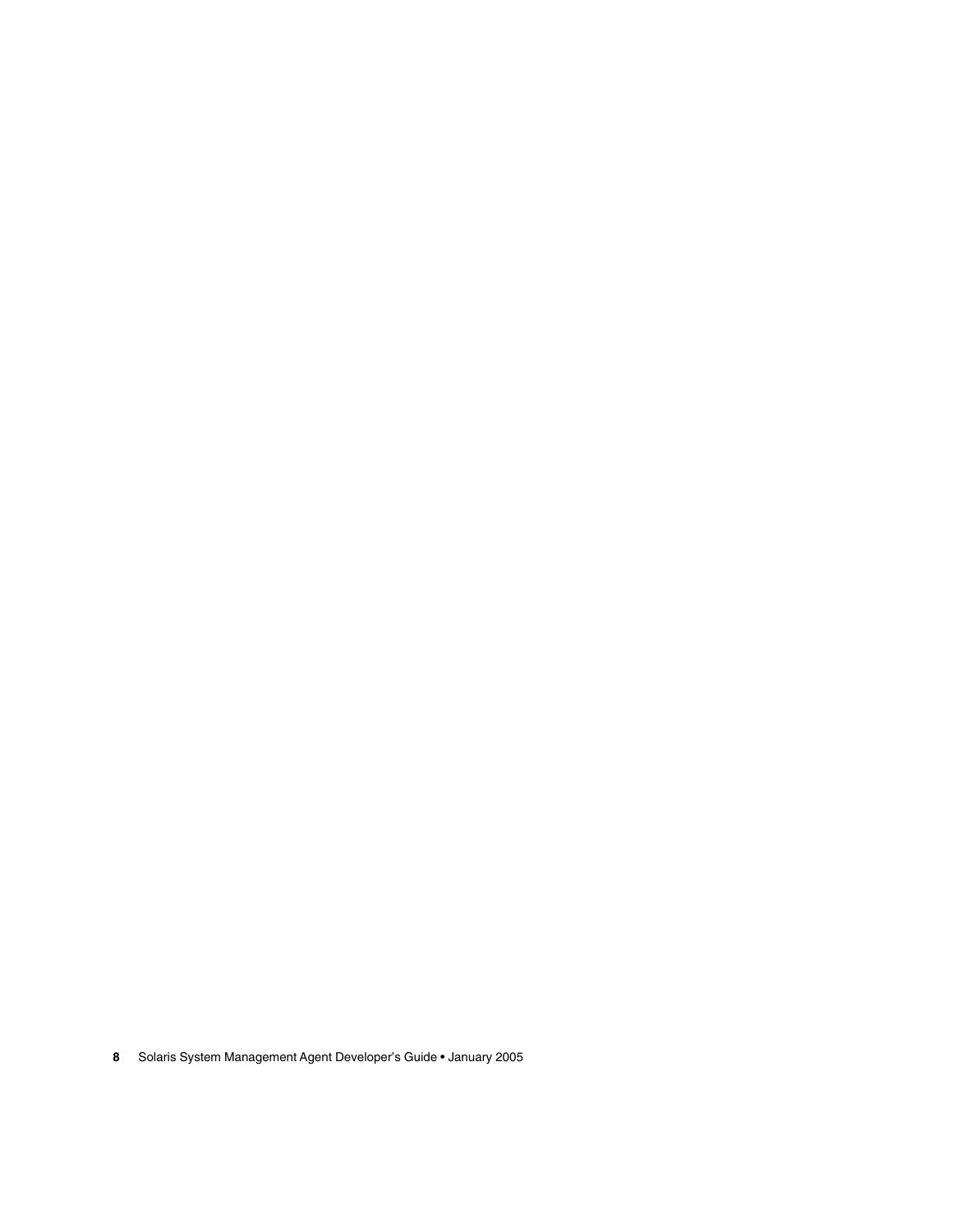Solaris System Management Agent Developer's Guide • January 2005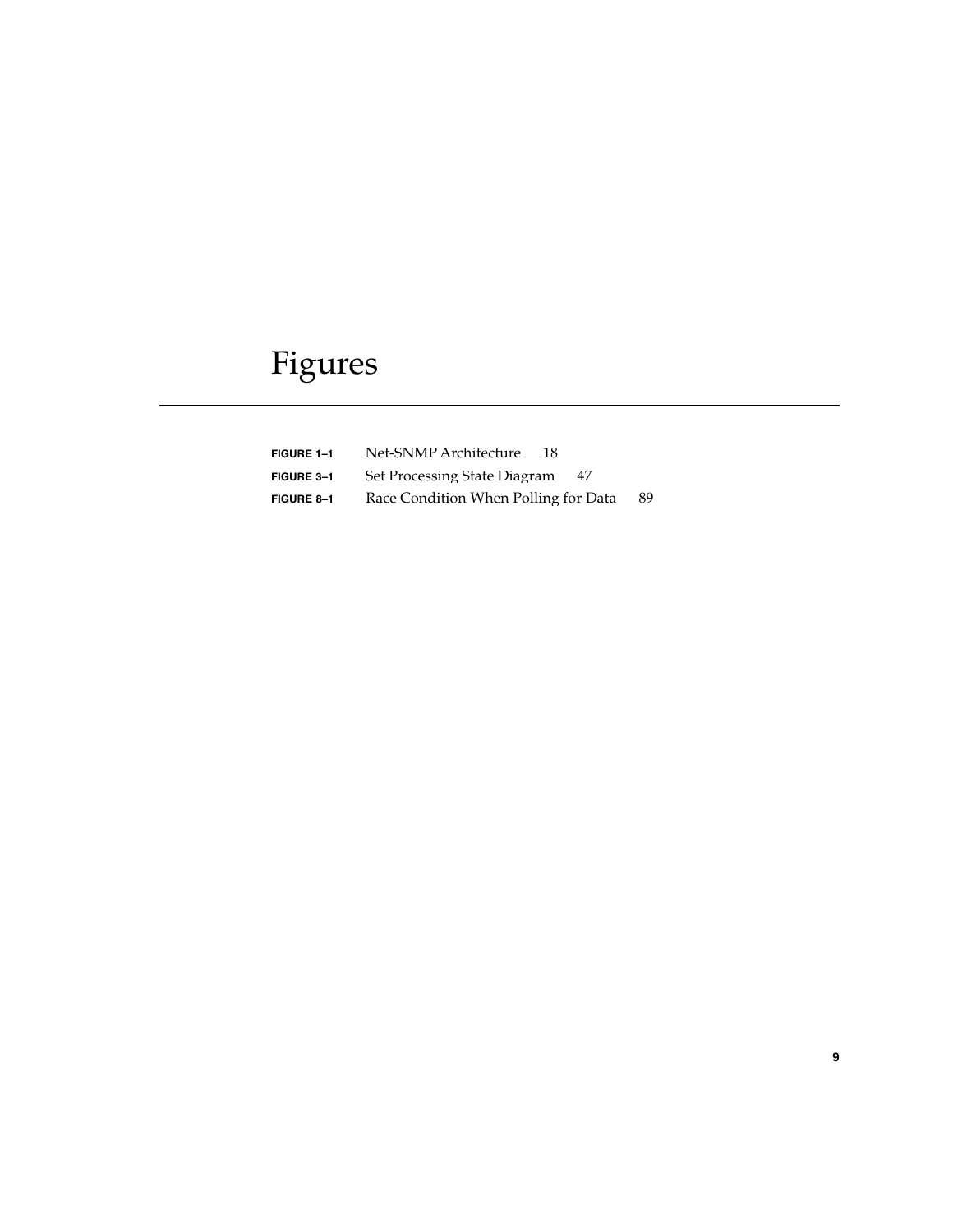# Figures

| FIGURE 1-1        | Net-SNMP Architecture                |    |
|-------------------|--------------------------------------|----|
| <b>FIGURE 3-1</b> | Set Processing State Diagram<br>47   |    |
| <b>FIGURE 8-1</b> | Race Condition When Polling for Data | 89 |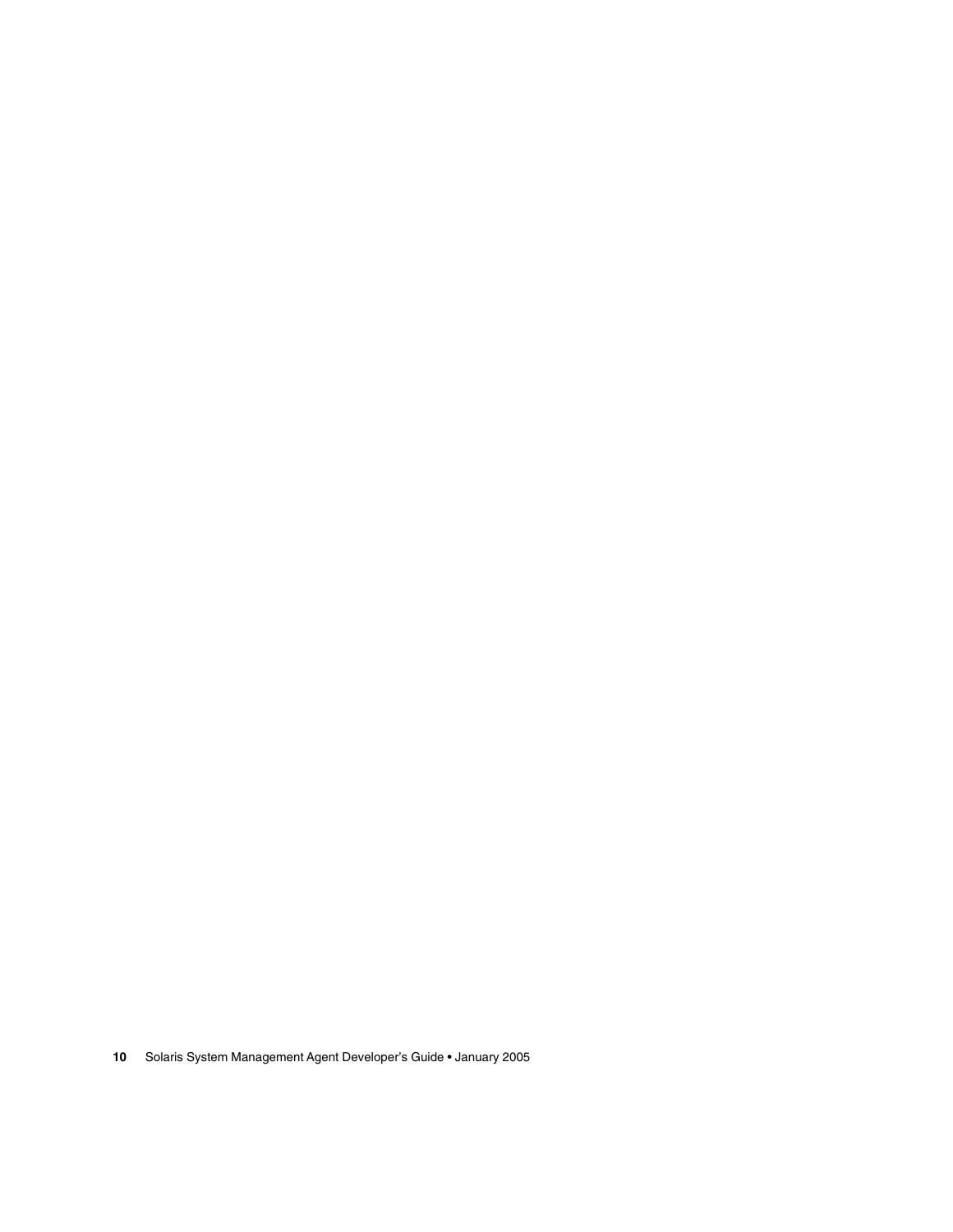Solaris System Management Agent Developer's Guide • January 2005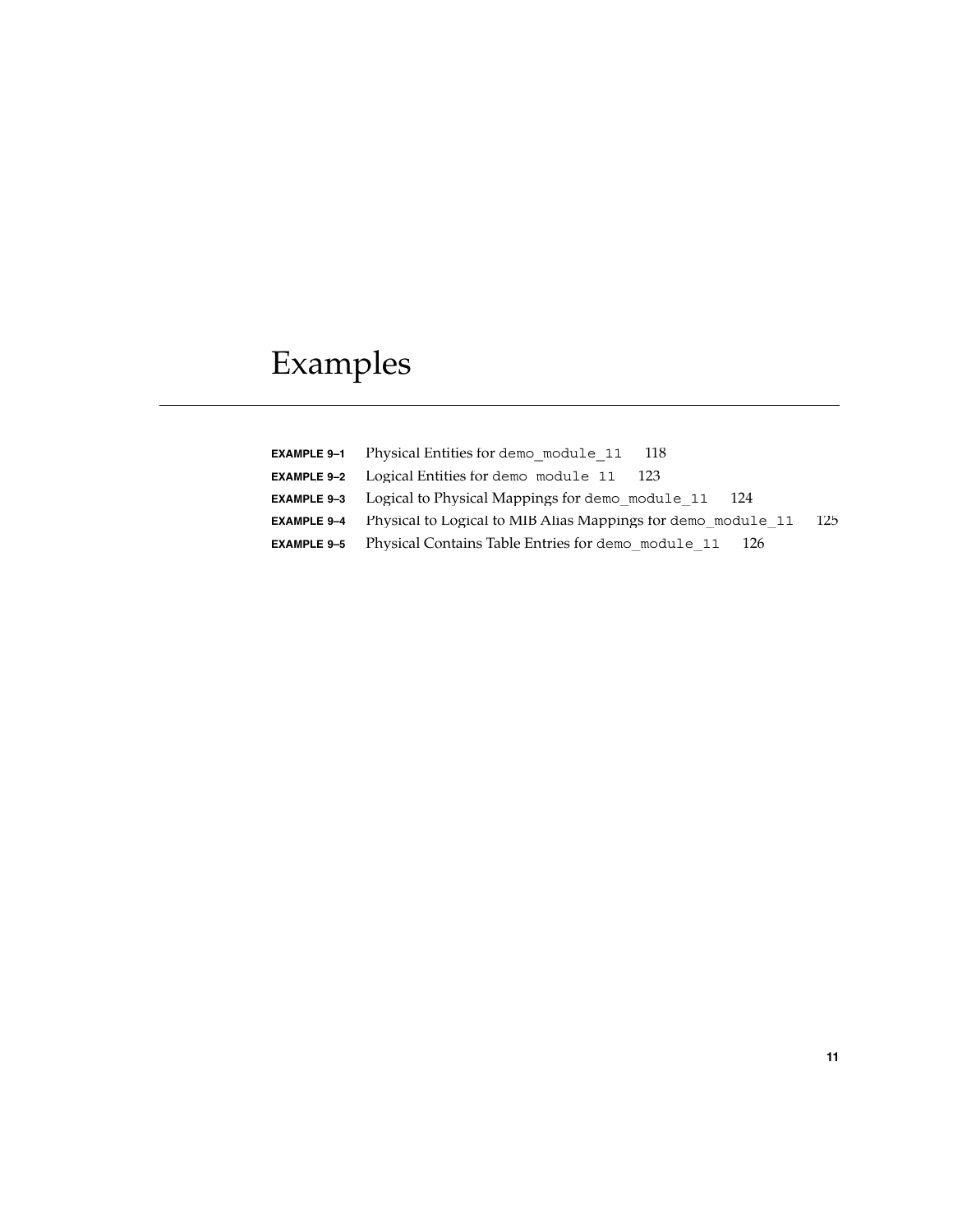# Examples

| <b>EXAMPLE 9-1</b> Physical Entities for demo module 11 118                     |     |
|---------------------------------------------------------------------------------|-----|
| <b>EXAMPLE 9-2</b> Logical Entities for demo module 11 123                      |     |
| <b>EXAMPLE 9-3</b> Logical to Physical Mappings for demo module 11<br>124       |     |
| <b>EXAMPLE 9-4</b> Physical to Logical to MIB Alias Mappings for demo module 11 | 125 |
| <b>EXAMPLE 9-5</b> Physical Contains Table Entries for demo module 11 126       |     |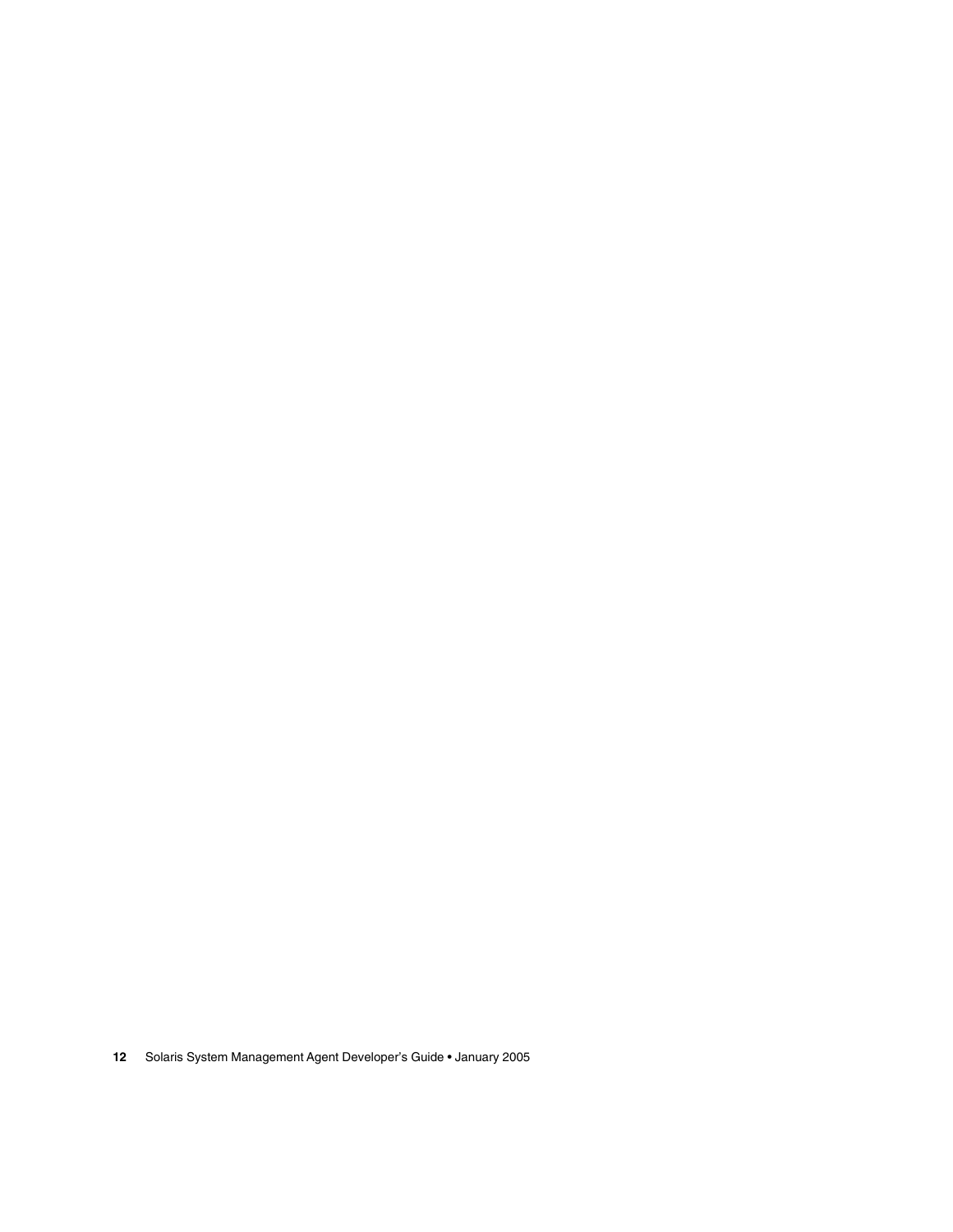Solaris System Management Agent Developer's Guide • January 2005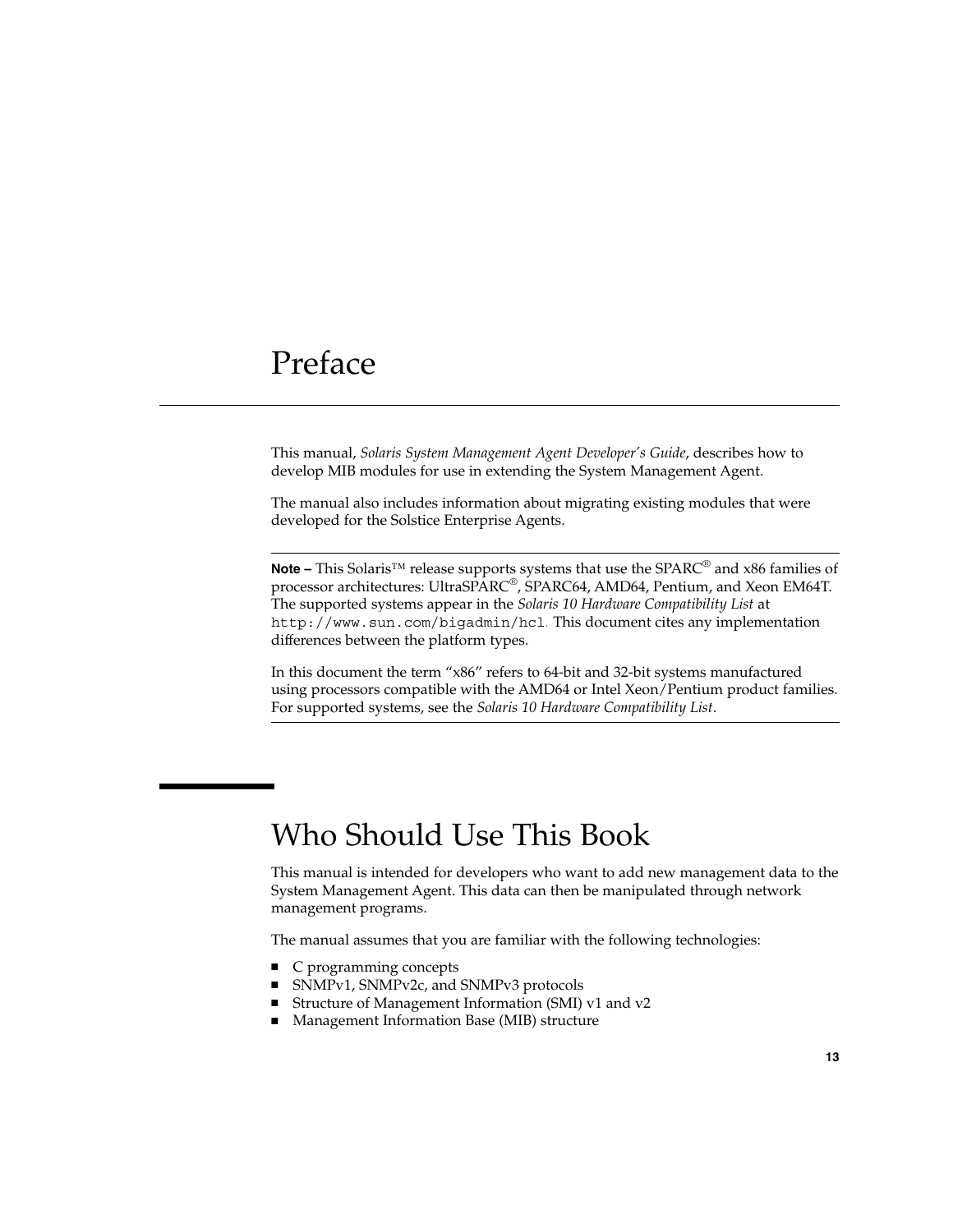### <span id="page-12-0"></span>Preface

This manual, *Solaris System Management Agent Developer's Guide*, describes how to develop MIB modules for use in extending the System Management Agent.

The manual also includes information about migrating existing modules that were developed for the Solstice Enterprise Agents.

**Note –** This Solaris™ release supports systems that use the SPARC® and x86 families of processor architectures: UltraSPARC®, SPARC64, AMD64, Pentium, and Xeon EM64T. The supported systems appear in the *Solaris 10 Hardware Compatibility List* at <http://www.sun.com/bigadmin/hcl>. This document cites any implementation differences between the platform types.

In this document the term "x86" refers to 64-bit and 32-bit systems manufactured using processors compatible with the AMD64 or Intel Xeon/Pentium product families. For supported systems, see the *Solaris 10 Hardware Compatibility List*.

## Who Should Use This Book

This manual is intended for developers who want to add new management data to the System Management Agent. This data can then be manipulated through network management programs.

The manual assumes that you are familiar with the following technologies:

- C programming concepts
- SNMPv1, SNMPv2c, and SNMPv3 protocols
- Structure of Management Information (SMI) v1 and v2
- Management Information Base (MIB) structure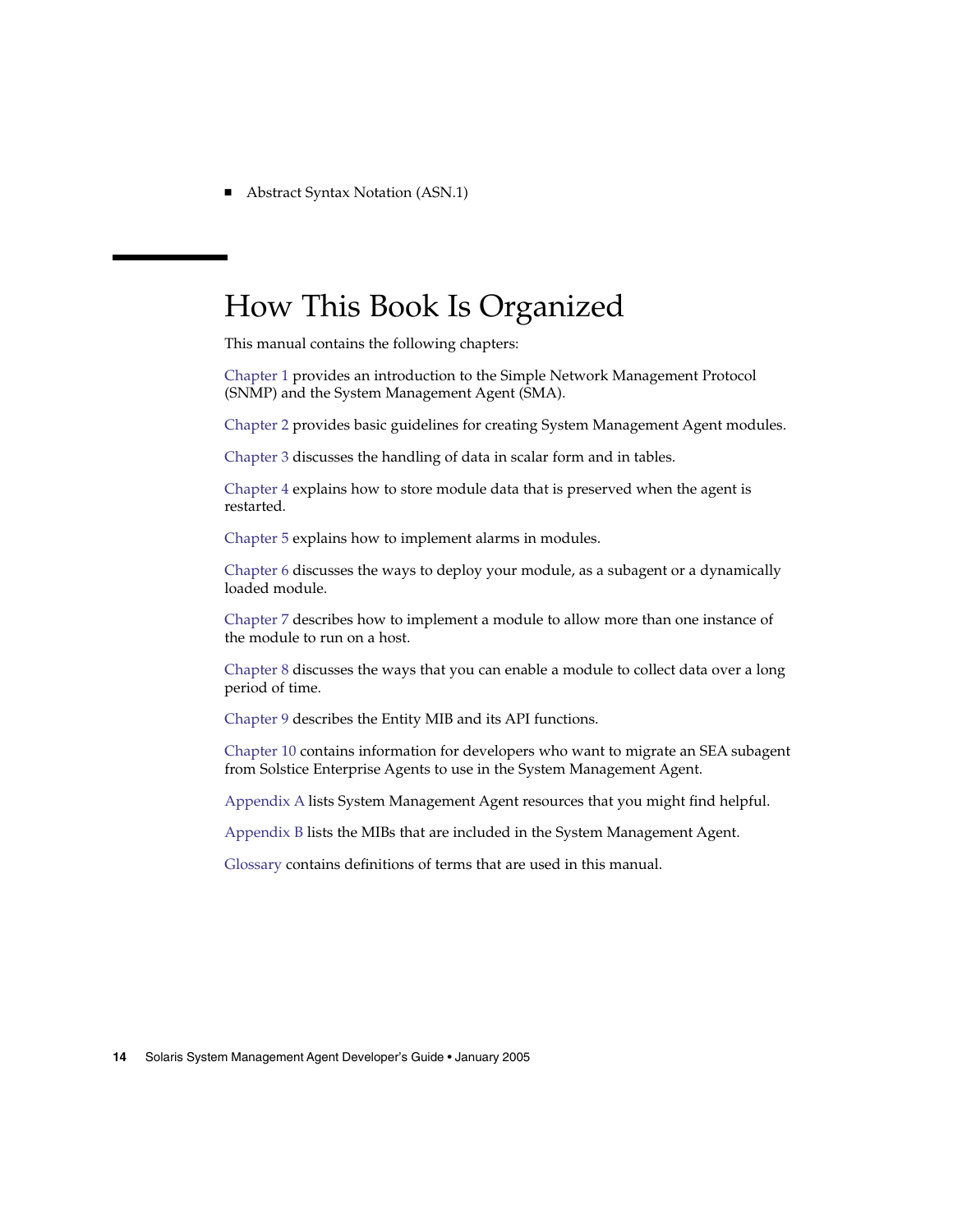■ Abstract Syntax Notation (ASN.1)

### How This Book Is Organized

This manual contains the following chapters:

[Chapter 1](#page-16-0) provides an introduction to the Simple Network Management Protocol (SNMP) and the System Management Agent (SMA).

[Chapter 2](#page-28-0) provides basic guidelines for creating System Management Agent modules.

[Chapter 3](#page-38-0) discusses the handling of data in scalar form and in tables.

[Chapter 4](#page-50-0) explains how to store module data that is preserved when the agent is restarted.

[Chapter 5](#page-58-0) explains how to implement alarms in modules.

[Chapter 6](#page-64-0) discusses the ways to deploy your module, as a subagent or a dynamically loaded module.

[Chapter 7](#page-74-0) describes how to implement a module to allow more than one instance of the module to run on a host.

[Chapter 8](#page-84-0) discusses the ways that you can enable a module to collect data over a long period of time.

[Chapter 9](#page-90-0) describes the Entity MIB and its API functions.

[Chapter 10](#page-126-0) contains information for developers who want to migrate an SEA subagent from Solstice Enterprise Agents to use in the System Management Agent.

[Appendix A](#page-132-0) lists System Management Agent resources that you might find helpful.

[Appendix B](#page-142-0) lists the MIBs that are included in the System Management Agent.

[Glossary](#page-144-0) contains definitions of terms that are used in this manual.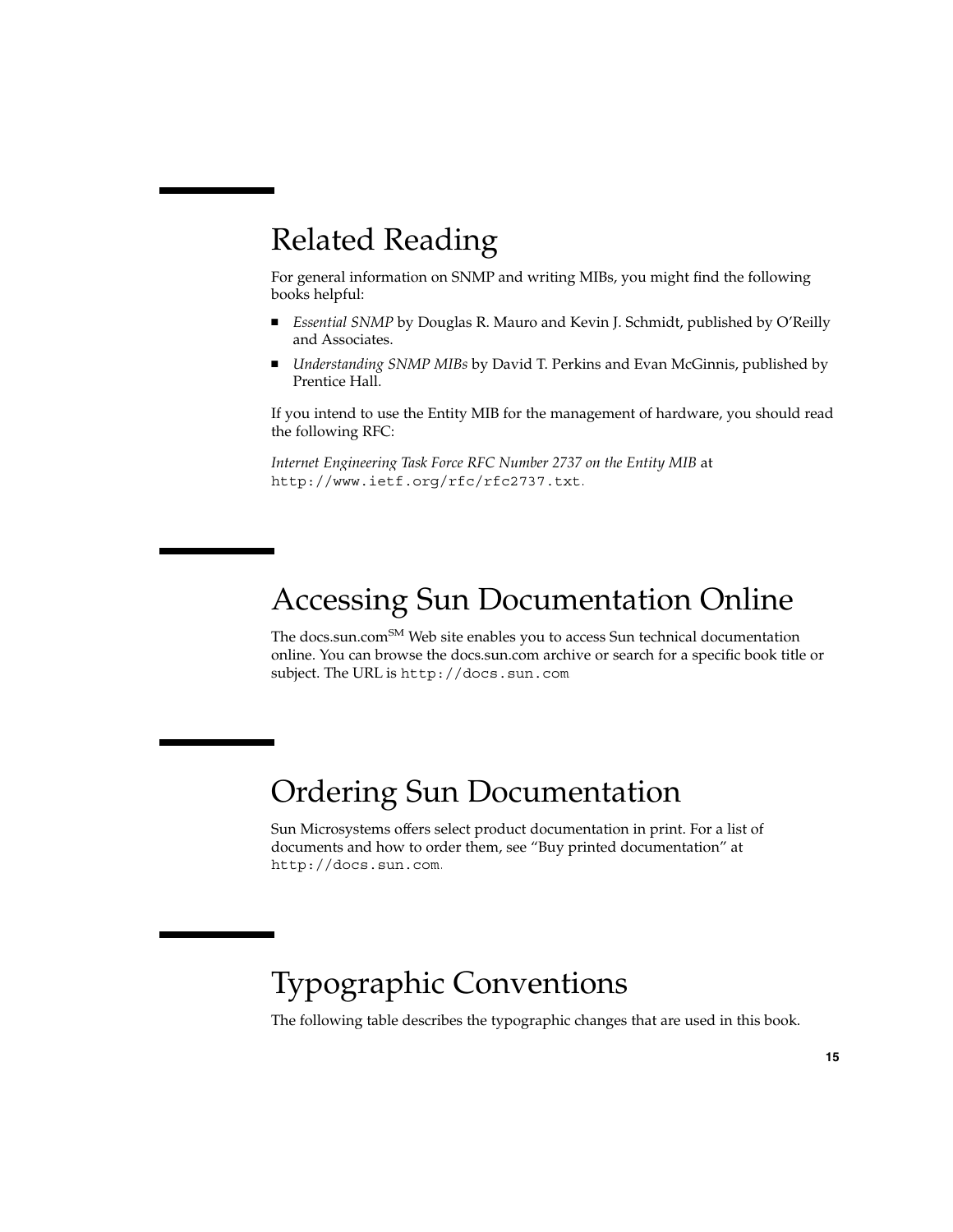## <span id="page-14-0"></span>Related Reading

For general information on SNMP and writing MIBs, you might find the following books helpful:

- *Essential SNMP* by Douglas R. Mauro and Kevin J. Schmidt, published by O'Reilly and Associates.
- *Understanding SNMP MIBs* by David T. Perkins and Evan McGinnis, published by Prentice Hall.

If you intend to use the Entity MIB for the management of hardware, you should read the following RFC:

*Internet Engineering Task Force RFC Number 2737 on the Entity MIB* at <http://www.ietf.org/rfc/rfc2737.txt>.

## Accessing Sun Documentation Online

The docs.sun.com<sup>SM</sup> Web site enables you to access Sun technical documentation online. You can browse the docs.sun.com archive or search for a specific book title or subject. The URL is <http://docs.sun.com>.

### Ordering Sun Documentation

Sun Microsystems offers select product documentation in print. For a list of documents and how to order them, see "Buy printed documentation" at <http://docs.sun.com>.

### Typographic Conventions

The following table describes the typographic changes that are used in this book.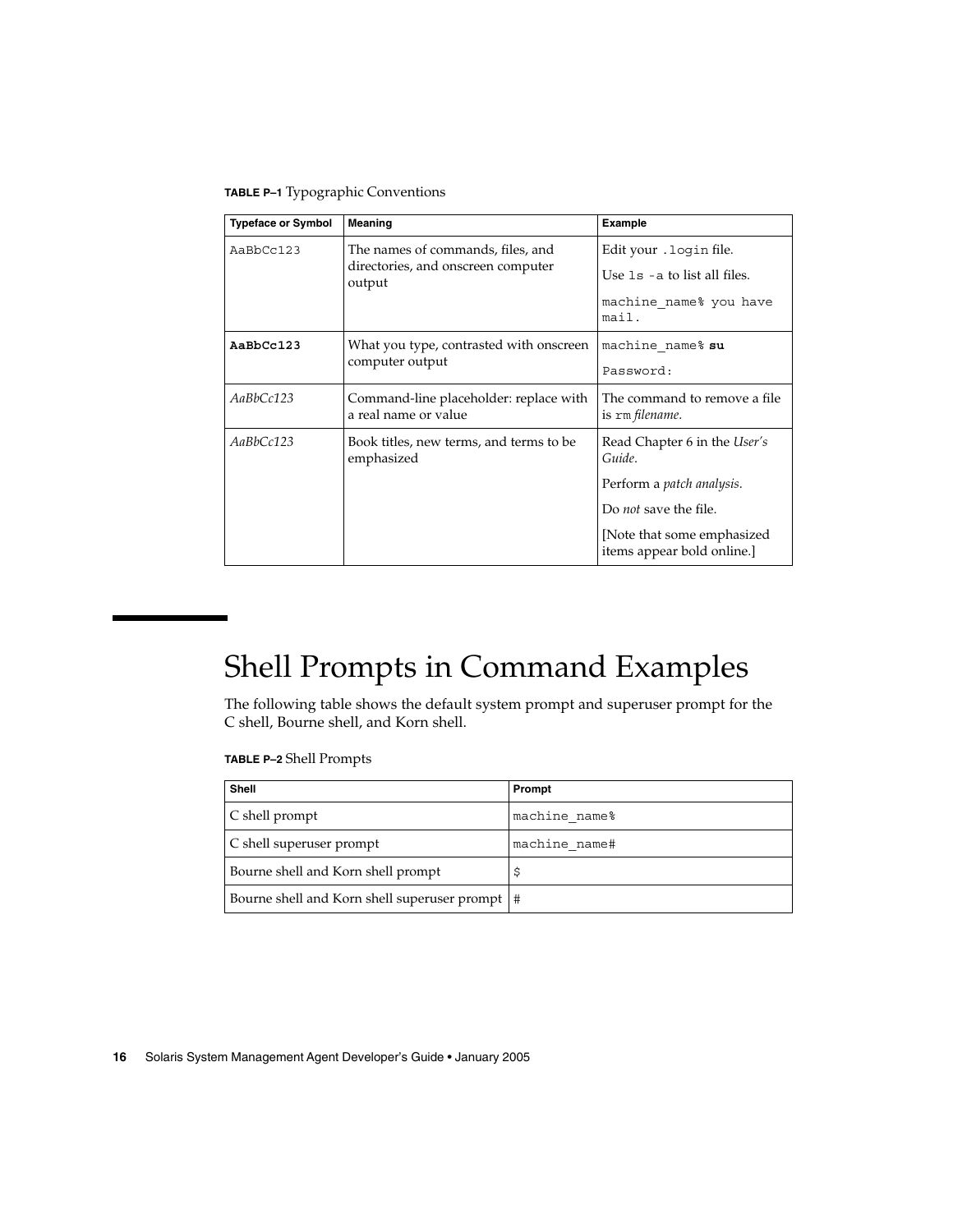**TABLE P–1** Typographic Conventions

| <b>Typeface or Symbol</b> | <b>Meaning</b>                                                 | <b>Example</b>                                            |
|---------------------------|----------------------------------------------------------------|-----------------------------------------------------------|
| AaBbCc123                 | The names of commands, files, and                              | Edit your . login file.                                   |
|                           | directories, and onscreen computer<br>output                   | Use $1s$ -a to list all files.                            |
|                           |                                                                | machine name% you have<br>mail.                           |
| AaBbCc123                 | What you type, contrasted with onscreen<br>computer output     | machine name% su                                          |
|                           |                                                                | Password:                                                 |
| AaBbCc123                 | Command-line placeholder: replace with<br>a real name or value | The command to remove a file.<br>is rm filename.          |
| AaBbCc123                 | Book titles, new terms, and terms to be<br>emphasized          | Read Chapter 6 in the User's<br>Guide.                    |
|                           |                                                                | Perform a <i>patch analysis</i> .                         |
|                           |                                                                | Do <i>not</i> save the file.                              |
|                           |                                                                | [Note that some emphasized]<br>items appear bold online.] |

## Shell Prompts in Command Examples

The following table shows the default system prompt and superuser prompt for the C shell, Bourne shell, and Korn shell.

| TABLE P-2 Shell Prompts |  |
|-------------------------|--|
|-------------------------|--|

| <b>Shell</b>                                     | Prompt        |
|--------------------------------------------------|---------------|
| C shell prompt                                   | machine name% |
| C shell superuser prompt                         | machine name# |
| Bourne shell and Korn shell prompt               | Ş             |
| Bourne shell and Korn shell superuser prompt   # |               |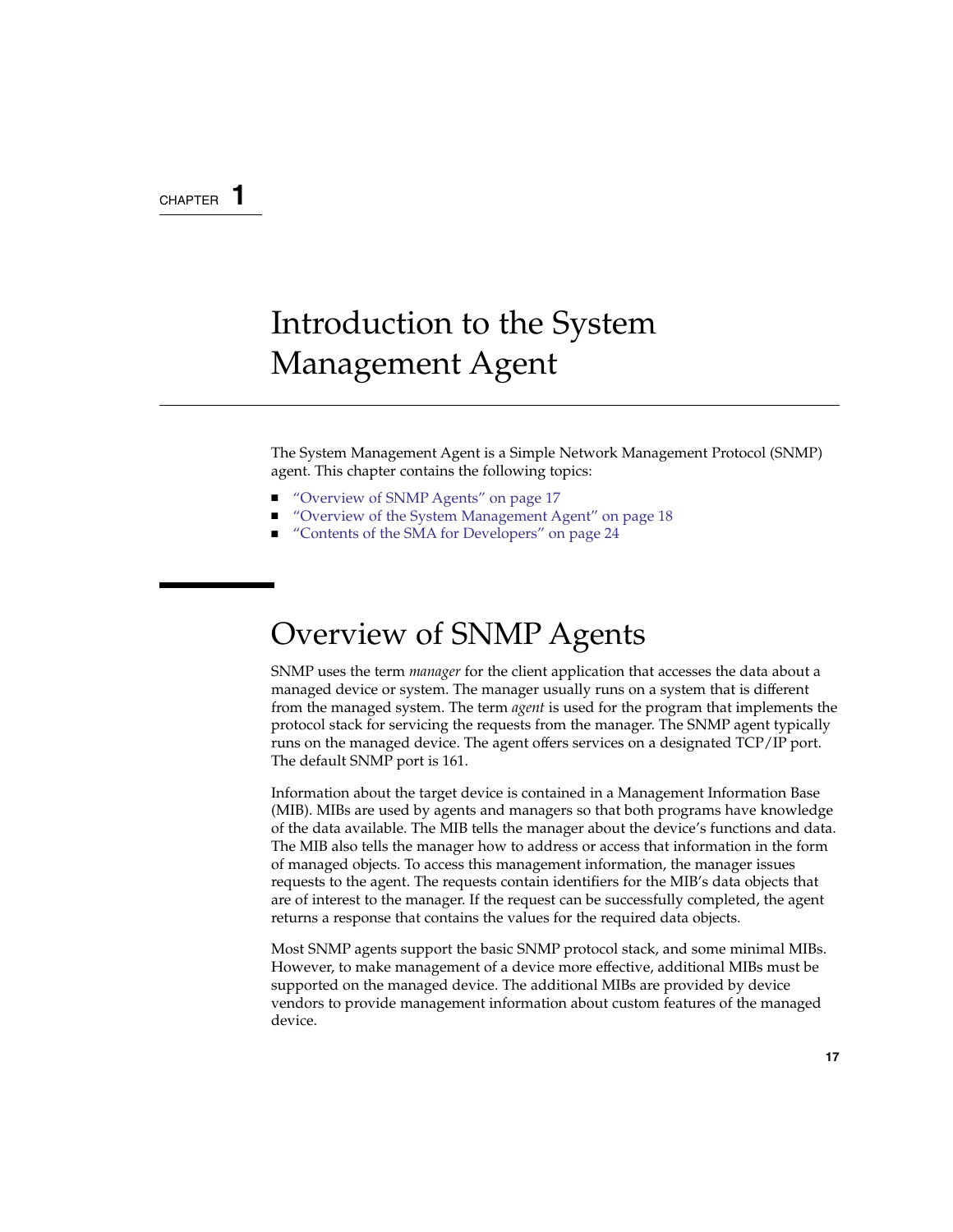#### <span id="page-16-0"></span>CHAPTER **1**

## Introduction to the System Management Agent

The System Management Agent is a Simple Network Management Protocol (SNMP) agent. This chapter contains the following topics:

- "Overview of SNMP Agents" on page 17
- ["Overview of the System Management Agent"](#page-17-0) on page 18
- ["Contents of the SMA for Developers"](#page-23-0) on page 24

## Overview of SNMP Agents

SNMP uses the term *manager* for the client application that accesses the data about a managed device or system. The manager usually runs on a system that is different from the managed system. The term *agent* is used for the program that implements the protocol stack for servicing the requests from the manager. The SNMP agent typically runs on the managed device. The agent offers services on a designated TCP/IP port. The default SNMP port is 161.

Information about the target device is contained in a Management Information Base (MIB). MIBs are used by agents and managers so that both programs have knowledge of the data available. The MIB tells the manager about the device's functions and data. The MIB also tells the manager how to address or access that information in the form of managed objects. To access this management information, the manager issues requests to the agent. The requests contain identifiers for the MIB's data objects that are of interest to the manager. If the request can be successfully completed, the agent returns a response that contains the values for the required data objects.

Most SNMP agents support the basic SNMP protocol stack, and some minimal MIBs. However, to make management of a device more effective, additional MIBs must be supported on the managed device. The additional MIBs are provided by device vendors to provide management information about custom features of the managed device.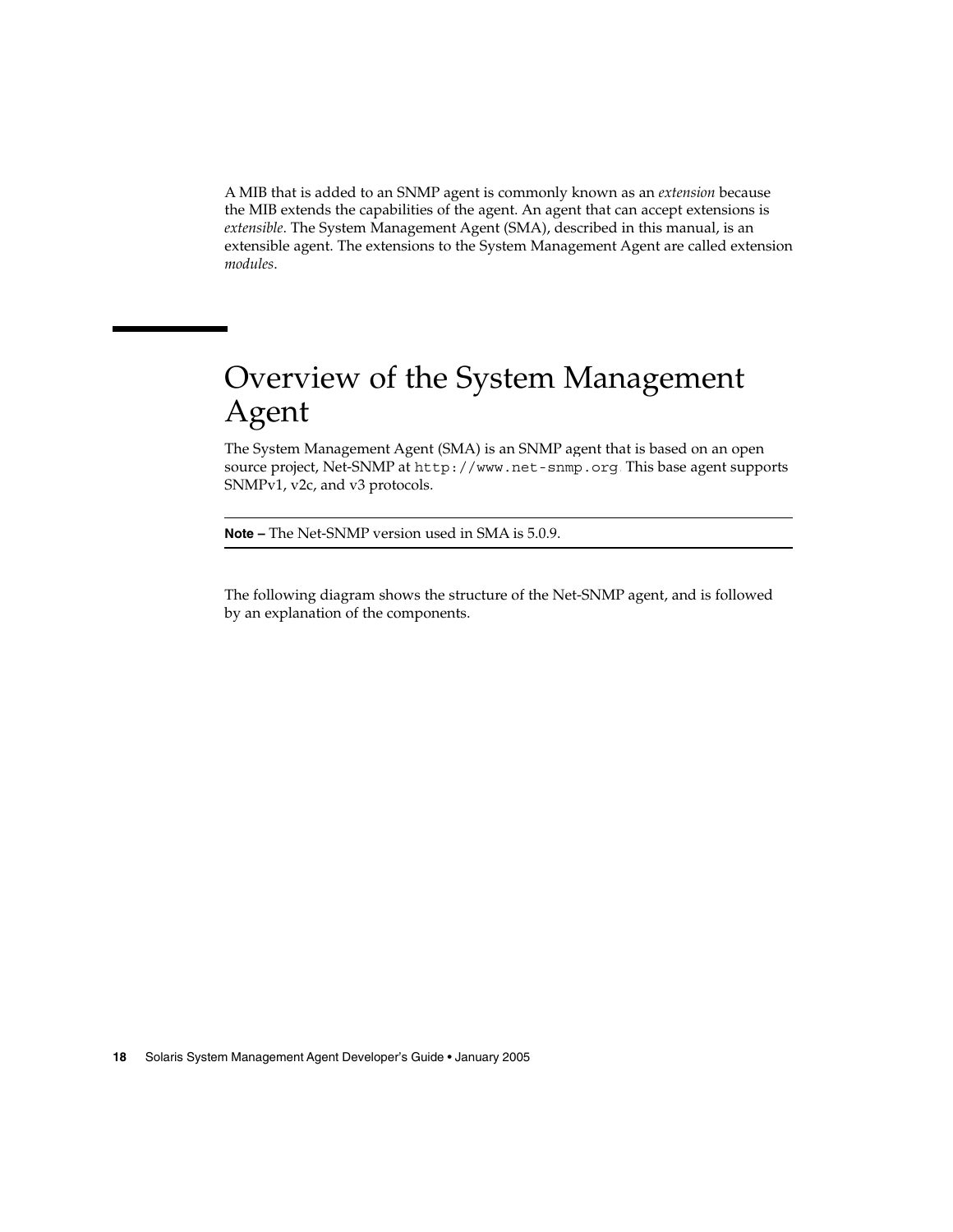<span id="page-17-0"></span>A MIB that is added to an SNMP agent is commonly known as an *extension* because the MIB extends the capabilities of the agent. An agent that can accept extensions is *extensible*. The System Management Agent (SMA), described in this manual, is an extensible agent. The extensions to the System Management Agent are called extension *modules*.

## Overview of the System Management Agent

The System Management Agent (SMA) is an SNMP agent that is based on an open source project, Net-SNMP at <http://www.net-snmp.org>. This base agent supports SNMPv1, v2c, and v3 protocols.

**Note –** The Net-SNMP version used in SMA is 5.0.9.

The following diagram shows the structure of the Net-SNMP agent, and is followed by an explanation of the components.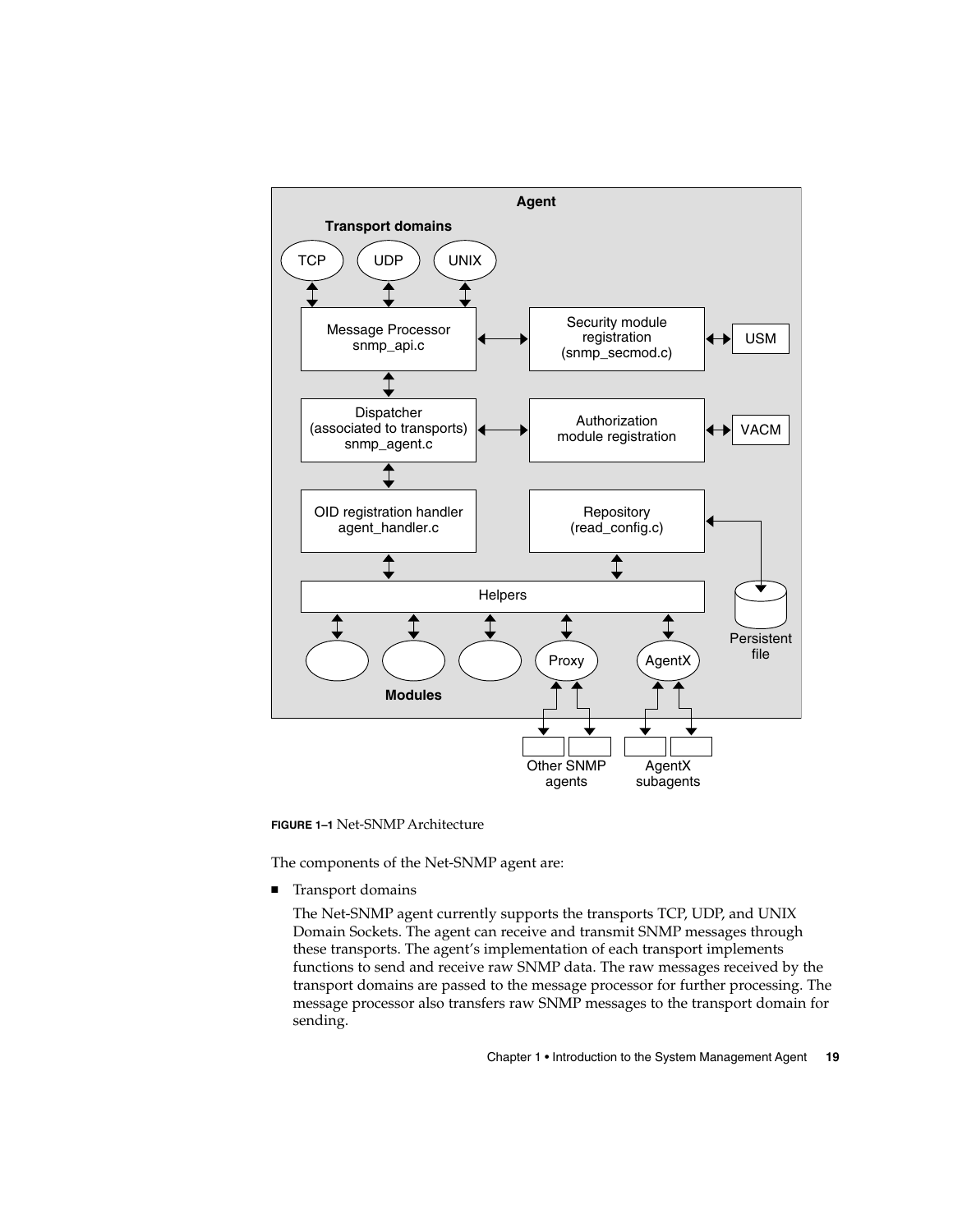

**FIGURE 1–1** Net-SNMP Architecture

The components of the Net-SNMP agent are:

■ Transport domains

The Net-SNMP agent currently supports the transports TCP, UDP, and UNIX Domain Sockets. The agent can receive and transmit SNMP messages through these transports. The agent's implementation of each transport implements functions to send and receive raw SNMP data. The raw messages received by the transport domains are passed to the message processor for further processing. The message processor also transfers raw SNMP messages to the transport domain for sending.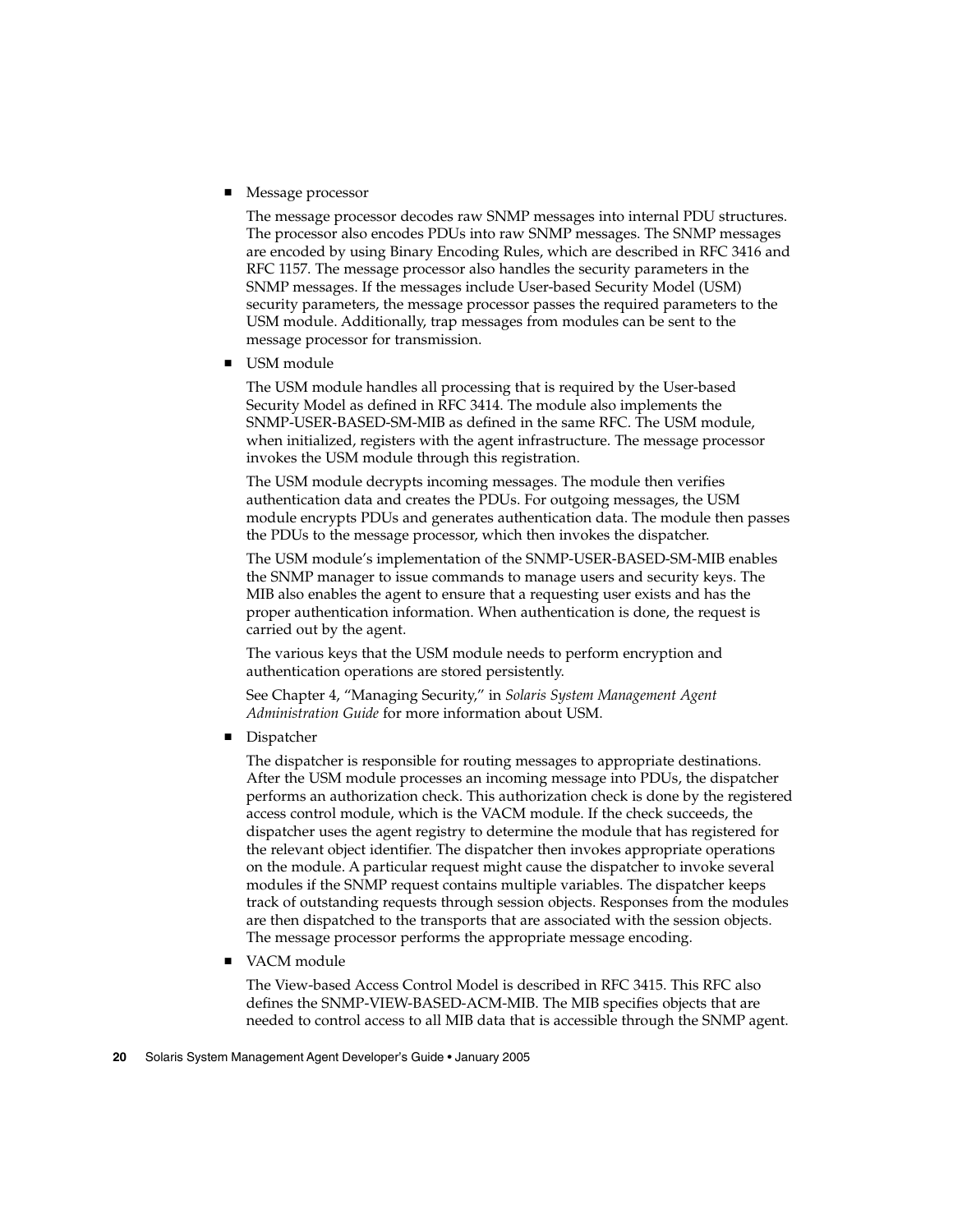■ Message processor

The message processor decodes raw SNMP messages into internal PDU structures. The processor also encodes PDUs into raw SNMP messages. The SNMP messages are encoded by using Binary Encoding Rules, which are described in RFC 3416 and RFC 1157. The message processor also handles the security parameters in the SNMP messages. If the messages include User-based Security Model (USM) security parameters, the message processor passes the required parameters to the USM module. Additionally, trap messages from modules can be sent to the message processor for transmission.

USM module

The USM module handles all processing that is required by the User-based Security Model as defined in RFC 3414. The module also implements the SNMP-USER-BASED-SM-MIB as defined in the same RFC. The USM module, when initialized, registers with the agent infrastructure. The message processor invokes the USM module through this registration.

The USM module decrypts incoming messages. The module then verifies authentication data and creates the PDUs. For outgoing messages, the USM module encrypts PDUs and generates authentication data. The module then passes the PDUs to the message processor, which then invokes the dispatcher.

The USM module's implementation of the SNMP-USER-BASED-SM-MIB enables the SNMP manager to issue commands to manage users and security keys. The MIB also enables the agent to ensure that a requesting user exists and has the proper authentication information. When authentication is done, the request is carried out by the agent.

The various keys that the USM module needs to perform encryption and authentication operations are stored persistently.

See Chapter 4, "Managing Security," in *Solaris System Management Agent Administration Guide* for more information about USM.

■ Dispatcher

The dispatcher is responsible for routing messages to appropriate destinations. After the USM module processes an incoming message into PDUs, the dispatcher performs an authorization check. This authorization check is done by the registered access control module, which is the VACM module. If the check succeeds, the dispatcher uses the agent registry to determine the module that has registered for the relevant object identifier. The dispatcher then invokes appropriate operations on the module. A particular request might cause the dispatcher to invoke several modules if the SNMP request contains multiple variables. The dispatcher keeps track of outstanding requests through session objects. Responses from the modules are then dispatched to the transports that are associated with the session objects. The message processor performs the appropriate message encoding.

■ VACM module

The View-based Access Control Model is described in RFC 3415. This RFC also defines the SNMP-VIEW-BASED-ACM-MIB. The MIB specifies objects that are needed to control access to all MIB data that is accessible through the SNMP agent.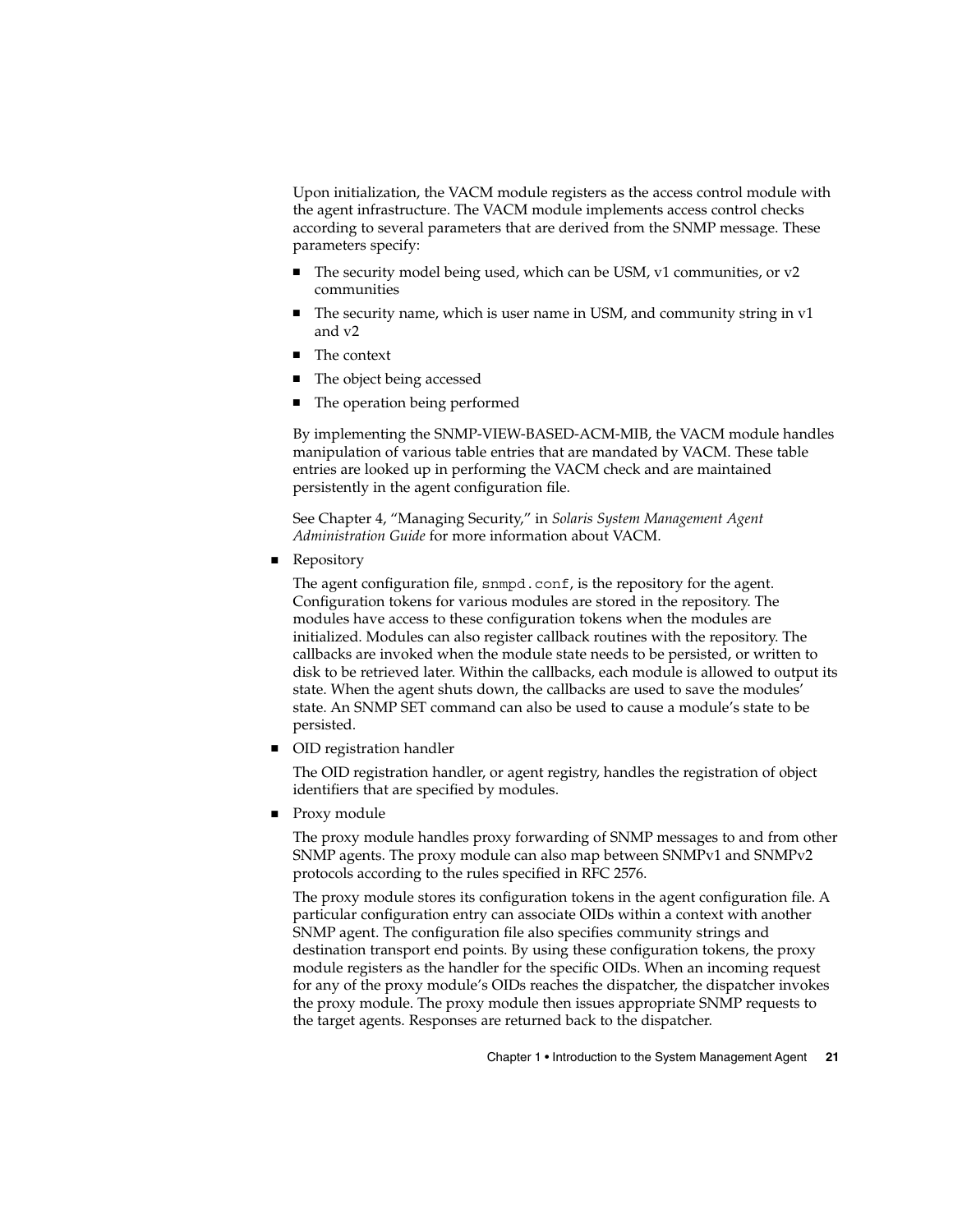Upon initialization, the VACM module registers as the access control module with the agent infrastructure. The VACM module implements access control checks according to several parameters that are derived from the SNMP message. These parameters specify:

- The security model being used, which can be USM, v1 communities, or v2 communities
- The security name, which is user name in USM, and community string in  $v1$ and v2
- The context
- The object being accessed
- The operation being performed

By implementing the SNMP-VIEW-BASED-ACM-MIB, the VACM module handles manipulation of various table entries that are mandated by VACM. These table entries are looked up in performing the VACM check and are maintained persistently in the agent configuration file.

See Chapter 4, "Managing Security," in *Solaris System Management Agent Administration Guide* for more information about VACM.

■ Repository

The agent configuration file, snmpd.conf, is the repository for the agent. Configuration tokens for various modules are stored in the repository. The modules have access to these configuration tokens when the modules are initialized. Modules can also register callback routines with the repository. The callbacks are invoked when the module state needs to be persisted, or written to disk to be retrieved later. Within the callbacks, each module is allowed to output its state. When the agent shuts down, the callbacks are used to save the modules' state. An SNMP SET command can also be used to cause a module's state to be persisted.

■ OID registration handler

The OID registration handler, or agent registry, handles the registration of object identifiers that are specified by modules.

■ Proxy module

The proxy module handles proxy forwarding of SNMP messages to and from other SNMP agents. The proxy module can also map between SNMPv1 and SNMPv2 protocols according to the rules specified in RFC 2576.

The proxy module stores its configuration tokens in the agent configuration file. A particular configuration entry can associate OIDs within a context with another SNMP agent. The configuration file also specifies community strings and destination transport end points. By using these configuration tokens, the proxy module registers as the handler for the specific OIDs. When an incoming request for any of the proxy module's OIDs reaches the dispatcher, the dispatcher invokes the proxy module. The proxy module then issues appropriate SNMP requests to the target agents. Responses are returned back to the dispatcher.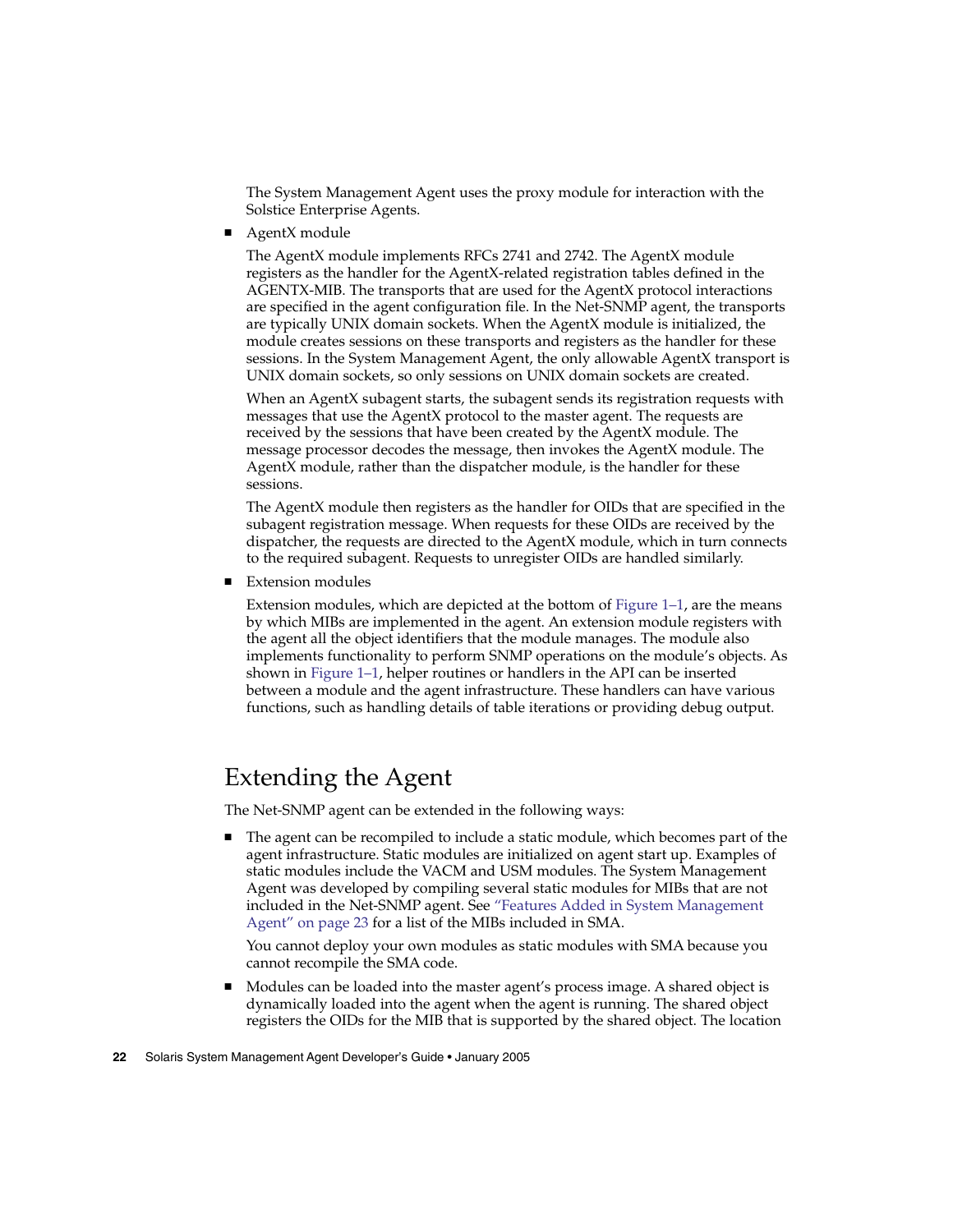<span id="page-21-0"></span>The System Management Agent uses the proxy module for interaction with the Solstice Enterprise Agents.

■ AgentX module

The AgentX module implements RFCs 2741 and 2742. The AgentX module registers as the handler for the AgentX-related registration tables defined in the AGENTX-MIB. The transports that are used for the AgentX protocol interactions are specified in the agent configuration file. In the Net-SNMP agent, the transports are typically UNIX domain sockets. When the AgentX module is initialized, the module creates sessions on these transports and registers as the handler for these sessions. In the System Management Agent, the only allowable AgentX transport is UNIX domain sockets, so only sessions on UNIX domain sockets are created.

When an AgentX subagent starts, the subagent sends its registration requests with messages that use the AgentX protocol to the master agent. The requests are received by the sessions that have been created by the AgentX module. The message processor decodes the message, then invokes the AgentX module. The AgentX module, rather than the dispatcher module, is the handler for these sessions.

The AgentX module then registers as the handler for OIDs that are specified in the subagent registration message. When requests for these OIDs are received by the dispatcher, the requests are directed to the AgentX module, which in turn connects to the required subagent. Requests to unregister OIDs are handled similarly.

■ Extension modules

Extension modules, which are depicted at the bottom of [Figure 1–1,](#page-17-0) are the means by which MIBs are implemented in the agent. An extension module registers with the agent all the object identifiers that the module manages. The module also implements functionality to perform SNMP operations on the module's objects. As shown in [Figure 1–1,](#page-17-0) helper routines or handlers in the API can be inserted between a module and the agent infrastructure. These handlers can have various functions, such as handling details of table iterations or providing debug output.

### Extending the Agent

The Net-SNMP agent can be extended in the following ways:

The agent can be recompiled to include a static module, which becomes part of the agent infrastructure. Static modules are initialized on agent start up. Examples of static modules include the VACM and USM modules. The System Management Agent was developed by compiling several static modules for MIBs that are not included in the Net-SNMP agent. See ["Features Added in System Management](#page-22-0) Agent" [on page 23](#page-22-0) for a list of the MIBs included in SMA.

You cannot deploy your own modules as static modules with SMA because you cannot recompile the SMA code.

Modules can be loaded into the master agent's process image. A shared object is dynamically loaded into the agent when the agent is running. The shared object registers the OIDs for the MIB that is supported by the shared object. The location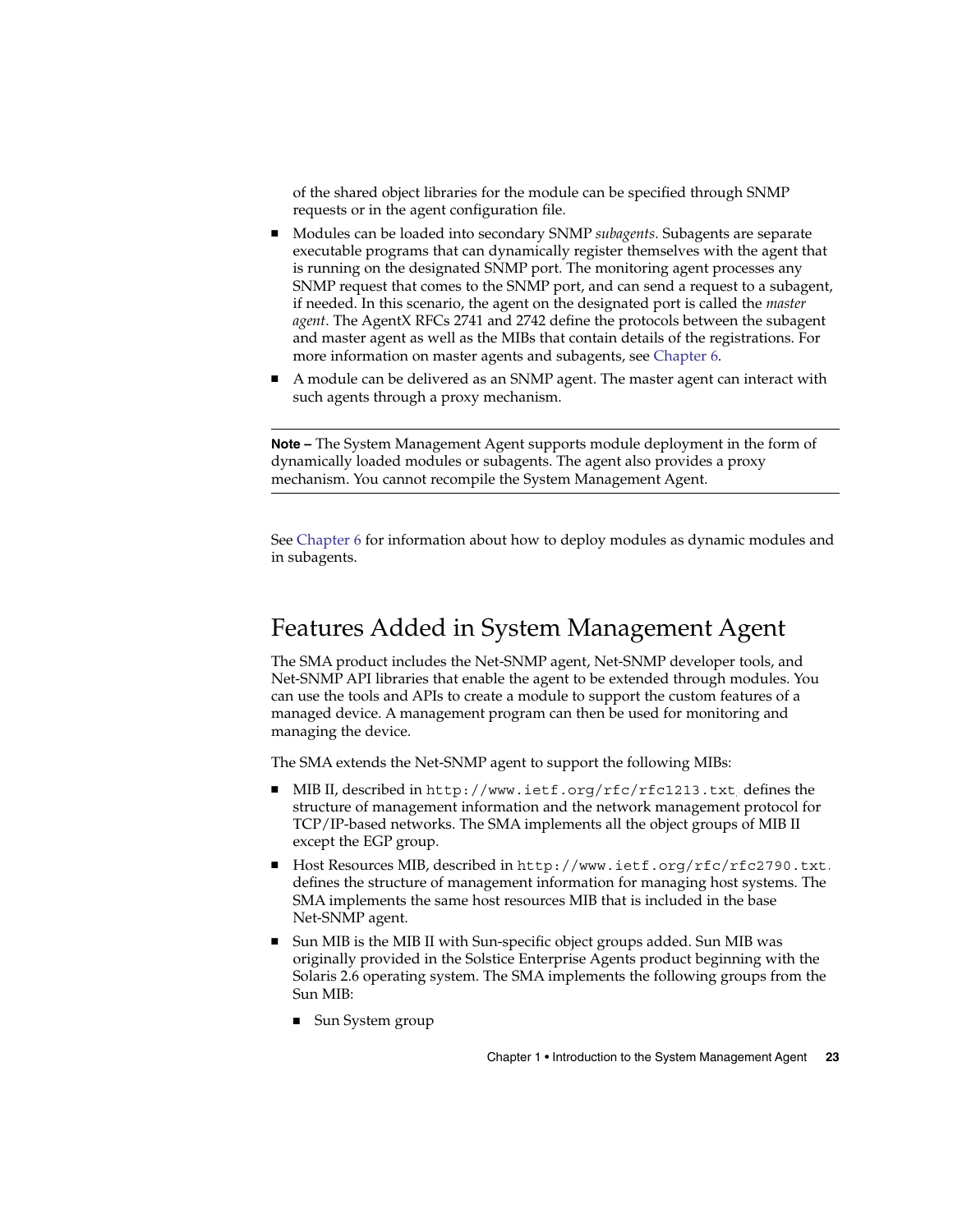<span id="page-22-0"></span>of the shared object libraries for the module can be specified through SNMP requests or in the agent configuration file.

- Modules can be loaded into secondary SNMP *subagents*. Subagents are separate executable programs that can dynamically register themselves with the agent that is running on the designated SNMP port. The monitoring agent processes any SNMP request that comes to the SNMP port, and can send a request to a subagent, if needed. In this scenario, the agent on the designated port is called the *master agent*. The AgentX RFCs 2741 and 2742 define the protocols between the subagent and master agent as well as the MIBs that contain details of the registrations. For more information on master agents and subagents, see [Chapter 6.](#page-64-0)
- A module can be delivered as an SNMP agent. The master agent can interact with such agents through a proxy mechanism.

**Note –** The System Management Agent supports module deployment in the form of dynamically loaded modules or subagents. The agent also provides a proxy mechanism. You cannot recompile the System Management Agent.

See [Chapter 6](#page-64-0) for information about how to deploy modules as dynamic modules and in subagents.

### Features Added in System Management Agent

The SMA product includes the Net-SNMP agent, Net-SNMP developer tools, and Net-SNMP API libraries that enable the agent to be extended through modules. You can use the tools and APIs to create a module to support the custom features of a managed device. A management program can then be used for monitoring and managing the device.

The SMA extends the Net-SNMP agent to support the following MIBs:

- MIB II, described in <http://www.ietf.org/rfc/rfc1213.txt>, defines the structure of management information and the network management protocol for TCP/IP-based networks. The SMA implements all the object groups of MIB II except the EGP group.
- Host Resources MIB, described in <http://www.ietf.org/rfc/rfc2790.txt>, defines the structure of management information for managing host systems. The SMA implements the same host resources MIB that is included in the base Net-SNMP agent.
- Sun MIB is the MIB II with Sun-specific object groups added. Sun MIB was originally provided in the Solstice Enterprise Agents product beginning with the Solaris 2.6 operating system. The SMA implements the following groups from the Sun MIB:
	- Sun System group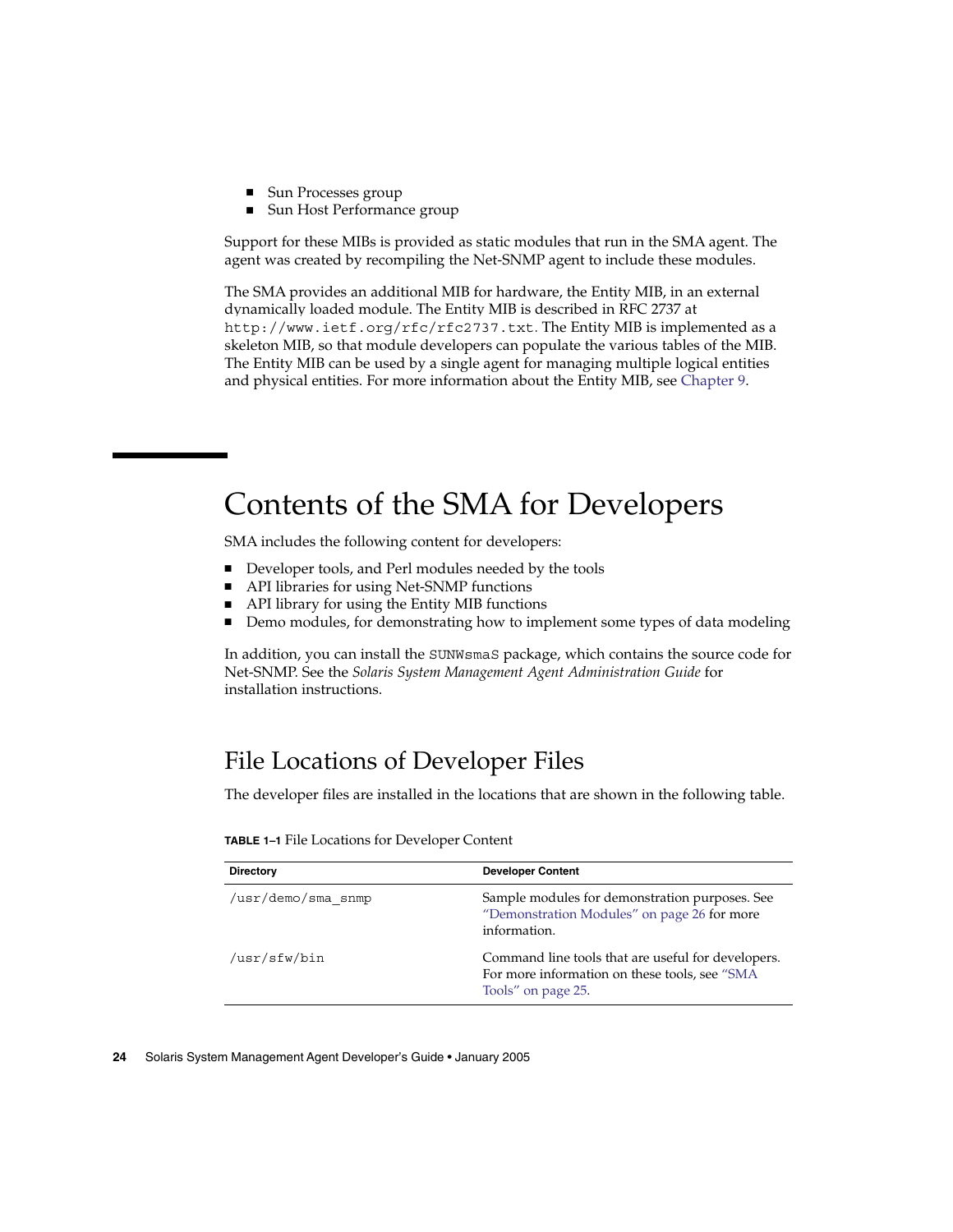- <span id="page-23-0"></span>■ Sun Processes group
- Sun Host Performance group

Support for these MIBs is provided as static modules that run in the SMA agent. The agent was created by recompiling the Net-SNMP agent to include these modules.

The SMA provides an additional MIB for hardware, the Entity MIB, in an external dynamically loaded module. The Entity MIB is described in RFC 2737 at <http://www.ietf.org/rfc/rfc2737.txt>. The Entity MIB is implemented as a skeleton MIB, so that module developers can populate the various tables of the MIB. The Entity MIB can be used by a single agent for managing multiple logical entities and physical entities. For more information about the Entity MIB, see [Chapter 9.](#page-90-0)

### Contents of the SMA for Developers

SMA includes the following content for developers:

- Developer tools, and Perl modules needed by the tools
- API libraries for using Net-SNMP functions
- API library for using the Entity MIB functions
- Demo modules, for demonstrating how to implement some types of data modeling

In addition, you can install the SUNWsmaS package, which contains the source code for Net-SNMP. See the *Solaris System Management Agent Administration Guide* for installation instructions.

### File Locations of Developer Files

The developer files are installed in the locations that are shown in the following table.

| <b>Directory</b>   | <b>Developer Content</b>                                                                                                  |
|--------------------|---------------------------------------------------------------------------------------------------------------------------|
| /usr/demo/sma snmp | Sample modules for demonstration purposes. See<br>"Demonstration Modules" on page 26 for more<br>information.             |
| /usr/sfw/bin       | Command line tools that are useful for developers.<br>For more information on these tools, see "SMA<br>Tools" on page 25. |

**TABLE 1–1** File Locations for Developer Content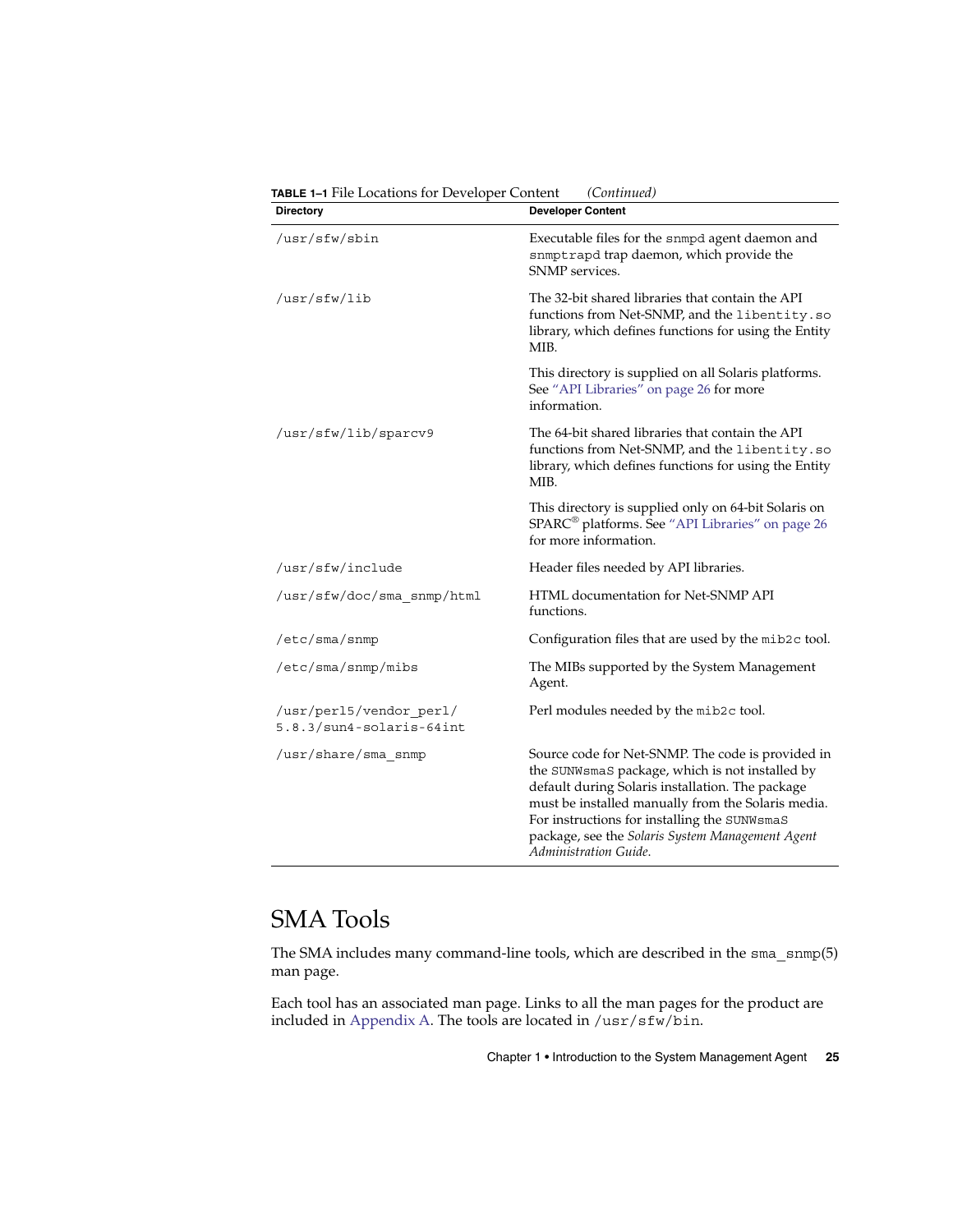| <b>Directory</b>                                              | <b>Developer Content</b>                                                                                                                                                                                                                                                                                                                    |
|---------------------------------------------------------------|---------------------------------------------------------------------------------------------------------------------------------------------------------------------------------------------------------------------------------------------------------------------------------------------------------------------------------------------|
| /usr/sfw/sbin                                                 | Executable files for the snmpd agent daemon and<br>snmptrapd trap daemon, which provide the<br>SNMP services.                                                                                                                                                                                                                               |
| /usr/sfw/lib                                                  | The 32-bit shared libraries that contain the API<br>functions from Net-SNMP, and the libentity.so<br>library, which defines functions for using the Entity<br>MIB.                                                                                                                                                                          |
|                                                               | This directory is supplied on all Solaris platforms.<br>See "API Libraries" on page 26 for more<br>information.                                                                                                                                                                                                                             |
| /usr/sfw/lib/sparcv9                                          | The 64-bit shared libraries that contain the API<br>functions from Net-SNMP, and the libentity.so<br>library, which defines functions for using the Entity<br>MIB.                                                                                                                                                                          |
|                                                               | This directory is supplied only on 64-bit Solaris on<br>SPARC <sup>®</sup> platforms. See "API Libraries" on page 26<br>for more information.                                                                                                                                                                                               |
| /usr/sfw/include                                              | Header files needed by API libraries.                                                                                                                                                                                                                                                                                                       |
| /usr/sfw/doc/sma snmp/html                                    | HTML documentation for Net-SNMP API<br>functions.                                                                                                                                                                                                                                                                                           |
| /etc/sma/snmp                                                 | Configuration files that are used by the mib2c tool.                                                                                                                                                                                                                                                                                        |
| /etc/sma/snmp/mibs                                            | The MIBs supported by the System Management<br>Agent.                                                                                                                                                                                                                                                                                       |
| /usr/perl5/vendor perl/<br>$5.8.3/\text{sun4-solaris-64}$ int | Perl modules needed by the mib2c tool.                                                                                                                                                                                                                                                                                                      |
| /usr/share/sma snmp                                           | Source code for Net-SNMP. The code is provided in<br>the SUNWsmaS package, which is not installed by<br>default during Solaris installation. The package<br>must be installed manually from the Solaris media.<br>For instructions for installing the SUNWsmaS<br>package, see the Solaris System Management Agent<br>Administration Guide. |

<span id="page-24-0"></span>**TABLE 1–1** File Locations for Developer Content *(Continued)*

### SMA Tools

The SMA includes many command-line tools, which are described in the sma\_snmp(5) man page.

Each tool has an associated man page. Links to all the man pages for the product are included in [Appendix A.](#page-132-0) The tools are located in /usr/sfw/bin.

Chapter 1 • Introduction to the System Management Agent **25**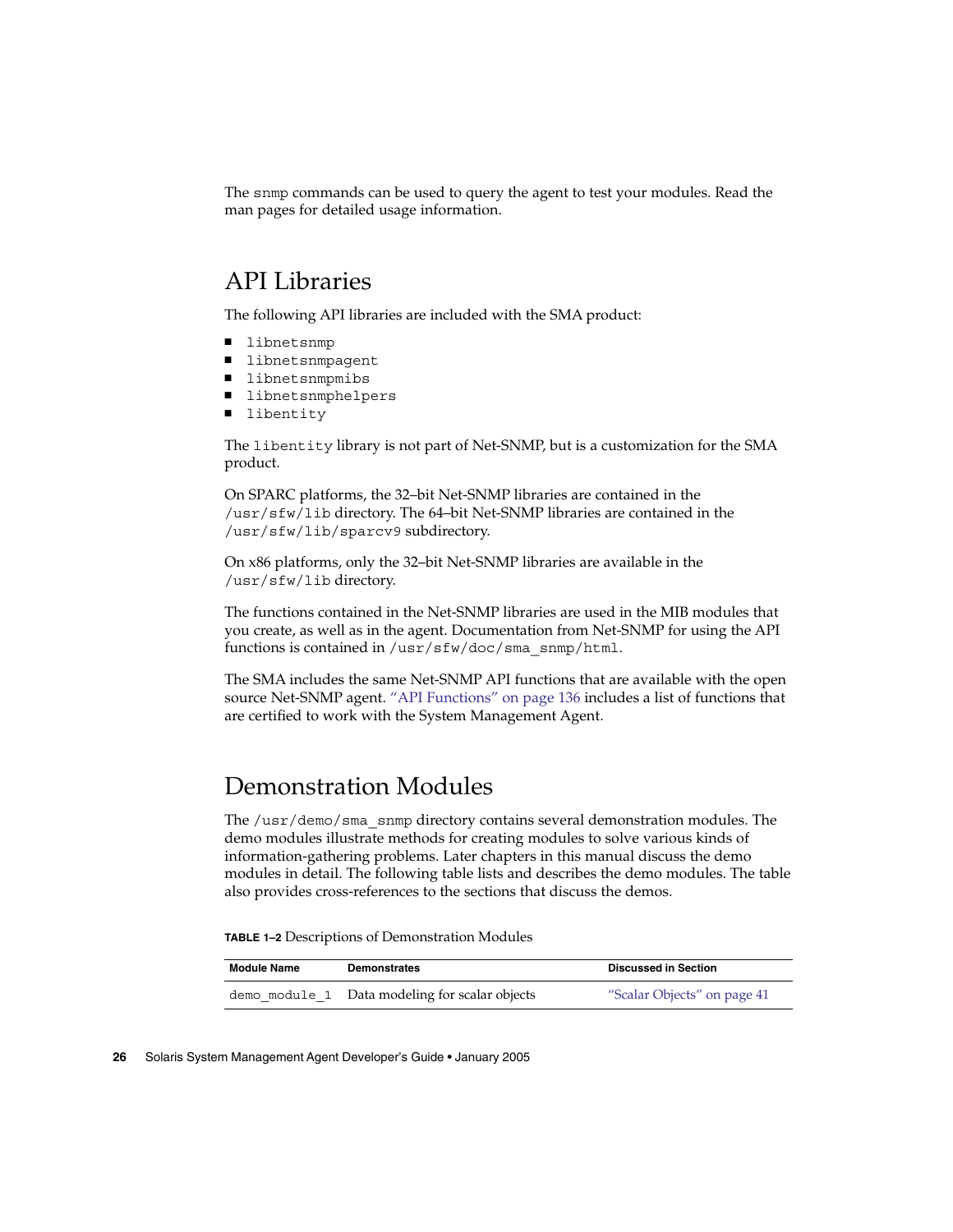<span id="page-25-0"></span>The snmp commands can be used to query the agent to test your modules. Read the man pages for detailed usage information.

### API Libraries

The following API libraries are included with the SMA product:

- libnetsnmp
- libnetsnmpagent
- libnetsnmpmibs
- libnetsnmphelpers
- libentity

The libentity library is not part of Net-SNMP, but is a customization for the SMA product.

On SPARC platforms, the 32–bit Net-SNMP libraries are contained in the /usr/sfw/lib directory. The 64–bit Net-SNMP libraries are contained in the /usr/sfw/lib/sparcv9 subdirectory.

On x86 platforms, only the 32–bit Net-SNMP libraries are available in the /usr/sfw/lib directory.

The functions contained in the Net-SNMP libraries are used in the MIB modules that you create, as well as in the agent. Documentation from Net-SNMP for using the API functions is contained in /usr/sfw/doc/sma\_snmp/html.

The SMA includes the same Net-SNMP API functions that are available with the open source Net-SNMP agent. ["API Functions"](#page-135-0) on page 136 includes a list of functions that are certified to work with the System Management Agent.

#### Demonstration Modules

The /usr/demo/sma\_snmp directory contains several demonstration modules. The demo modules illustrate methods for creating modules to solve various kinds of information-gathering problems. Later chapters in this manual discuss the demo modules in detail. The following table lists and describes the demo modules. The table also provides cross-references to the sections that discuss the demos.

| TABLE 1-2 Descriptions of Demonstration Modules |
|-------------------------------------------------|
|-------------------------------------------------|

| <b>Module Name</b> | <b>Demonstrates</b>                            | <b>Discussed in Section</b> |
|--------------------|------------------------------------------------|-----------------------------|
|                    | demo_module_1 Data modeling for scalar objects | "Scalar Objects" on page 41 |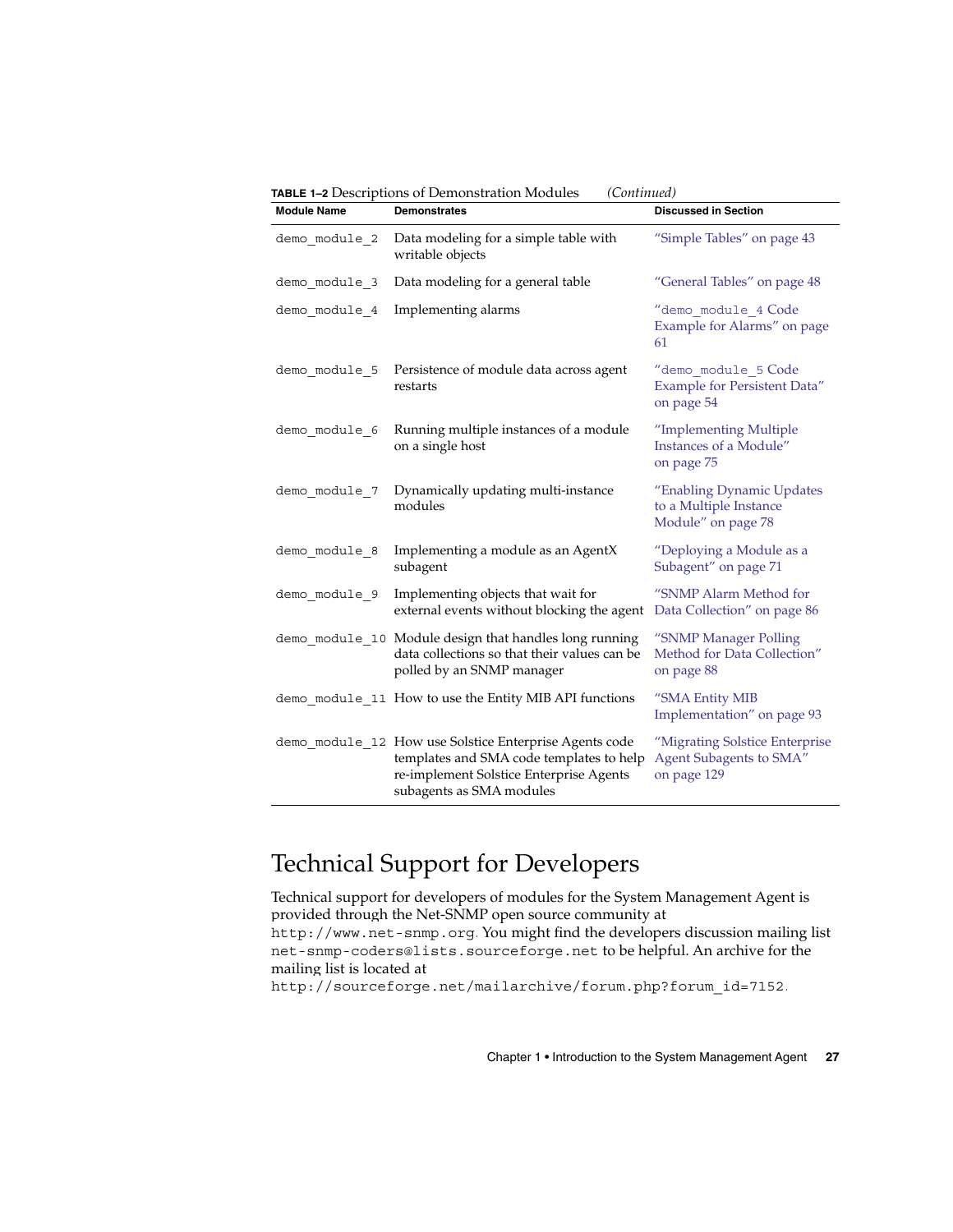**Module Name Demonstrates Discussed in Section** demo module 2 Data modeling for a simple table with writable objects ["Simple Tables"](#page-42-0) on page 43 demo\_module\_3 Data modeling for a general table ["General Tables"](#page-47-0) on page 48 demo\_module\_4 Implementing alarms "[demo\\_module\\_4](#page-60-0) Code [Example for Alarms"](#page-60-0) on page [61](#page-60-0) demo\_module\_5 Persistence of module data across agent restarts "[demo\\_module\\_5](#page-53-0) Code [Example for Persistent Data"](#page-53-0) [on page 54](#page-53-0) demo\_module\_6 Running multiple instances of a module on a single host ["Implementing Multiple](#page-74-0) [Instances of a Module"](#page-74-0) [on page 75](#page-74-0) demo\_module\_7 Dynamically updating multi-instance modules ["Enabling Dynamic Updates](#page-77-0) [to a Multiple Instance](#page-77-0) Module" [on page 78](#page-77-0) demo\_module\_8 Implementing a module as an AgentX subagent ["Deploying a Module as a](#page-70-0) Subagent" [on page 71](#page-70-0) demo\_module\_9 Implementing objects that wait for external events without blocking the agent [Data Collection"](#page-85-0) on page 86 ["SNMP Alarm Method for](#page-85-0) demo\_module\_10 Module design that handles long running data collections so that their values can be polled by an SNMP manager ["SNMP Manager Polling](#page-87-0) [Method for Data Collection"](#page-87-0) [on page 88](#page-87-0) demo module 11 How to use the Entity MIB API functions ["SMA Entity MIB](#page-92-0) [Implementation"](#page-92-0) on page 93 demo\_module\_12 How use Solstice Enterprise Agents code templates and SMA code templates to help re-implement Solstice Enterprise Agents subagents as SMA modules ["Migrating Solstice Enterprise](#page-128-0) [Agent Subagents to SMA"](#page-128-0) [on page 129](#page-128-0)

<span id="page-26-0"></span>**TABLE 1–2** Descriptions of Demonstration Modules *(Continued)*

### Technical Support for Developers

Technical support for developers of modules for the System Management Agent is provided through the Net-SNMP open source community at

<http://www.net-snmp.org>. You might find the developers discussion mailing list net-snmp-coders@lists.sourceforge.net to be helpful. An archive for the mailing list is located at

[http://sourceforge.net/mailarchive/forum.php?forum\\_id=7152](http://sourceforge.net/mailarchive/forum.php?forum_id=7152).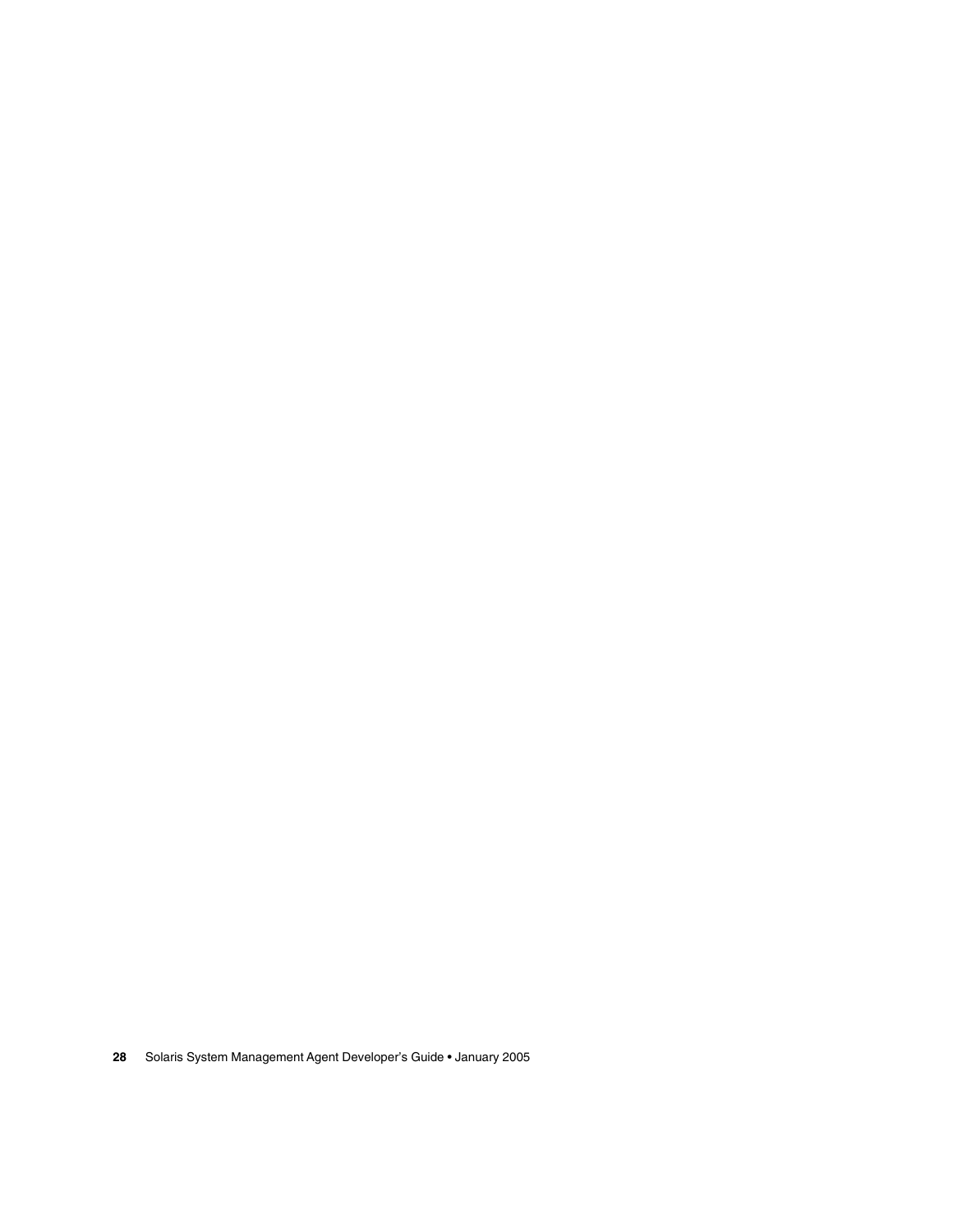Solaris System Management Agent Developer's Guide • January 2005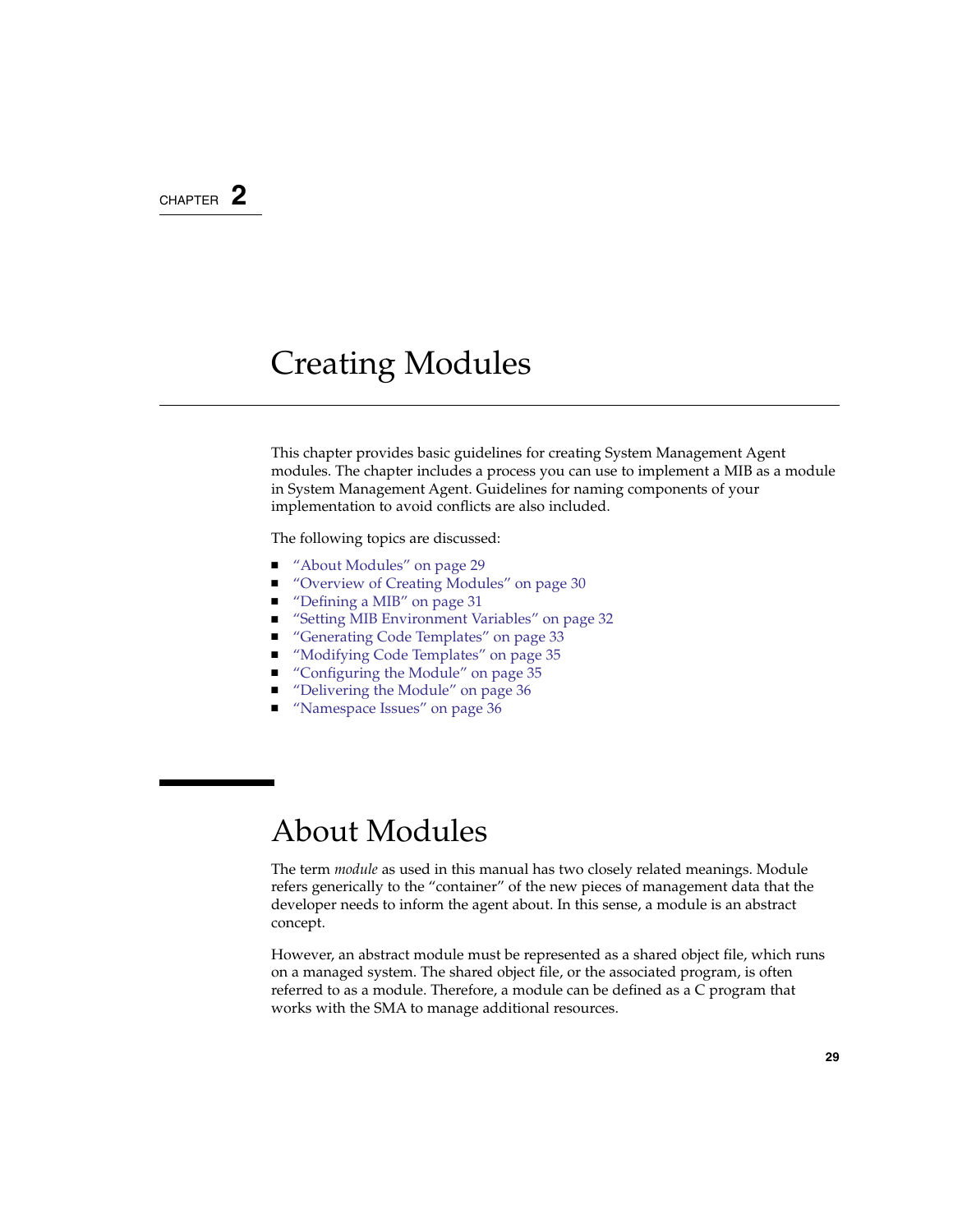#### <span id="page-28-0"></span>CHAPTER **2**

### Creating Modules

This chapter provides basic guidelines for creating System Management Agent modules. The chapter includes a process you can use to implement a MIB as a module in System Management Agent. Guidelines for naming components of your implementation to avoid conflicts are also included.

The following topics are discussed:

- "About Modules" on page 29
- ["Overview of Creating Modules"](#page-29-0) on page 30
- *["Defining a MIB"](#page-30-0)* on page 31
- ["Setting MIB Environment Variables"](#page-31-0) on page 32
- ["Generating Code Templates"](#page-32-0) on page 33
- *"*Modifying Code Templates" on page 35
- ["Configuring the Module"](#page-34-0) on page 35
- ["Delivering the Module"](#page-35-0) on page 36
- ["Namespace Issues"](#page-35-0) on page 36

### About Modules

The term *module* as used in this manual has two closely related meanings. Module refers generically to the "container" of the new pieces of management data that the developer needs to inform the agent about. In this sense, a module is an abstract concept.

However, an abstract module must be represented as a shared object file, which runs on a managed system. The shared object file, or the associated program, is often referred to as a module. Therefore, a module can be defined as a C program that works with the SMA to manage additional resources.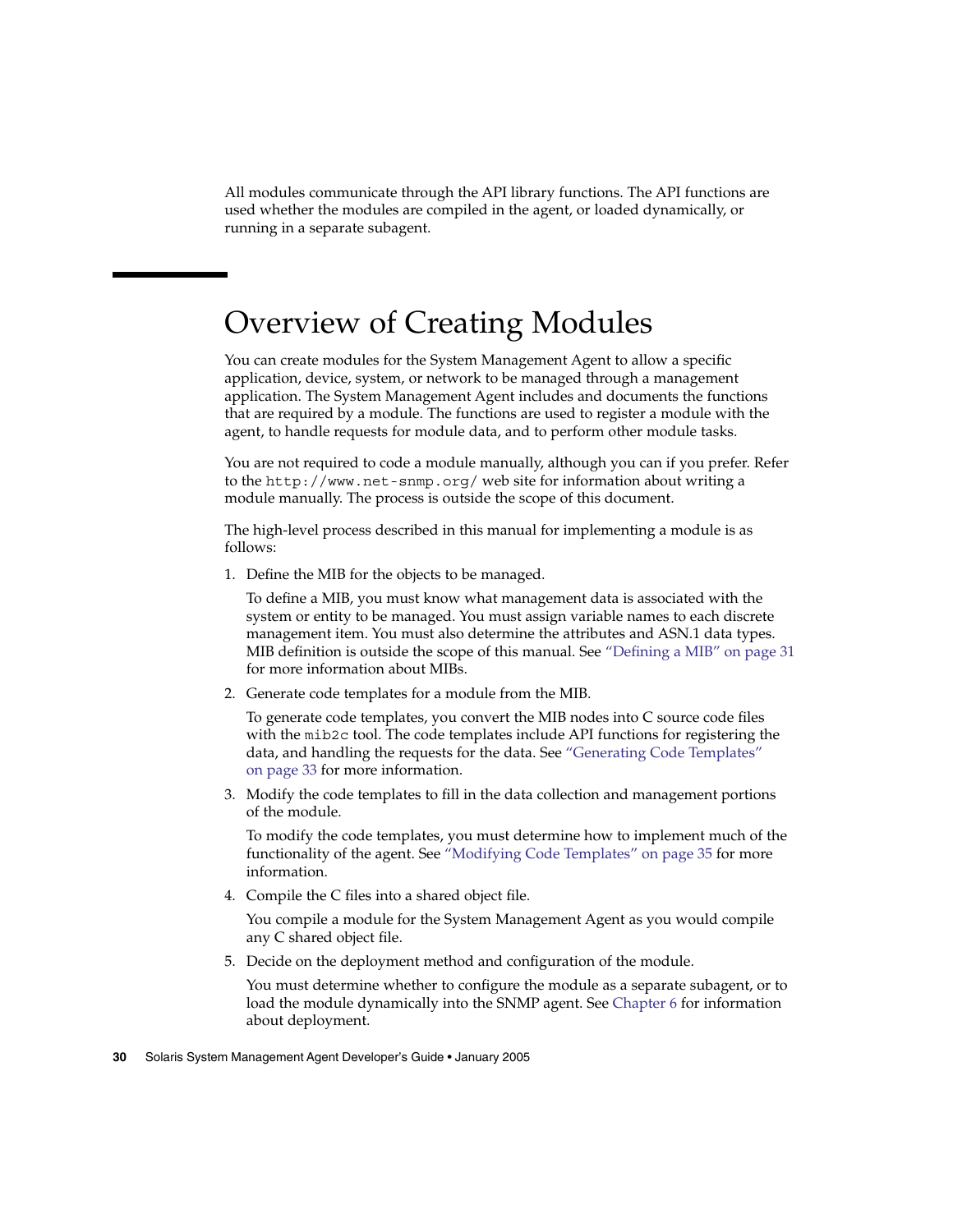<span id="page-29-0"></span>All modules communicate through the API library functions. The API functions are used whether the modules are compiled in the agent, or loaded dynamically, or running in a separate subagent.

### Overview of Creating Modules

You can create modules for the System Management Agent to allow a specific application, device, system, or network to be managed through a management application. The System Management Agent includes and documents the functions that are required by a module. The functions are used to register a module with the agent, to handle requests for module data, and to perform other module tasks.

You are not required to code a module manually, although you can if you prefer. Refer to the <http://www.net-snmp.org/> web site for information about writing a module manually. The process is outside the scope of this document.

The high-level process described in this manual for implementing a module is as follows:

1. Define the MIB for the objects to be managed.

To define a MIB, you must know what management data is associated with the system or entity to be managed. You must assign variable names to each discrete management item. You must also determine the attributes and ASN.1 data types. MIB definition is outside the scope of this manual. See ["Defining a MIB"](#page-30-0) on page 31 for more information about MIBs.

2. Generate code templates for a module from the MIB.

To generate code templates, you convert the MIB nodes into C source code files with the mib2c tool. The code templates include API functions for registering the data, and handling the requests for the data. See ["Generating Code Templates"](#page-32-0) [on page 33](#page-32-0) for more information.

3. Modify the code templates to fill in the data collection and management portions of the module.

To modify the code templates, you must determine how to implement much of the functionality of the agent. See ["Modifying Code Templates"](#page-34-0) on page 35 for more information.

4. Compile the C files into a shared object file.

You compile a module for the System Management Agent as you would compile any C shared object file.

5. Decide on the deployment method and configuration of the module.

You must determine whether to configure the module as a separate subagent, or to load the module dynamically into the SNMP agent. See [Chapter 6](#page-64-0) for information about deployment.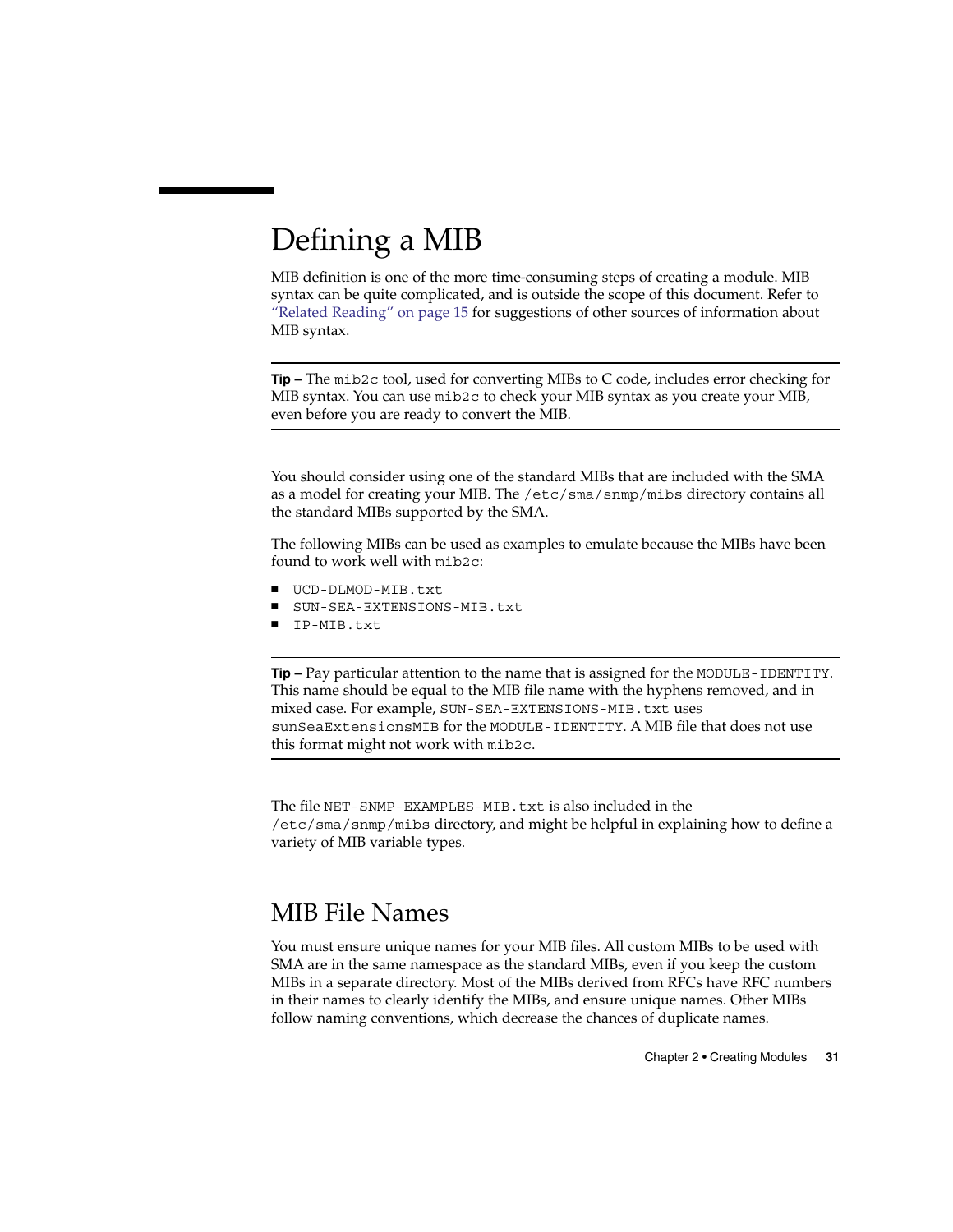## <span id="page-30-0"></span>Defining a MIB

MIB definition is one of the more time-consuming steps of creating a module. MIB syntax can be quite complicated, and is outside the scope of this document. Refer to ["Related Reading"](#page-14-0) on page 15 for suggestions of other sources of information about MIB syntax.

**Tip –** The mib2c tool, used for converting MIBs to C code, includes error checking for MIB syntax. You can use mib2c to check your MIB syntax as you create your MIB, even before you are ready to convert the MIB.

You should consider using one of the standard MIBs that are included with the SMA as a model for creating your MIB. The /etc/sma/snmp/mibs directory contains all the standard MIBs supported by the SMA.

The following MIBs can be used as examples to emulate because the MIBs have been found to work well with mib2c:

- UCD-DLMOD-MIB.txt
- SUN-SEA-EXTENSIONS-MIB.txt
- IP-MIB.txt

**Tip –** Pay particular attention to the name that is assigned for the MODULE-IDENTITY. This name should be equal to the MIB file name with the hyphens removed, and in mixed case. For example, SUN-SEA-EXTENSIONS-MIB.txt uses sunSeaExtensionsMIB for the MODULE-IDENTITY. A MIB file that does not use this format might not work with mib2c.

The file NET-SNMP-EXAMPLES-MIB.txt is also included in the /etc/sma/snmp/mibs directory, and might be helpful in explaining how to define a variety of MIB variable types.

### MIB File Names

You must ensure unique names for your MIB files. All custom MIBs to be used with SMA are in the same namespace as the standard MIBs, even if you keep the custom MIBs in a separate directory. Most of the MIBs derived from RFCs have RFC numbers in their names to clearly identify the MIBs, and ensure unique names. Other MIBs follow naming conventions, which decrease the chances of duplicate names.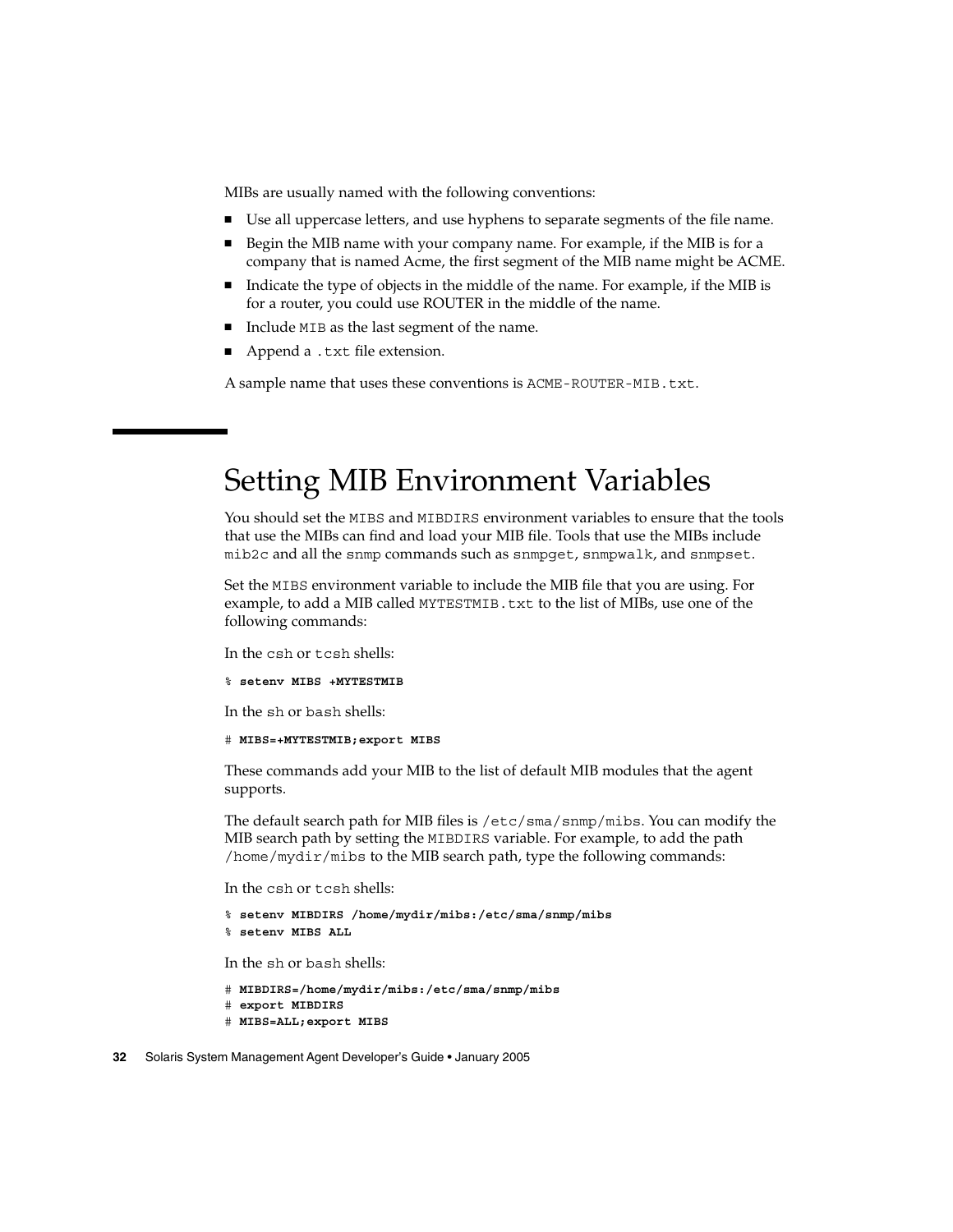<span id="page-31-0"></span>MIBs are usually named with the following conventions:

- Use all uppercase letters, and use hyphens to separate segments of the file name.
- Begin the MIB name with your company name. For example, if the MIB is for a company that is named Acme, the first segment of the MIB name might be ACME.
- Indicate the type of objects in the middle of the name. For example, if the MIB is for a router, you could use ROUTER in the middle of the name.
- Include MIB as the last segment of the name.
- Append a .txt file extension.

A sample name that uses these conventions is ACME-ROUTER-MIB.txt.

### Setting MIB Environment Variables

You should set the MIBS and MIBDIRS environment variables to ensure that the tools that use the MIBs can find and load your MIB file. Tools that use the MIBs include mib2c and all the snmp commands such as snmpget, snmpwalk, and snmpset.

Set the MIBS environment variable to include the MIB file that you are using. For example, to add a MIB called MYTESTMIB.txt to the list of MIBs, use one of the following commands:

In the csh or tcsh shells:

```
% setenv MIBS +MYTESTMIB
```
In the sh or bash shells:

```
# MIBS=+MYTESTMIB;export MIBS
```
These commands add your MIB to the list of default MIB modules that the agent supports.

The default search path for MIB files is /etc/sma/snmp/mibs. You can modify the MIB search path by setting the MIBDIRS variable. For example, to add the path /home/mydir/mibs to the MIB search path, type the following commands:

In the csh or tcsh shells:

```
% setenv MIBDIRS /home/mydir/mibs:/etc/sma/snmp/mibs
```
% **setenv MIBS ALL**

In the sh or bash shells:

- # **MIBDIRS=/home/mydir/mibs:/etc/sma/snmp/mibs**
- # **export MIBDIRS**
- # **MIBS=ALL;export MIBS**
- **32** Solaris System Management Agent Developer's Guide January 2005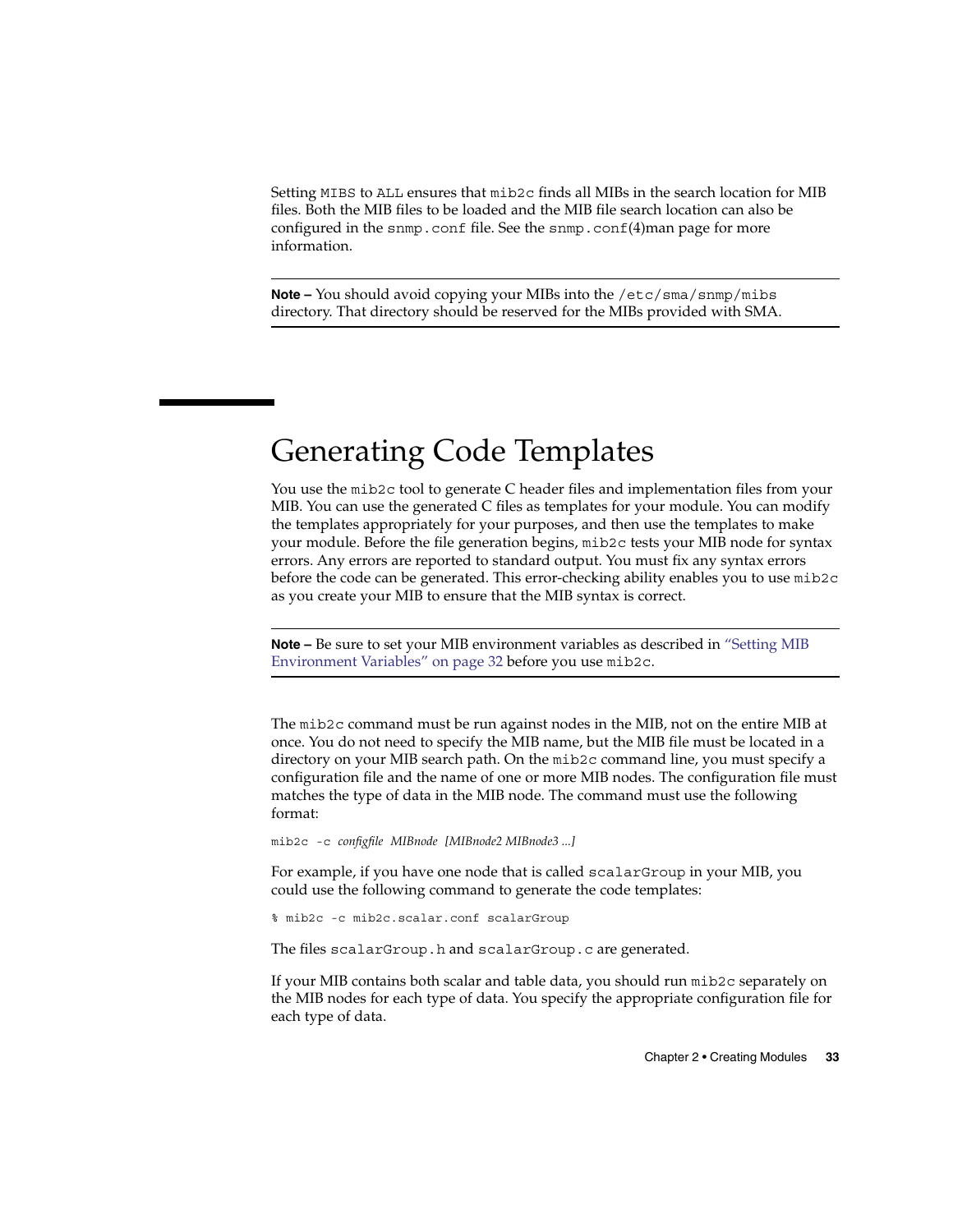<span id="page-32-0"></span>Setting MIBS to ALL ensures that mib2c finds all MIBs in the search location for MIB files. Both the MIB files to be loaded and the MIB file search location can also be configured in the snmp.conf file. See the snmp.conf(4)man page for more information.

**Note –** You should avoid copying your MIBs into the /etc/sma/snmp/mibs directory. That directory should be reserved for the MIBs provided with SMA.

### Generating Code Templates

You use the mib2c tool to generate C header files and implementation files from your MIB. You can use the generated C files as templates for your module. You can modify the templates appropriately for your purposes, and then use the templates to make your module. Before the file generation begins, mib2c tests your MIB node for syntax errors. Any errors are reported to standard output. You must fix any syntax errors before the code can be generated. This error-checking ability enables you to use mib2c as you create your MIB to ensure that the MIB syntax is correct.

**Note –** Be sure to set your MIB environment variables as described in ["Setting MIB](#page-31-0) [Environment Variables"](#page-31-0) on page 32 before you use mib2c.

The mib2c command must be run against nodes in the MIB, not on the entire MIB at once. You do not need to specify the MIB name, but the MIB file must be located in a directory on your MIB search path. On the mib2c command line, you must specify a configuration file and the name of one or more MIB nodes. The configuration file must matches the type of data in the MIB node. The command must use the following format:

mib2c -c *configfile MIBnode [MIBnode2 MIBnode3 ...]*

For example, if you have one node that is called scalarGroup in your MIB, you could use the following command to generate the code templates:

% mib2c -c mib2c.scalar.conf scalarGroup

The files scalarGroup.h and scalarGroup.c are generated.

If your MIB contains both scalar and table data, you should run mib2c separately on the MIB nodes for each type of data. You specify the appropriate configuration file for each type of data.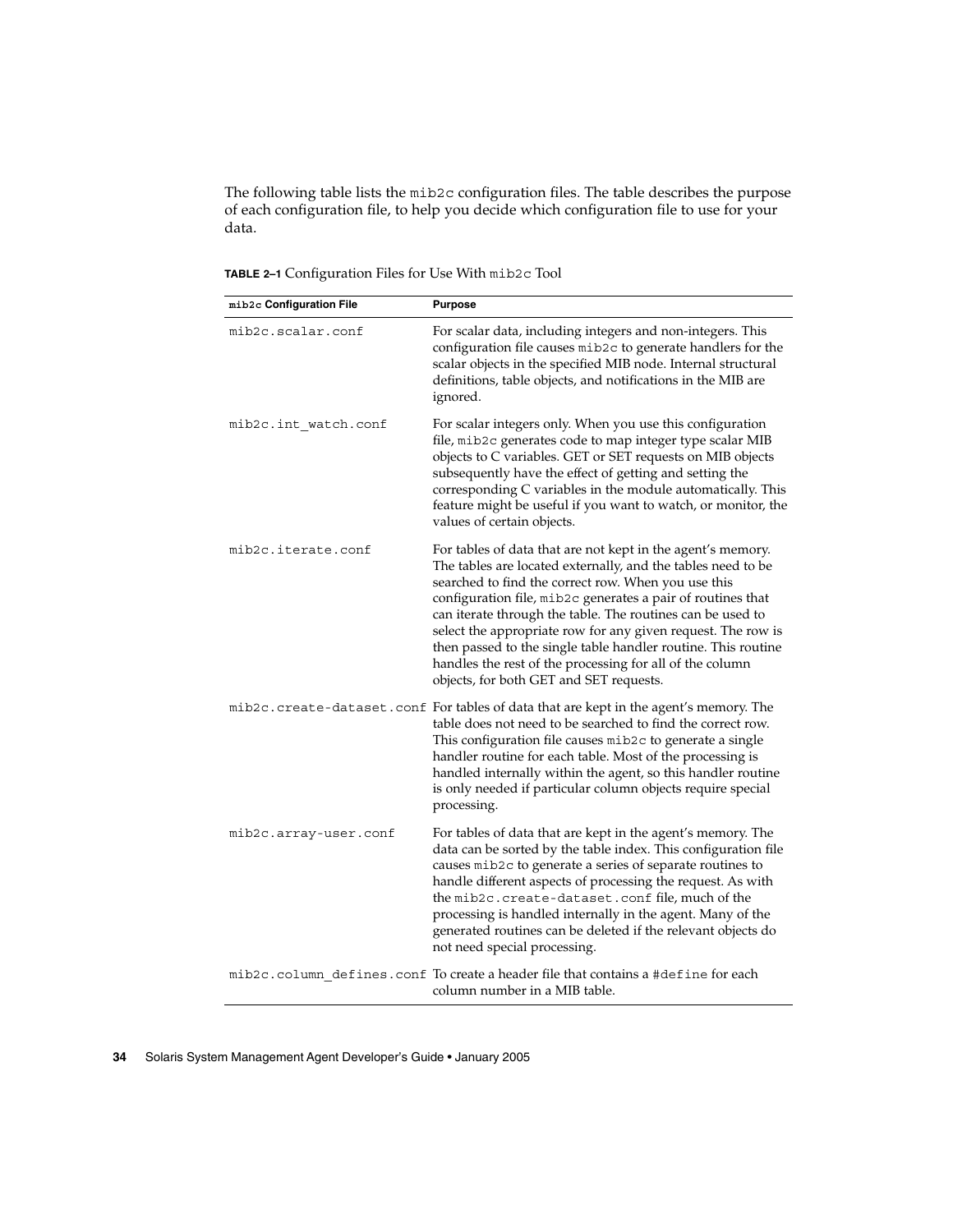<span id="page-33-0"></span>The following table lists the mib2c configuration files. The table describes the purpose of each configuration file, to help you decide which configuration file to use for your data.

**TABLE 2–1** Configuration Files for Use With mib2c Tool

| mib2c Configuration File | <b>Purpose</b>                                                                                                                                                                                                                                                                                                                                                                                                                                                                                                                                          |
|--------------------------|---------------------------------------------------------------------------------------------------------------------------------------------------------------------------------------------------------------------------------------------------------------------------------------------------------------------------------------------------------------------------------------------------------------------------------------------------------------------------------------------------------------------------------------------------------|
| mib2c.scalar.conf        | For scalar data, including integers and non-integers. This<br>configuration file causes mib2c to generate handlers for the<br>scalar objects in the specified MIB node. Internal structural<br>definitions, table objects, and notifications in the MIB are<br>ignored.                                                                                                                                                                                                                                                                                 |
| mib2c.int watch.conf     | For scalar integers only. When you use this configuration<br>file, mib2c generates code to map integer type scalar MIB<br>objects to C variables. GET or SET requests on MIB objects<br>subsequently have the effect of getting and setting the<br>corresponding C variables in the module automatically. This<br>feature might be useful if you want to watch, or monitor, the<br>values of certain objects.                                                                                                                                           |
| mib2c.iterate.conf       | For tables of data that are not kept in the agent's memory.<br>The tables are located externally, and the tables need to be<br>searched to find the correct row. When you use this<br>configuration file, mib2c generates a pair of routines that<br>can iterate through the table. The routines can be used to<br>select the appropriate row for any given request. The row is<br>then passed to the single table handler routine. This routine<br>handles the rest of the processing for all of the column<br>objects, for both GET and SET requests. |
|                          | mib2c.create-dataset.conf For tables of data that are kept in the agent's memory. The<br>table does not need to be searched to find the correct row.<br>This configuration file causes mib2c to generate a single<br>handler routine for each table. Most of the processing is<br>handled internally within the agent, so this handler routine<br>is only needed if particular column objects require special<br>processing.                                                                                                                            |
| mib2c.array-user.conf    | For tables of data that are kept in the agent's memory. The<br>data can be sorted by the table index. This configuration file<br>causes mib2c to generate a series of separate routines to<br>handle different aspects of processing the request. As with<br>the mib2c.create-dataset.conf file, much of the<br>processing is handled internally in the agent. Many of the<br>generated routines can be deleted if the relevant objects do<br>not need special processing.                                                                              |
|                          | mib2c.column defines.conf To create a header file that contains a #define for each<br>column number in a MIB table.                                                                                                                                                                                                                                                                                                                                                                                                                                     |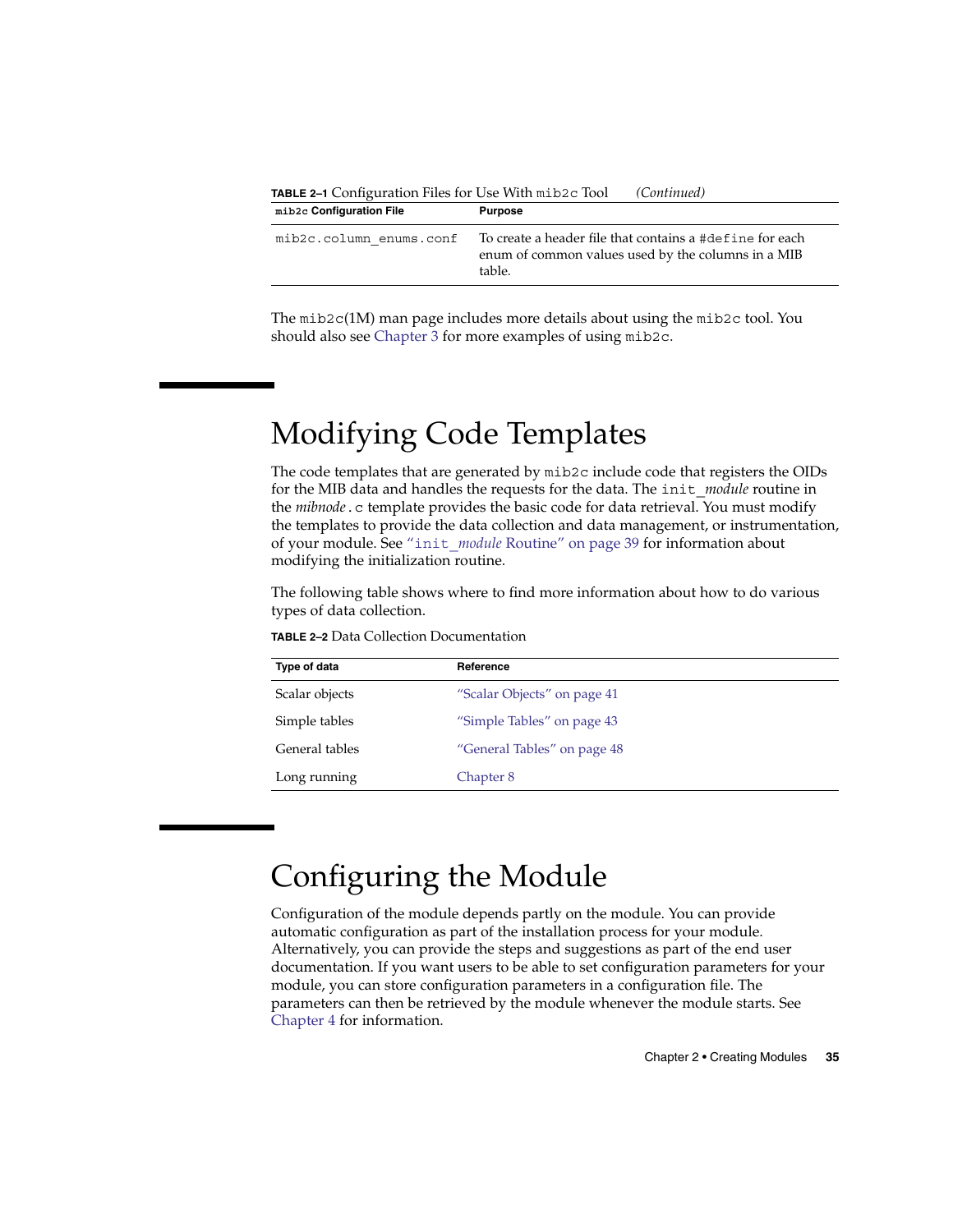<span id="page-34-0"></span>

| <b>TABLE 2-1</b> Configuration Files for Use With mib2c Tool<br>(Continued) |                                                                                                                          |  |
|-----------------------------------------------------------------------------|--------------------------------------------------------------------------------------------------------------------------|--|
| mib2c Configuration File                                                    | <b>Purpose</b>                                                                                                           |  |
| mib2c.column enums.conf                                                     | To create a header file that contains a #define for each<br>enum of common values used by the columns in a MIB<br>table. |  |

The mib2c(1M) man page includes more details about using the mib2c tool. You should also see [Chapter 3](#page-38-0) for more examples of using mib2c.

### Modifying Code Templates

The code templates that are generated by mib2c include code that registers the OIDs for the MIB data and handles the requests for the data. The init\_*module* routine in the *mibnode*.c template provides the basic code for data retrieval. You must modify the templates to provide the data collection and data management, or instrumentation, of your module. See "init\_*module* Routine" [on page 39](#page-38-0) for information about modifying the initialization routine.

The following table shows where to find more information about how to do various types of data collection.

| Type of data   | Reference                   |
|----------------|-----------------------------|
| Scalar objects | "Scalar Objects" on page 41 |
| Simple tables  | "Simple Tables" on page 43  |
| General tables | "General Tables" on page 48 |
| Long running   | Chapter 8                   |

**TABLE 2–2** Data Collection Documentation

## Configuring the Module

Configuration of the module depends partly on the module. You can provide automatic configuration as part of the installation process for your module. Alternatively, you can provide the steps and suggestions as part of the end user documentation. If you want users to be able to set configuration parameters for your module, you can store configuration parameters in a configuration file. The parameters can then be retrieved by the module whenever the module starts. See [Chapter 4](#page-50-0) for information.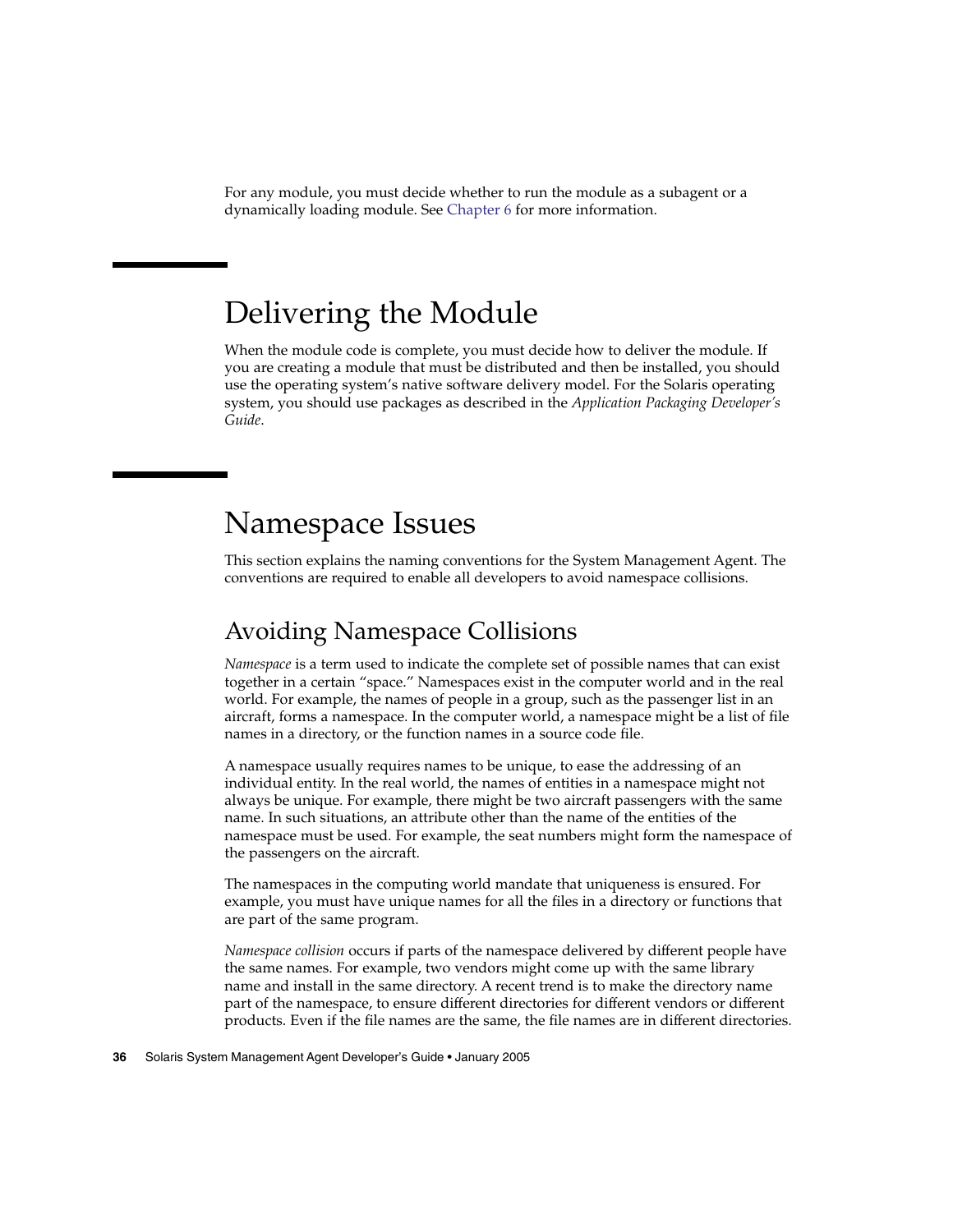<span id="page-35-0"></span>For any module, you must decide whether to run the module as a subagent or a dynamically loading module. See [Chapter 6](#page-64-0) for more information.

### Delivering the Module

When the module code is complete, you must decide how to deliver the module. If you are creating a module that must be distributed and then be installed, you should use the operating system's native software delivery model. For the Solaris operating system, you should use packages as described in the *Application Packaging Developer's Guide*.

### Namespace Issues

This section explains the naming conventions for the System Management Agent. The conventions are required to enable all developers to avoid namespace collisions.

### Avoiding Namespace Collisions

*Namespace* is a term used to indicate the complete set of possible names that can exist together in a certain "space." Namespaces exist in the computer world and in the real world. For example, the names of people in a group, such as the passenger list in an aircraft, forms a namespace. In the computer world, a namespace might be a list of file names in a directory, or the function names in a source code file.

A namespace usually requires names to be unique, to ease the addressing of an individual entity. In the real world, the names of entities in a namespace might not always be unique. For example, there might be two aircraft passengers with the same name. In such situations, an attribute other than the name of the entities of the namespace must be used. For example, the seat numbers might form the namespace of the passengers on the aircraft.

The namespaces in the computing world mandate that uniqueness is ensured. For example, you must have unique names for all the files in a directory or functions that are part of the same program.

*Namespace collision* occurs if parts of the namespace delivered by different people have the same names. For example, two vendors might come up with the same library name and install in the same directory. A recent trend is to make the directory name part of the namespace, to ensure different directories for different vendors or different products. Even if the file names are the same, the file names are in different directories.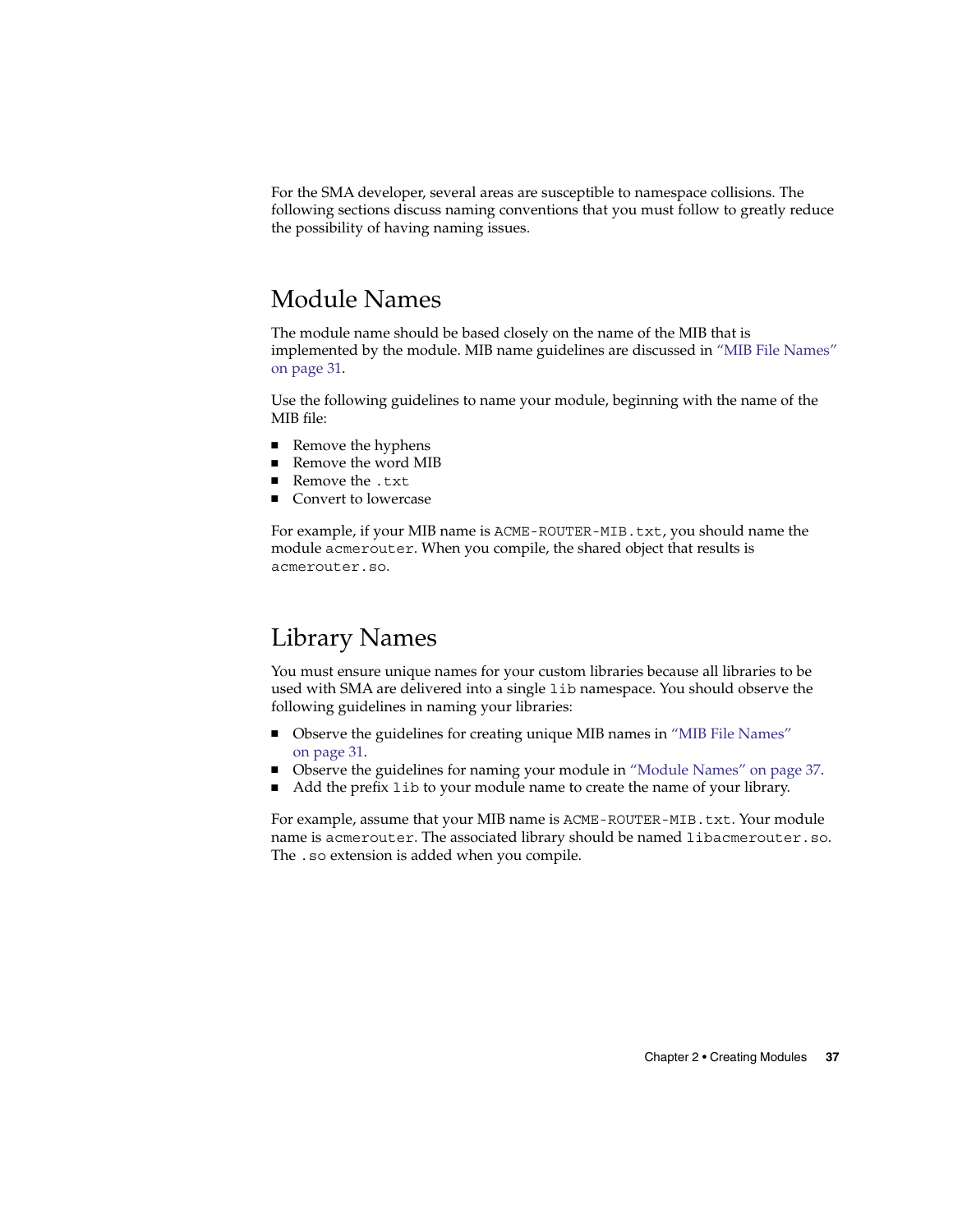For the SMA developer, several areas are susceptible to namespace collisions. The following sections discuss naming conventions that you must follow to greatly reduce the possibility of having naming issues.

#### Module Names

The module name should be based closely on the name of the MIB that is implemented by the module. MIB name guidelines are discussed in ["MIB File Names"](#page-30-0) [on page 31.](#page-30-0)

Use the following guidelines to name your module, beginning with the name of the MIB file:

- Remove the hyphens
- Remove the word MIB
- Remove the .txt
- Convert to lowercase

For example, if your MIB name is ACME-ROUTER-MIB.txt, you should name the module acmerouter. When you compile, the shared object that results is acmerouter.so.

## Library Names

You must ensure unique names for your custom libraries because all libraries to be used with SMA are delivered into a single lib namespace. You should observe the following guidelines in naming your libraries:

- Observe the guidelines for creating unique MIB names in ["MIB File Names"](#page-30-0) [on page 31.](#page-30-0)
- Observe the guidelines for naming your module in "Module Names" on page 37.
- Add the prefix 1 ib to your module name to create the name of your library.

For example, assume that your MIB name is ACME-ROUTER-MIB.txt. Your module name is acmerouter. The associated library should be named libacmerouter.so. The .so extension is added when you compile.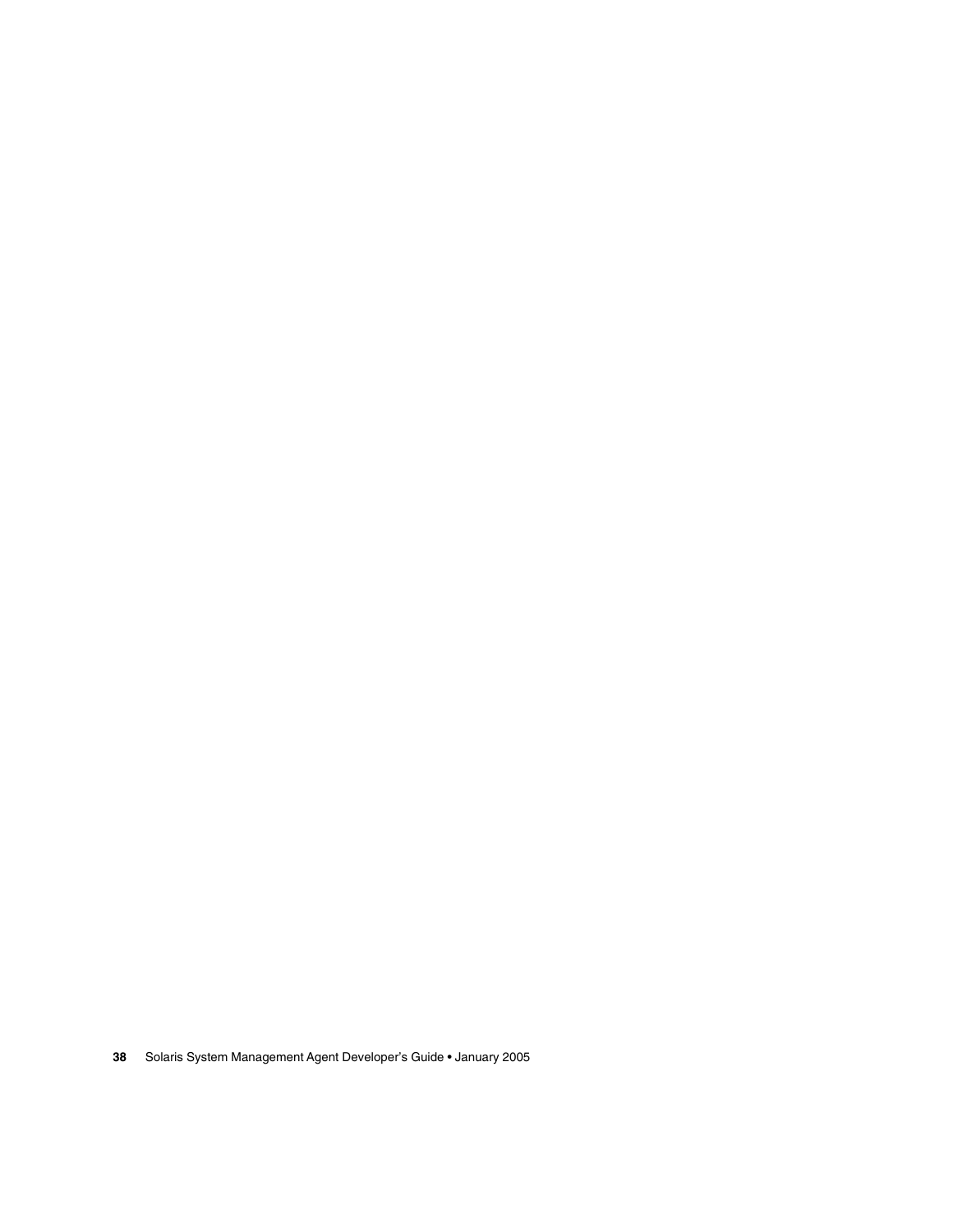Solaris System Management Agent Developer's Guide • January 2005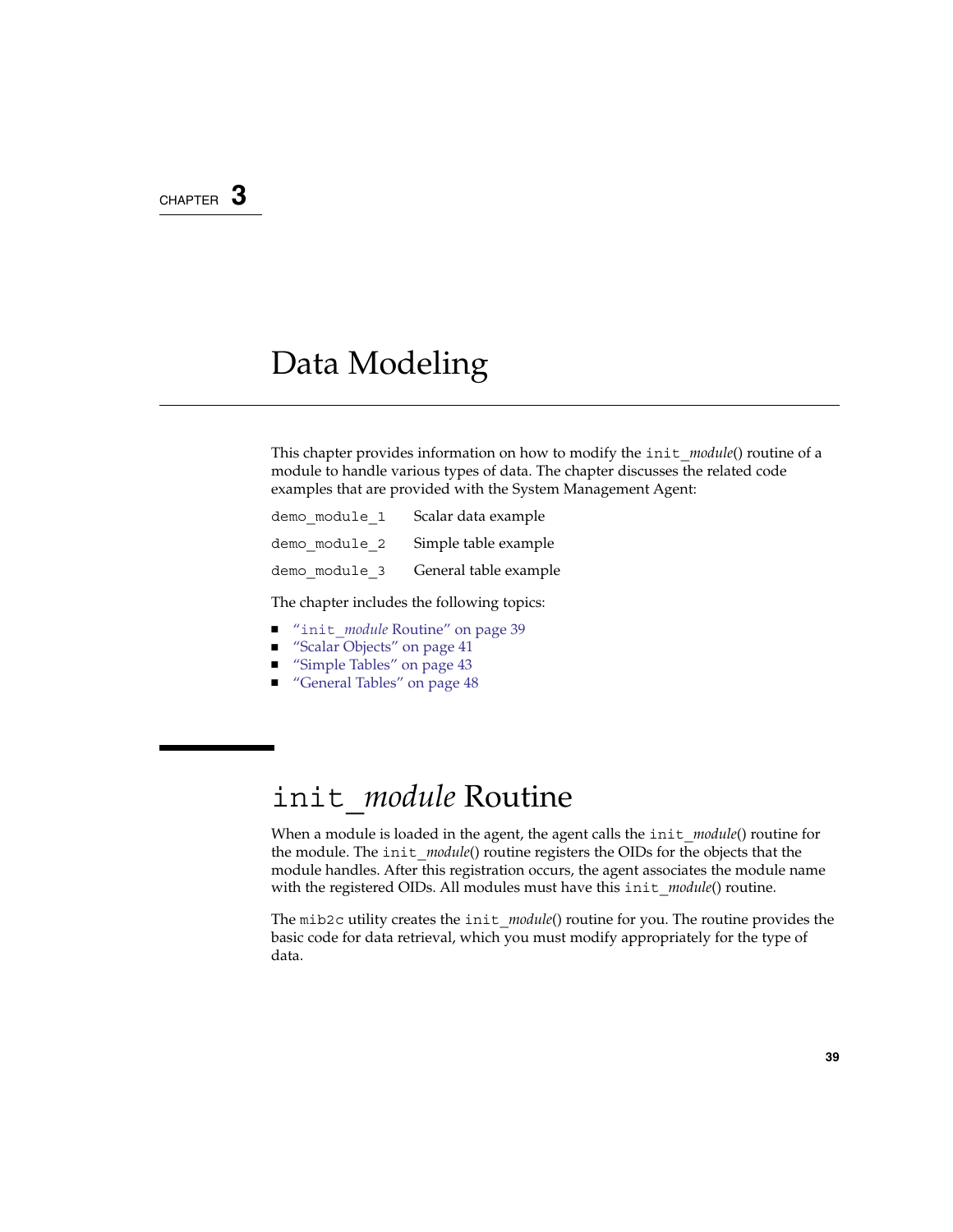#### CHAPTER **3**

# Data Modeling

This chapter provides information on how to modify the init\_*module*() routine of a module to handle various types of data. The chapter discusses the related code examples that are provided with the System Management Agent:

| demo module 1 | Scalar data example   |
|---------------|-----------------------|
| demo module 2 | Simple table example  |
| demo module 3 | General table example |

The chapter includes the following topics:

- "init *module* Routine" on page 39
- ["Scalar Objects"](#page-40-0) on page 41
- ["Simple Tables"](#page-42-0) on page 43
- ["General Tables"](#page-47-0) on page 48

# init\_*module* Routine

When a module is loaded in the agent, the agent calls the init\_*module*() routine for the module. The init\_*module*() routine registers the OIDs for the objects that the module handles. After this registration occurs, the agent associates the module name with the registered OIDs. All modules must have this init\_*module*() routine.

The mib2c utility creates the init\_*module*() routine for you. The routine provides the basic code for data retrieval, which you must modify appropriately for the type of data.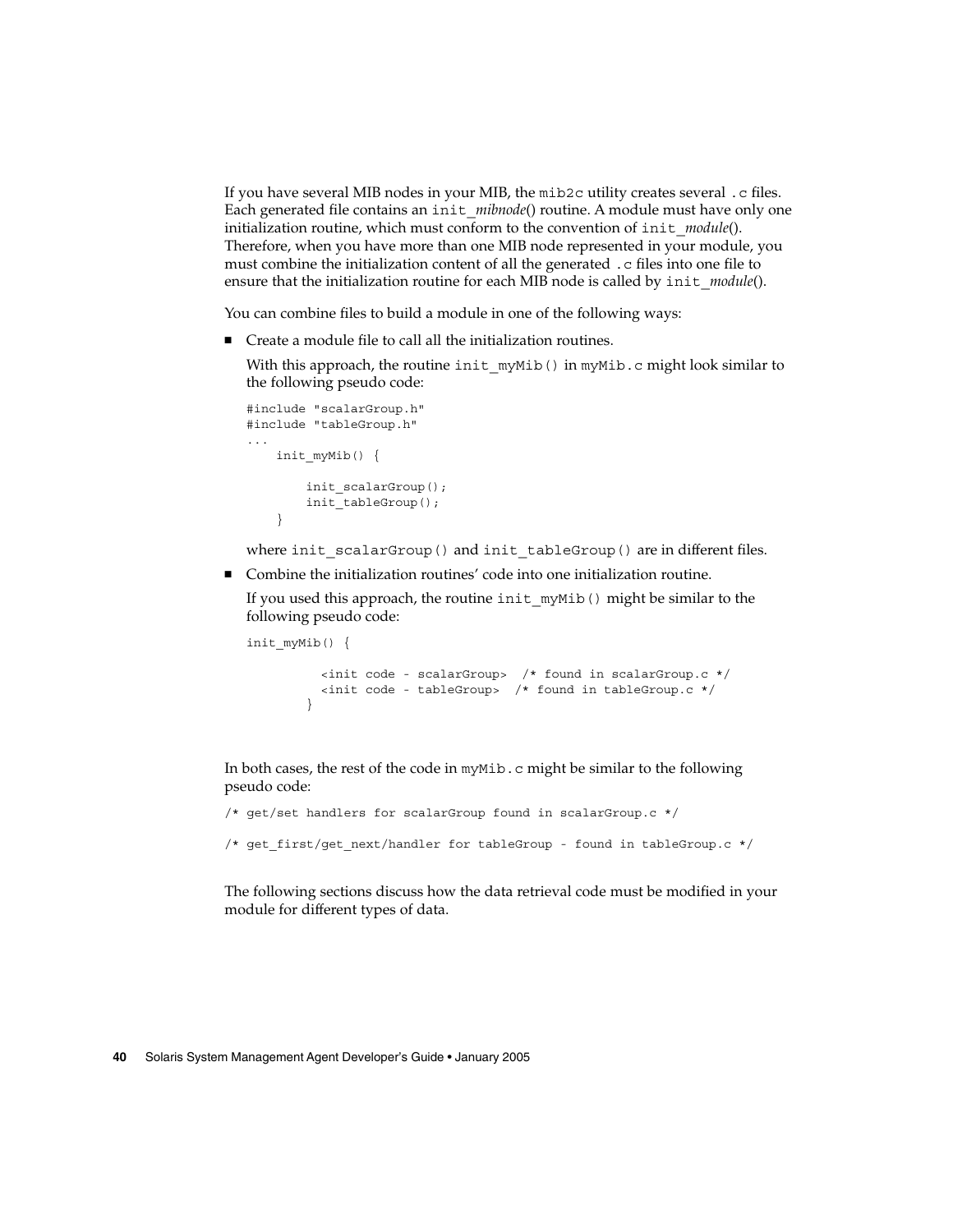If you have several MIB nodes in your MIB, the mib2c utility creates several .c files. Each generated file contains an init\_*mibnode*() routine. A module must have only one initialization routine, which must conform to the convention of init\_*module*(). Therefore, when you have more than one MIB node represented in your module, you must combine the initialization content of all the generated .c files into one file to ensure that the initialization routine for each MIB node is called by init\_*module*().

You can combine files to build a module in one of the following ways:

■ Create a module file to call all the initialization routines.

With this approach, the routine init  $myMib()$  in myMib.c might look similar to the following pseudo code:

```
#include "scalarGroup.h"
#include "tableGroup.h"
...
   init_myMib() {
        init_scalarGroup();
        init_tableGroup();
    }
```
where init scalarGroup() and init tableGroup() are in different files.

■ Combine the initialization routines' code into one initialization routine.

If you used this approach, the routine init\_myMib() might be similar to the following pseudo code:

```
init_myMib() {
          <init code - scalarGroup> /* found in scalarGroup.c */
          <init code - tableGroup> /* found in tableGroup.c */
       }
```
In both cases, the rest of the code in myMib.c might be similar to the following pseudo code:

```
/* get/set handlers for scalarGroup found in scalarGroup.c */
```
/\* get\_first/get\_next/handler for tableGroup - found in tableGroup.c \*/

The following sections discuss how the data retrieval code must be modified in your module for different types of data.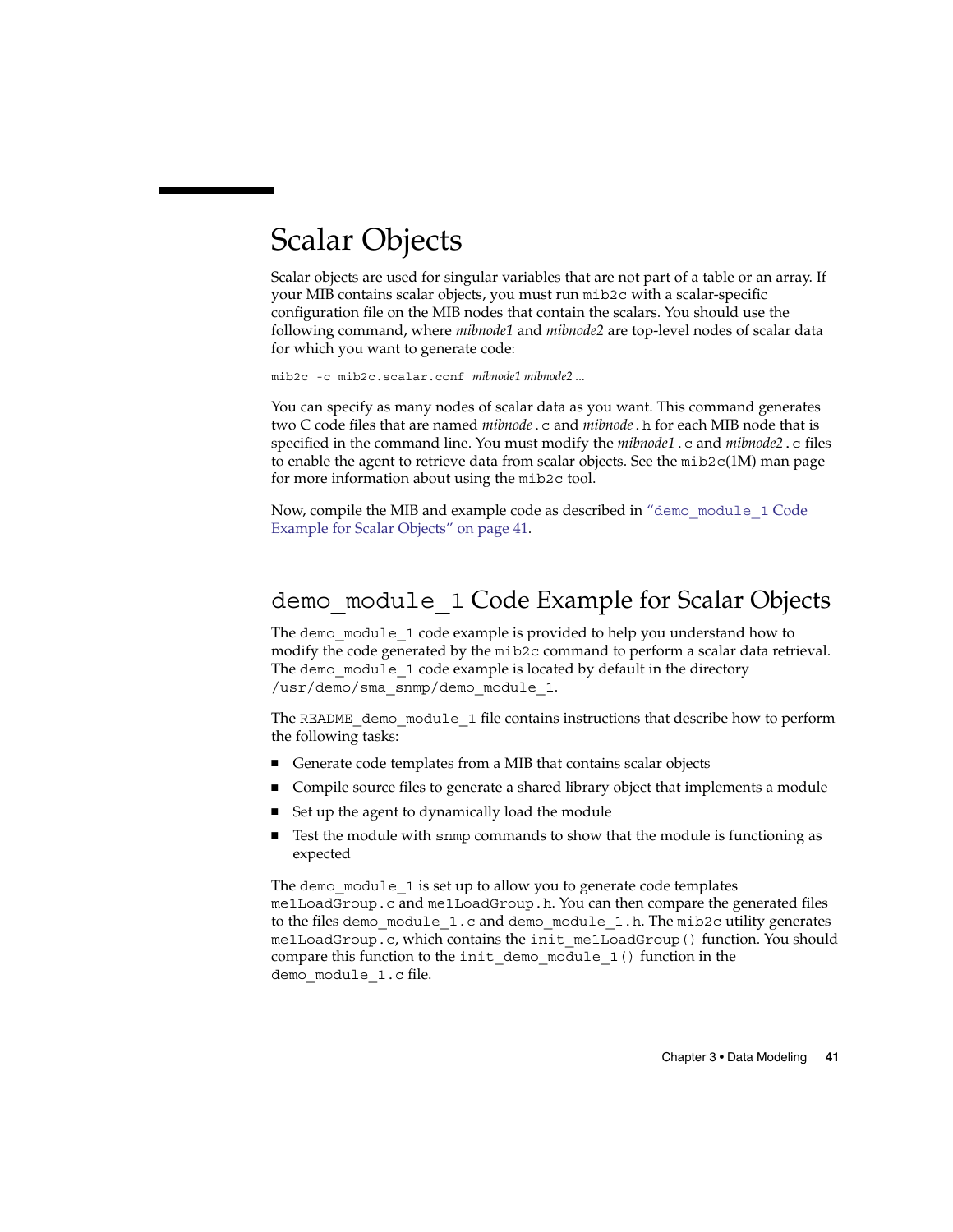## <span id="page-40-0"></span>Scalar Objects

Scalar objects are used for singular variables that are not part of a table or an array. If your MIB contains scalar objects, you must run mib2c with a scalar-specific configuration file on the MIB nodes that contain the scalars. You should use the following command, where *mibnode1* and *mibnode2* are top-level nodes of scalar data for which you want to generate code:

mib2c -c mib2c.scalar.conf *mibnode1 mibnode2 ...*

You can specify as many nodes of scalar data as you want. This command generates two C code files that are named *mibnode*.c and *mibnode*.h for each MIB node that is specified in the command line. You must modify the *mibnode1*.c and *mibnode2*.c files to enable the agent to retrieve data from scalar objects. See the mib2c(1M) man page for more information about using the mib2c tool.

Now, compile the MIB and example code as described in "demo\_module\_1 Code Example for Scalar Objects" on page 41.

#### demo\_module\_1 Code Example for Scalar Objects

The demo module 1 code example is provided to help you understand how to modify the code generated by the mib2c command to perform a scalar data retrieval. The demo module 1 code example is located by default in the directory /usr/demo/sma\_snmp/demo\_module\_1.

The README demo module 1 file contains instructions that describe how to perform the following tasks:

- Generate code templates from a MIB that contains scalar objects
- Compile source files to generate a shared library object that implements a module
- Set up the agent to dynamically load the module
- Test the module with snmp commands to show that the module is functioning as expected

The demo module 1 is set up to allow you to generate code templates me1LoadGroup.c and me1LoadGroup.h. You can then compare the generated files to the files demo\_module\_1.c and demo\_module\_1.h. The mib2c utility generates me1LoadGroup.c, which contains the init\_me1LoadGroup() function. You should compare this function to the init\_demo\_module\_1() function in the demo module 1.c file.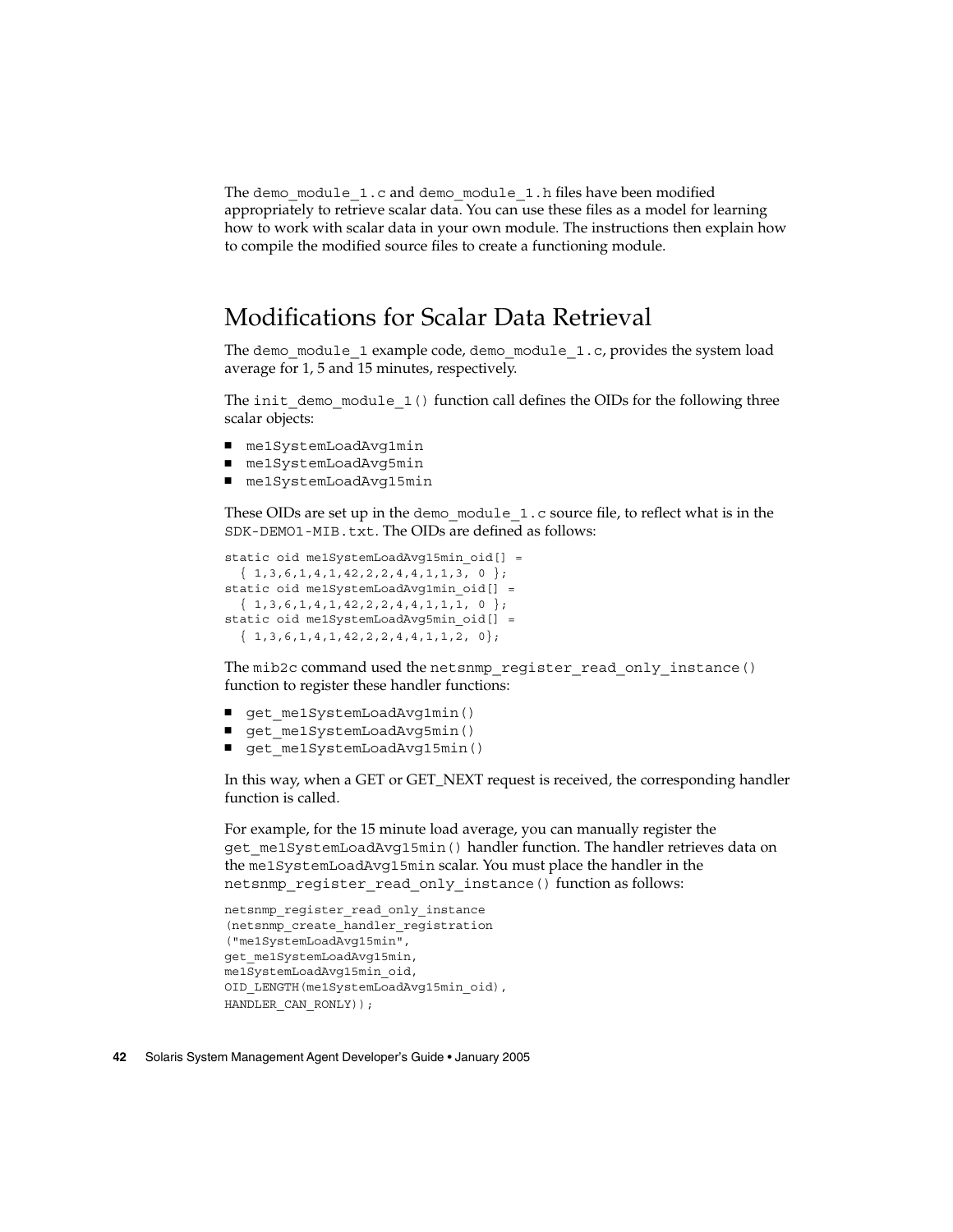The demo\_module\_1.c and demo\_module\_1.h files have been modified appropriately to retrieve scalar data. You can use these files as a model for learning how to work with scalar data in your own module. The instructions then explain how to compile the modified source files to create a functioning module.

#### Modifications for Scalar Data Retrieval

The demo\_module\_1 example code, demo\_module\_1.c, provides the system load average for 1, 5 and 15 minutes, respectively.

The init demo module  $1()$  function call defines the OIDs for the following three scalar objects:

- me1SystemLoadAvg1min
- me1SystemLoadAvq5min
- me1SystemLoadAvq15min

These OIDs are set up in the demo\_module\_1.c source file, to reflect what is in the SDK-DEMO1-MIB.txt. The OIDs are defined as follows:

```
static oid me1SystemLoadAvg15min_oid[] =
 {1, 3, 6, 1, 4, 1, 42, 2, 2, 4, 4, 1, 1, 3, 0}static oid me1SystemLoadAvg1min_oid[] =
 \{ 1,3,6,1,4,1,42,2,2,4,4,1,1,1,0 \};
static oid me1SystemLoadAvg5min_oid[] =
 {1,3,6,1,4,1,42,2,2,4,4,1,1,2,0};
```
The mib2c command used the netsnmp\_register\_read\_only\_instance() function to register these handler functions:

- get me1SystemLoadAvg1min()
- qet me1SystemLoadAvq5min()
- get me1SystemLoadAvg15min()

In this way, when a GET or GET\_NEXT request is received, the corresponding handler function is called.

For example, for the 15 minute load average, you can manually register the get me1SystemLoadAvg15min() handler function. The handler retrieves data on the me1SystemLoadAvg15min scalar. You must place the handler in the netsnmp\_register\_read\_only\_instance() function as follows:

```
netsnmp register read only instance
(netsnmp_create_handler_registration
("me1SystemLoadAvg15min",
get me1SystemLoadAvg15min,
me1SystemLoadAvg15min_oid,
OID_LENGTH(me1SystemLoadAvg15min_oid),
HANDLER CAN RONLY));
```
**42** Solaris System Management Agent Developer's Guide • January 2005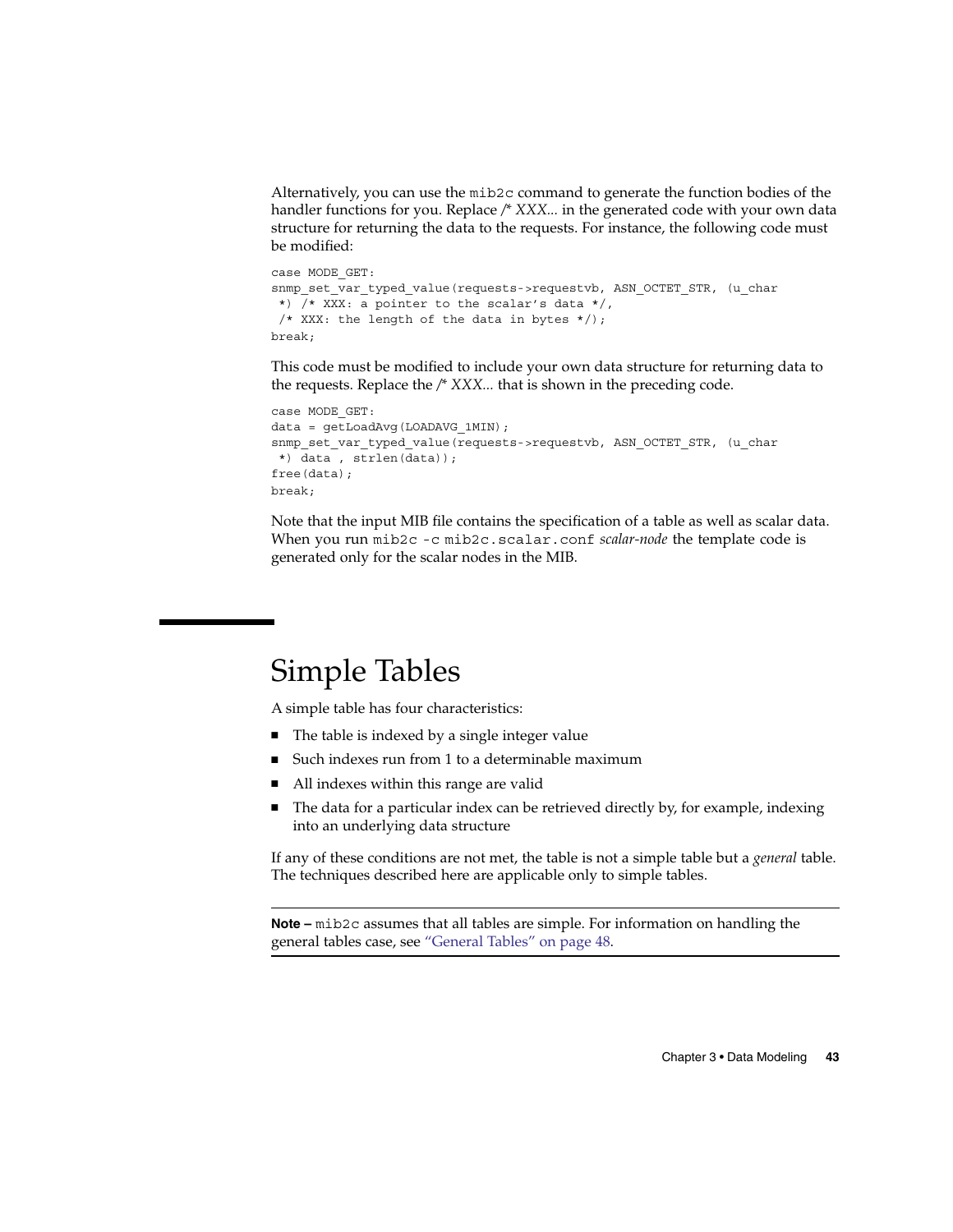<span id="page-42-0"></span>Alternatively, you can use the mib2c command to generate the function bodies of the handler functions for you. Replace */\* XXX...* in the generated code with your own data structure for returning the data to the requests. For instance, the following code must be modified:

```
case MODE_GET:
snmp_set_var_typed_value(requests->requestvb, ASN_OCTET_STR, (u_char
*) /* XXX: a pointer to the scalar's data */,
 /* XXX: the length of the data in bytes */);
break;
```
This code must be modified to include your own data structure for returning data to the requests. Replace the */\* XXX...* that is shown in the preceding code.

```
case MODE_GET:
data = getLoadAvg(LOADAVG 1MIN);
snmp_set_var_typed_value(requests->requestvb, ASN_OCTET_STR, (u_char
*) data , strlen(data));
free(data);
break;
```
Note that the input MIB file contains the specification of a table as well as scalar data. When you run mib2c -c mib2c.scalar.conf *scalar-node* the template code is generated only for the scalar nodes in the MIB.

## Simple Tables

A simple table has four characteristics:

- The table is indexed by a single integer value
- Such indexes run from 1 to a determinable maximum
- All indexes within this range are valid
- The data for a particular index can be retrieved directly by, for example, indexing into an underlying data structure

If any of these conditions are not met, the table is not a simple table but a *general* table. The techniques described here are applicable only to simple tables.

**Note –** mib2c assumes that all tables are simple. For information on handling the general tables case, see ["General Tables"](#page-47-0) on page 48.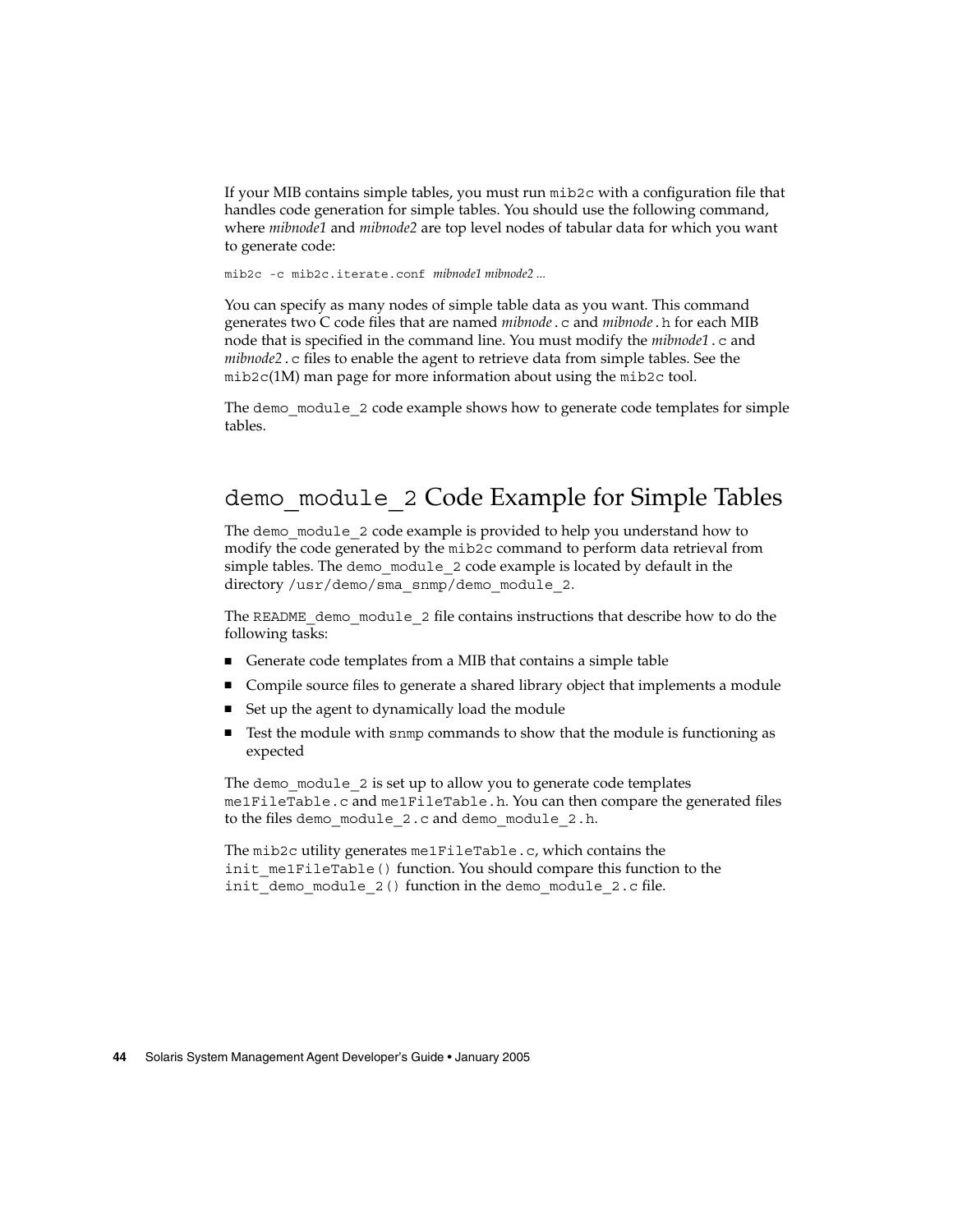If your MIB contains simple tables, you must run mib2c with a configuration file that handles code generation for simple tables. You should use the following command, where *mibnode1* and *mibnode2* are top level nodes of tabular data for which you want to generate code:

mib2c -c mib2c.iterate.conf *mibnode1 mibnode2 ...*

You can specify as many nodes of simple table data as you want. This command generates two C code files that are named *mibnode*.c and *mibnode*.h for each MIB node that is specified in the command line. You must modify the *mibnode1*.c and *mibnode2*.c files to enable the agent to retrieve data from simple tables. See the mib2c(1M) man page for more information about using the mib2c tool.

The demo\_module\_2 code example shows how to generate code templates for simple tables.

## demo\_module\_2 Code Example for Simple Tables

The demo\_module\_2 code example is provided to help you understand how to modify the code generated by the mib2c command to perform data retrieval from simple tables. The demo module 2 code example is located by default in the directory /usr/demo/sma\_snmp/demo\_module\_2.

The README demo module 2 file contains instructions that describe how to do the following tasks:

- Generate code templates from a MIB that contains a simple table
- Compile source files to generate a shared library object that implements a module
- Set up the agent to dynamically load the module
- Test the module with snmp commands to show that the module is functioning as expected

The demo module  $2$  is set up to allow you to generate code templates me1FileTable.c and me1FileTable.h. You can then compare the generated files to the files demo\_module\_2.c and demo\_module\_2.h.

The mib2c utility generates me1FileTable.c, which contains the init me1FileTable() function. You should compare this function to the init demo module 2() function in the demo module 2.c file.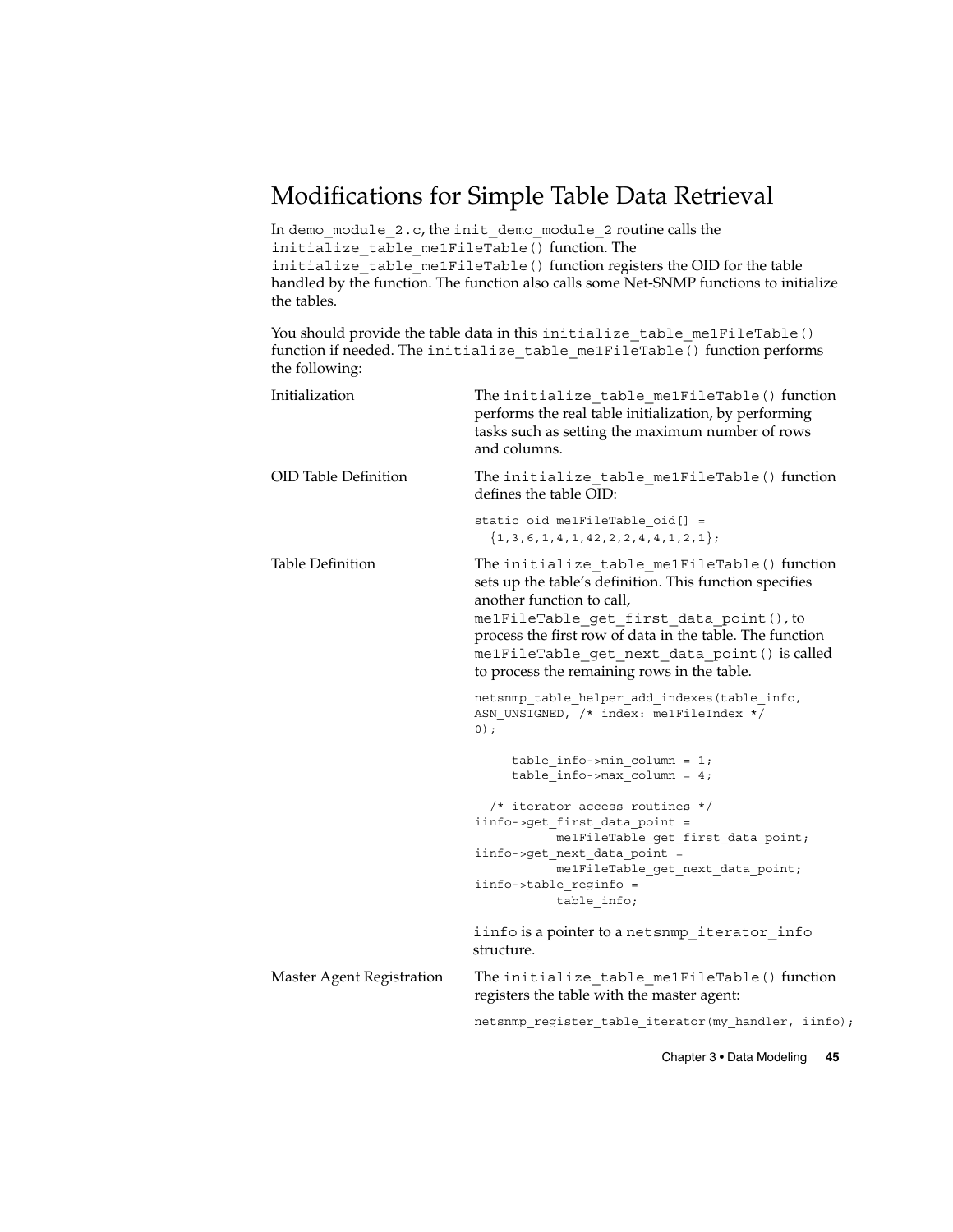## Modifications for Simple Table Data Retrieval

In demo\_module\_2.c, the init\_demo\_module\_2 routine calls the initialize\_table\_me1FileTable() function. The initialize\_table\_me1FileTable() function registers the OID for the table handled by the function. The function also calls some Net-SNMP functions to initialize the tables.

You should provide the table data in this initialize\_table\_me1FileTable() function if needed. The initialize\_table\_me1FileTable() function performs the following:

| Initialization              | The initialize table me1FileTable() function<br>performs the real table initialization, by performing<br>tasks such as setting the maximum number of rows<br>and columns.                                                                                                                                                                    |
|-----------------------------|----------------------------------------------------------------------------------------------------------------------------------------------------------------------------------------------------------------------------------------------------------------------------------------------------------------------------------------------|
| <b>OID</b> Table Definition | The initialize table me1FileTable() function<br>defines the table OID:                                                                                                                                                                                                                                                                       |
|                             | static oid me1FileTable oid[] =<br>${1, 3, 6, 1, 4, 1, 42, 2, 2, 4, 4, 1, 2, 1};$                                                                                                                                                                                                                                                            |
| <b>Table Definition</b>     | The initialize table me1FileTable() function<br>sets up the table's definition. This function specifies<br>another function to call,<br>melFileTable get first data point (), to<br>process the first row of data in the table. The function<br>me1FileTable get next data point () is called<br>to process the remaining rows in the table. |
|                             | netsnmp table helper add indexes (table info,<br>ASN UNSIGNED, $/*$ index: me1FileIndex $*/$<br>$0)$ ;                                                                                                                                                                                                                                       |
|                             | table info->min column = $1$ ;<br>table info->max column = $4$ ;                                                                                                                                                                                                                                                                             |
|                             | /* iterator access routines $*/$<br>iinfo->get first data point =<br>me1FileTable get first data point;<br>iinfo->get_next_data_point =<br>me1FileTable_get_next_data_point;<br>iinfo->table reginfo =<br>table_info;                                                                                                                        |
|                             | iinfo is a pointer to a netsnmp iterator info<br>structure.                                                                                                                                                                                                                                                                                  |
| Master Agent Registration   | The initialize table me1FileTable() function<br>registers the table with the master agent:                                                                                                                                                                                                                                                   |
|                             | netsnmp register table iterator (my handler, iinfo);                                                                                                                                                                                                                                                                                         |

Chapter 3 • Data Modeling **45**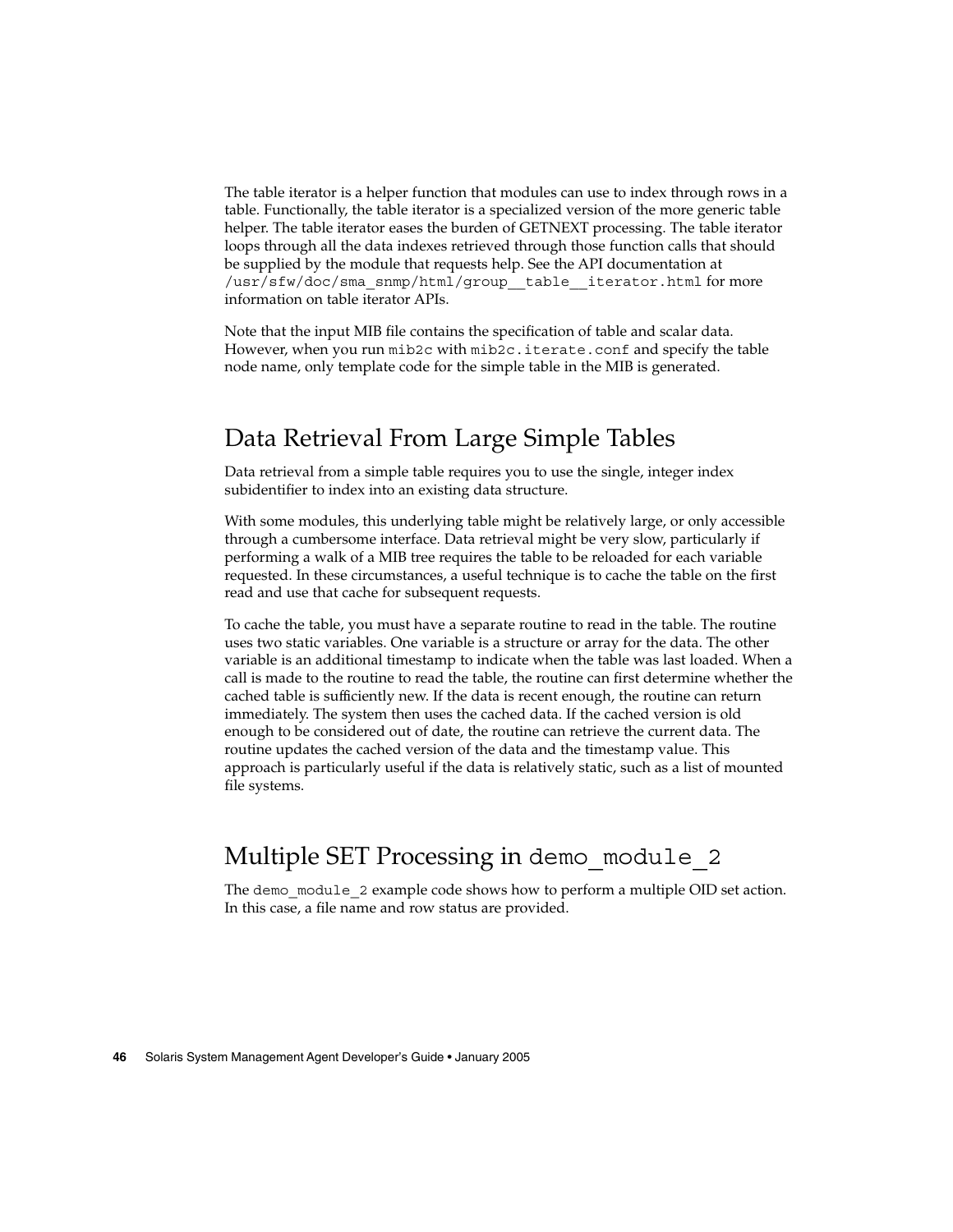The table iterator is a helper function that modules can use to index through rows in a table. Functionally, the table iterator is a specialized version of the more generic table helper. The table iterator eases the burden of GETNEXT processing. The table iterator loops through all the data indexes retrieved through those function calls that should be supplied by the module that requests help. See the API documentation at /usr/sfw/doc/sma\_snmp/html/group\_\_table\_\_iterator.html for more information on table iterator APIs.

Note that the input MIB file contains the specification of table and scalar data. However, when you run mib2c with mib2c.iterate.conf and specify the table node name, only template code for the simple table in the MIB is generated.

## Data Retrieval From Large Simple Tables

Data retrieval from a simple table requires you to use the single, integer index subidentifier to index into an existing data structure.

With some modules, this underlying table might be relatively large, or only accessible through a cumbersome interface. Data retrieval might be very slow, particularly if performing a walk of a MIB tree requires the table to be reloaded for each variable requested. In these circumstances, a useful technique is to cache the table on the first read and use that cache for subsequent requests.

To cache the table, you must have a separate routine to read in the table. The routine uses two static variables. One variable is a structure or array for the data. The other variable is an additional timestamp to indicate when the table was last loaded. When a call is made to the routine to read the table, the routine can first determine whether the cached table is sufficiently new. If the data is recent enough, the routine can return immediately. The system then uses the cached data. If the cached version is old enough to be considered out of date, the routine can retrieve the current data. The routine updates the cached version of the data and the timestamp value. This approach is particularly useful if the data is relatively static, such as a list of mounted file systems.

## Multiple SET Processing in demo\_module\_2

The demo module 2 example code shows how to perform a multiple OID set action. In this case, a file name and row status are provided.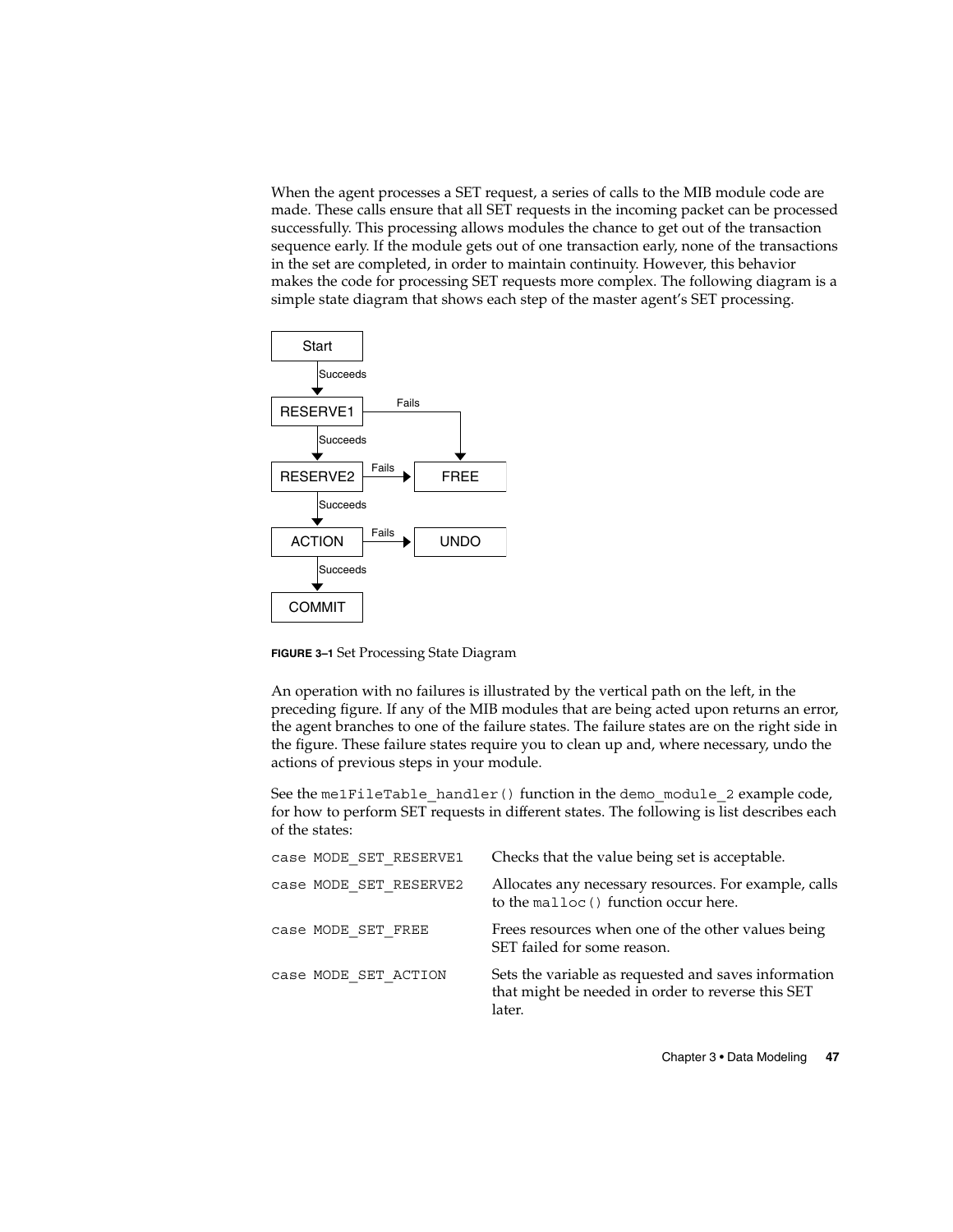When the agent processes a SET request, a series of calls to the MIB module code are made. These calls ensure that all SET requests in the incoming packet can be processed successfully. This processing allows modules the chance to get out of the transaction sequence early. If the module gets out of one transaction early, none of the transactions in the set are completed, in order to maintain continuity. However, this behavior makes the code for processing SET requests more complex. The following diagram is a simple state diagram that shows each step of the master agent's SET processing.



**FIGURE 3–1** Set Processing State Diagram

An operation with no failures is illustrated by the vertical path on the left, in the preceding figure. If any of the MIB modules that are being acted upon returns an error, the agent branches to one of the failure states. The failure states are on the right side in the figure. These failure states require you to clean up and, where necessary, undo the actions of previous steps in your module.

See the me1FileTable\_handler() function in the demo\_module\_2 example code, for how to perform SET requests in different states. The following is list describes each of the states:

| case MODE SET RESERVE1 | Checks that the value being set is acceptable.                                                                      |
|------------------------|---------------------------------------------------------------------------------------------------------------------|
| case MODE SET RESERVE2 | Allocates any necessary resources. For example, calls<br>to the malloc() function occur here.                       |
| case MODE SET FREE     | Frees resources when one of the other values being<br>SET failed for some reason.                                   |
| case MODE SET ACTION   | Sets the variable as requested and saves information<br>that might be needed in order to reverse this SET<br>later. |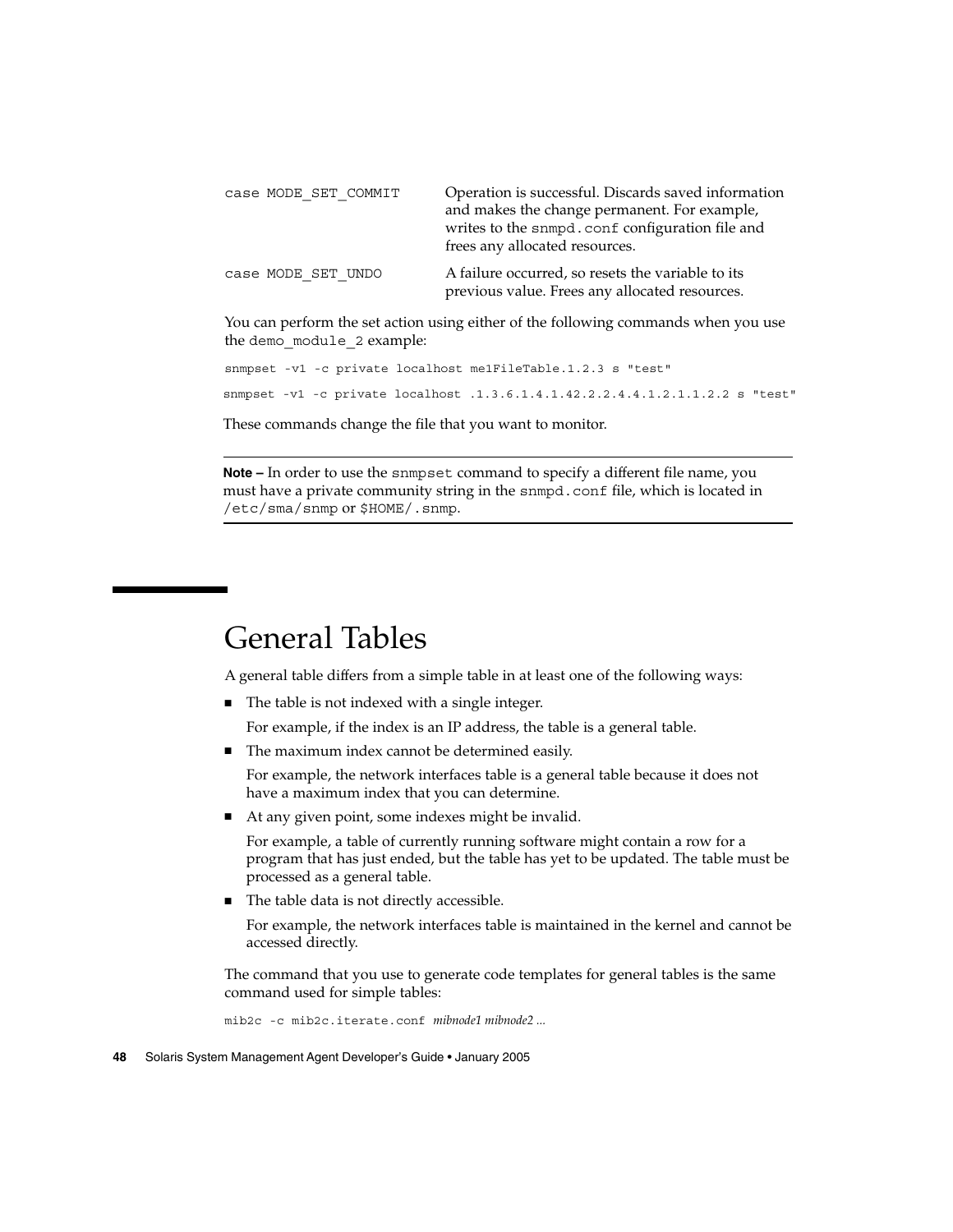<span id="page-47-0"></span>

| case MODE SET COMMIT | Operation is successful. Discards saved information<br>and makes the change permanent. For example,<br>writes to the snmpd.conf configuration file and<br>frees any allocated resources. |  |
|----------------------|------------------------------------------------------------------------------------------------------------------------------------------------------------------------------------------|--|
| case MODE SET UNDO   | A failure occurred, so resets the variable to its<br>previous value. Frees any allocated resources.                                                                                      |  |

You can perform the set action using either of the following commands when you use the demo\_module\_2 example:

```
snmpset -v1 -c private localhost me1FileTable.1.2.3 s "test"
```
snmpset -v1 -c private localhost .1.3.6.1.4.1.42.2.2.4.4.1.2.1.1.2.2 s "test"

These commands change the file that you want to monitor.

**Note –** In order to use the snmpset command to specify a different file name, you must have a private community string in the snmpd.conf file, which is located in /etc/sma/snmp or \$HOME/.snmp.

## General Tables

A general table differs from a simple table in at least one of the following ways:

■ The table is not indexed with a single integer.

For example, if the index is an IP address, the table is a general table.

■ The maximum index cannot be determined easily.

For example, the network interfaces table is a general table because it does not have a maximum index that you can determine.

■ At any given point, some indexes might be invalid.

For example, a table of currently running software might contain a row for a program that has just ended, but the table has yet to be updated. The table must be processed as a general table.

■ The table data is not directly accessible.

For example, the network interfaces table is maintained in the kernel and cannot be accessed directly.

The command that you use to generate code templates for general tables is the same command used for simple tables:

```
mib2c -c mib2c.iterate.conf mibnode1 mibnode2 ...
```
#### **48** Solaris System Management Agent Developer's Guide • January 2005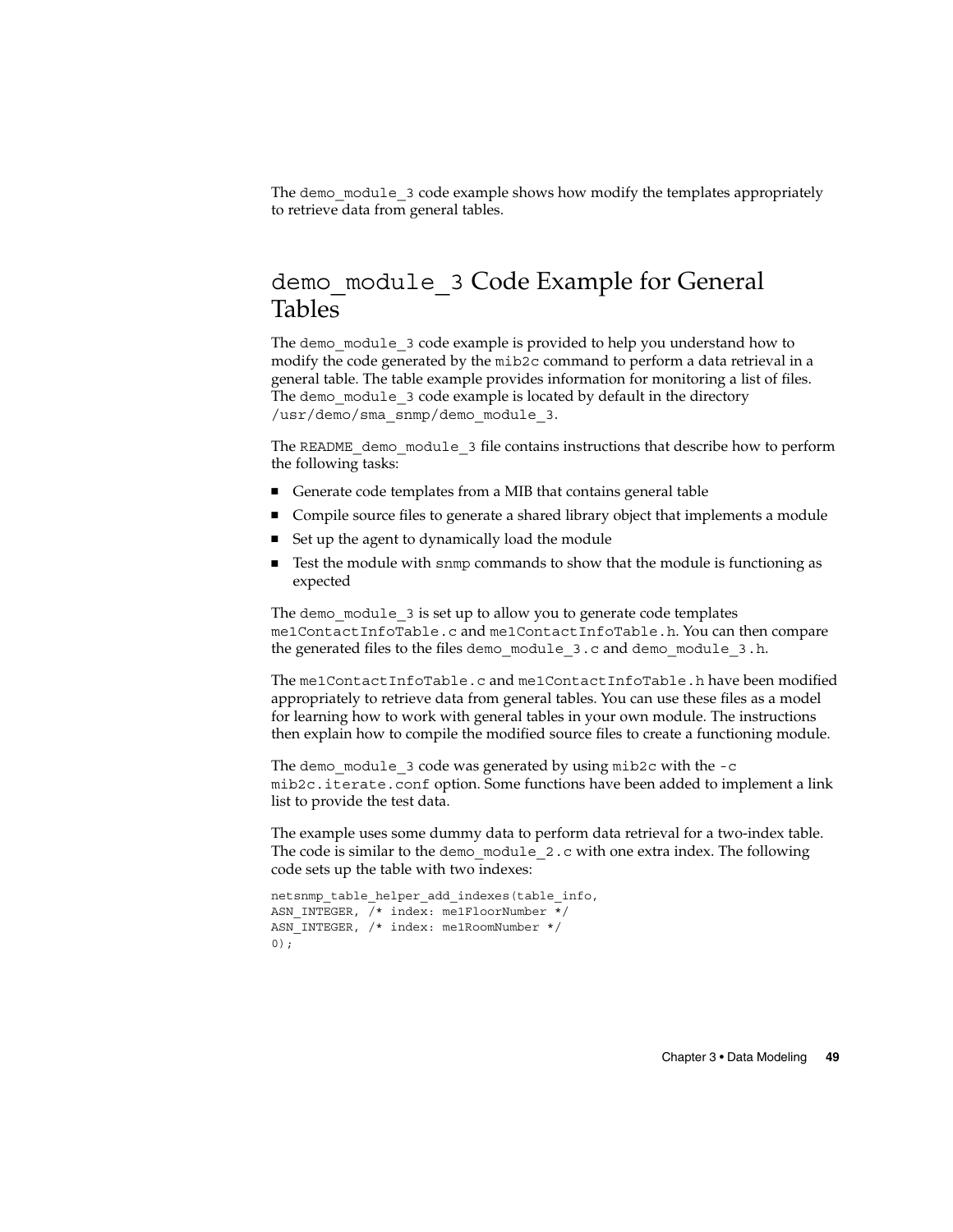The demo module 3 code example shows how modify the templates appropriately to retrieve data from general tables.

## demo\_module\_3 Code Example for General Tables

The demo module 3 code example is provided to help you understand how to modify the code generated by the mib2c command to perform a data retrieval in a general table. The table example provides information for monitoring a list of files. The demo module 3 code example is located by default in the directory /usr/demo/sma\_snmp/demo\_module\_3.

The README demo module 3 file contains instructions that describe how to perform the following tasks:

- Generate code templates from a MIB that contains general table
- Compile source files to generate a shared library object that implements a module
- Set up the agent to dynamically load the module
- Test the module with snmp commands to show that the module is functioning as expected

The demo module 3 is set up to allow you to generate code templates me1ContactInfoTable.c and me1ContactInfoTable.h. You can then compare the generated files to the files demo module 3.c and demo module 3.h.

The me1ContactInfoTable.c and me1ContactInfoTable.h have been modified appropriately to retrieve data from general tables. You can use these files as a model for learning how to work with general tables in your own module. The instructions then explain how to compile the modified source files to create a functioning module.

The demo module 3 code was generated by using mib2c with the  $-c$ mib2c.iterate.conf option. Some functions have been added to implement a link list to provide the test data.

The example uses some dummy data to perform data retrieval for a two-index table. The code is similar to the demo\_module\_2.c with one extra index. The following code sets up the table with two indexes:

```
netsnmp table helper add indexes(table info,
ASN INTEGER, /* index: me1FloorNumber */
ASN_INTEGER, /* index: me1RoomNumber */
0);
```
Chapter 3 • Data Modeling **49**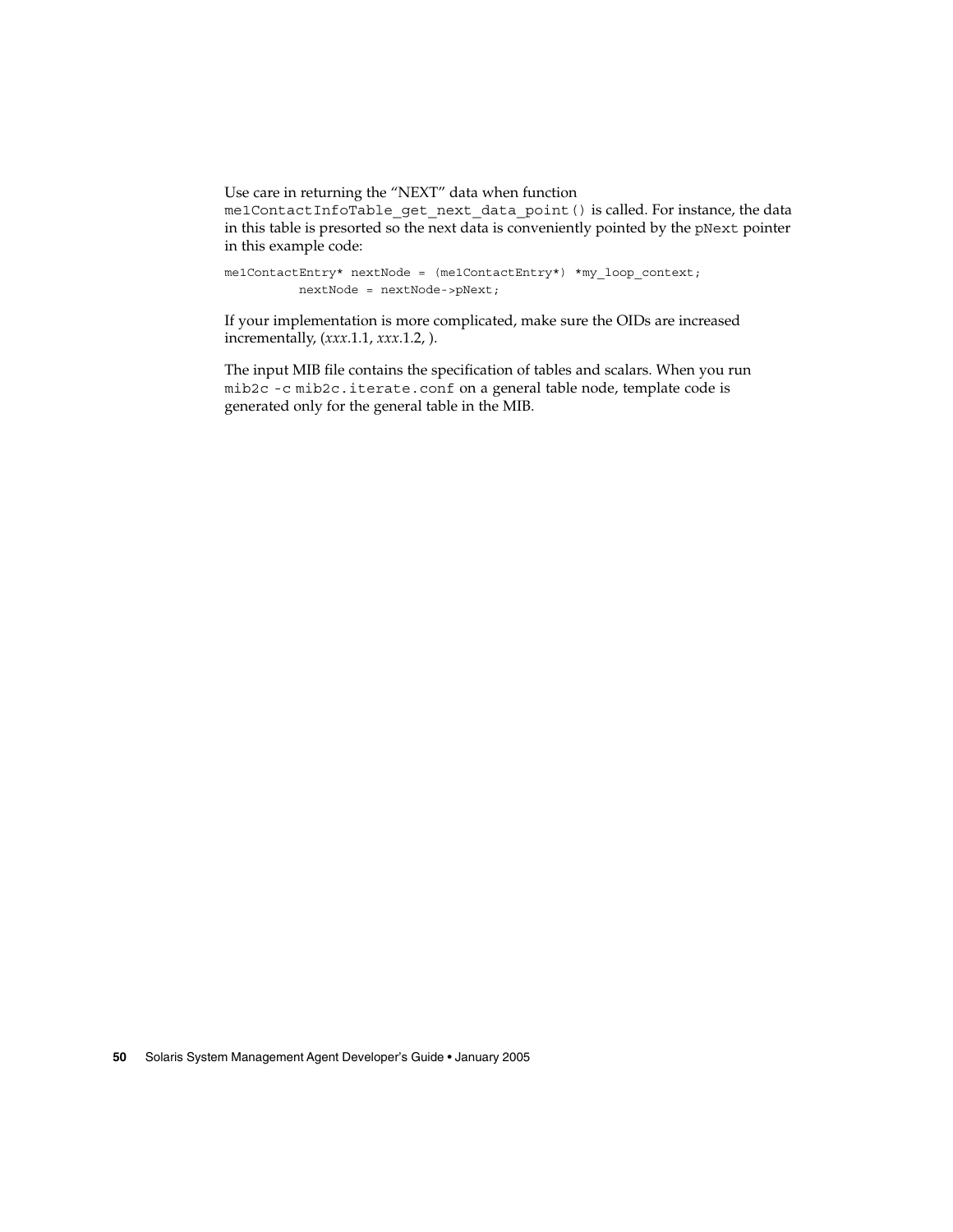Use care in returning the "NEXT" data when function

me1ContactInfoTable\_get\_next\_data\_point() is called. For instance, the data in this table is presorted so the next data is conveniently pointed by the pNext pointer in this example code:

```
me1ContactEntry* nextNode = (me1ContactEntry*) *my_loop_context;
         nextNode = nextNode->pNext;
```
If your implementation is more complicated, make sure the OIDs are increased incrementally, (*xxx*.1.1, *xxx*.1.2, ).

The input MIB file contains the specification of tables and scalars. When you run mib2c -c mib2c.iterate.conf on a general table node, template code is generated only for the general table in the MIB.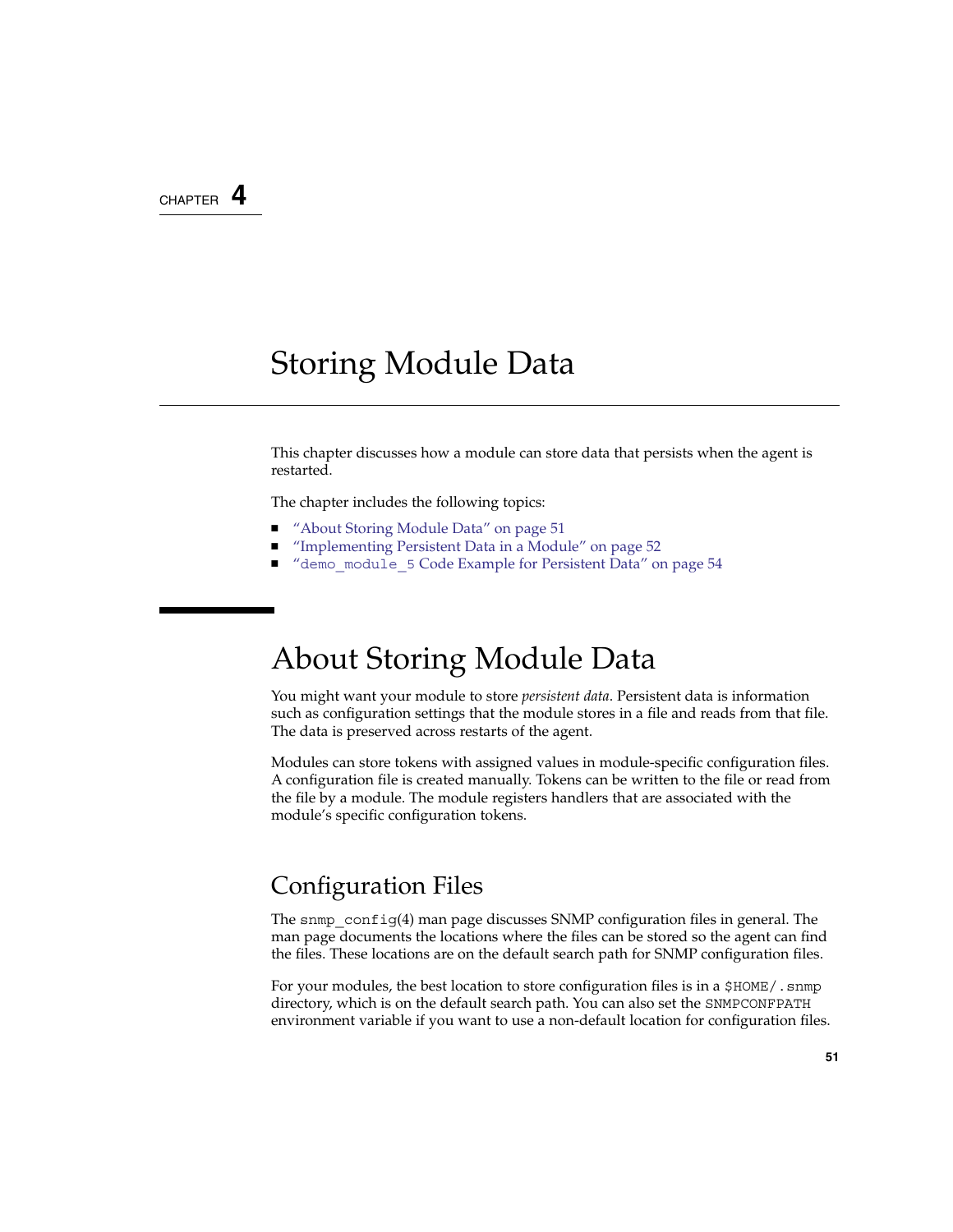#### CHAPTER **4**

## Storing Module Data

This chapter discusses how a module can store data that persists when the agent is restarted.

The chapter includes the following topics:

- "About Storing Module Data" on page 51
- ["Implementing Persistent Data in a Module"](#page-51-0) on page 52
- "demo\_module\_5 [Code Example for Persistent Data"](#page-53-0) on page 54

## About Storing Module Data

You might want your module to store *persistent data*. Persistent data is information such as configuration settings that the module stores in a file and reads from that file. The data is preserved across restarts of the agent.

Modules can store tokens with assigned values in module-specific configuration files. A configuration file is created manually. Tokens can be written to the file or read from the file by a module. The module registers handlers that are associated with the module's specific configuration tokens.

#### Configuration Files

The snmp  $\text{config}(4)$  man page discusses SNMP configuration files in general. The man page documents the locations where the files can be stored so the agent can find the files. These locations are on the default search path for SNMP configuration files.

For your modules, the best location to store configuration files is in a \$HOME/. snmp directory, which is on the default search path. You can also set the SNMPCONFPATH environment variable if you want to use a non-default location for configuration files.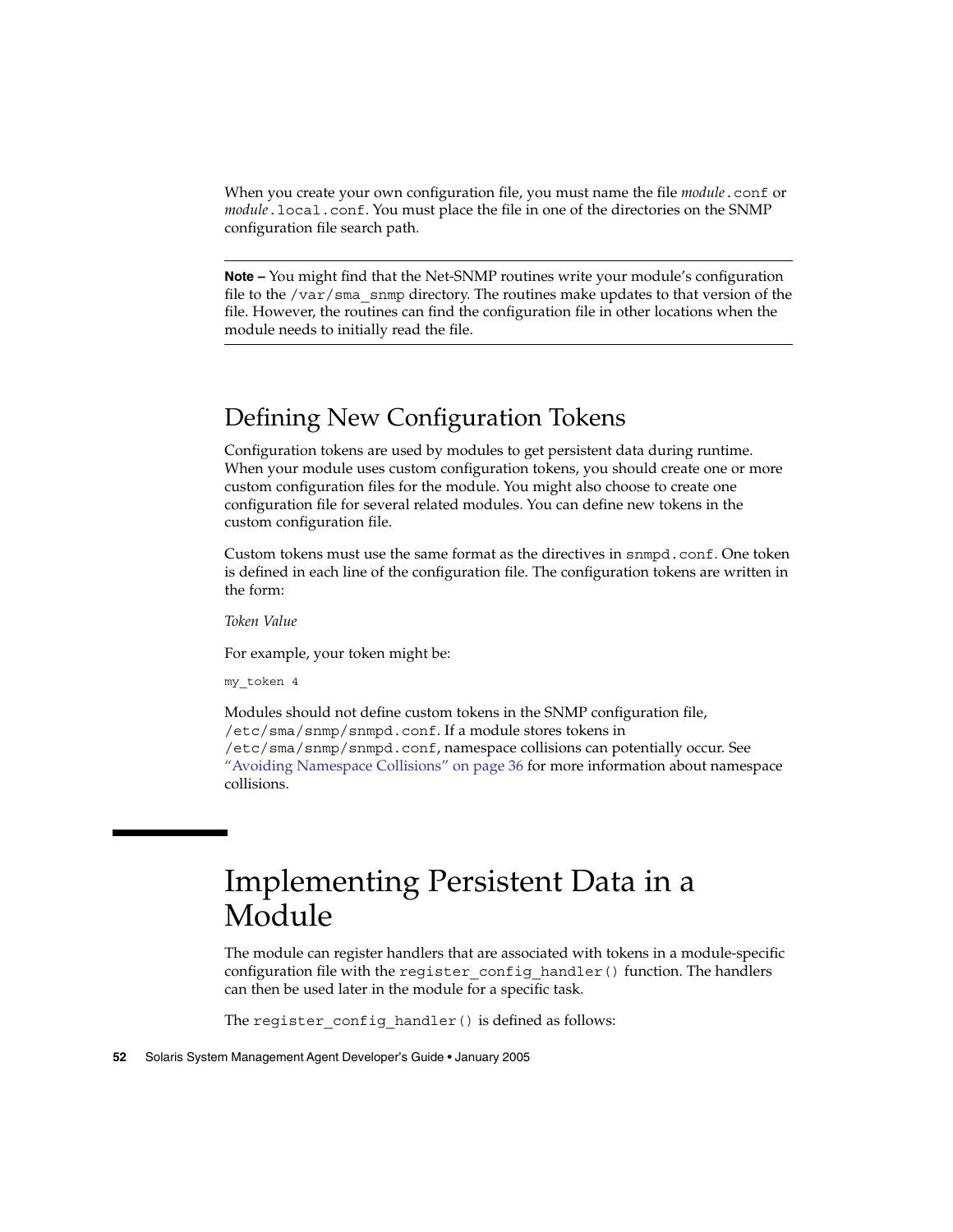<span id="page-51-0"></span>When you create your own configuration file, you must name the file *module*.conf or *module*.local.conf. You must place the file in one of the directories on the SNMP configuration file search path.

**Note –** You might find that the Net-SNMP routines write your module's configuration file to the /var/sma snmp directory. The routines make updates to that version of the file. However, the routines can find the configuration file in other locations when the module needs to initially read the file.

## Defining New Configuration Tokens

Configuration tokens are used by modules to get persistent data during runtime. When your module uses custom configuration tokens, you should create one or more custom configuration files for the module. You might also choose to create one configuration file for several related modules. You can define new tokens in the custom configuration file.

Custom tokens must use the same format as the directives in snmpd.conf. One token is defined in each line of the configuration file. The configuration tokens are written in the form:

*Token Value*

For example, your token might be:

my\_token 4

Modules should not define custom tokens in the SNMP configuration file, /etc/sma/snmp/snmpd.conf. If a module stores tokens in /etc/sma/snmp/snmpd.conf, namespace collisions can potentially occur. See ["Avoiding Namespace Collisions"](#page-35-0) on page 36 for more information about namespace collisions.

## Implementing Persistent Data in a Module

The module can register handlers that are associated with tokens in a module-specific configuration file with the register config handler() function. The handlers can then be used later in the module for a specific task.

The register config handler() is defined as follows: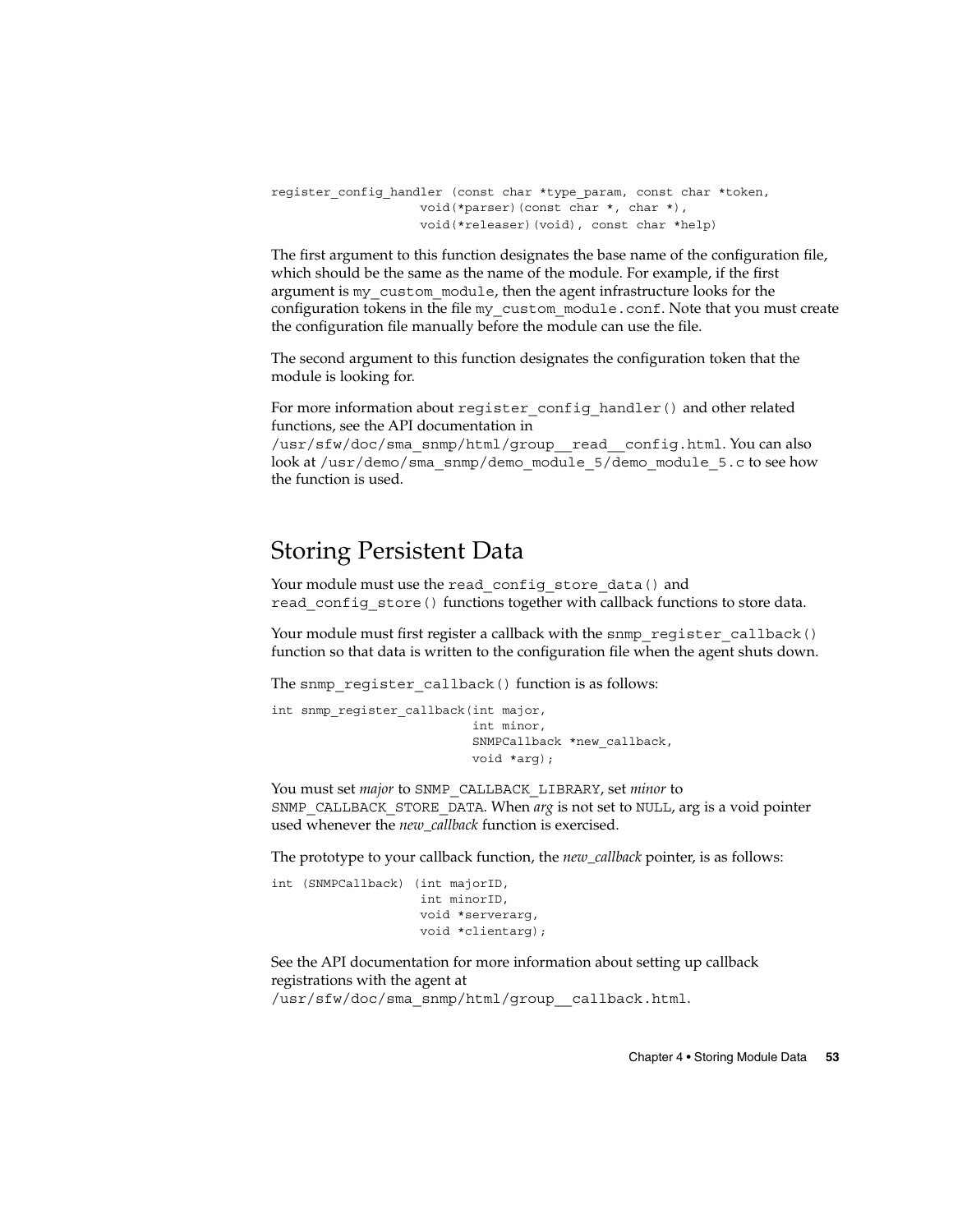```
register config handler (const char *type param, const char *token,
                    void(*parser)(const char *, char *),
                    void(*releaser)(void), const char *help)
```
The first argument to this function designates the base name of the configuration file, which should be the same as the name of the module. For example, if the first argument is my custom module, then the agent infrastructure looks for the configuration tokens in the file my\_custom\_module.conf. Note that you must create the configuration file manually before the module can use the file.

The second argument to this function designates the configuration token that the module is looking for.

For more information about register config handler() and other related functions, see the API documentation in

/usr/sfw/doc/sma\_snmp/html/group\_\_read\_\_config.html. You can also look at /usr/demo/sma\_snmp/demo\_module\_5/demo\_module\_5.c to see how the function is used.

#### Storing Persistent Data

Your module must use the read config store data() and read config store() functions together with callback functions to store data.

Your module must first register a callback with the snmp\_register\_callback() function so that data is written to the configuration file when the agent shuts down.

The snmp\_register\_callback() function is as follows:

```
int snmp register callback(int major,
                           int minor,
                           SNMPCallback *new_callback,
                           void *arg);
```
You must set *major* to SNMP CALLBACK LIBRARY, set *minor* to SNMP\_CALLBACK\_STORE\_DATA. When *arg* is not set to NULL, arg is a void pointer used whenever the *new\_callback* function is exercised.

The prototype to your callback function, the *new\_callback* pointer, is as follows:

```
int (SNMPCallback) (int majorID,
                    int minorID,
                    void *serverarg,
                    void *clientarg);
```
See the API documentation for more information about setting up callback registrations with the agent at /usr/sfw/doc/sma\_snmp/html/group\_\_callback.html.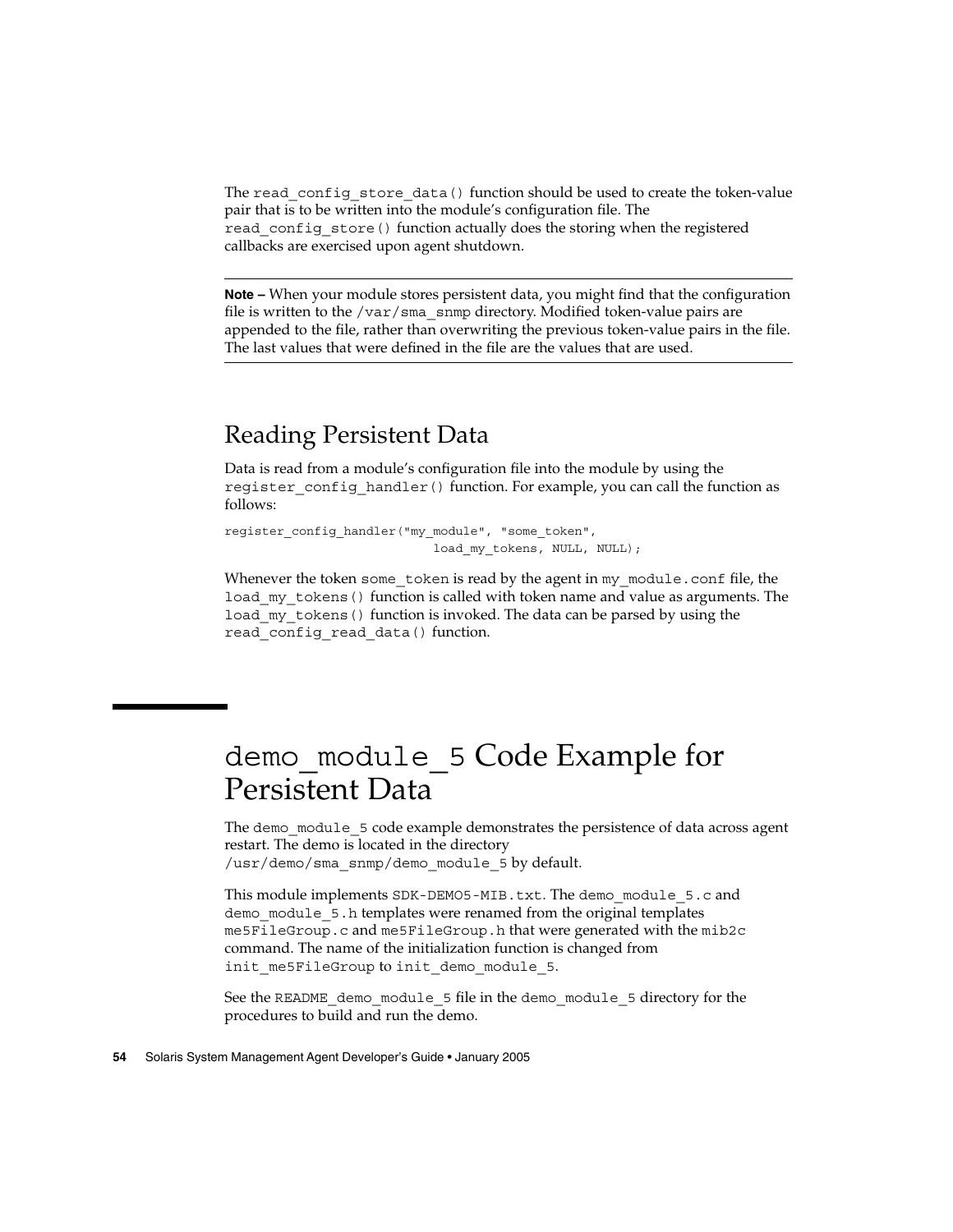<span id="page-53-0"></span>The read config store data() function should be used to create the token-value pair that is to be written into the module's configuration file. The read config store() function actually does the storing when the registered callbacks are exercised upon agent shutdown.

**Note –** When your module stores persistent data, you might find that the configuration file is written to the /var/sma\_snmp directory. Modified token-value pairs are appended to the file, rather than overwriting the previous token-value pairs in the file. The last values that were defined in the file are the values that are used.

## Reading Persistent Data

Data is read from a module's configuration file into the module by using the register\_config\_handler() function. For example, you can call the function as follows:

```
register_config_handler("my_module", "some_token",
                            load_my_tokens, NULL, NULL);
```
Whenever the token some token is read by the agent in my module.conf file, the load my tokens () function is called with token name and value as arguments. The load my tokens() function is invoked. The data can be parsed by using the read\_config\_read\_data() function.

## demo\_module\_5 Code Example for Persistent Data

The demo module 5 code example demonstrates the persistence of data across agent restart. The demo is located in the directory /usr/demo/sma\_snmp/demo\_module\_5 by default.

This module implements SDK-DEMO5-MIB.txt. The demo\_module\_5.c and demo module 5.h templates were renamed from the original templates me5FileGroup.c and me5FileGroup.h that were generated with the mib2c command. The name of the initialization function is changed from init me5FileGroup to init demo module 5.

See the README\_demo\_module\_5 file in the demo\_module\_5 directory for the procedures to build and run the demo.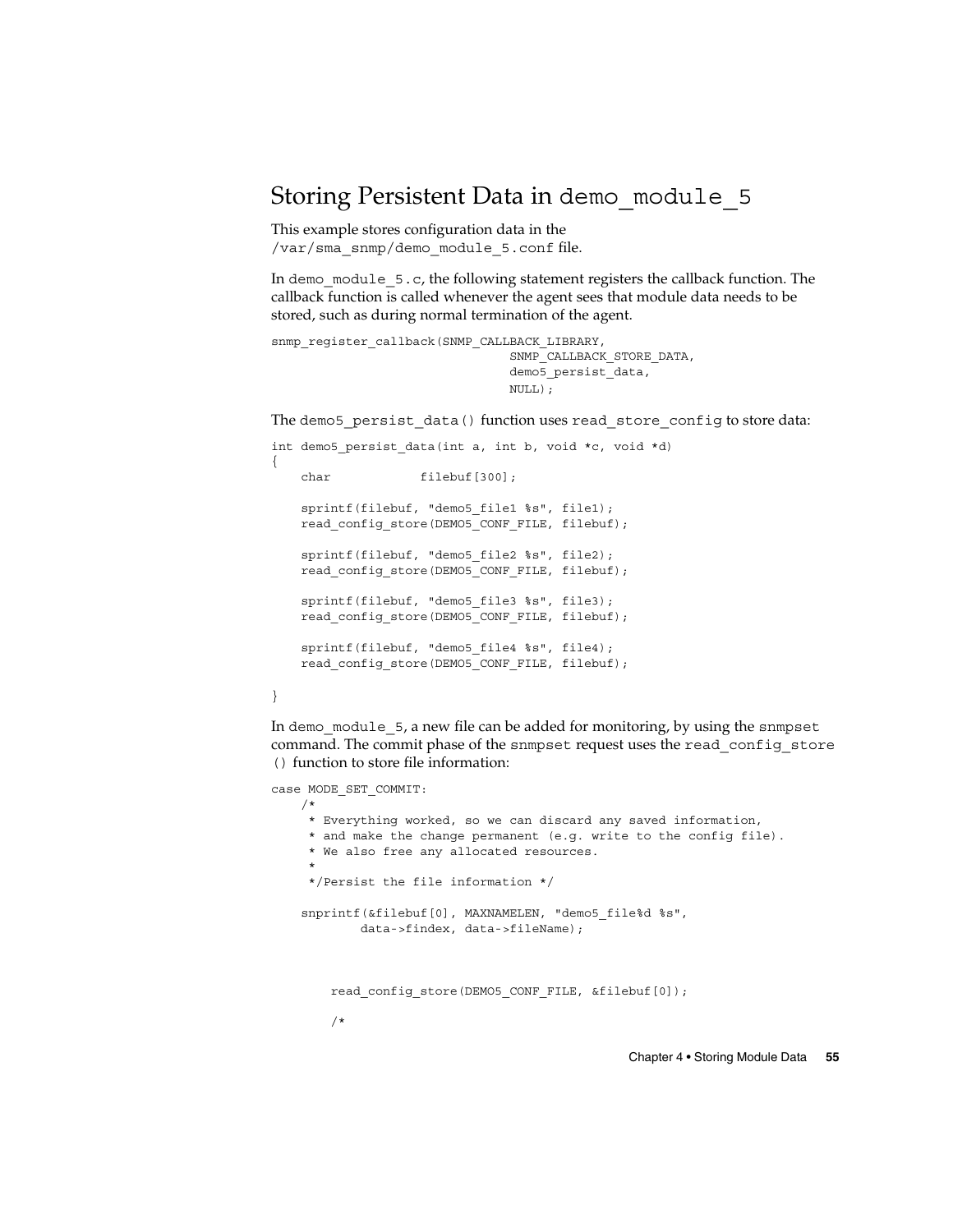#### Storing Persistent Data in demo module 5

This example stores configuration data in the /var/sma\_snmp/demo\_module\_5.conf file.

In demo\_module\_5.c, the following statement registers the callback function. The callback function is called whenever the agent sees that module data needs to be stored, such as during normal termination of the agent.

```
snmp_register_callback(SNMP_CALLBACK_LIBRARY,
                                SNMP_CALLBACK_STORE_DATA,
                                demo5_persist_data,
                                NULL);
```
The demo5 persist data() function uses read store config to store data:

```
int demo5 persist data(int a, int b, void *c, void *d)
{
   char filebuf[300];
   sprintf(filebuf, "demo5 file1 %s", file1);
   read config store(DEMO5_CONF_FILE, filebuf);
   sprintf(filebuf, "demo5 file2 %s", file2);
   read config store(DEMO5 CONF FILE, filebuf);
   sprintf(filebuf, "demo5_file3 %s", file3);
   read_config_store(DEMO5_CONF_FILE, filebuf);
   sprintf(filebuf, "demo5_file4 %s", file4);
   read config store(DEMO5 CONF FILE, filebuf);
```
}

In demo\_module\_5, a new file can be added for monitoring, by using the snmpset command. The commit phase of the snmpset request uses the read\_config\_store () function to store file information:

```
case MODE_SET_COMMIT:
   /*
    * Everything worked, so we can discard any saved information,
    * and make the change permanent (e.g. write to the config file).
     * We also free any allocated resources.
     *
     */Persist the file information */
    snprintf(&filebuf[0], MAXNAMELEN, "demo5_file%d %s",
            data->findex, data->fileName);
        read_config_store(DEMO5_CONF_FILE, &filebuf[0]);
```

```
/*
```
Chapter 4 • Storing Module Data **55**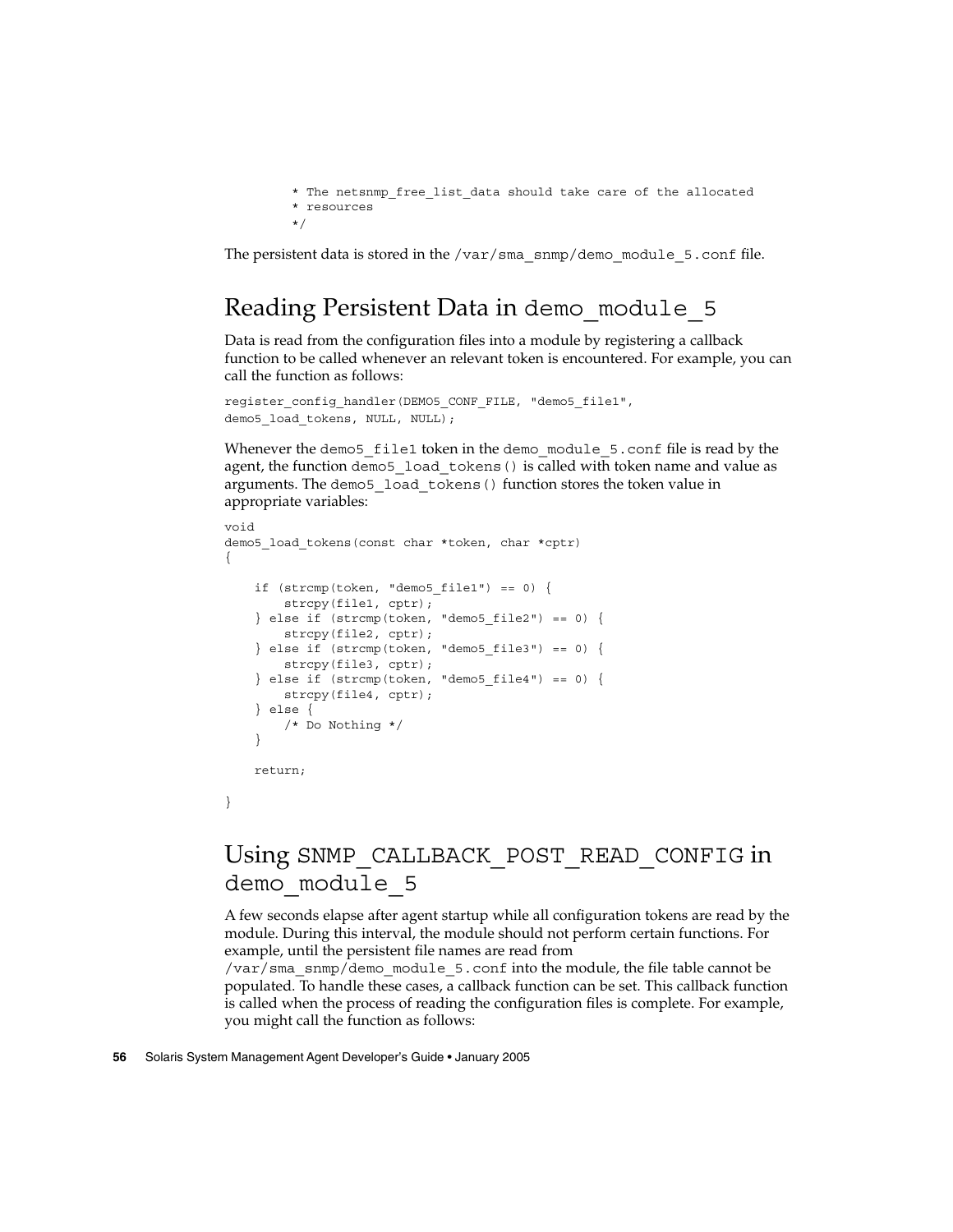```
* The netsnmp_free_list_data should take care of the allocated
```

```
* resources
*/
```
The persistent data is stored in the /var/sma\_snmp/demo\_module\_5.conf file.

## Reading Persistent Data in demo\_module\_5

Data is read from the configuration files into a module by registering a callback function to be called whenever an relevant token is encountered. For example, you can call the function as follows:

```
register_config_handler(DEMO5_CONF_FILE, "demo5_file1",
demo5_load_tokens, NULL, NULL);
```
Whenever the demo5 file1 token in the demo module 5.conf file is read by the agent, the function demo5\_load\_tokens() is called with token name and value as arguments. The demo5\_load\_tokens() function stores the token value in appropriate variables:

```
void
demo5 load tokens(const char *token, char *cptr)
{
    if (strcmp(token, "demo5 file1") == 0) {
       strcpy(file1, cptr);
    } else if (strcmp(token, "demo5 file2") == 0) {
       strcpy(file2, cptr);
    } else if (strcmp(token, "demo5 file3") == 0) {
       strcpy(file3, cptr);
    } else if (strcmp(token, "demo5 file4") == 0) {
       strcpy(file4, cptr);
    } else {
       /* Do Nothing */
    }
    return;
```

```
}
```
## Using SNMP\_CALLBACK\_POST\_READ\_CONFIG in demo\_module\_5

A few seconds elapse after agent startup while all configuration tokens are read by the module. During this interval, the module should not perform certain functions. For example, until the persistent file names are read from

/var/sma\_snmp/demo\_module  $5$ .conf into the module, the file table cannot be populated. To handle these cases, a callback function can be set. This callback function is called when the process of reading the configuration files is complete. For example, you might call the function as follows: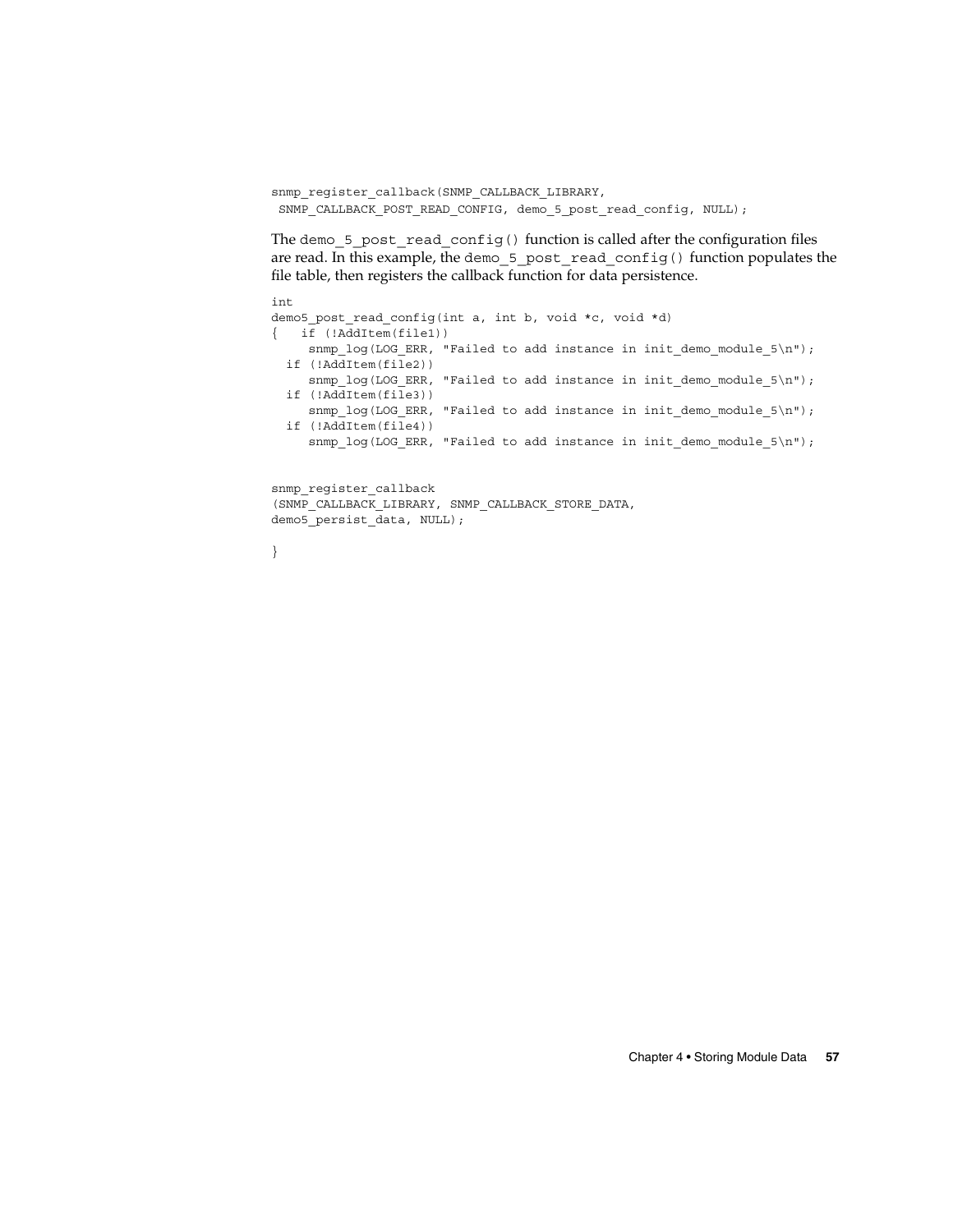snmp\_register\_callback(SNMP\_CALLBACK\_LIBRARY, SNMP\_CALLBACK\_POST\_READ\_CONFIG, demo\_5\_post\_read\_config, NULL);

The demo\_5\_post\_read\_config() function is called after the configuration files are read. In this example, the demo\_5\_post\_read\_config() function populates the file table, then registers the callback function for data persistence.

int

```
demo5_post_read_config(int a, int b, void *c, void *d)
{ if (!AddItem(file1))
    snmp log(LOG ERR, "Failed to add instance in init demo module 5\n^n);
 if (!AddItem(file2))
    snmp_log(LOG_ERR, "Failed to add_instance in init_demo_module_5\n");
  if (!AddItem(file3))
    snmp_log(LOG_ERR, "Failed to add instance in init_demo_module_5\n");
  if (!AddItem(file4))
    snmp_log(LOG_ERR, "Failed to add instance in init_demo_module_5\n");
snmp register callback
```

```
(SNMP_CALLBACK_LIBRARY, SNMP_CALLBACK_STORE_DATA,
demo5_persist_data, NULL);
```
}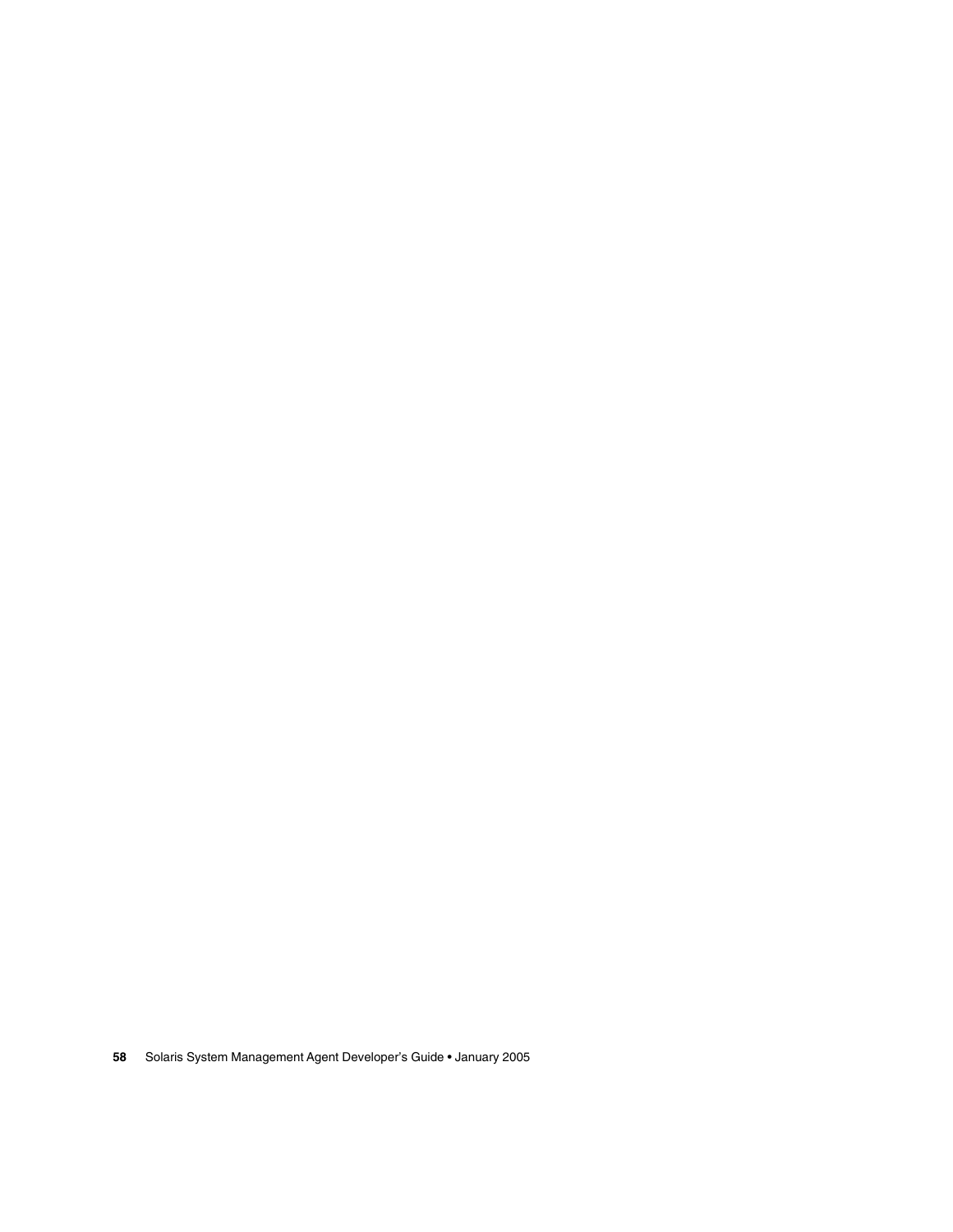Solaris System Management Agent Developer's Guide • January 2005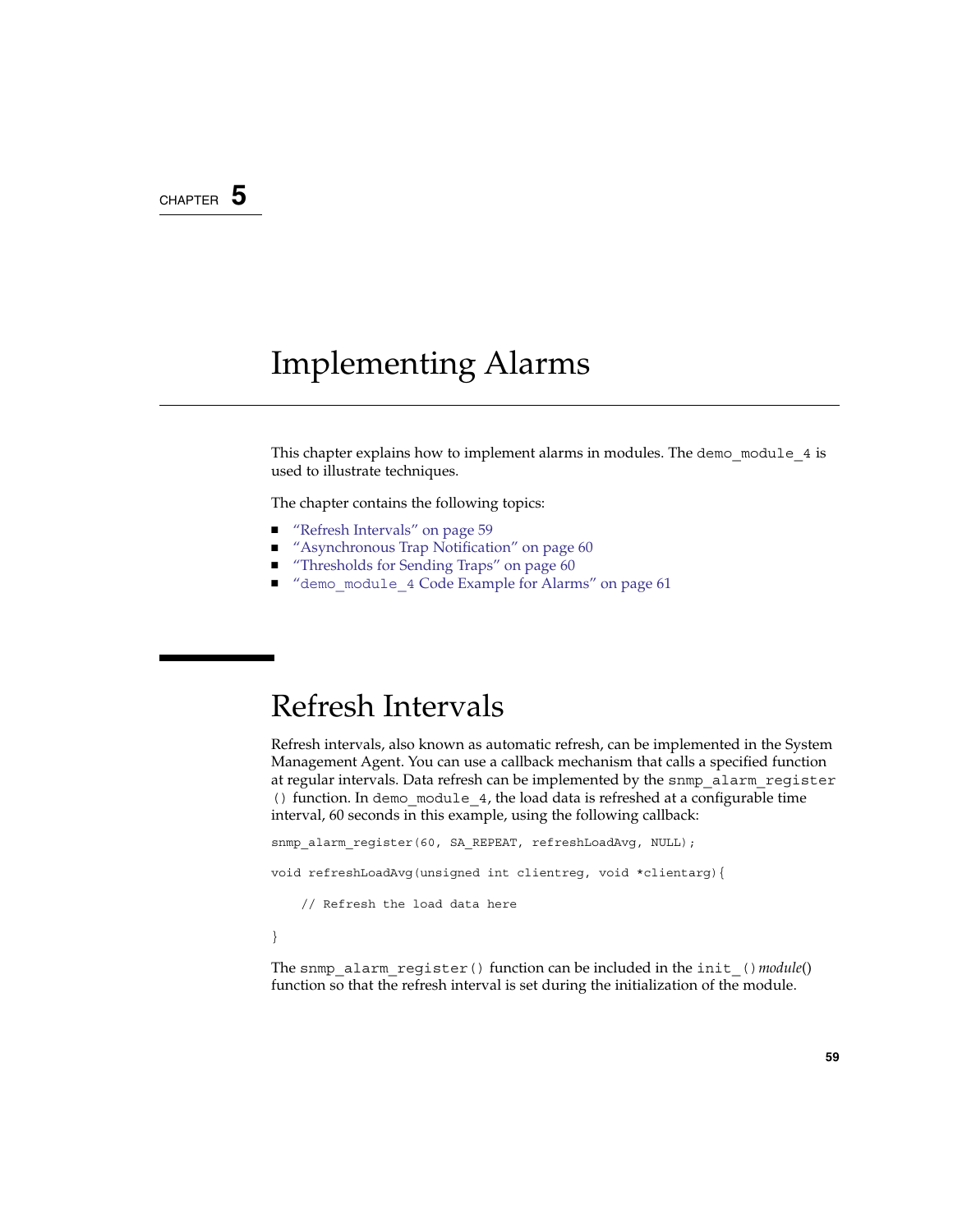#### CHAPTER **5**

# Implementing Alarms

This chapter explains how to implement alarms in modules. The demo\_module\_4 is used to illustrate techniques.

The chapter contains the following topics:

- "Refresh Intervals" on page 59
- ["Asynchronous Trap Notification"](#page-59-0) on page 60
- ["Thresholds for Sending Traps"](#page-59-0) on page 60
- "demo\_module\_4 [Code Example for Alarms"](#page-60-0) on page 61

## Refresh Intervals

Refresh intervals, also known as automatic refresh, can be implemented in the System Management Agent. You can use a callback mechanism that calls a specified function at regular intervals. Data refresh can be implemented by the snmp\_alarm\_register () function. In demo module 4, the load data is refreshed at a configurable time interval, 60 seconds in this example, using the following callback:

snmp\_alarm\_register(60, SA\_REPEAT, refreshLoadAvg, NULL);

void refreshLoadAvg(unsigned int clientreg, void \*clientarg){

// Refresh the load data here

}

The snmp\_alarm\_register() function can be included in the init\_()*module*() function so that the refresh interval is set during the initialization of the module.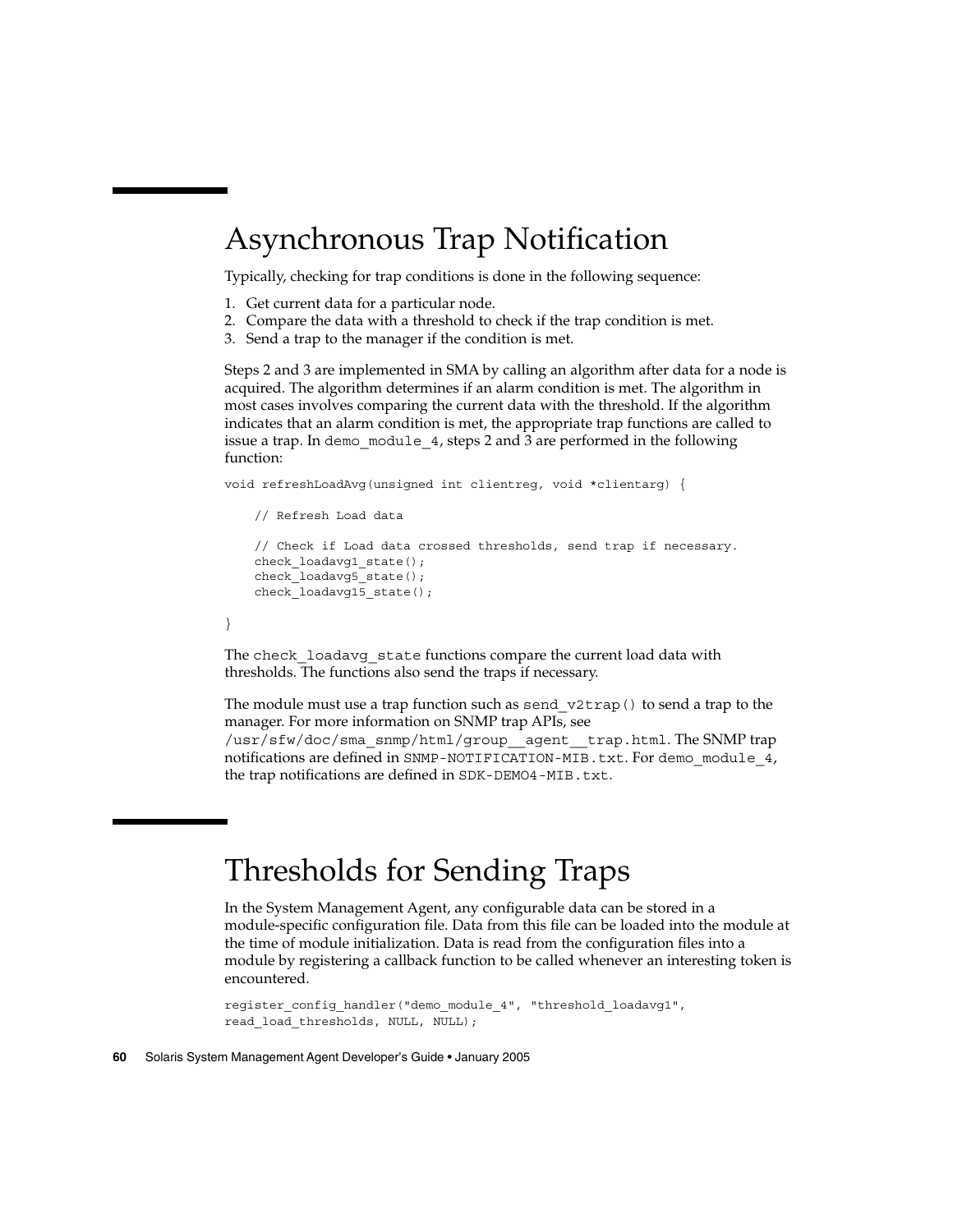## <span id="page-59-0"></span>Asynchronous Trap Notification

Typically, checking for trap conditions is done in the following sequence:

- 1. Get current data for a particular node.
- 2. Compare the data with a threshold to check if the trap condition is met.
- 3. Send a trap to the manager if the condition is met.

Steps 2 and 3 are implemented in SMA by calling an algorithm after data for a node is acquired. The algorithm determines if an alarm condition is met. The algorithm in most cases involves comparing the current data with the threshold. If the algorithm indicates that an alarm condition is met, the appropriate trap functions are called to issue a trap. In demo\_module\_4, steps 2 and 3 are performed in the following function:

void refreshLoadAvg(unsigned int clientreg, void \*clientarg) {

```
// Refresh Load data
// Check if Load data crossed thresholds, send trap if necessary.
check loadavg1 state();
check_loadavg5_state();
check loadavg15 state();
```
The check loadavg state functions compare the current load data with thresholds. The functions also send the traps if necessary.

The module must use a trap function such as send  $v2trap$  () to send a trap to the manager. For more information on SNMP trap APIs, see /usr/sfw/doc/sma\_snmp/html/group\_\_agent\_\_trap.html. The SNMP trap notifications are defined in SNMP-NOTIFICATION-MIB.txt. For demo\_module\_4, the trap notifications are defined in SDK-DEMO4-MIB.txt.

## Thresholds for Sending Traps

In the System Management Agent, any configurable data can be stored in a module-specific configuration file. Data from this file can be loaded into the module at the time of module initialization. Data is read from the configuration files into a module by registering a callback function to be called whenever an interesting token is encountered.

```
register config handler("demo module 4", "threshold loadavg1",
read load thresholds, NULL, NULL);
```
}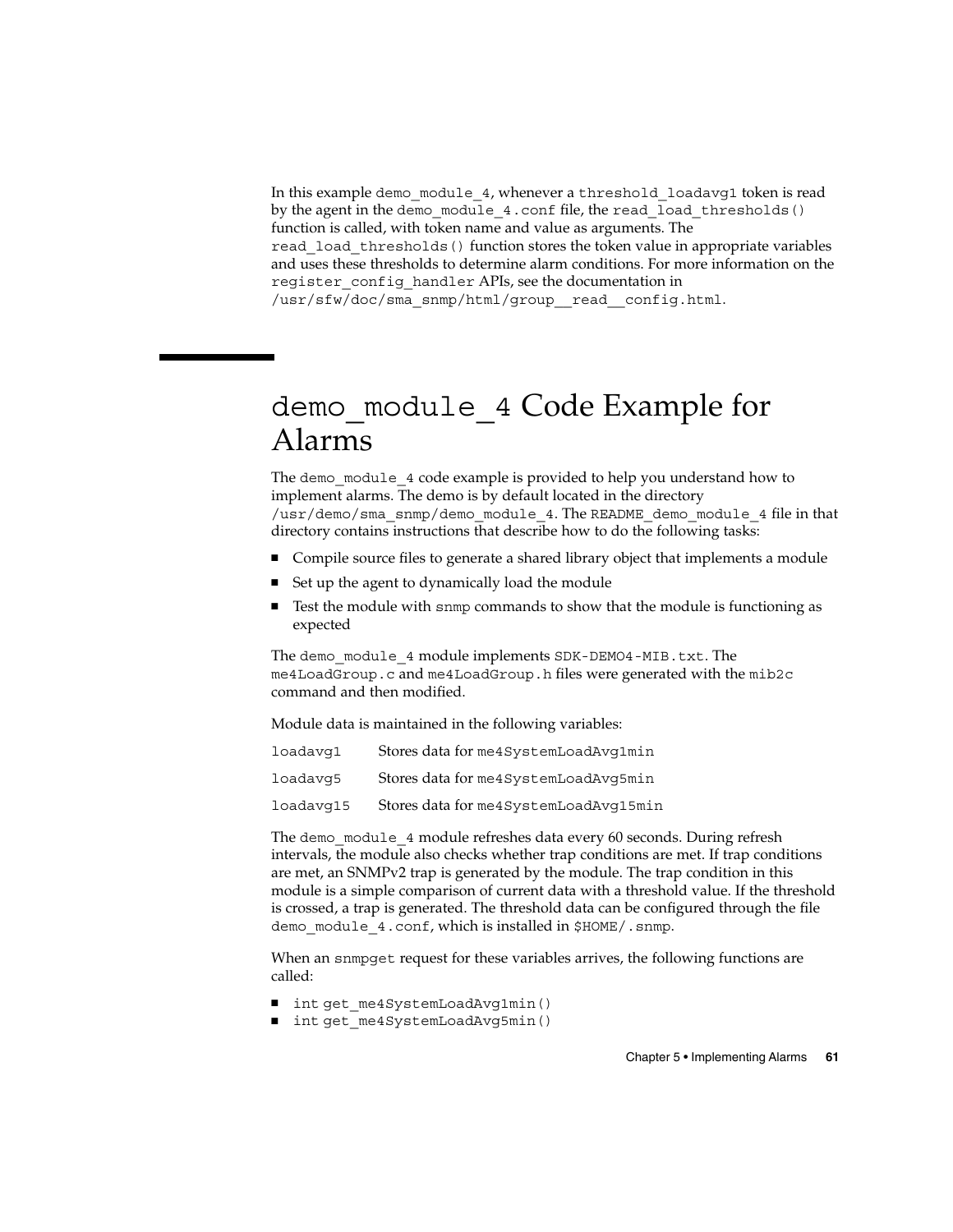<span id="page-60-0"></span>In this example demo\_module\_4, whenever a threshold\_loadavg1 token is read by the agent in the demo module 4.conf file, the read load thresholds() function is called, with token name and value as arguments. The read\_load\_thresholds() function stores the token value in appropriate variables and uses these thresholds to determine alarm conditions. For more information on the register config handler APIs, see the documentation in

/usr/sfw/doc/sma\_snmp/html/group\_\_read\_\_config.html.

## demo\_module\_4 Code Example for Alarms

The demo module 4 code example is provided to help you understand how to implement alarms. The demo is by default located in the directory /usr/demo/sma\_snmp/demo\_module\_4. The README\_demo\_module\_4 file in that directory contains instructions that describe how to do the following tasks:

- Compile source files to generate a shared library object that implements a module
- Set up the agent to dynamically load the module
- Test the module with snmp commands to show that the module is functioning as expected

The demo module 4 module implements SDK-DEMO4-MIB.txt. The me4LoadGroup.c and me4LoadGroup.h files were generated with the mib2c command and then modified.

Module data is maintained in the following variables:

| loadavg1  | Stores data for me4SystemLoadAvq1min  |
|-----------|---------------------------------------|
| loadavg5  | Stores data for me4SystemLoadAvg5min  |
| loadavg15 | Stores data for me4SystemLoadAvq15min |

The demo module 4 module refreshes data every 60 seconds. During refresh intervals, the module also checks whether trap conditions are met. If trap conditions are met, an SNMPv2 trap is generated by the module. The trap condition in this module is a simple comparison of current data with a threshold value. If the threshold is crossed, a trap is generated. The threshold data can be configured through the file demo\_module\_4.conf, which is installed in \$HOME/.snmp.

When an snmpget request for these variables arrives, the following functions are called:

- int get me4SystemLoadAvg1min()
- int get me4SystemLoadAvg5min()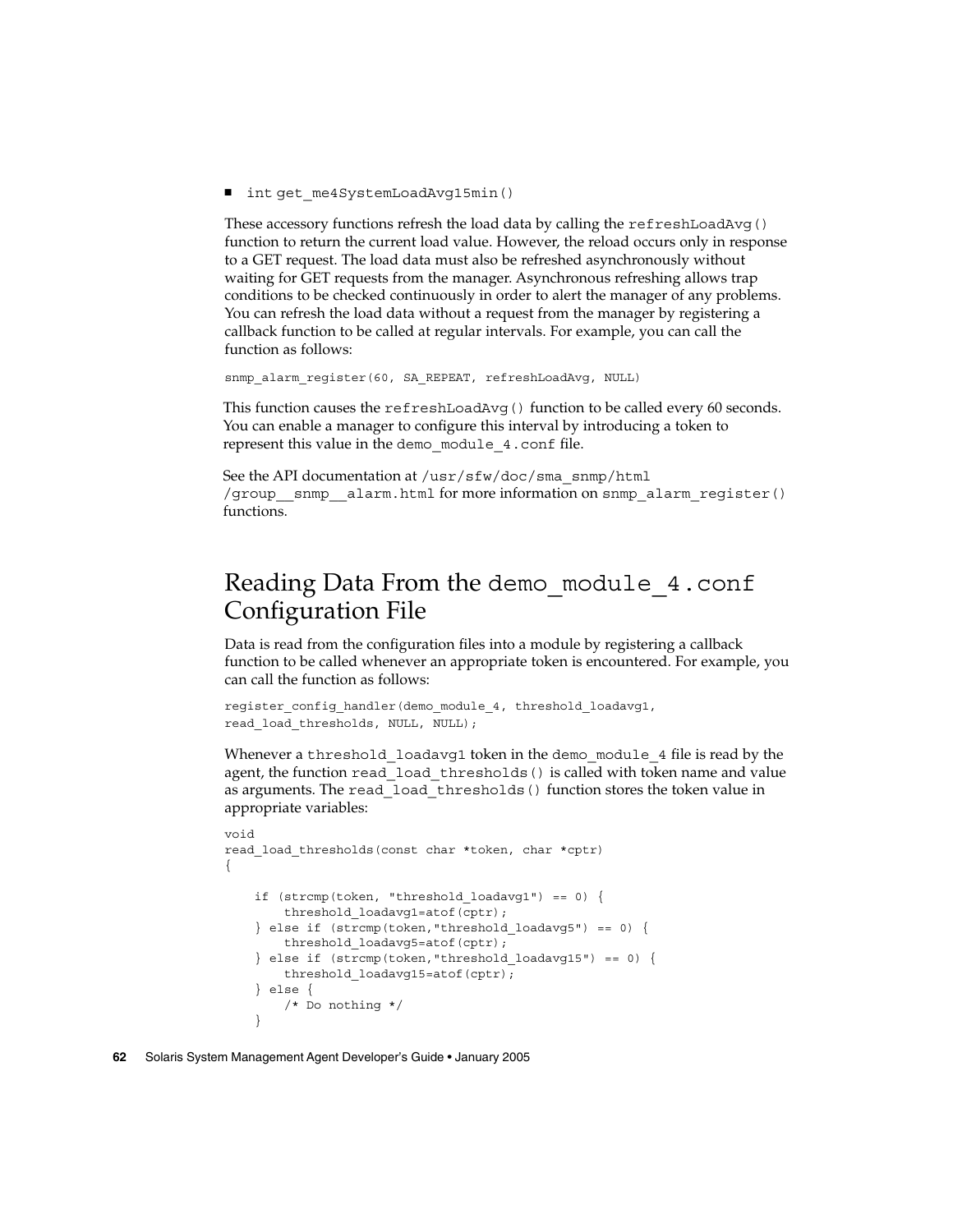■ int get me4SystemLoadAvg15min()

These accessory functions refresh the load data by calling the refreshLoadAvg() function to return the current load value. However, the reload occurs only in response to a GET request. The load data must also be refreshed asynchronously without waiting for GET requests from the manager. Asynchronous refreshing allows trap conditions to be checked continuously in order to alert the manager of any problems. You can refresh the load data without a request from the manager by registering a callback function to be called at regular intervals. For example, you can call the function as follows:

snmp\_alarm\_register(60, SA\_REPEAT, refreshLoadAvg, NULL)

This function causes the refreshLoadAvg() function to be called every 60 seconds. You can enable a manager to configure this interval by introducing a token to represent this value in the demo\_module\_4.conf file.

See the API documentation at /usr/sfw/doc/sma\_snmp/html /group\_\_snmp\_\_alarm.html for more information on snmp\_alarm\_register() functions.

#### Reading Data From the demo\_module\_4.conf Configuration File

Data is read from the configuration files into a module by registering a callback function to be called whenever an appropriate token is encountered. For example, you can call the function as follows:

```
register config handler(demo module 4, threshold loadavg1,
read load thresholds, NULL, NULL);
```
Whenever a threshold loadavg1 token in the demo module 4 file is read by the agent, the function read\_load\_thresholds() is called with token name and value as arguments. The read\_load\_thresholds() function stores the token value in appropriate variables:

```
void
read load thresholds(const char *token, char *cptr)
{
    if (strcmp(token, "threshold loadavg1") == 0) {
        threshold loadavq1=atof(cptr);
    } else if (strcmp(token, "threshold loadavg5") == 0) {
       threshold_loadavg5=atof(cptr);
    } else if (strcmp(token, "threshold loadavg15") == 0) {
       threshold loadavg15=atof(cptr);
    } else {
        /* Do nothing */
    }
```
**62** Solaris System Management Agent Developer's Guide • January 2005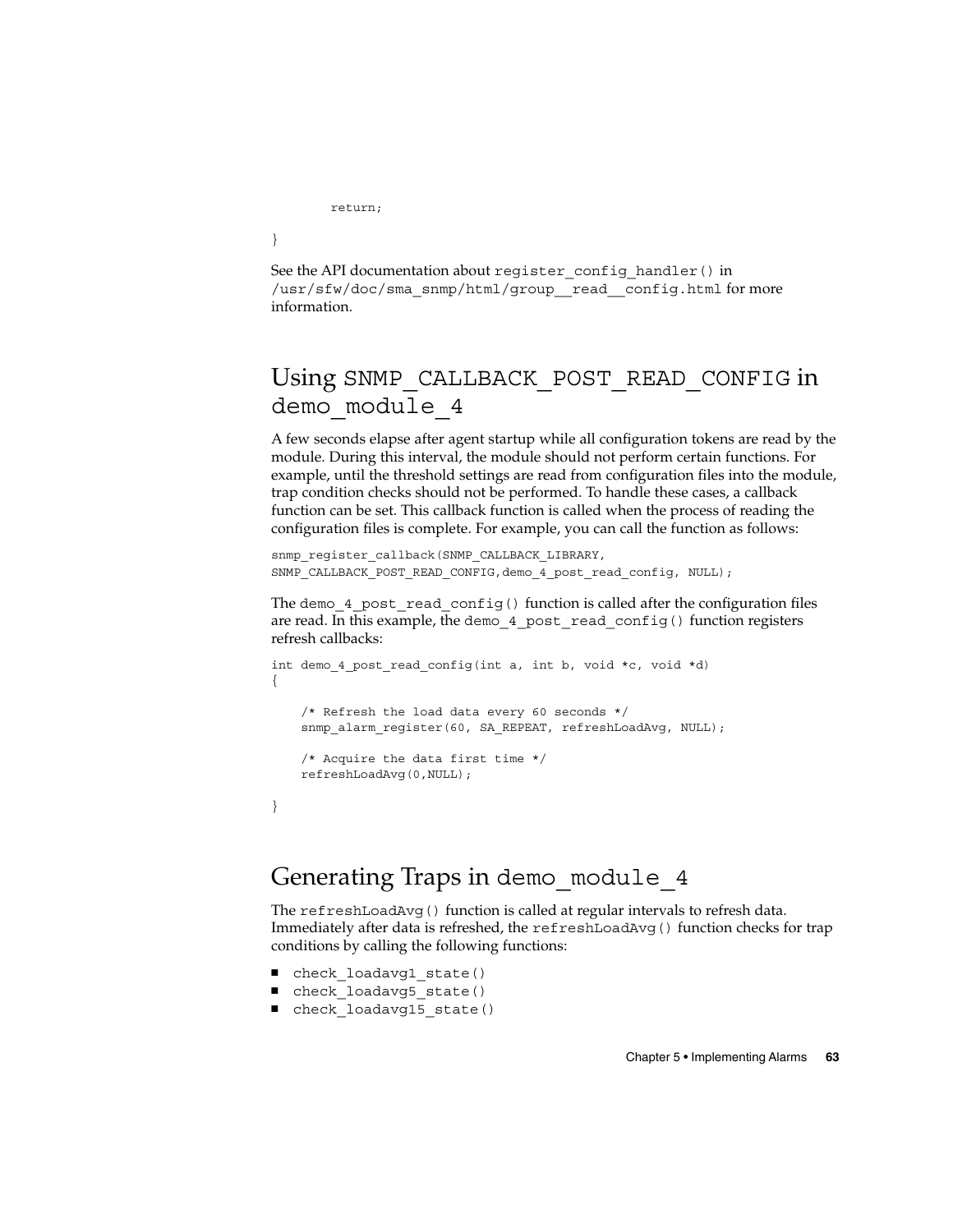return;

}

See the API documentation about register config handler() in /usr/sfw/doc/sma\_snmp/html/group\_\_read\_\_config.html for more information.

## Using SNMP\_CALLBACK\_POST\_READ\_CONFIG in demo\_module\_4

A few seconds elapse after agent startup while all configuration tokens are read by the module. During this interval, the module should not perform certain functions. For example, until the threshold settings are read from configuration files into the module, trap condition checks should not be performed. To handle these cases, a callback function can be set. This callback function is called when the process of reading the configuration files is complete. For example, you can call the function as follows:

```
snmp_register_callback(SNMP_CALLBACK_LIBRARY,
SNMP_CALLBACK_POST_READ_CONFIG,demo_4_post_read_config, NULL);
```
The demo 4 post read config() function is called after the configuration files are read. In this example, the demo\_4\_post\_read\_config() function registers refresh callbacks:

```
int demo_4_post_read_config(int a, int b, void *c, void *d)
{
    /* Refresh the load data every 60 seconds */
   snmp_alarm_register(60, SA_REPEAT, refreshLoadAvg, NULL);
    /* Acquire the data first time */
   refreshLoadAvg(0,NULL);
}
```
## Generating Traps in demo\_module\_4

The refreshLoadAvg() function is called at regular intervals to refresh data. Immediately after data is refreshed, the refreshLoadAvg() function checks for trap conditions by calling the following functions:

- check loadavg1 state()
- check loadavg5 state()
- check loadavg15 state()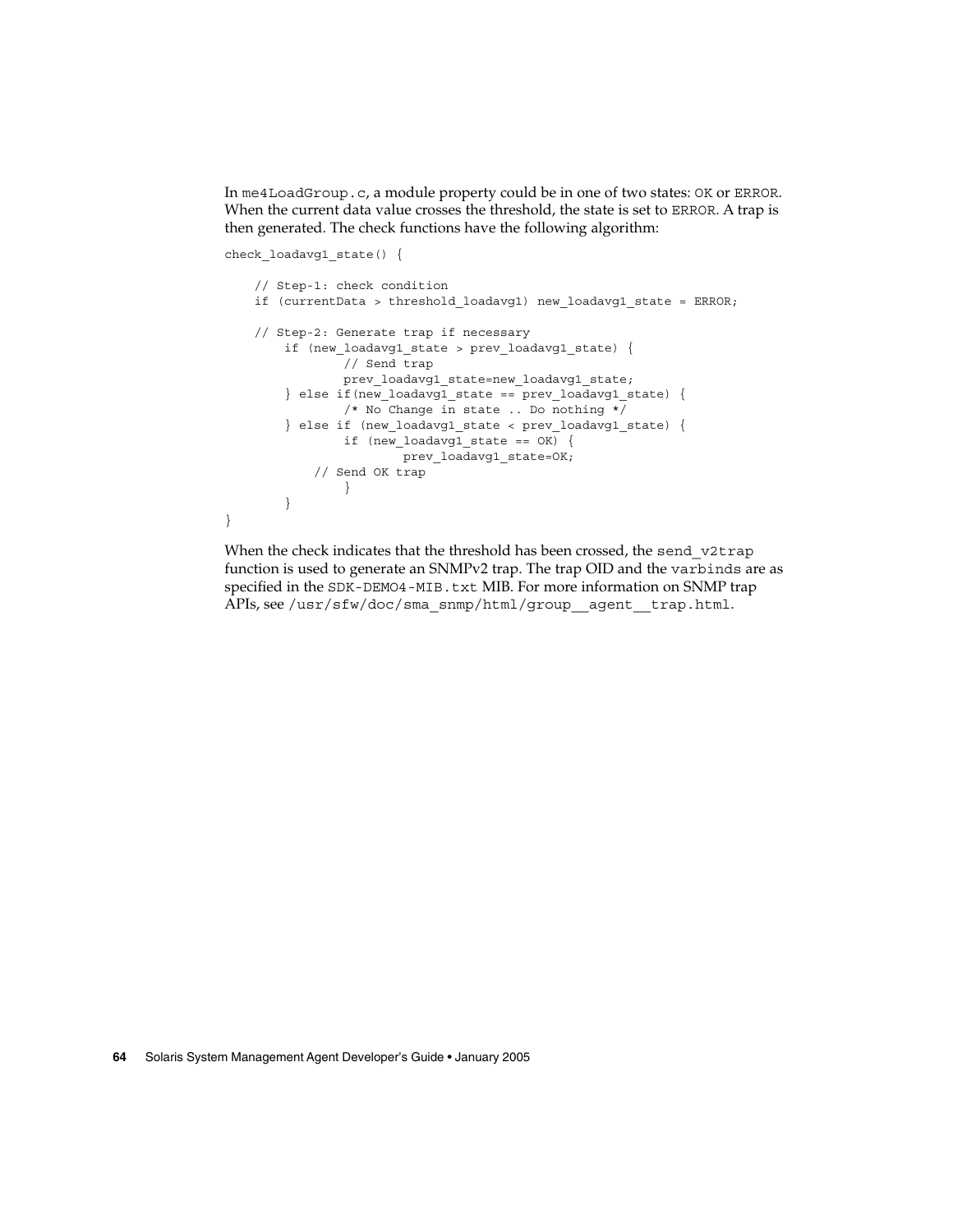In me4LoadGroup.c, a module property could be in one of two states: OK or ERROR. When the current data value crosses the threshold, the state is set to ERROR. A trap is then generated. The check functions have the following algorithm:

check\_loadavg1\_state() {

}

```
// Step-1: check condition
if (currentData > threshold_loadavg1) new_loadavg1_state = ERROR;
// Step-2: Generate trap if necessary
   if (new_loadavg1_state > prev_loadavg1_state) {
           // Send trap
           prev_loadavg1_state=new_loadavg1_state;
   } else if(new_loadavg1_state == prev_loadavg1_state) {
            /* No Change in state .. Do nothing */
    } else if (new_loadavg1_state < prev_loadavg1_state) {
           if (new_loadavg1_state == OK) {
                   prev_loadavg1_state=OK;
        // Send OK trap
           }
   }
```
When the check indicates that the threshold has been crossed, the send v2trap function is used to generate an SNMPv2 trap. The trap OID and the varbinds are as specified in the SDK-DEMO4-MIB.txt MIB. For more information on SNMP trap APIs, see /usr/sfw/doc/sma\_snmp/html/group\_agent\_trap.html.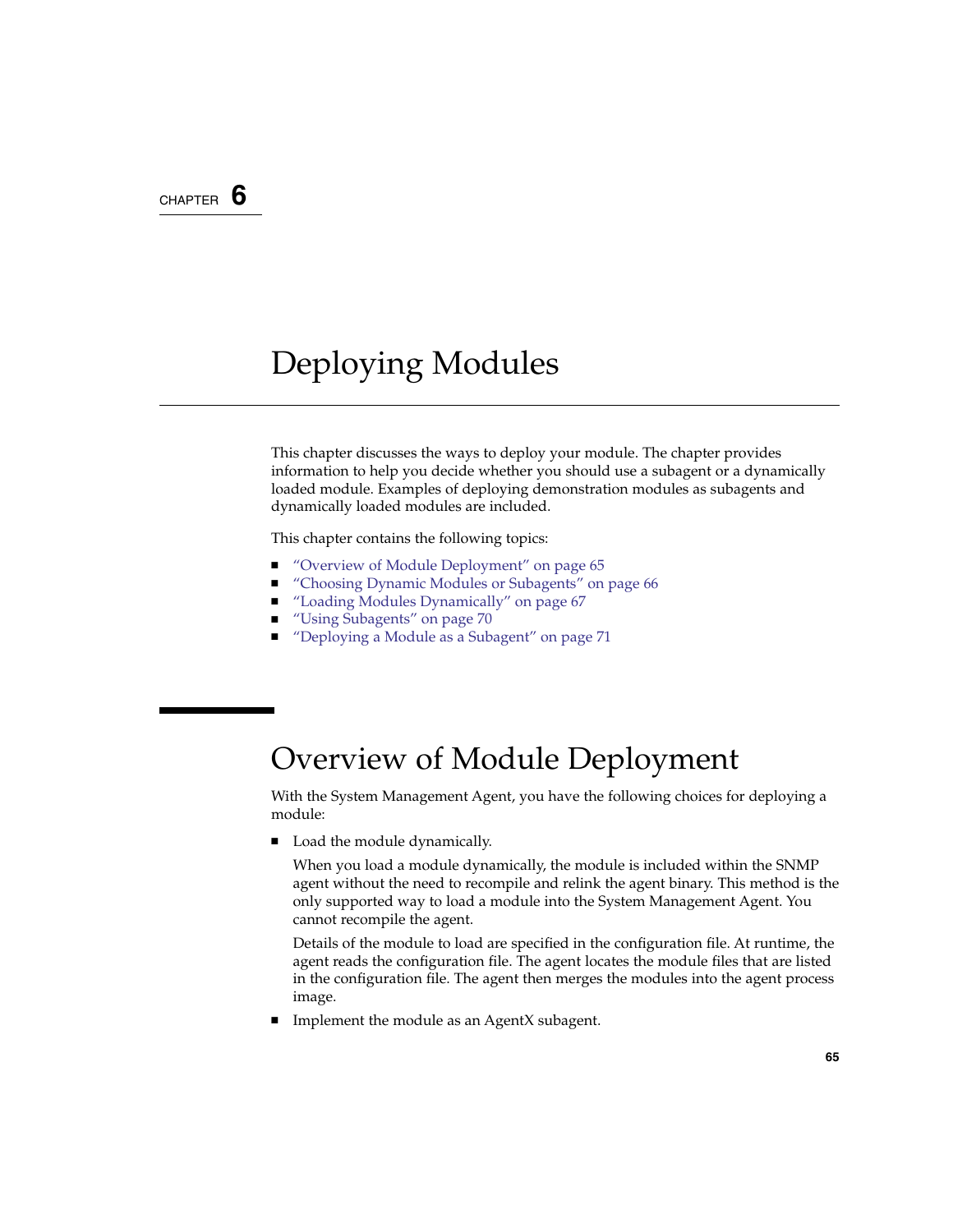#### CHAPTER **6**

# Deploying Modules

This chapter discusses the ways to deploy your module. The chapter provides information to help you decide whether you should use a subagent or a dynamically loaded module. Examples of deploying demonstration modules as subagents and dynamically loaded modules are included.

This chapter contains the following topics:

- "Overview of Module Deployment" on page 65
- ["Choosing Dynamic Modules or Subagents"](#page-65-0) on page 66
- ["Loading Modules Dynamically"](#page-66-0) on page 67
- *"*Using Subagents" on page 70
- ["Deploying a Module as a Subagent"](#page-70-0) on page 71

## Overview of Module Deployment

With the System Management Agent, you have the following choices for deploying a module:

■ Load the module dynamically.

When you load a module dynamically, the module is included within the SNMP agent without the need to recompile and relink the agent binary. This method is the only supported way to load a module into the System Management Agent. You cannot recompile the agent.

Details of the module to load are specified in the configuration file. At runtime, the agent reads the configuration file. The agent locates the module files that are listed in the configuration file. The agent then merges the modules into the agent process image.

Implement the module as an AgentX subagent.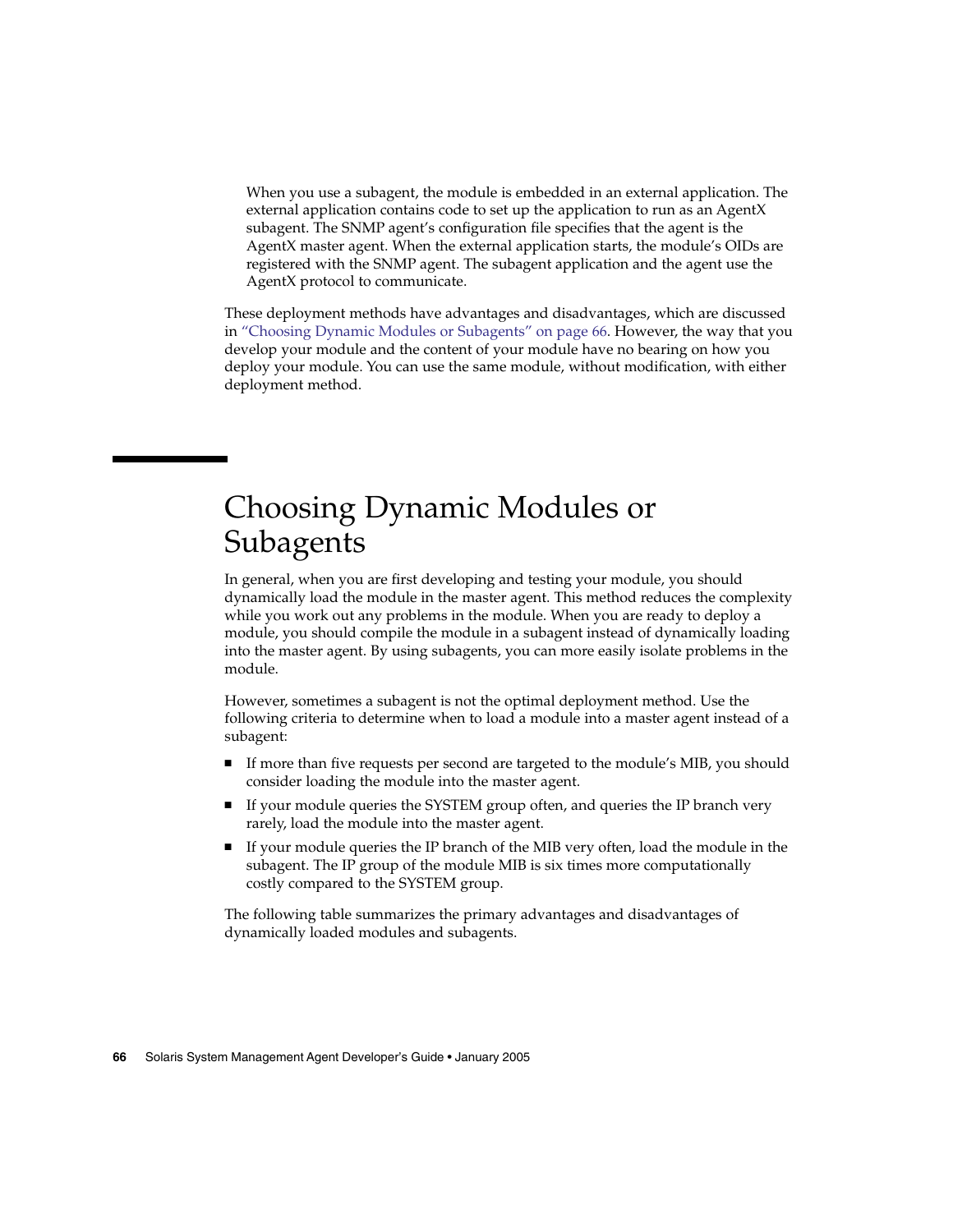<span id="page-65-0"></span>When you use a subagent, the module is embedded in an external application. The external application contains code to set up the application to run as an AgentX subagent. The SNMP agent's configuration file specifies that the agent is the AgentX master agent. When the external application starts, the module's OIDs are registered with the SNMP agent. The subagent application and the agent use the AgentX protocol to communicate.

These deployment methods have advantages and disadvantages, which are discussed in "Choosing Dynamic Modules or Subagents" on page 66. However, the way that you develop your module and the content of your module have no bearing on how you deploy your module. You can use the same module, without modification, with either deployment method.

# Choosing Dynamic Modules or Subagents

In general, when you are first developing and testing your module, you should dynamically load the module in the master agent. This method reduces the complexity while you work out any problems in the module. When you are ready to deploy a module, you should compile the module in a subagent instead of dynamically loading into the master agent. By using subagents, you can more easily isolate problems in the module.

However, sometimes a subagent is not the optimal deployment method. Use the following criteria to determine when to load a module into a master agent instead of a subagent:

- If more than five requests per second are targeted to the module's MIB, you should consider loading the module into the master agent.
- If your module queries the SYSTEM group often, and queries the IP branch very rarely, load the module into the master agent.
- If your module queries the IP branch of the MIB very often, load the module in the subagent. The IP group of the module MIB is six times more computationally costly compared to the SYSTEM group.

The following table summarizes the primary advantages and disadvantages of dynamically loaded modules and subagents.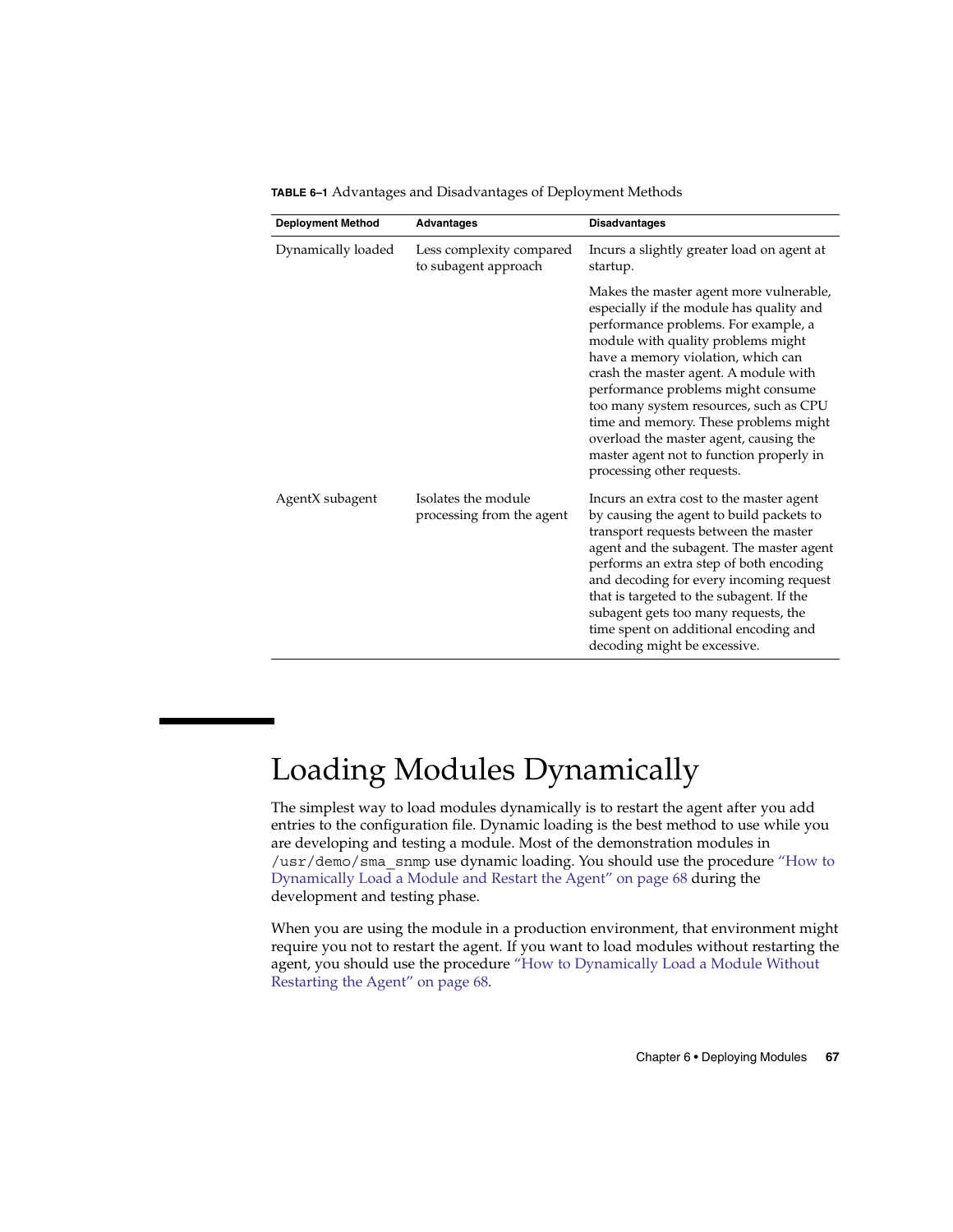| <b>Deployment Method</b> | <b>Advantages</b>                                | <b>Disadvantages</b>                                                                                                                                                                                                                                                                                                                                                                                                                                                                          |
|--------------------------|--------------------------------------------------|-----------------------------------------------------------------------------------------------------------------------------------------------------------------------------------------------------------------------------------------------------------------------------------------------------------------------------------------------------------------------------------------------------------------------------------------------------------------------------------------------|
| Dynamically loaded       | Less complexity compared<br>to subagent approach | Incurs a slightly greater load on agent at<br>startup.                                                                                                                                                                                                                                                                                                                                                                                                                                        |
|                          |                                                  | Makes the master agent more vulnerable,<br>especially if the module has quality and<br>performance problems. For example, a<br>module with quality problems might<br>have a memory violation, which can<br>crash the master agent. A module with<br>performance problems might consume<br>too many system resources, such as CPU<br>time and memory. These problems might<br>overload the master agent, causing the<br>master agent not to function properly in<br>processing other requests. |
| AgentX subagent          | Isolates the module<br>processing from the agent | Incurs an extra cost to the master agent<br>by causing the agent to build packets to<br>transport requests between the master<br>agent and the subagent. The master agent<br>performs an extra step of both encoding<br>and decoding for every incoming request<br>that is targeted to the subagent. If the<br>subagent gets too many requests, the<br>time spent on additional encoding and<br>decoding might be excessive.                                                                  |

<span id="page-66-0"></span>**TABLE 6–1** Advantages and Disadvantages of Deployment Methods

# Loading Modules Dynamically

The simplest way to load modules dynamically is to restart the agent after you add entries to the configuration file. Dynamic loading is the best method to use while you are developing and testing a module. Most of the demonstration modules in /usr/demo/sma\_snmp use dynamic loading. You should use the procedure ["How to](#page-67-0) [Dynamically Load a Module and Restart the Agent"](#page-67-0) on page 68 during the development and testing phase.

When you are using the module in a production environment, that environment might require you not to restart the agent. If you want to load modules without restarting the agent, you should use the procedure ["How to Dynamically Load a Module Without](#page-67-0) [Restarting the Agent"](#page-67-0) on page 68.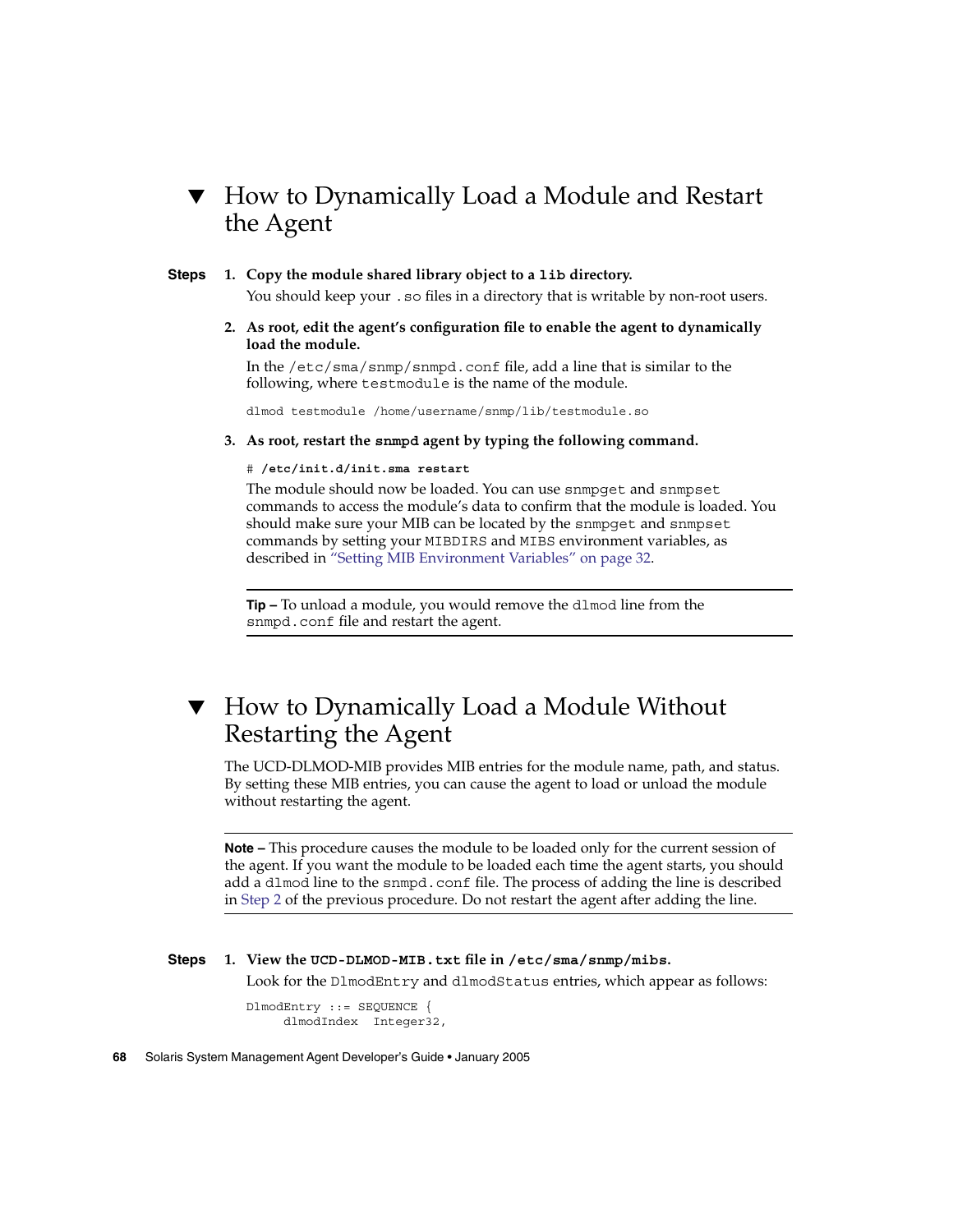## <span id="page-67-0"></span>▼ How to Dynamically Load a Module and Restart the Agent

#### **1. Copy the module shared library object to a lib directory. Steps**

You should keep your . so files in a directory that is writable by non-root users.

**2. As root, edit the agent's configuration file to enable the agent to dynamically load the module.**

In the /etc/sma/snmp/snmpd.conf file, add a line that is similar to the following, where testmodule is the name of the module.

dlmod testmodule /home/username/snmp/lib/testmodule.so

**3. As root, restart the snmpd agent by typing the following command.**

#### # **/etc/init.d/init.sma restart**

The module should now be loaded. You can use snmpget and snmpset commands to access the module's data to confirm that the module is loaded. You should make sure your MIB can be located by the snmpget and snmpset commands by setting your MIBDIRS and MIBS environment variables, as described in ["Setting MIB Environment Variables"](#page-31-0) on page 32.

**Tip –** To unload a module, you would remove the dlmod line from the snmpd.conf file and restart the agent.

## ▼ How to Dynamically Load a Module Without Restarting the Agent

The UCD-DLMOD-MIB provides MIB entries for the module name, path, and status. By setting these MIB entries, you can cause the agent to load or unload the module without restarting the agent.

**Note –** This procedure causes the module to be loaded only for the current session of the agent. If you want the module to be loaded each time the agent starts, you should add a dlmod line to the snmpd.conf file. The process of adding the line is described in Step 2 of the previous procedure. Do not restart the agent after adding the line.

#### **1. View the UCD-DLMOD-MIB.txt file in /etc/sma/snmp/mibs. Steps**

Look for the DlmodEntry and dlmodStatus entries, which appear as follows:

DlmodEntry ::= SEQUENCE { dlmodIndex Integer32,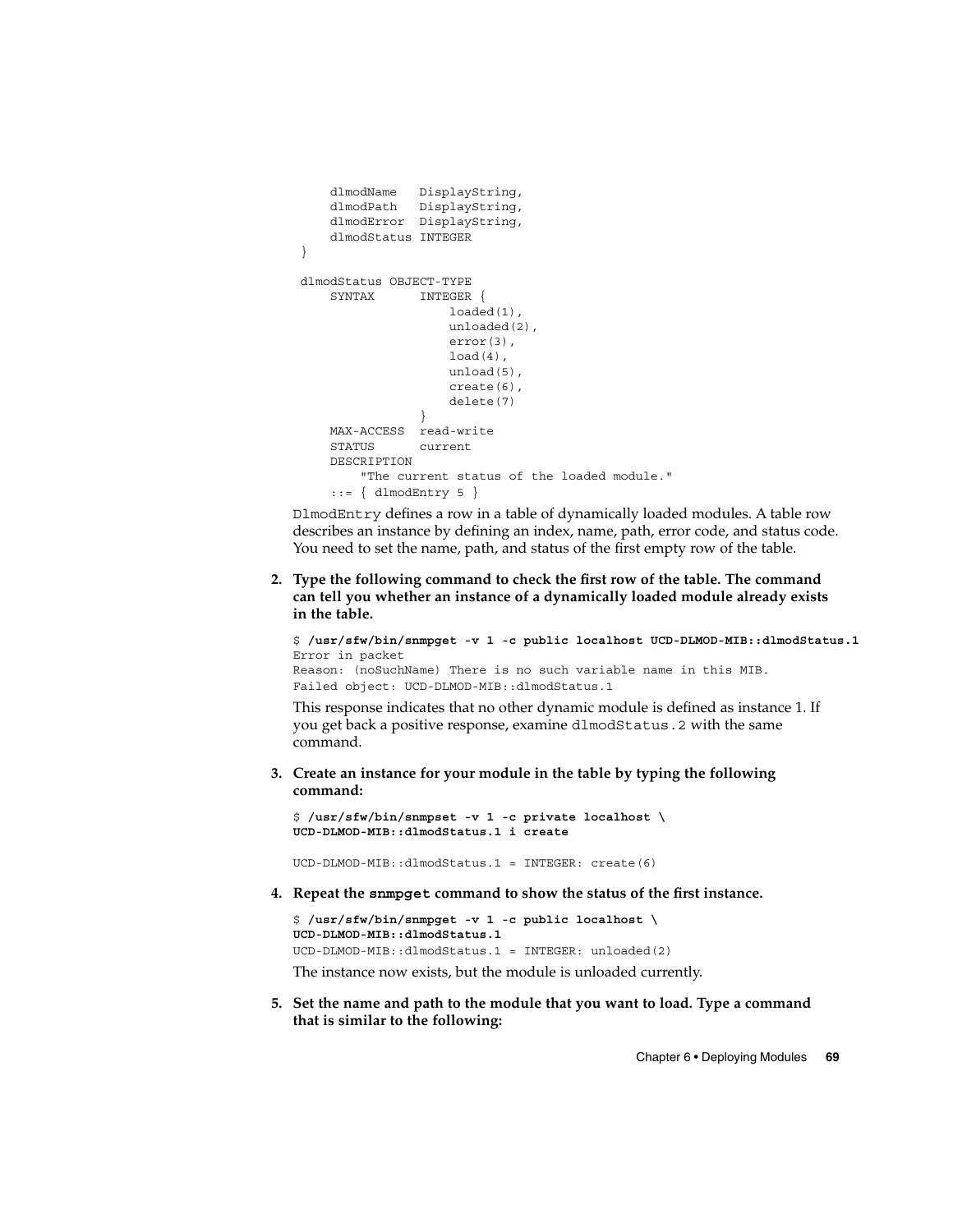```
dlmodName DisplayString,
    dlmodPath DisplayString,
    dlmodError DisplayString,
   dlmodStatus INTEGER
}
dlmodStatus OBJECT-TYPE
   SYNTAX INTEGER {
                  loaded(1),
                  unloaded(2),
                   error(3),
                  load(4),
                   unload(5),
                   create(6),
                   delete(7)
               }
   MAX-ACCESS read-write
   STATUS current
   DESCRIPTION
       "The current status of the loaded module."
    ::= { dlmodEntry 5 }
```
DlmodEntry defines a row in a table of dynamically loaded modules. A table row describes an instance by defining an index, name, path, error code, and status code. You need to set the name, path, and status of the first empty row of the table.

#### **2. Type the following command to check the first row of the table. The command can tell you whether an instance of a dynamically loaded module already exists in the table.**

\$ **/usr/sfw/bin/snmpget -v 1 -c public localhost UCD-DLMOD-MIB::dlmodStatus.1** Error in packet Reason: (noSuchName) There is no such variable name in this MIB. Failed object: UCD-DLMOD-MIB::dlmodStatus.1

This response indicates that no other dynamic module is defined as instance 1. If you get back a positive response, examine dlmodStatus.2 with the same command.

**3. Create an instance for your module in the table by typing the following command:**

\$ **/usr/sfw/bin/snmpset -v 1 -c private localhost \ UCD-DLMOD-MIB::dlmodStatus.1 i create**

UCD-DLMOD-MIB::dlmodStatus.1 = INTEGER: create(6)

**4. Repeat the snmpget command to show the status of the first instance.**

```
$ /usr/sfw/bin/snmpget -v 1 -c public localhost \
UCD-DLMOD-MIB::dlmodStatus.1
UCD-DLMOD-MIB::dlmodStatus.1 = INTEGER: unloaded(2)
```
The instance now exists, but the module is unloaded currently.

**5. Set the name and path to the module that you want to load. Type a command that is similar to the following:**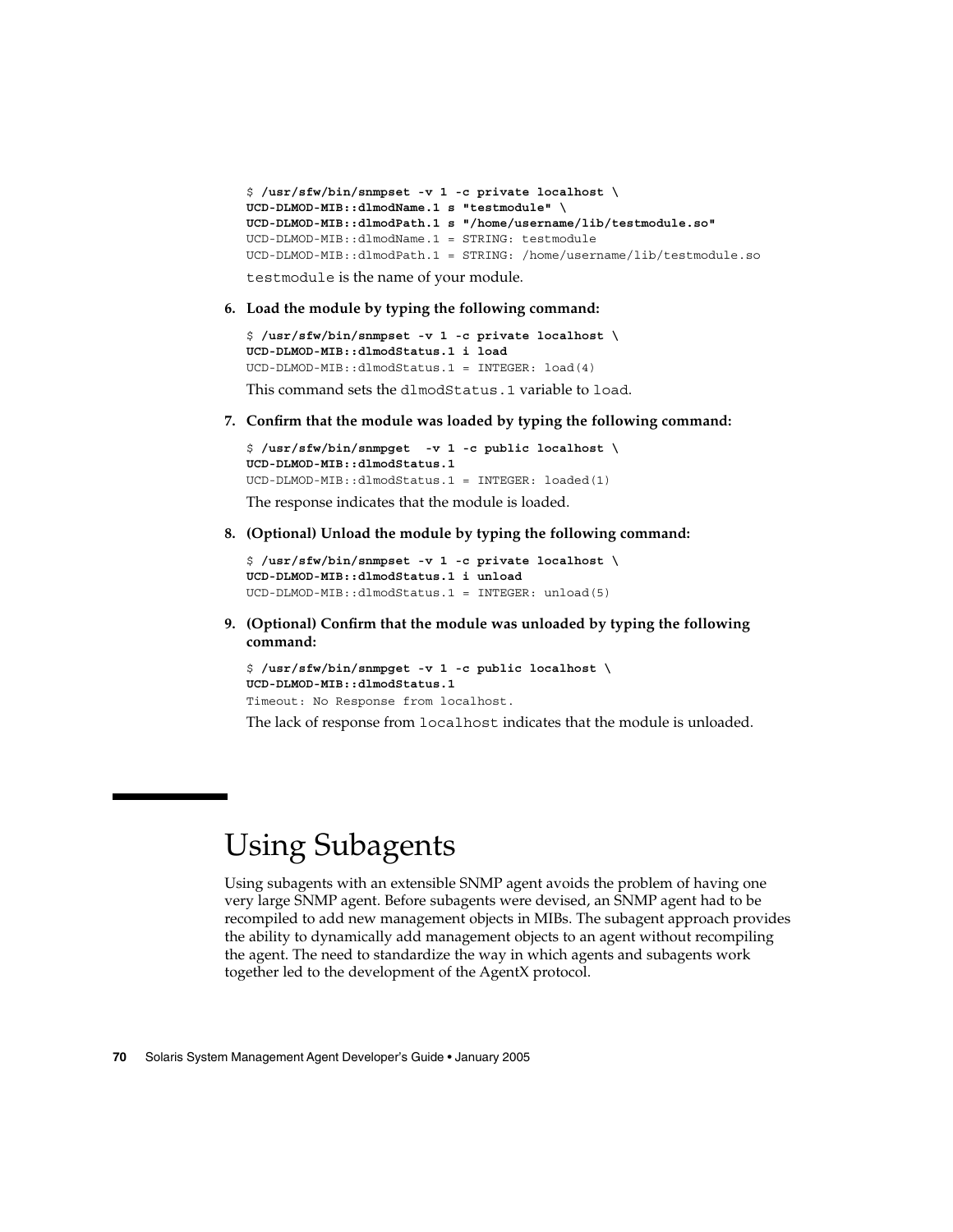```
$ /usr/sfw/bin/snmpset -v 1 -c private localhost \
UCD-DLMOD-MIB::dlmodName.1 s "testmodule" \
UCD-DLMOD-MIB::dlmodPath.1 s "/home/username/lib/testmodule.so"
UCD-DLMOD-MIB::dlmodName.1 = STRING: testmodule
UCD-DLMOD-MIB::dlmodPath.1 = STRING: /home/username/lib/testmodule.so
```
testmodule is the name of your module.

**6. Load the module by typing the following command:**

```
$ /usr/sfw/bin/snmpset -v 1 -c private localhost \
UCD-DLMOD-MIB::dlmodStatus.1 i load
UCD-DLMOD-MIB::dlmodStatus.1 = INTEGER: load(4)
This command sets the dlmodStatus.1 variable to load.
```
**7. Confirm that the module was loaded by typing the following command:**

```
$ /usr/sfw/bin/snmpget -v 1 -c public localhost \
UCD-DLMOD-MIB::dlmodStatus.1
UCD-DLMOD-MIB::dlmodStatus.1 = INTEGER: loaded(1)
```
The response indicates that the module is loaded.

**8. (Optional) Unload the module by typing the following command:**

```
$ /usr/sfw/bin/snmpset -v 1 -c private localhost \
UCD-DLMOD-MIB::dlmodStatus.1 i unload
UCD-DLMOD-MIB::dlmodStatus.1 = INTEGER: unload(5)
```
**9. (Optional) Confirm that the module was unloaded by typing the following command:**

```
$ /usr/sfw/bin/snmpget -v 1 -c public localhost \
UCD-DLMOD-MIB::dlmodStatus.1
Timeout: No Response from localhost.
```
The lack of response from localhost indicates that the module is unloaded.

## Using Subagents

Using subagents with an extensible SNMP agent avoids the problem of having one very large SNMP agent. Before subagents were devised, an SNMP agent had to be recompiled to add new management objects in MIBs. The subagent approach provides the ability to dynamically add management objects to an agent without recompiling the agent. The need to standardize the way in which agents and subagents work together led to the development of the AgentX protocol.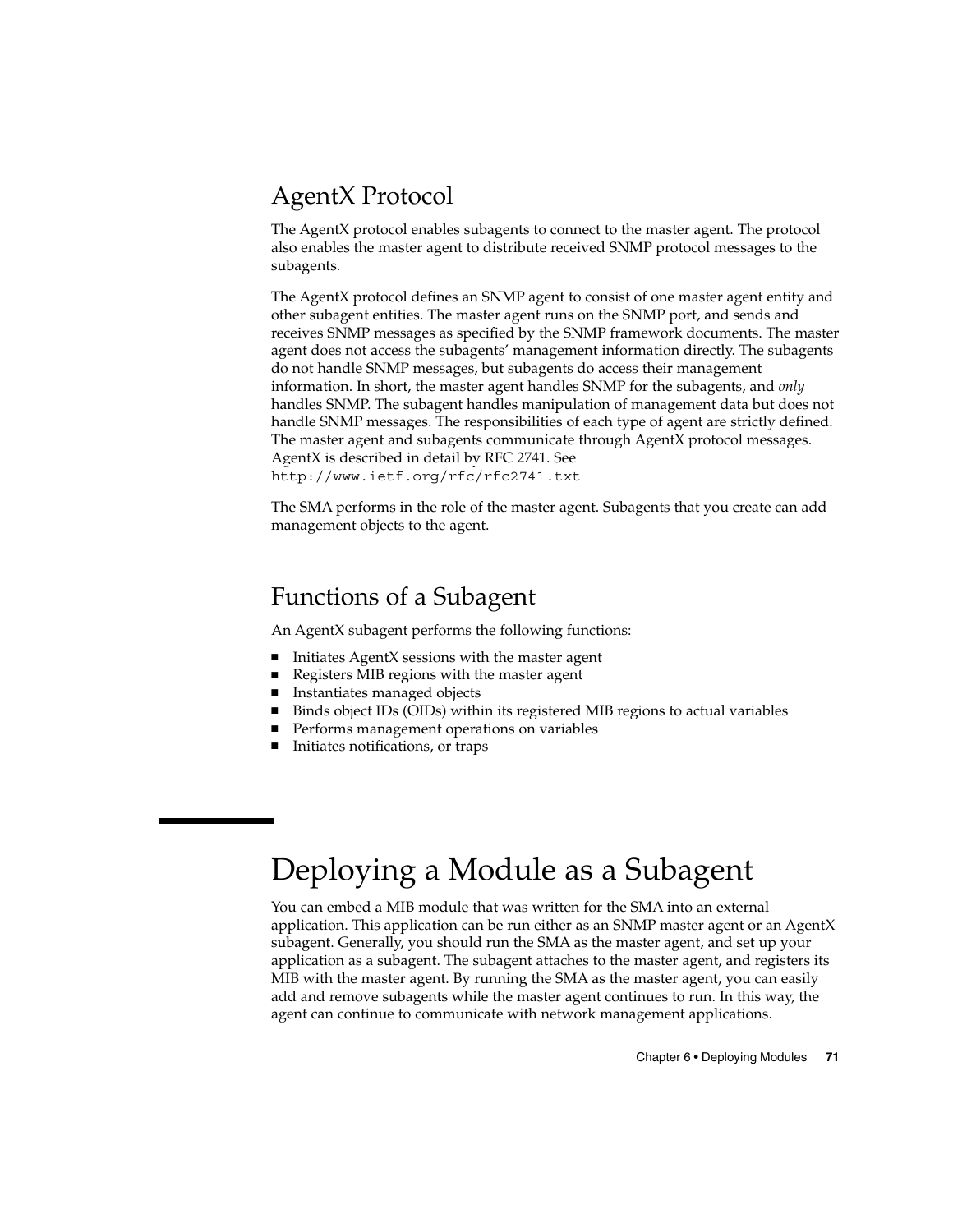## <span id="page-70-0"></span>AgentX Protocol

The AgentX protocol enables subagents to connect to the master agent. The protocol also enables the master agent to distribute received SNMP protocol messages to the subagents.

The AgentX protocol defines an SNMP agent to consist of one master agent entity and other subagent entities. The master agent runs on the SNMP port, and sends and receives SNMP messages as specified by the SNMP framework documents. The master agent does not access the subagents' management information directly. The subagents do not handle SNMP messages, but subagents do access their management information. In short, the master agent handles SNMP for the subagents, and *only* handles SNMP. The subagent handles manipulation of management data but does not handle SNMP messages. The responsibilities of each type of agent are strictly defined. The master agent and subagents communicate through AgentX protocol messages. AgentX is described in detail by RFC 2741. See <http://www.ietf.org/rfc/rfc2741.txt>

The SMA performs in the role of the master agent. Subagents that you create can add management objects to the agent.

#### Functions of a Subagent

An AgentX subagent performs the following functions:

- Initiates AgentX sessions with the master agent
- Registers MIB regions with the master agent
- Instantiates managed objects
- Binds object IDs (OIDs) within its registered MIB regions to actual variables
- Performs management operations on variables
- Initiates notifications, or traps

# Deploying a Module as a Subagent

You can embed a MIB module that was written for the SMA into an external application. This application can be run either as an SNMP master agent or an AgentX subagent. Generally, you should run the SMA as the master agent, and set up your application as a subagent. The subagent attaches to the master agent, and registers its MIB with the master agent. By running the SMA as the master agent, you can easily add and remove subagents while the master agent continues to run. In this way, the agent can continue to communicate with network management applications.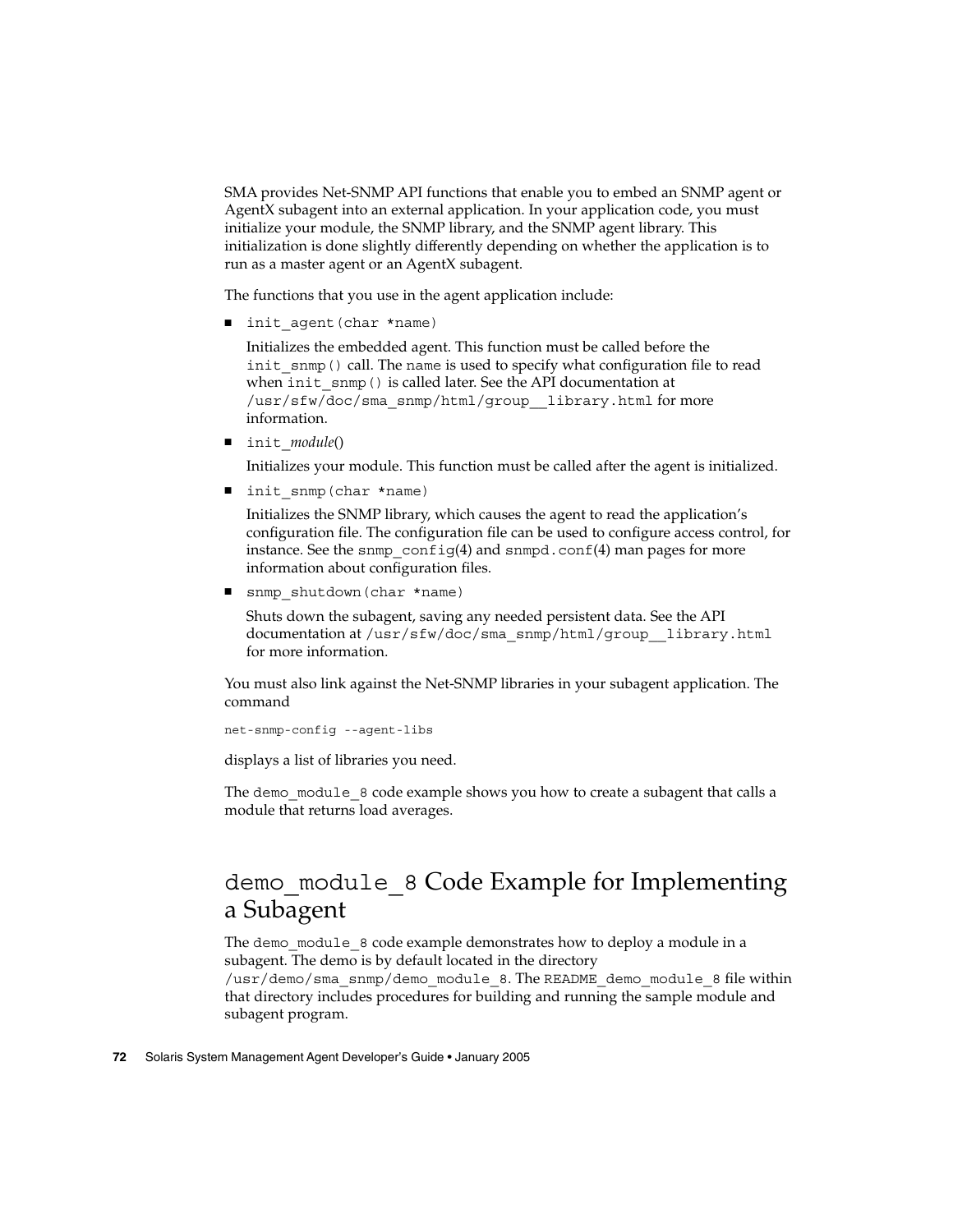SMA provides Net-SNMP API functions that enable you to embed an SNMP agent or AgentX subagent into an external application. In your application code, you must initialize your module, the SNMP library, and the SNMP agent library. This initialization is done slightly differently depending on whether the application is to run as a master agent or an AgentX subagent.

The functions that you use in the agent application include:

■ init agent(char \*name)

Initializes the embedded agent. This function must be called before the init snmp() call. The name is used to specify what configuration file to read when init snmp() is called later. See the API documentation at /usr/sfw/doc/sma\_snmp/html/group\_\_library.html for more information.

■ init *module*()

Initializes your module. This function must be called after the agent is initialized.

■ init snmp(char \*name)

Initializes the SNMP library, which causes the agent to read the application's configuration file. The configuration file can be used to configure access control, for instance. See the snmp  $config(4)$  and snmpd.con $f(4)$  man pages for more information about configuration files.

snmp shutdown(char \*name)

Shuts down the subagent, saving any needed persistent data. See the API documentation at /usr/sfw/doc/sma\_snmp/html/group\_\_library.html for more information.

You must also link against the Net-SNMP libraries in your subagent application. The command

net-snmp-config --agent-libs

displays a list of libraries you need.

The demo module 8 code example shows you how to create a subagent that calls a module that returns load averages.

## demo\_module\_8 Code Example for Implementing a Subagent

The demo $\mod$ nodule  $\mod 8$  code example demonstrates how to deploy a module in a subagent. The demo is by default located in the directory /usr/demo/sma\_snmp/demo\_module\_8. The README\_demo\_module\_8 file within that directory includes procedures for building and running the sample module and subagent program.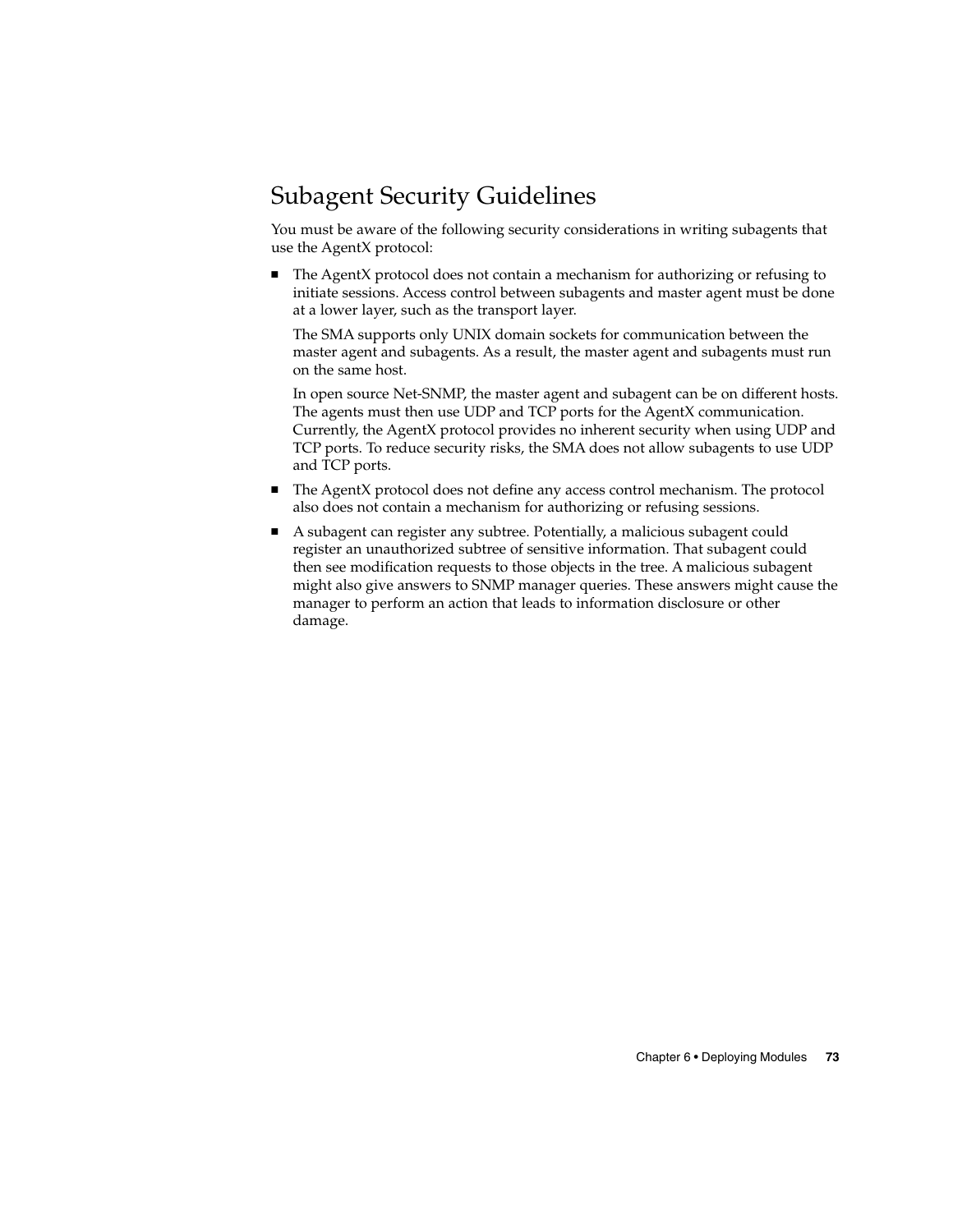## Subagent Security Guidelines

You must be aware of the following security considerations in writing subagents that use the AgentX protocol:

The AgentX protocol does not contain a mechanism for authorizing or refusing to initiate sessions. Access control between subagents and master agent must be done at a lower layer, such as the transport layer.

The SMA supports only UNIX domain sockets for communication between the master agent and subagents. As a result, the master agent and subagents must run on the same host.

In open source Net-SNMP, the master agent and subagent can be on different hosts. The agents must then use UDP and TCP ports for the AgentX communication. Currently, the AgentX protocol provides no inherent security when using UDP and TCP ports. To reduce security risks, the SMA does not allow subagents to use UDP and TCP ports.

- The AgentX protocol does not define any access control mechanism. The protocol also does not contain a mechanism for authorizing or refusing sessions.
- A subagent can register any subtree. Potentially, a malicious subagent could register an unauthorized subtree of sensitive information. That subagent could then see modification requests to those objects in the tree. A malicious subagent might also give answers to SNMP manager queries. These answers might cause the manager to perform an action that leads to information disclosure or other damage.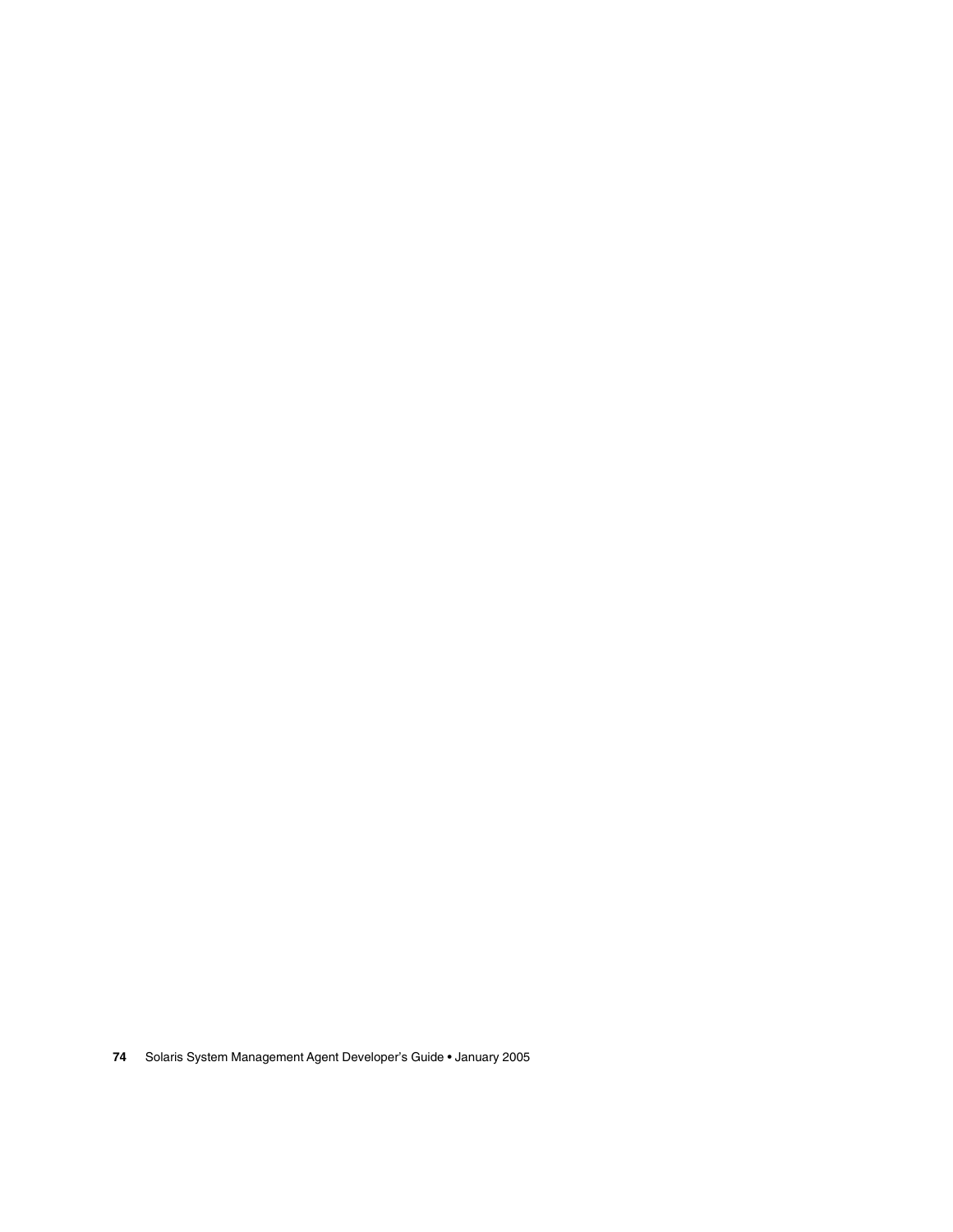Solaris System Management Agent Developer's Guide • January 2005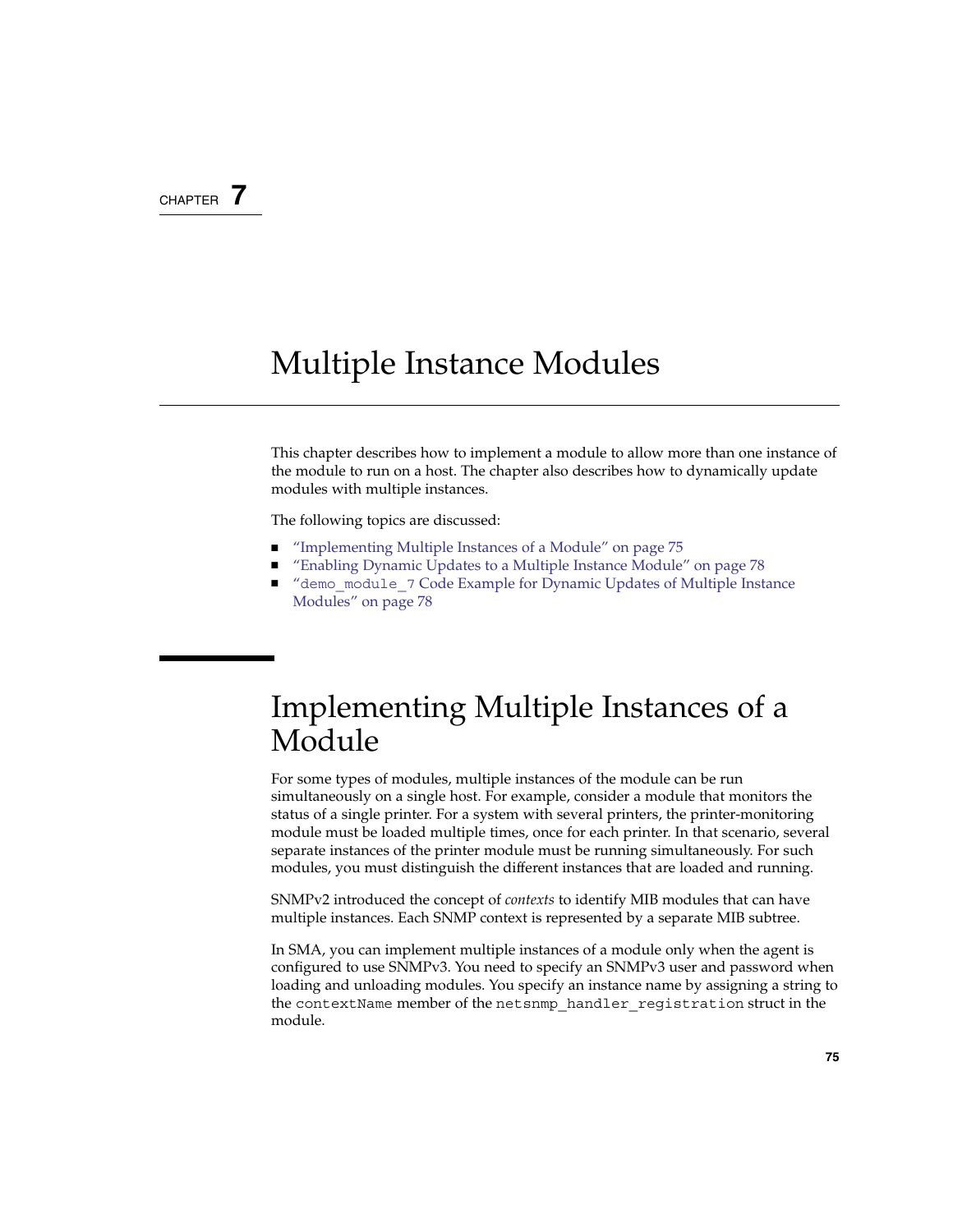### CHAPTER **7**

## Multiple Instance Modules

This chapter describes how to implement a module to allow more than one instance of the module to run on a host. The chapter also describes how to dynamically update modules with multiple instances.

The following topics are discussed:

- "Implementing Multiple Instances of a Module" on page 75
- ["Enabling Dynamic Updates to a Multiple Instance Module"](#page-77-0) on page 78
- "demo\_module\_7 [Code Example for Dynamic Updates of Multiple Instance](#page-77-0) Modules" [on page 78](#page-77-0)

## Implementing Multiple Instances of a Module

For some types of modules, multiple instances of the module can be run simultaneously on a single host. For example, consider a module that monitors the status of a single printer. For a system with several printers, the printer-monitoring module must be loaded multiple times, once for each printer. In that scenario, several separate instances of the printer module must be running simultaneously. For such modules, you must distinguish the different instances that are loaded and running.

SNMPv2 introduced the concept of *contexts* to identify MIB modules that can have multiple instances. Each SNMP context is represented by a separate MIB subtree.

In SMA, you can implement multiple instances of a module only when the agent is configured to use SNMPv3. You need to specify an SNMPv3 user and password when loading and unloading modules. You specify an instance name by assigning a string to the contextName member of the netsnmp\_handler\_registration struct in the module.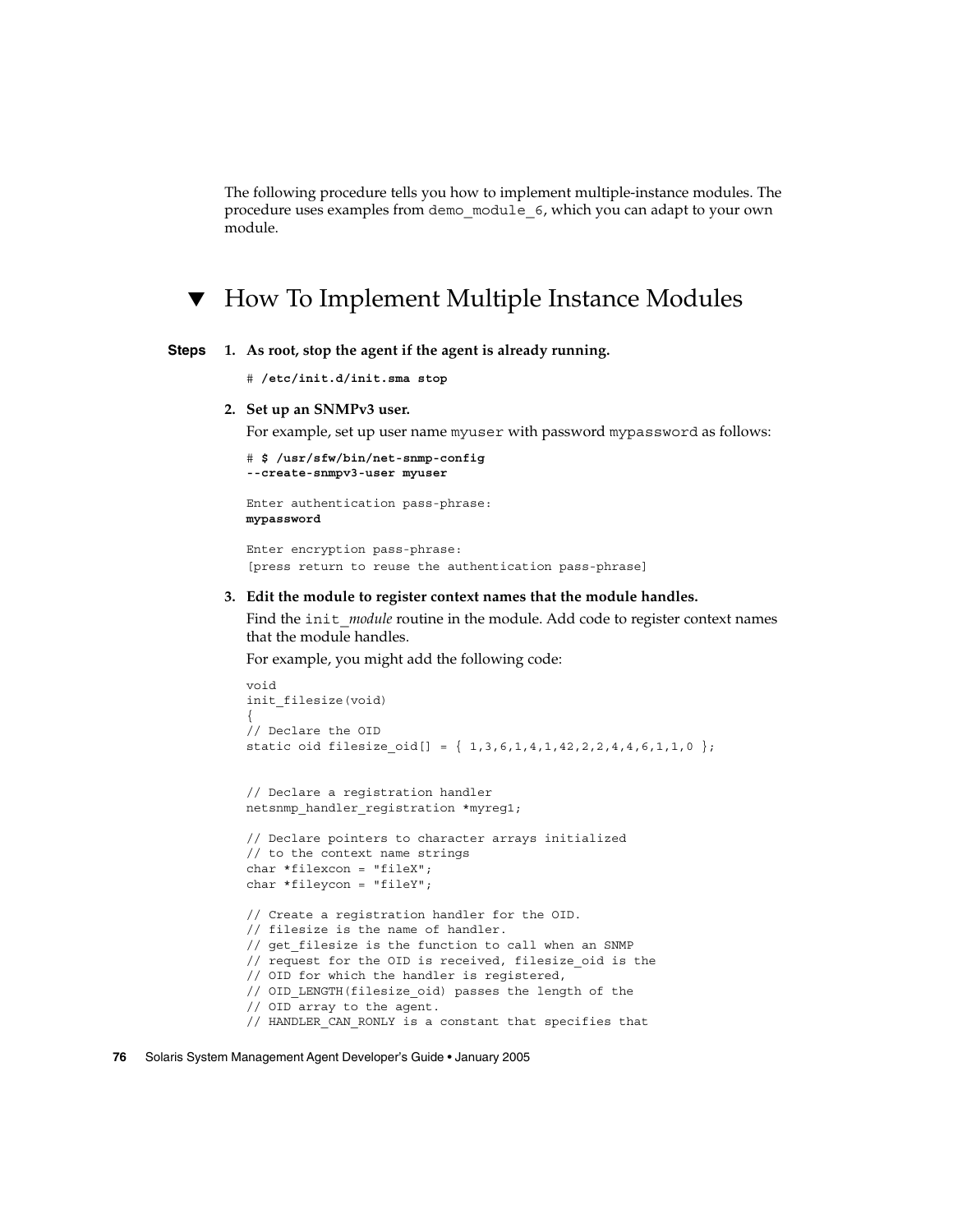The following procedure tells you how to implement multiple-instance modules. The procedure uses examples from demo\_module\_6, which you can adapt to your own module.

## ▼ How To Implement Multiple Instance Modules

**1. As root, stop the agent if the agent is already running. Steps**

- # **/etc/init.d/init.sma stop**
- **2. Set up an SNMPv3 user.**

For example, set up user name myuser with password mypassword as follows:

```
# $ /usr/sfw/bin/net-snmp-config
--create-snmpv3-user myuser
```

```
Enter authentication pass-phrase:
mypassword
```
Enter encryption pass-phrase: [press return to reuse the authentication pass-phrase]

**3. Edit the module to register context names that the module handles.**

Find the init *module* routine in the module. Add code to register context names that the module handles.

For example, you might add the following code:

```
void
init_filesize(void)
{
// Declare the OID
static oid filesize oid[] = { 1,3,6,1,4,1,42,2,2,4,4,6,1,1,0 };
// Declare a registration handler
netsnmp_handler_registration *myreg1;
// Declare pointers to character arrays initialized
// to the context name strings
char *filexcon = "fileX";
char *fileycon = "fileY";
// Create a registration handler for the OID.
// filesize is the name of handler.
// get_filesize is the function to call when an SNMP
// request for the OID is received, filesize oid is the
// OID for which the handler is registered,
// OID_LENGTH(filesize_oid) passes the length of the
// OID array to the agent.
// HANDLER CAN RONLY is a constant that specifies that
```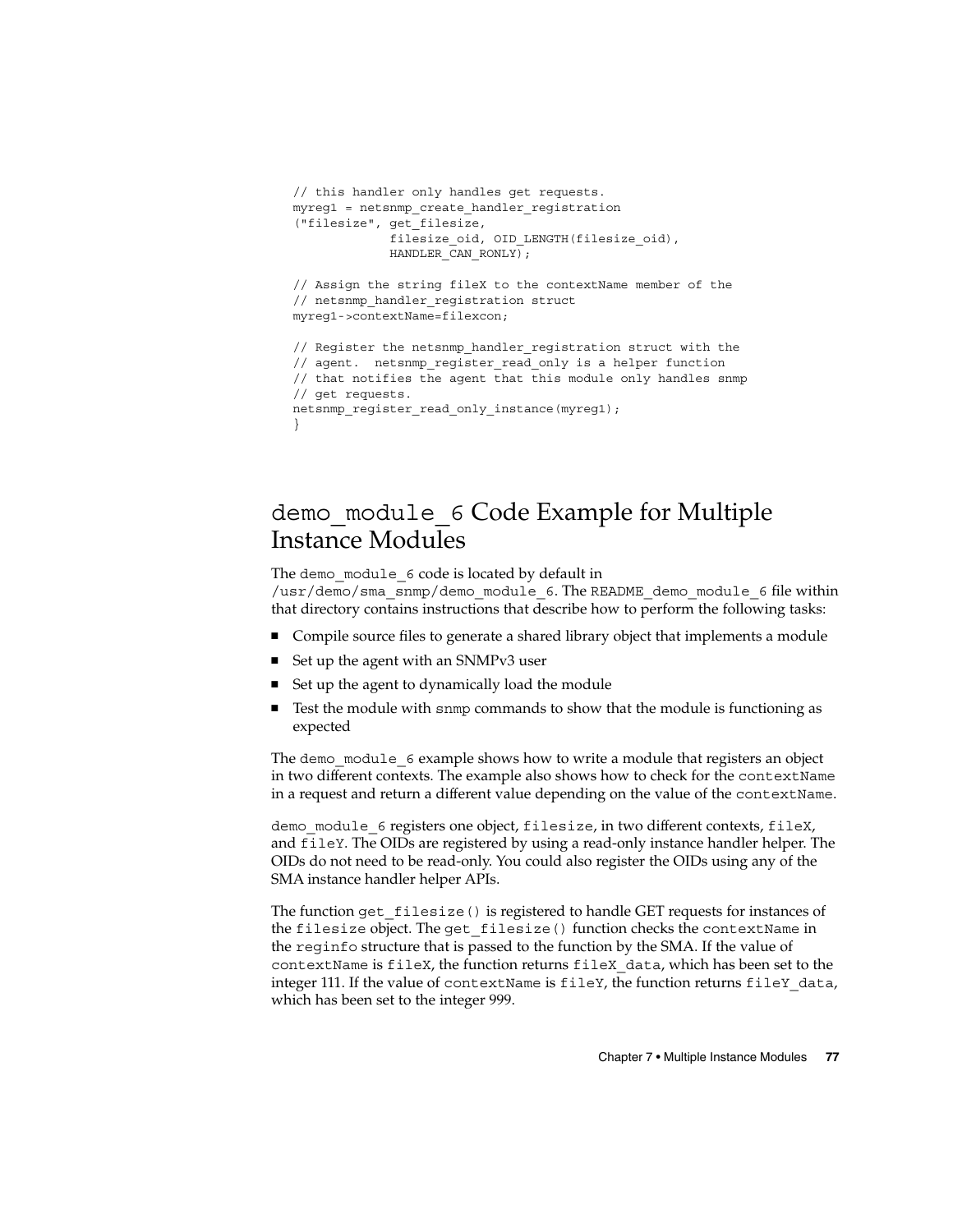```
// this handler only handles get requests.
myreg1 = netsnmp_create_handler_registration
("filesize", get_filesize,
             filesize oid, OID LENGTH(filesize oid),
            HANDLER_CAN_RONLY);
// Assign the string fileX to the contextName member of the
// netsnmp_handler_registration struct
myreg1->contextName=filexcon;
// Register the netsnmp handler registration struct with the
// agent. netsnmp register read only is a helper function
// that notifies the agent that this module only handles snmp
// get requests.
netsnmp_register_read_only_instance(myreg1);
}
```
## demo\_module\_6 Code Example for Multiple Instance Modules

The demo module 6 code is located by default in /usr/demo/sma\_snmp/demo\_module\_6. The README\_demo\_module\_6 file within that directory contains instructions that describe how to perform the following tasks:

- Compile source files to generate a shared library object that implements a module
- Set up the agent with an SNMPv3 user
- Set up the agent to dynamically load the module
- Test the module with snmp commands to show that the module is functioning as expected

The demo module 6 example shows how to write a module that registers an object in two different contexts. The example also shows how to check for the contextName in a request and return a different value depending on the value of the contextName.

demo\_module\_6 registers one object, filesize, in two different contexts, filex, and fileY. The OIDs are registered by using a read-only instance handler helper. The OIDs do not need to be read-only. You could also register the OIDs using any of the SMA instance handler helper APIs.

The function get  $filesize()$  is registered to handle GET requests for instances of the filesize object. The get\_filesize() function checks the contextName in the reginfo structure that is passed to the function by the SMA. If the value of contextName is fileX, the function returns fileX\_data, which has been set to the integer 111. If the value of contextName is fileY, the function returns fileY\_data, which has been set to the integer 999.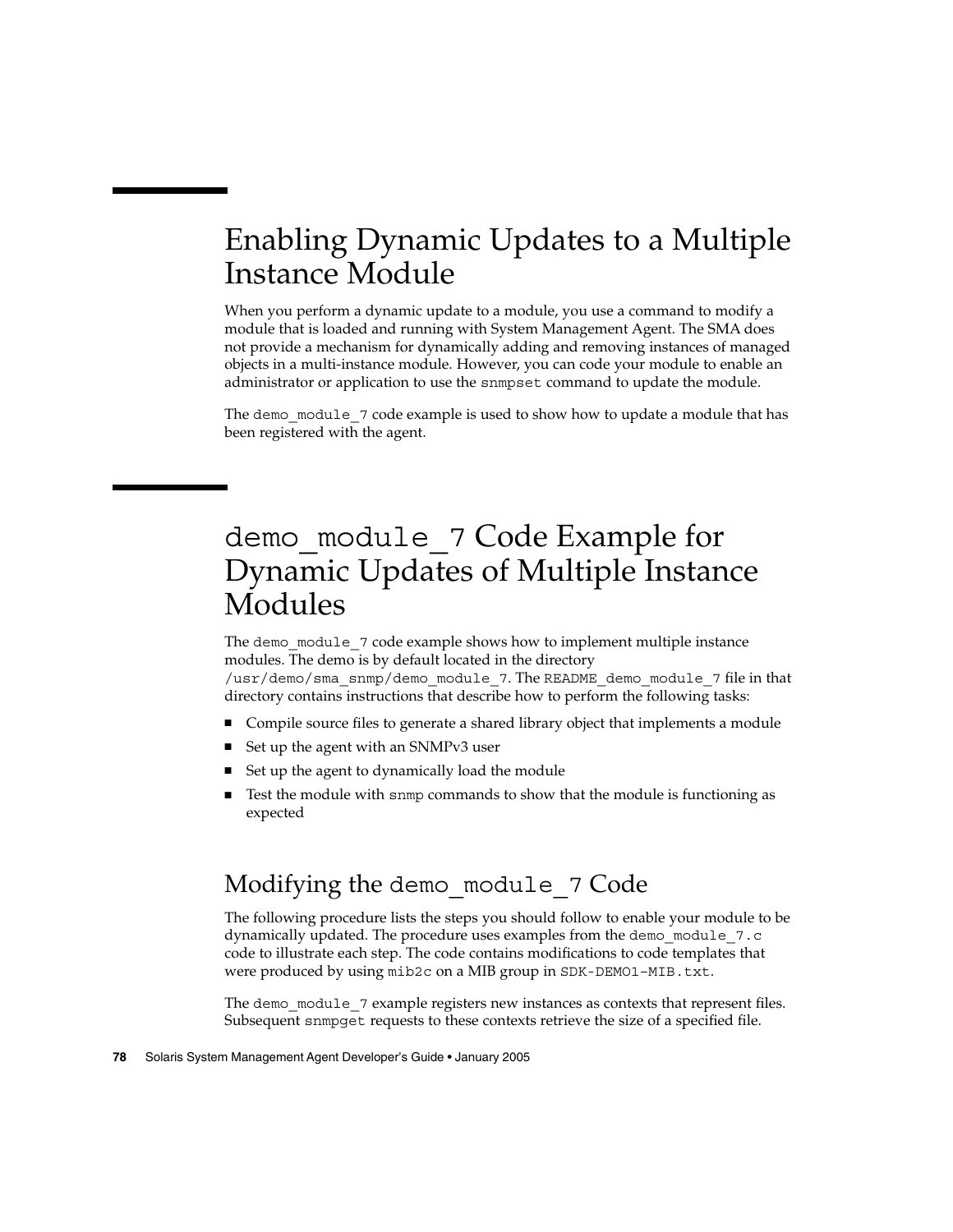# <span id="page-77-0"></span>Enabling Dynamic Updates to a Multiple Instance Module

When you perform a dynamic update to a module, you use a command to modify a module that is loaded and running with System Management Agent. The SMA does not provide a mechanism for dynamically adding and removing instances of managed objects in a multi-instance module. However, you can code your module to enable an administrator or application to use the snmpset command to update the module.

The demo module 7 code example is used to show how to update a module that has been registered with the agent.

## demo module 7 Code Example for Dynamic Updates of Multiple Instance Modules

The demo module 7 code example shows how to implement multiple instance modules. The demo is by default located in the directory /usr/demo/sma\_snmp/demo\_module\_7. The README\_demo\_module\_7 file in that

directory contains instructions that describe how to perform the following tasks:

- Compile source files to generate a shared library object that implements a module
- Set up the agent with an SNMPv3 user
- Set up the agent to dynamically load the module
- Test the module with snmp commands to show that the module is functioning as expected

## Modifying the demo module 7 Code

The following procedure lists the steps you should follow to enable your module to be dynamically updated. The procedure uses examples from the demo\_module\_7.c code to illustrate each step. The code contains modifications to code templates that were produced by using mib2c on a MIB group in SDK-DEMO1-MIB.txt.

The demo module  $7$  example registers new instances as contexts that represent files. Subsequent snmpget requests to these contexts retrieve the size of a specified file.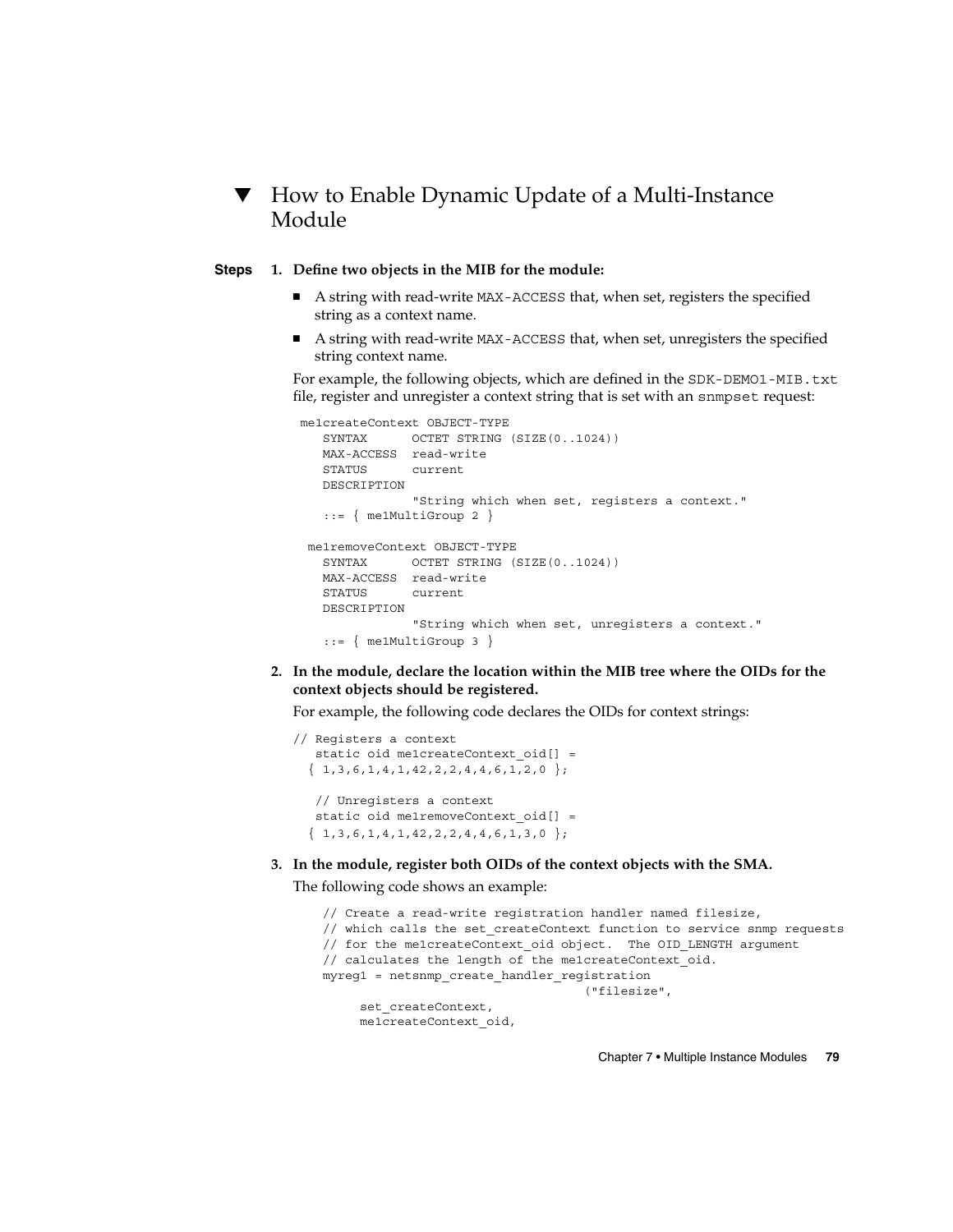## How to Enable Dynamic Update of a Multi-Instance Module

#### **1. Define two objects in the MIB for the module: Steps**

- A string with read-write MAX-ACCESS that, when set, registers the specified string as a context name.
- A string with read-write MAX-ACCESS that, when set, unregisters the specified string context name.

For example, the following objects, which are defined in the SDK-DEMO1-MIB.txt file, register and unregister a context string that is set with an snmpset request:

```
me1createContext OBJECT-TYPE
  SYNTAX OCTET STRING (SIZE(0..1024))
  MAX-ACCESS read-write
  STATUS current
  DESCRIPTION
             "String which when set, registers a context."
  ::= { me1MultiGroup 2 }
me1removeContext OBJECT-TYPE
  SYNTAX OCTET STRING (SIZE(0..1024))
  MAX-ACCESS read-write
  STATUS current
  DESCRIPTION
             "String which when set, unregisters a context."
  ::= { me1MultiGroup 3 }
```
**2. In the module, declare the location within the MIB tree where the OIDs for the context objects should be registered.**

For example, the following code declares the OIDs for context strings:

```
// Registers a context
  static oid me1createContext oid[] =
  {1,3,6,1,4,1,42,2,2,4,4,6,1,2,0}// Unregisters a context
  static oid me1removeContext oid[] =
  {1, 3, 6, 1, 4, 1, 42, 2, 2, 4, 4, 6, 1, 3, 0}
```
#### **3. In the module, register both OIDs of the context objects with the SMA.**

The following code shows an example:

```
// Create a read-write registration handler named filesize,
// which calls the set_createContext function to service snmp requests
// for the me1createContext oid object. The OID LENGTH argument
// calculates the length of the me1createContext oid.
myreg1 = netsnmp_create_handler_registration
                                   ("filesize",
    set createContext,
    me1createContext_oid,
```
Chapter 7 • Multiple Instance Modules **79**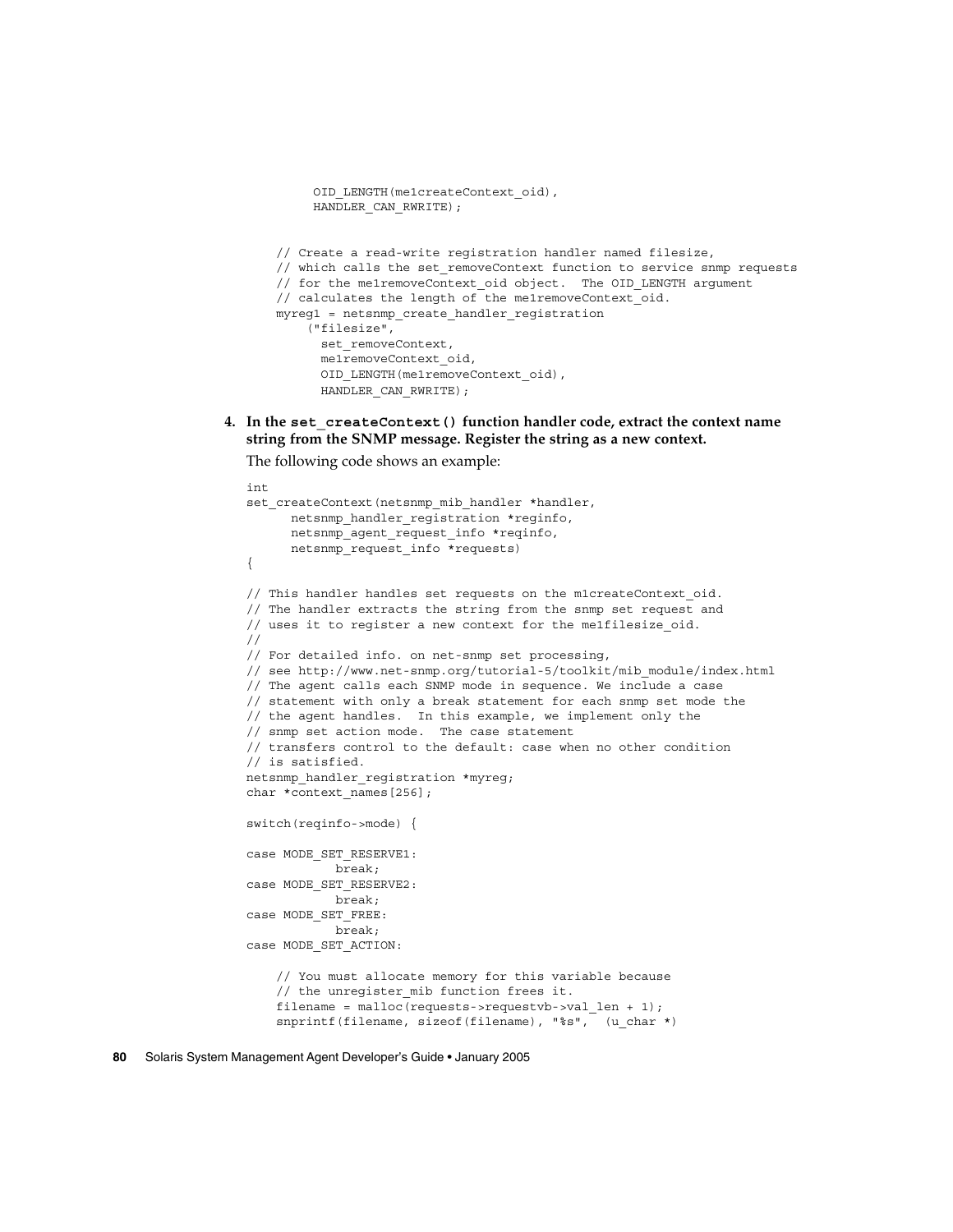```
OID_LENGTH(me1createContext_oid),
     HANDLER CAN RWRITE);
// Create a read-write registration handler named filesize,
// which calls the set_removeContext function to service snmp requests
// for the me1removeContext oid object. The OID LENGTH argument
// calculates the length of the me1removeContext_oid.
myreg1 = netsnmp create handler registration
    ("filesize",
      set removeContext,
      me1removeContext_oid,
      OID LENGTH(me1removeContext oid),
      HANDLER_CAN_RWRITE);
```
**4. In the set\_createContext() function handler code, extract the context name string from the SNMP message. Register the string as a new context.**

The following code shows an example:

```
int
set_createContext(netsnmp_mib_handler *handler,
      netsnmp_handler_registration *reginfo,
      netsnmp agent request info *reqinfo,
      netsnmp_request_info *requests)
{
// This handler handles set requests on the m1createContext_oid.
// The handler extracts the string from the snmp set request and
// uses it to register a new context for the me1filesize_oid.
//
// For detailed info. on net-snmp set processing,
// see http://www.net-snmp.org/tutorial-5/toolkit/mib_module/index.html
// The agent calls each SNMP mode in sequence. We include a case
// statement with only a break statement for each snmp set mode the
// the agent handles. In this example, we implement only the
// snmp set action mode. The case statement
// transfers control to the default: case when no other condition
// is satisfied.
netsnmp_handler_registration *myreg;
char *context names[256];
switch(reqinfo->mode) {
case MODE_SET_RESERVE1:
           break;
case MODE_SET_RESERVE2:
           break;
case MODE_SET_FREE:
           break;
case MODE_SET_ACTION:
    // You must allocate memory for this variable because
    // the unregister mib function frees it.
    filename = malloc(requests->requestvb->val len + 1);
    snprintf(filename, sizeof(filename), "%s", (u char *)
```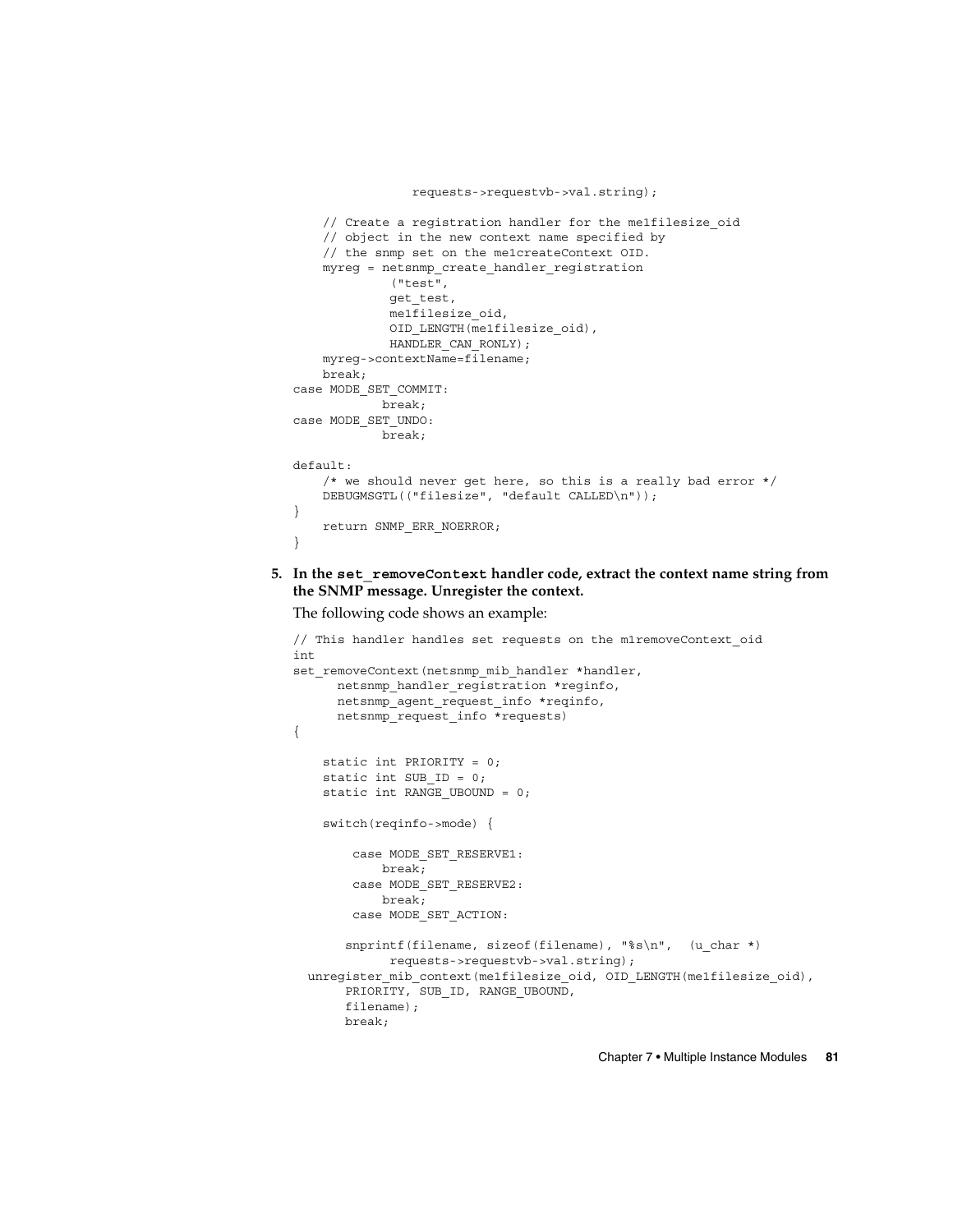requests->requestvb->val.string);

```
// Create a registration handler for the me1filesize_oid
    // object in the new context name specified by
    // the snmp set on the me1createContext OID.
    myreg = netsnmp create handler registration
             ("test",
             get_test,
             me1filesize_oid,
             OID LENGTH(me1filesize oid),
            HANDLER CAN RONLY);
   myreg->contextName=filename;
   break;
case MODE_SET_COMMIT:
           break;
case MODE_SET_UNDO:
           break;
default:
    /* we should never get here, so this is a really bad error */DEBUGMSGTL(("filesize", "default CALLED\n"));
}
    return SNMP_ERR_NOERROR;
}
```
**5. In the set\_removeContext handler code, extract the context name string from the SNMP message. Unregister the context.**

The following code shows an example:

```
// This handler handles set requests on the m1removeContext oid
int
set removeContext(netsnmp_mib_handler *handler,
     netsnmp_handler_registration *reginfo,
     netsnmp_agent_request_info *reqinfo,
     netsnmp_request_info *requests)
{
   static int PRIORITY = 0;
   static int SUB_ID = 0;
   static int RANGE UBOUND = 0;
   switch(reqinfo->mode) {
        case MODE_SET_RESERVE1:
          break;
        case MODE_SET_RESERVE2:
           break;
       case MODE_SET_ACTION:
      snprintf(filename, sizeof(filename), "%s\n", (u char *)
            requests->requestvb->val.string);
  unregister_mib_context(me1filesize_oid, OID_LENGTH(me1filesize_oid),
      PRIORITY, SUB_ID, RANGE_UBOUND,
      filename);
      break;
```
Chapter 7 • Multiple Instance Modules **81**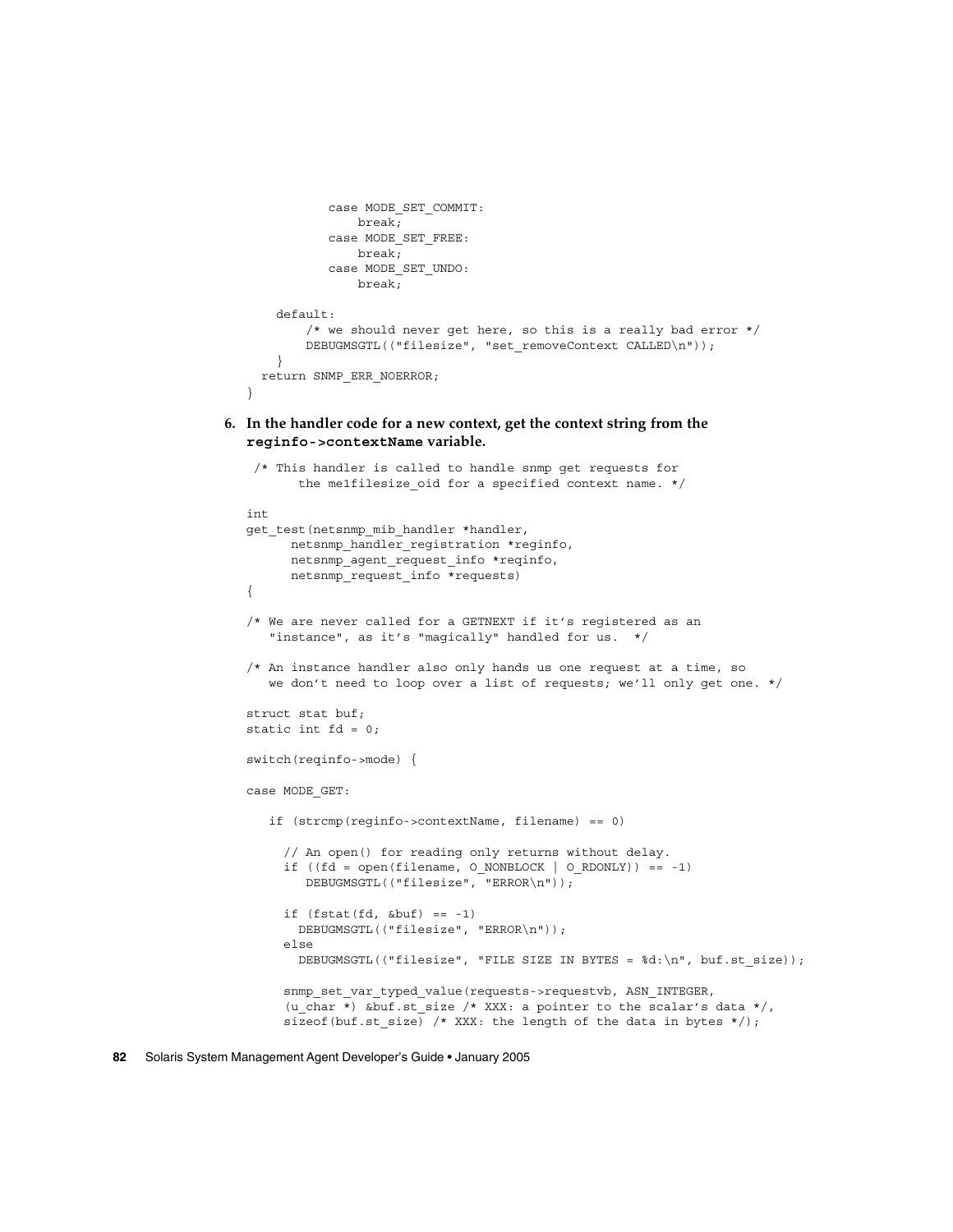```
case MODE_SET_COMMIT:
              break;
           case MODE_SET_FREE:
              break;
           case MODE_SET_UNDO:
              break;
   default:
        /* we should never get here, so this is a really bad error */DEBUGMSGTL(("filesize", "set removeContext CALLED\n"));
    }
 return SNMP_ERR_NOERROR;
}
```
#### **6. In the handler code for a new context, get the context string from the reginfo->contextName variable.**

```
/* This handler is called to handle snmp get requests for
       the me1filesize_oid for a specified context name. */
int
get test(netsnmp mib handler *handler,
      netsnmp handler registration *reginfo,
      netsnmp_agent_request_info *reqinfo,
      netsnmp_request_info *requests)
{
/* We are never called for a GETNEXT if it's registered as an
   "instance", as it's "magically" handled for us. */
/* An instance handler also only hands us one request at a time, so
   we don't need to loop over a list of requests; we'll only get one. */
struct stat buf;
static int fd = 0;switch(reqinfo->mode) {
case MODE_GET:
   if (strcmp(reginfo->contextName, filename) == 0)
     // An open() for reading only returns without delay.
     if ((fd = open(filename, O_NONBLOCK | O_RDONLY)) == -1)
        DEBUGMSGTL(("filesize", "ERROR\n"));
     if (fstat(fd, \&but) == -1)DEBUGMSGTL(("filesize", "ERROR\n"));
     else
      DEBUGMSGTL(("filesize", "FILE SIZE IN BYTES = d:\n", buf.st size));
     snmp_set_var_typed_value(requests->requestvb, ASN_INTEGER,
     (u char *) &buf.st size /* XXX: a pointer to the scalar's data */,
     sizeof(buf.st size) /* XXX: the length of the data in bytes */);
```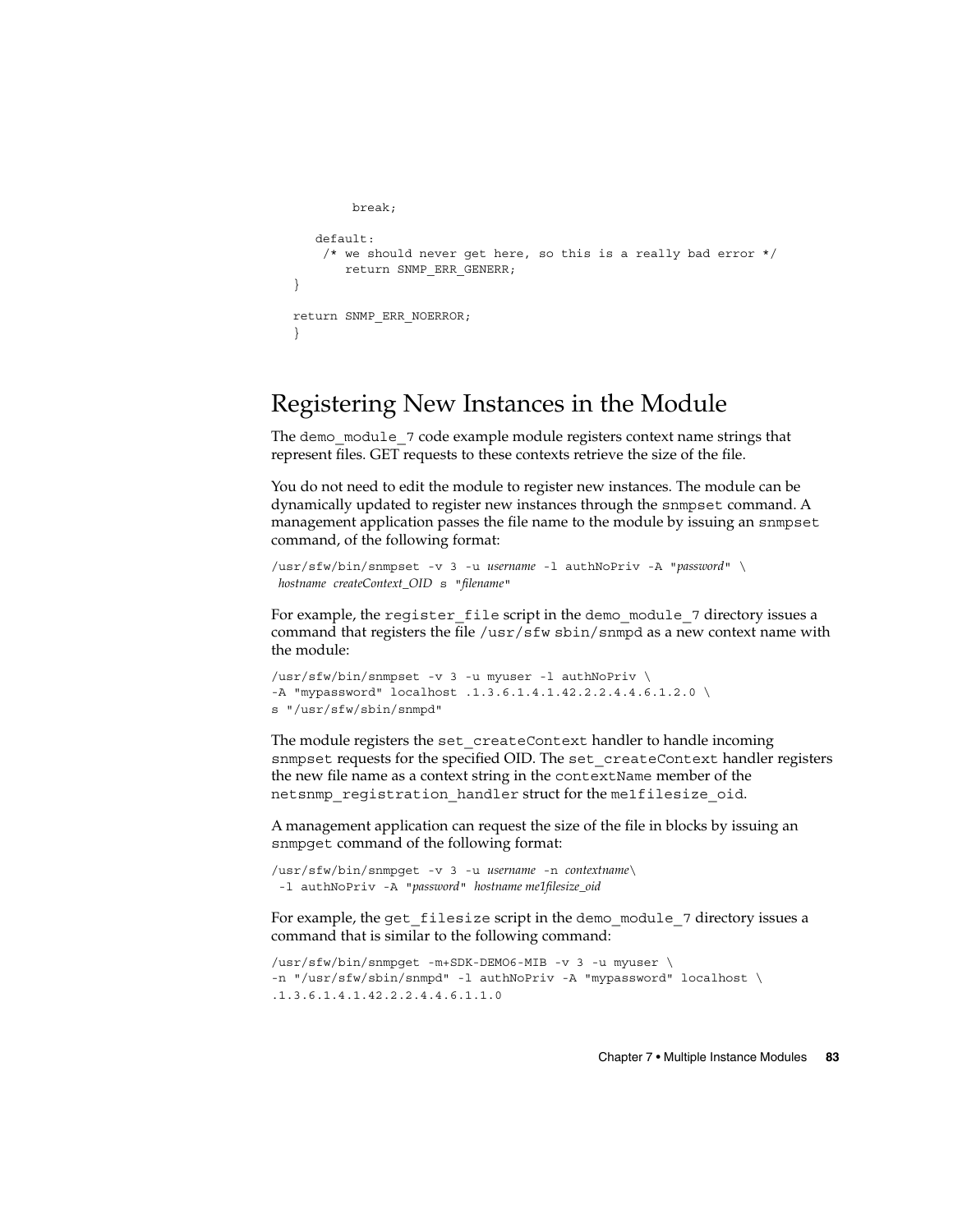```
break;
   default:
    /* we should never get here, so this is a really bad error */
       return SNMP_ERR_GENERR;
}
return SNMP_ERR_NOERROR;
}
```
## Registering New Instances in the Module

The demo module 7 code example module registers context name strings that represent files. GET requests to these contexts retrieve the size of the file.

You do not need to edit the module to register new instances. The module can be dynamically updated to register new instances through the snmpset command. A management application passes the file name to the module by issuing an snmpset command, of the following format:

```
/usr/sfw/bin/snmpset -v 3 -u username -l authNoPriv -A "password" \
hostname createContext_OID s "filename"
```
For example, the register file script in the demo\_module\_7 directory issues a command that registers the file /usr/sfw sbin/snmpd as a new context name with the module:

```
/usr/sfw/bin/snmpset -v 3 -u myuser -l authNoPriv \
-A "mypassword" localhost .1.3.6.1.4.1.42.2.2.4.4.6.1.2.0 \
s "/usr/sfw/sbin/snmpd"
```
The module registers the set createContext handler to handle incoming snmpset requests for the specified OID. The set\_createContext handler registers the new file name as a context string in the contextName member of the netsnmp registration handler struct for the me1filesize oid.

A management application can request the size of the file in blocks by issuing an snmpget command of the following format:

```
/usr/sfw/bin/snmpget -v 3 -u username -n contextname\
 -l authNoPriv -A "password" hostname me1filesize_oid
```
For example, the get filesize script in the demo module 7 directory issues a command that is similar to the following command:

```
/usr/sfw/bin/snmpget -m+SDK-DEMO6-MIB -v 3 -u myuser \
-n "/usr/sfw/sbin/snmpd" -l authNoPriv -A "mypassword" localhost \
.1.3.6.1.4.1.42.2.2.4.4.6.1.1.0
```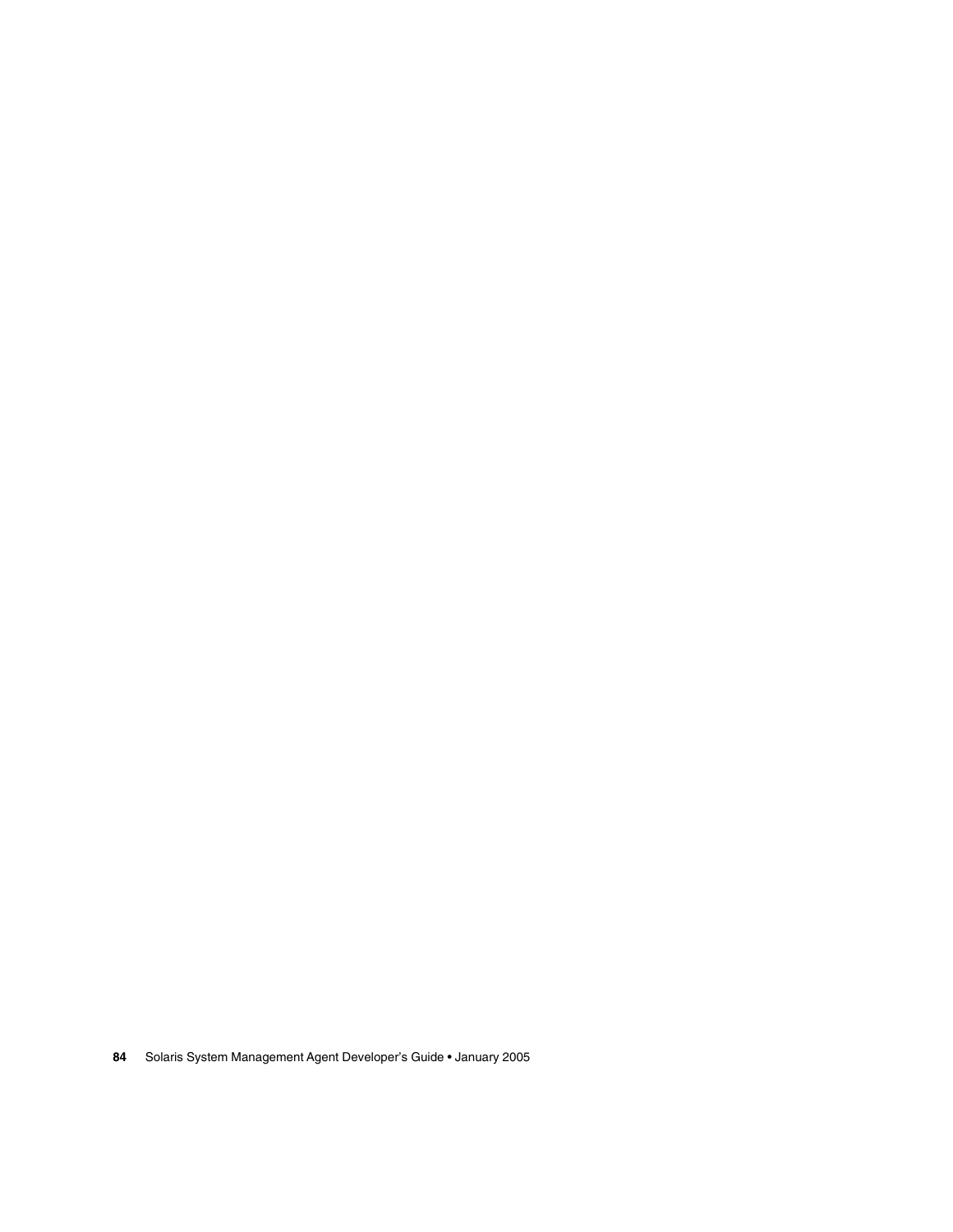Solaris System Management Agent Developer's Guide • January 2005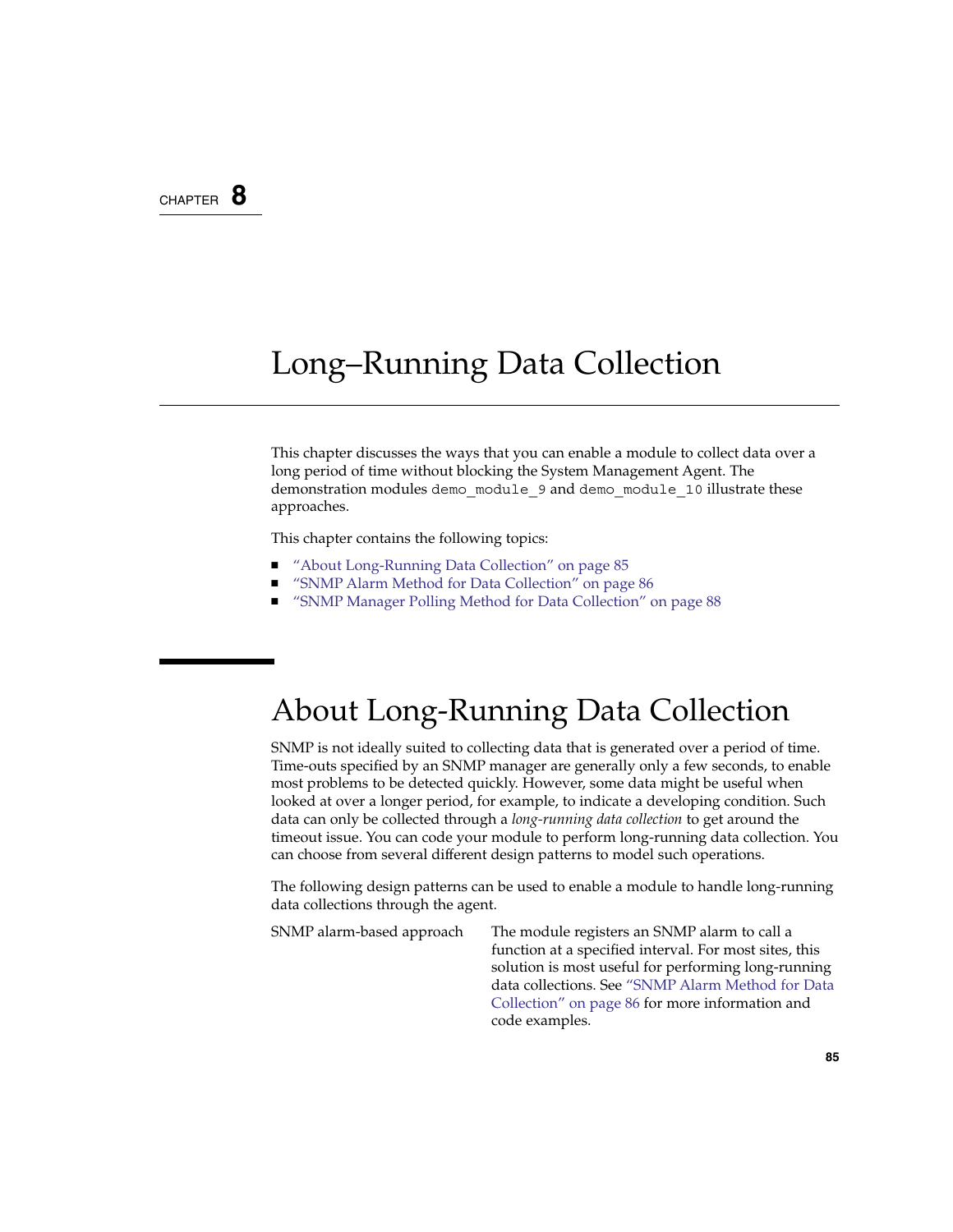### CHAPTER **8**

## Long–Running Data Collection

This chapter discusses the ways that you can enable a module to collect data over a long period of time without blocking the System Management Agent. The demonstration modules demo\_module\_9 and demo\_module\_10 illustrate these approaches.

This chapter contains the following topics:

- *"About Long-Running Data Collection"* on page 85
- ["SNMP Alarm Method for Data Collection"](#page-85-0) on page 86
- ["SNMP Manager Polling Method for Data Collection"](#page-87-0) on page 88

## About Long-Running Data Collection

SNMP is not ideally suited to collecting data that is generated over a period of time. Time-outs specified by an SNMP manager are generally only a few seconds, to enable most problems to be detected quickly. However, some data might be useful when looked at over a longer period, for example, to indicate a developing condition. Such data can only be collected through a *long-running data collection* to get around the timeout issue. You can code your module to perform long-running data collection. You can choose from several different design patterns to model such operations.

The following design patterns can be used to enable a module to handle long-running data collections through the agent.

SNMP alarm-based approach The module registers an SNMP alarm to call a function at a specified interval. For most sites, this solution is most useful for performing long-running data collections. See ["SNMP Alarm Method for Data](#page-85-0) [Collection"](#page-85-0) on page 86 for more information and code examples.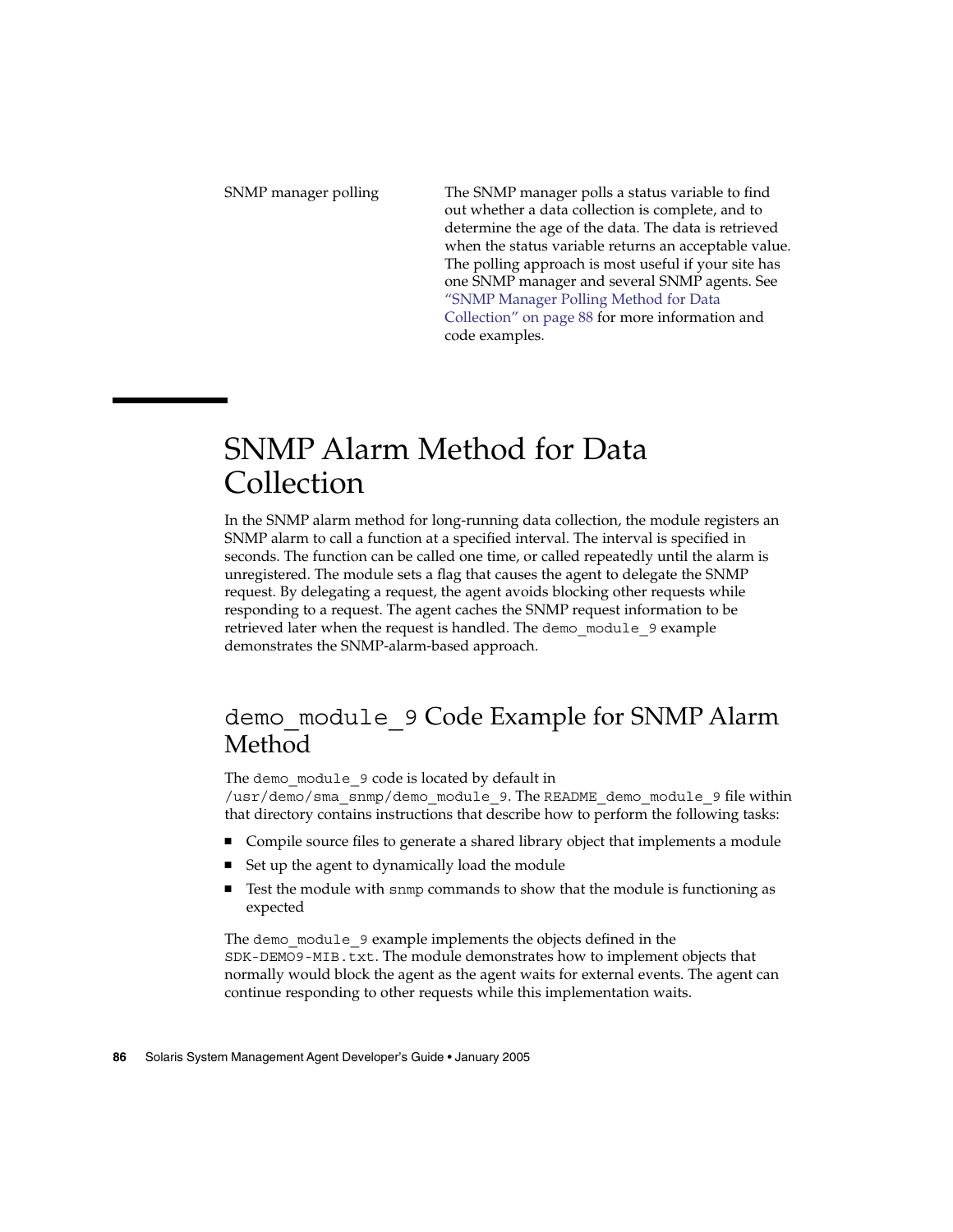<span id="page-85-0"></span>SNMP manager polling The SNMP manager polls a status variable to find out whether a data collection is complete, and to determine the age of the data. The data is retrieved when the status variable returns an acceptable value. The polling approach is most useful if your site has one SNMP manager and several SNMP agents. See ["SNMP Manager Polling Method for Data](#page-87-0) [Collection"](#page-87-0) on page 88 for more information and code examples.

## SNMP Alarm Method for Data Collection

In the SNMP alarm method for long-running data collection, the module registers an SNMP alarm to call a function at a specified interval. The interval is specified in seconds. The function can be called one time, or called repeatedly until the alarm is unregistered. The module sets a flag that causes the agent to delegate the SNMP request. By delegating a request, the agent avoids blocking other requests while responding to a request. The agent caches the SNMP request information to be retrieved later when the request is handled. The demo module 9 example demonstrates the SNMP-alarm-based approach.

## demo\_module\_9 Code Example for SNMP Alarm Method

The demo module 9 code is located by default in

/usr/demo/sma\_snmp/demo\_module\_9. The README\_demo\_module\_9 file within that directory contains instructions that describe how to perform the following tasks:

- Compile source files to generate a shared library object that implements a module
- Set up the agent to dynamically load the module
- Test the module with snmp commands to show that the module is functioning as expected

The demo module 9 example implements the objects defined in the SDK-DEMO9-MIB.txt. The module demonstrates how to implement objects that normally would block the agent as the agent waits for external events. The agent can continue responding to other requests while this implementation waits.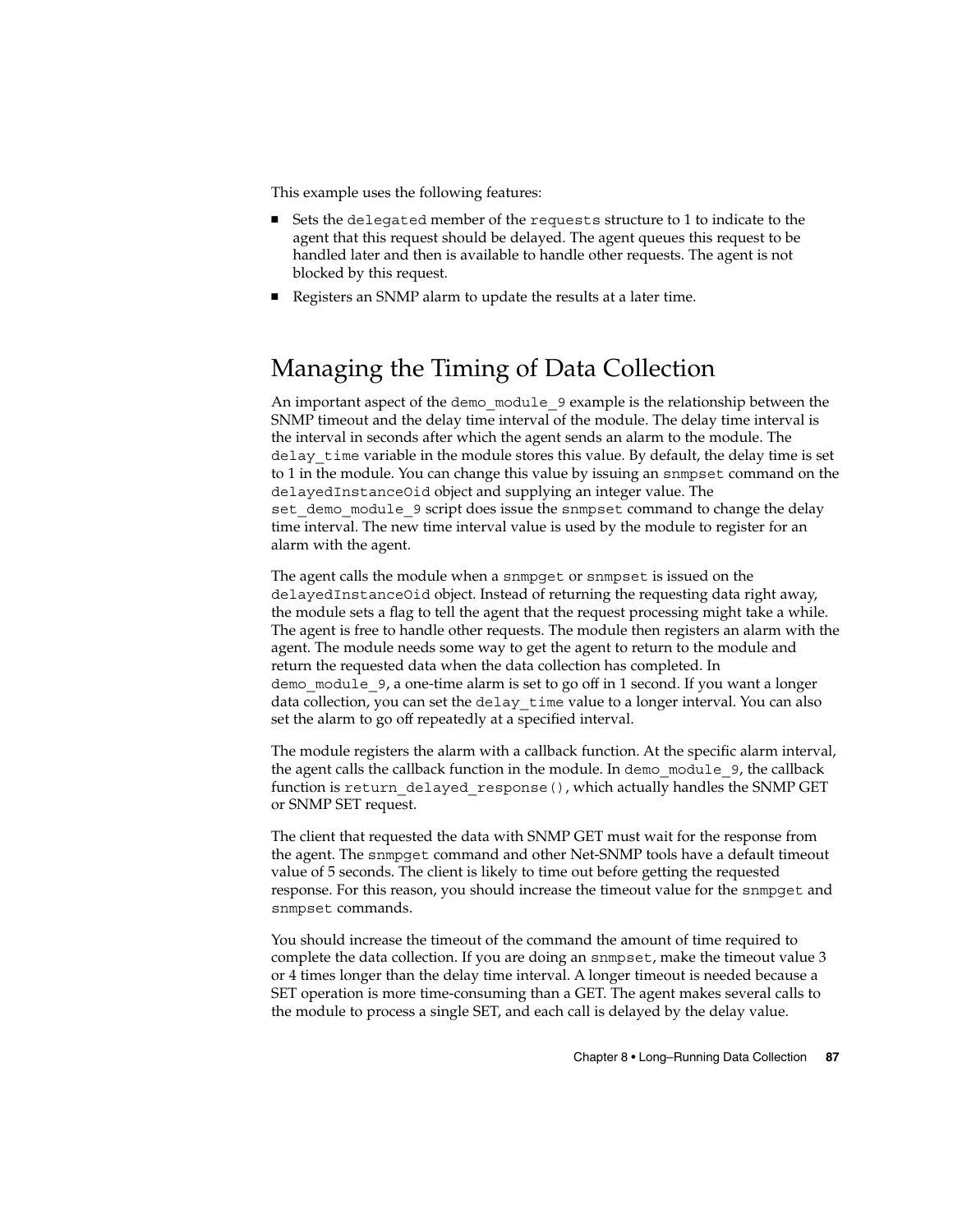This example uses the following features:

- Sets the delegated member of the requests structure to 1 to indicate to the agent that this request should be delayed. The agent queues this request to be handled later and then is available to handle other requests. The agent is not blocked by this request.
- Registers an SNMP alarm to update the results at a later time.

## Managing the Timing of Data Collection

An important aspect of the demo\_module\_9 example is the relationship between the SNMP timeout and the delay time interval of the module. The delay time interval is the interval in seconds after which the agent sends an alarm to the module. The delay time variable in the module stores this value. By default, the delay time is set to 1 in the module. You can change this value by issuing an snmpset command on the delayedInstanceOid object and supplying an integer value. The set demo module 9 script does issue the snmpset command to change the delay time interval. The new time interval value is used by the module to register for an alarm with the agent.

The agent calls the module when a snmpget or snmpset is issued on the delayedInstanceOid object. Instead of returning the requesting data right away, the module sets a flag to tell the agent that the request processing might take a while. The agent is free to handle other requests. The module then registers an alarm with the agent. The module needs some way to get the agent to return to the module and return the requested data when the data collection has completed. In demo\_module\_9, a one-time alarm is set to go off in 1 second. If you want a longer data collection, you can set the delay time value to a longer interval. You can also set the alarm to go off repeatedly at a specified interval.

The module registers the alarm with a callback function. At the specific alarm interval, the agent calls the callback function in the module. In demo\_module\_9, the callback function is return delayed response(), which actually handles the SNMP GET or SNMP SET request.

The client that requested the data with SNMP GET must wait for the response from the agent. The snmpget command and other Net-SNMP tools have a default timeout value of 5 seconds. The client is likely to time out before getting the requested response. For this reason, you should increase the timeout value for the snmpget and snmpset commands.

You should increase the timeout of the command the amount of time required to complete the data collection. If you are doing an snmpset, make the timeout value 3 or 4 times longer than the delay time interval. A longer timeout is needed because a SET operation is more time-consuming than a GET. The agent makes several calls to the module to process a single SET, and each call is delayed by the delay value.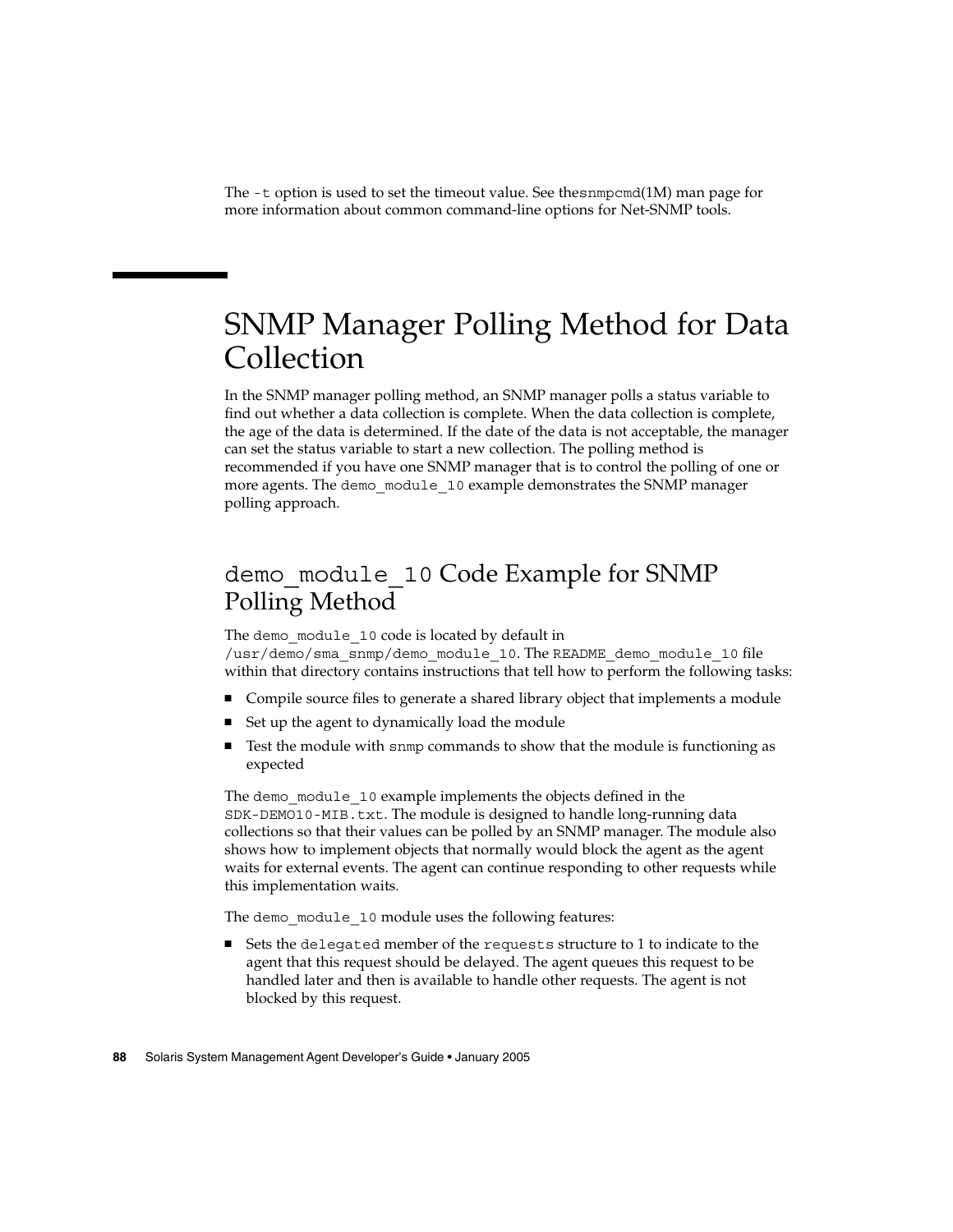<span id="page-87-0"></span>The  $-$ t option is used to set the timeout value. See thesnmpcmd $(1M)$  man page for more information about common command-line options for Net-SNMP tools.

## SNMP Manager Polling Method for Data Collection

In the SNMP manager polling method, an SNMP manager polls a status variable to find out whether a data collection is complete. When the data collection is complete, the age of the data is determined. If the date of the data is not acceptable, the manager can set the status variable to start a new collection. The polling method is recommended if you have one SNMP manager that is to control the polling of one or more agents. The demo\_module\_10 example demonstrates the SNMP manager polling approach.

## demo\_module\_10 Code Example for SNMP Polling Method

The demo module 10 code is located by default in

/usr/demo/sma\_snmp/demo\_module\_10. The README\_demo\_module\_10 file within that directory contains instructions that tell how to perform the following tasks:

- Compile source files to generate a shared library object that implements a module
- Set up the agent to dynamically load the module
- Test the module with snmp commands to show that the module is functioning as expected

The demo module 10 example implements the objects defined in the SDK-DEMO10-MIB.txt. The module is designed to handle long-running data collections so that their values can be polled by an SNMP manager. The module also shows how to implement objects that normally would block the agent as the agent waits for external events. The agent can continue responding to other requests while this implementation waits.

The demo module 10 module uses the following features:

Sets the delegated member of the requests structure to 1 to indicate to the agent that this request should be delayed. The agent queues this request to be handled later and then is available to handle other requests. The agent is not blocked by this request.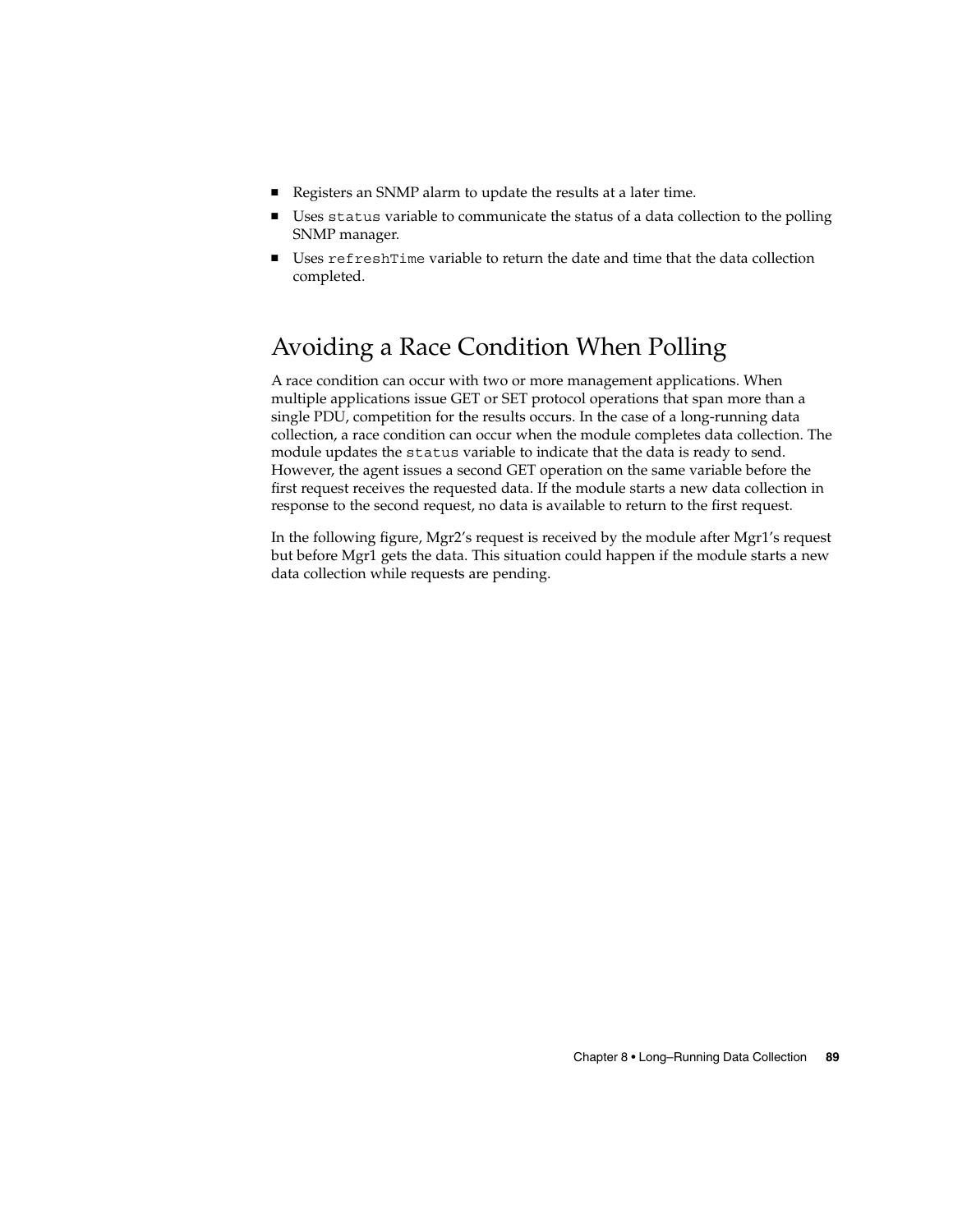- Registers an SNMP alarm to update the results at a later time.
- Uses status variable to communicate the status of a data collection to the polling SNMP manager.
- Uses refreshTime variable to return the date and time that the data collection completed.

## Avoiding a Race Condition When Polling

A race condition can occur with two or more management applications. When multiple applications issue GET or SET protocol operations that span more than a single PDU, competition for the results occurs. In the case of a long-running data collection, a race condition can occur when the module completes data collection. The module updates the status variable to indicate that the data is ready to send. However, the agent issues a second GET operation on the same variable before the first request receives the requested data. If the module starts a new data collection in response to the second request, no data is available to return to the first request.

In the following figure, Mgr2's request is received by the module after Mgr1's request but before Mgr1 gets the data. This situation could happen if the module starts a new data collection while requests are pending.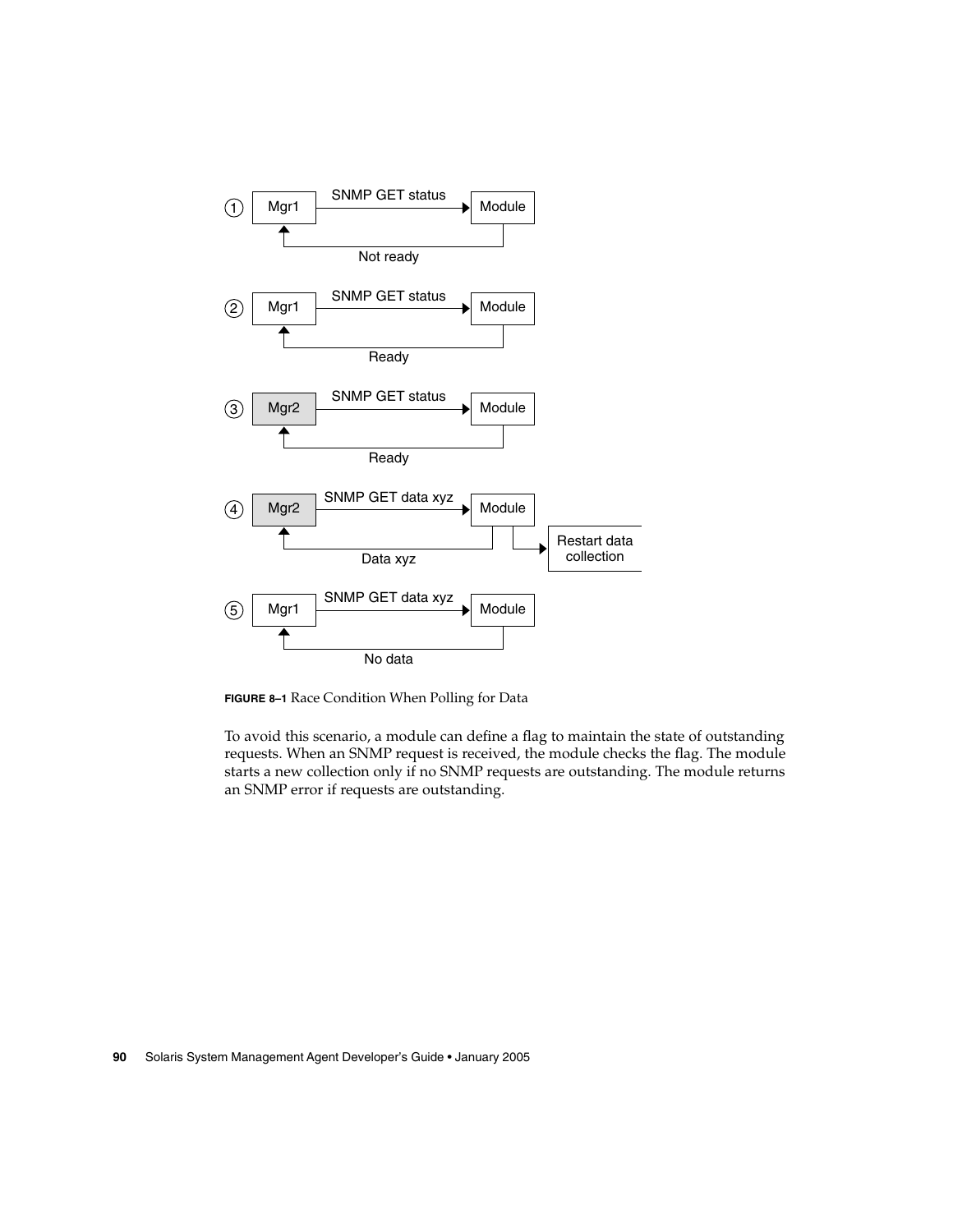

**FIGURE 8–1** Race Condition When Polling for Data

To avoid this scenario, a module can define a flag to maintain the state of outstanding requests. When an SNMP request is received, the module checks the flag. The module starts a new collection only if no SNMP requests are outstanding. The module returns an SNMP error if requests are outstanding.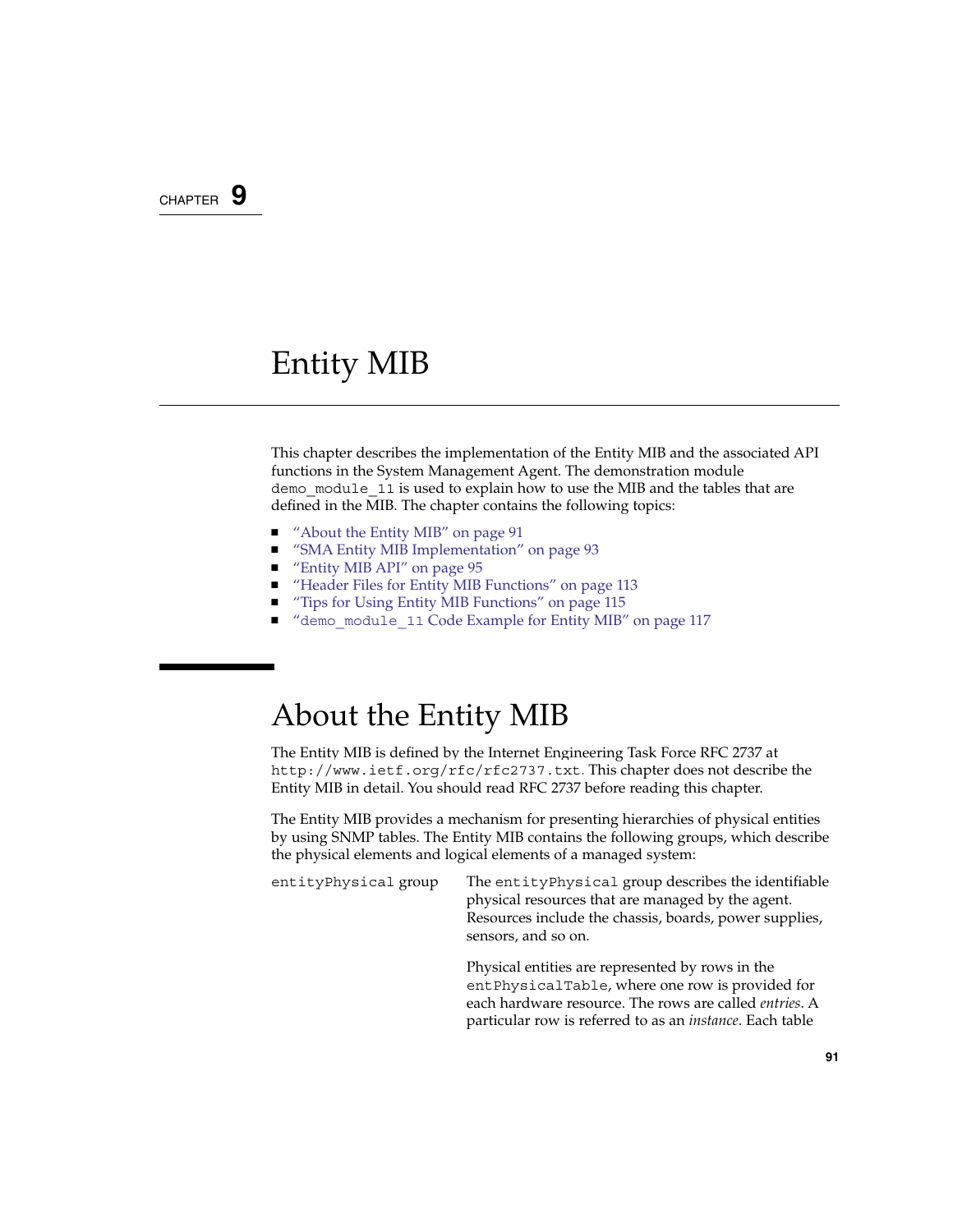CHAPTER **9**

## Entity MIB

This chapter describes the implementation of the Entity MIB and the associated API functions in the System Management Agent. The demonstration module demo\_module\_11 is used to explain how to use the MIB and the tables that are defined in the MIB. The chapter contains the following topics:

- "About the Entity MIB" on page 91
- ["SMA Entity MIB Implementation"](#page-92-0) on page 93
- ["Entity MIB API"](#page-94-0) on page 95
- ["Header Files for Entity MIB Functions"](#page-112-0) on page 113
- ["Tips for Using Entity MIB Functions"](#page-114-0) on page 115
- "demo\_module\_11 [Code Example for Entity MIB"](#page-116-0) on page 117

## About the Entity MIB

The Entity MIB is defined by the Internet Engineering Task Force RFC 2737 at <http://www.ietf.org/rfc/rfc2737.txt>. This chapter does not describe the Entity MIB in detail. You should read RFC 2737 before reading this chapter.

The Entity MIB provides a mechanism for presenting hierarchies of physical entities by using SNMP tables. The Entity MIB contains the following groups, which describe the physical elements and logical elements of a managed system:

| entityPhysical group | The entityPhysical group describes the identifiable<br>physical resources that are managed by the agent.<br>Resources include the chassis, boards, power supplies,<br>sensors, and so on.                                                 |
|----------------------|-------------------------------------------------------------------------------------------------------------------------------------------------------------------------------------------------------------------------------------------|
|                      | Physical entities are represented by rows in the<br>entPhysicalTable, where one row is provided for<br>each hardware resource. The rows are called <i>entries</i> . A<br>particular row is referred to as an <i>instance</i> . Each table |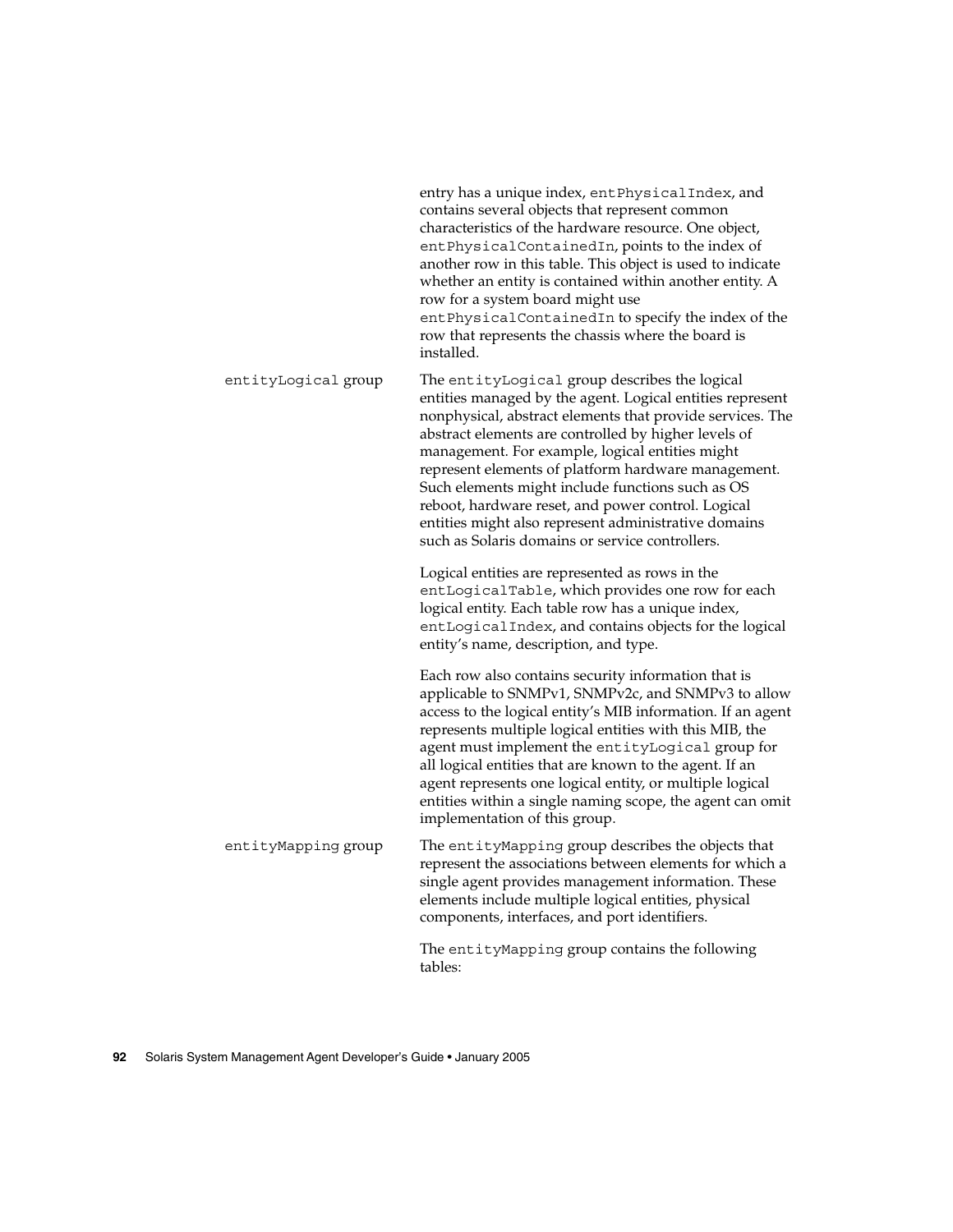|                     | entry has a unique index, entPhysicalIndex, and<br>contains several objects that represent common<br>characteristics of the hardware resource. One object,<br>entPhysicalContainedIn, points to the index of<br>another row in this table. This object is used to indicate<br>whether an entity is contained within another entity. A<br>row for a system board might use<br>entPhysicalContainedIn to specify the index of the<br>row that represents the chassis where the board is<br>installed.                                                            |
|---------------------|----------------------------------------------------------------------------------------------------------------------------------------------------------------------------------------------------------------------------------------------------------------------------------------------------------------------------------------------------------------------------------------------------------------------------------------------------------------------------------------------------------------------------------------------------------------|
| entityLogical group | The entityLogical group describes the logical<br>entities managed by the agent. Logical entities represent<br>nonphysical, abstract elements that provide services. The<br>abstract elements are controlled by higher levels of<br>management. For example, logical entities might<br>represent elements of platform hardware management.<br>Such elements might include functions such as OS<br>reboot, hardware reset, and power control. Logical<br>entities might also represent administrative domains<br>such as Solaris domains or service controllers. |
|                     | Logical entities are represented as rows in the<br>entLogicalTable, which provides one row for each<br>logical entity. Each table row has a unique index,<br>entLogicalIndex, and contains objects for the logical<br>entity's name, description, and type.                                                                                                                                                                                                                                                                                                    |
|                     | Each row also contains security information that is<br>applicable to SNMPv1, SNMPv2c, and SNMPv3 to allow<br>access to the logical entity's MIB information. If an agent<br>represents multiple logical entities with this MIB, the<br>agent must implement the entityLogical group for<br>all logical entities that are known to the agent. If an<br>agent represents one logical entity, or multiple logical<br>entities within a single naming scope, the agent can omit<br>implementation of this group.                                                   |
| entityMapping group | The entityMapping group describes the objects that<br>represent the associations between elements for which a<br>single agent provides management information. These<br>elements include multiple logical entities, physical<br>components, interfaces, and port identifiers.                                                                                                                                                                                                                                                                                  |
|                     | The entityMapping group contains the following<br>tables:                                                                                                                                                                                                                                                                                                                                                                                                                                                                                                      |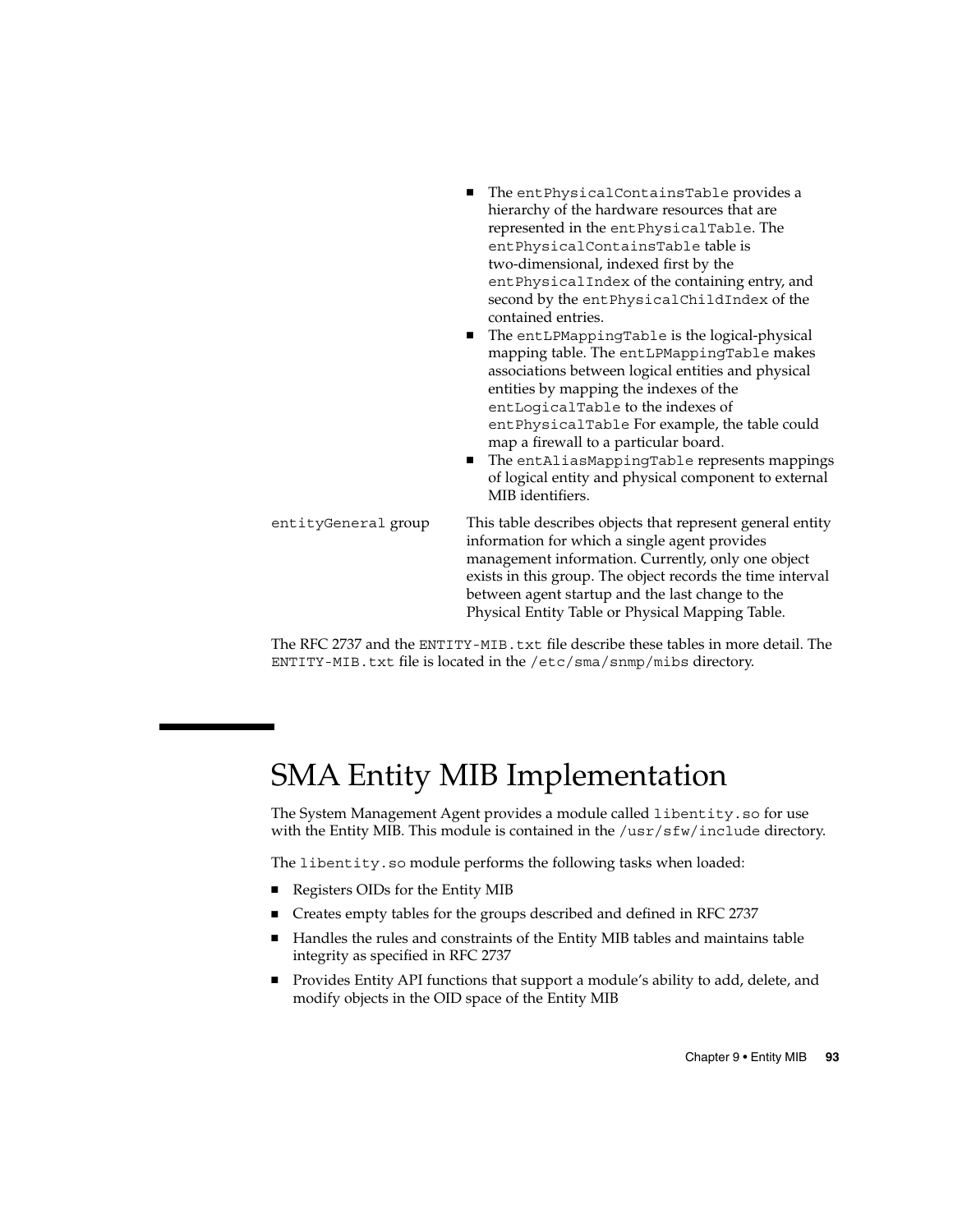<span id="page-92-0"></span>

|                     | The entPhysicalContainsTable provides a<br>hierarchy of the hardware resources that are<br>represented in the entPhysicalTable. The<br>entPhysicalContainsTable table is<br>two-dimensional, indexed first by the<br>entPhysicalIndex of the containing entry, and<br>second by the entPhysicalChildIndex of the<br>contained entries.<br>The entLPMappingTable is the logical-physical<br>mapping table. The entLPMappingTable makes<br>associations between logical entities and physical<br>entities by mapping the indexes of the<br>entLogicalTable to the indexes of<br>entPhysicalTable For example, the table could<br>map a firewall to a particular board.<br>The entAliasMappingTable represents mappings<br>$\blacksquare$<br>of logical entity and physical component to external<br>MIB identifiers. |
|---------------------|--------------------------------------------------------------------------------------------------------------------------------------------------------------------------------------------------------------------------------------------------------------------------------------------------------------------------------------------------------------------------------------------------------------------------------------------------------------------------------------------------------------------------------------------------------------------------------------------------------------------------------------------------------------------------------------------------------------------------------------------------------------------------------------------------------------------|
| entityGeneral group | This table describes objects that represent general entity<br>information for which a single agent provides<br>management information. Currently, only one object<br>exists in this group. The object records the time interval<br>between agent startup and the last change to the<br>Physical Entity Table or Physical Mapping Table.                                                                                                                                                                                                                                                                                                                                                                                                                                                                            |

The RFC 2737 and the ENTITY-MIB.txt file describe these tables in more detail. The ENTITY-MIB.txt file is located in the /etc/sma/snmp/mibs directory.

# SMA Entity MIB Implementation

The System Management Agent provides a module called libentity.so for use with the Entity MIB. This module is contained in the /usr/sfw/include directory.

The libentity.so module performs the following tasks when loaded:

- Registers OIDs for the Entity MIB
- Creates empty tables for the groups described and defined in RFC 2737
- Handles the rules and constraints of the Entity MIB tables and maintains table integrity as specified in RFC 2737
- Provides Entity API functions that support a module's ability to add, delete, and modify objects in the OID space of the Entity MIB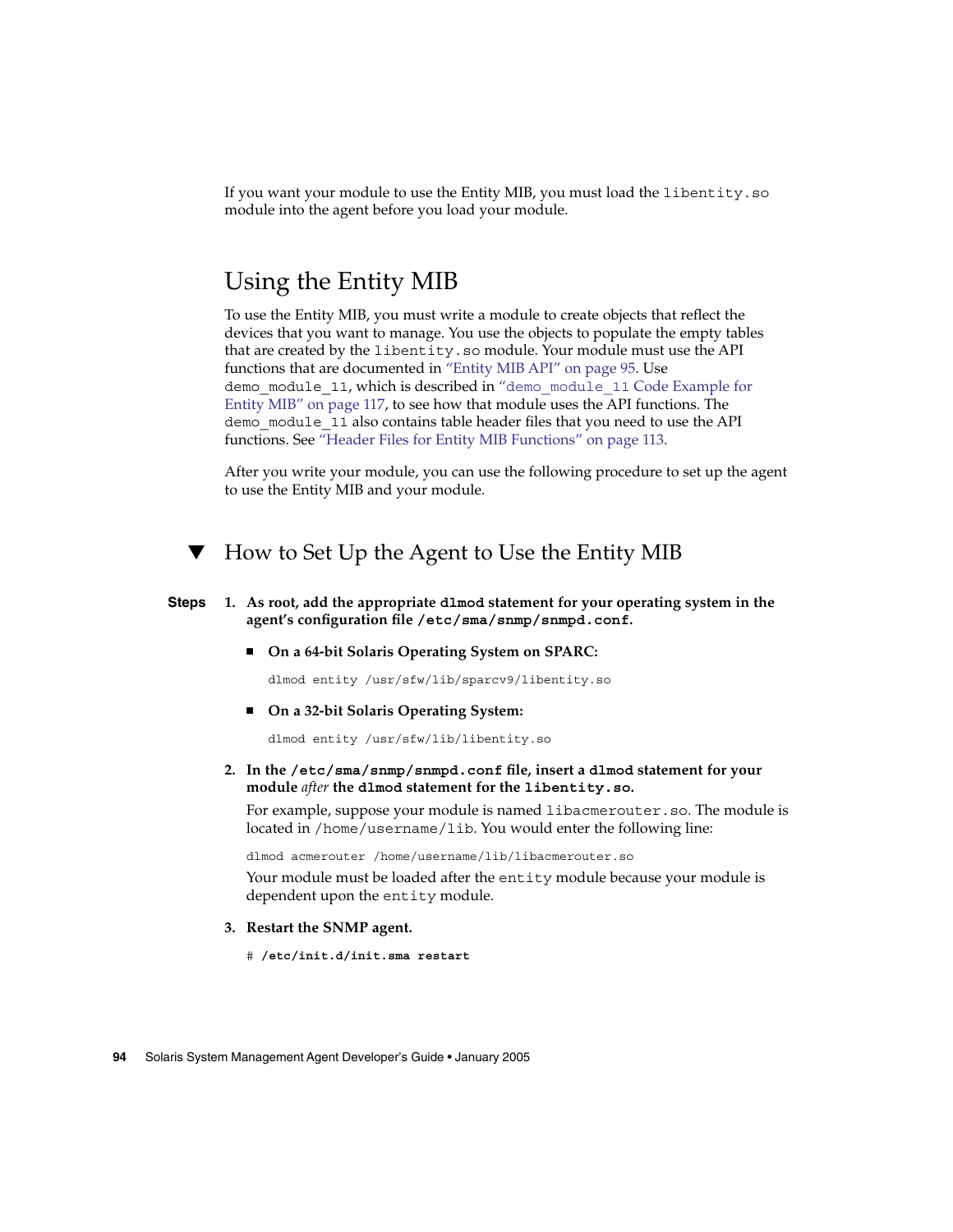If you want your module to use the Entity MIB, you must load the libentity.so module into the agent before you load your module.

## Using the Entity MIB

To use the Entity MIB, you must write a module to create objects that reflect the devices that you want to manage. You use the objects to populate the empty tables that are created by the libentity.so module. Your module must use the API functions that are documented in ["Entity MIB API"](#page-94-0) on page 95. Use demo\_module\_11, which is described in "[demo\\_module\\_11](#page-116-0) Code Example for [Entity MIB"](#page-116-0) on page 117, to see how that module uses the API functions. The demo\_module\_11 also contains table header files that you need to use the API functions. See ["Header Files for Entity MIB Functions"](#page-112-0) on page 113.

After you write your module, you can use the following procedure to set up the agent to use the Entity MIB and your module.

### ▼ How to Set Up the Agent to Use the Entity MIB

#### **1. As root, add the appropriate dlmod statement for your operating system in the agent's configuration file /etc/sma/snmp/snmpd.conf. Steps**

■ **On a 64-bit Solaris Operating System on SPARC:**

dlmod entity /usr/sfw/lib/sparcv9/libentity.so

■ **On a 32-bit Solaris Operating System:**

dlmod entity /usr/sfw/lib/libentity.so

**2. In the /etc/sma/snmp/snmpd.conf file, insert a dlmod statement for your module** *after* **the dlmod statement for the libentity.so.**

For example, suppose your module is named libacmerouter.so. The module is located in /home/username/lib. You would enter the following line:

dlmod acmerouter /home/username/lib/libacmerouter.so

Your module must be loaded after the entity module because your module is dependent upon the entity module.

- **3. Restart the SNMP agent.**
	- # **/etc/init.d/init.sma restart**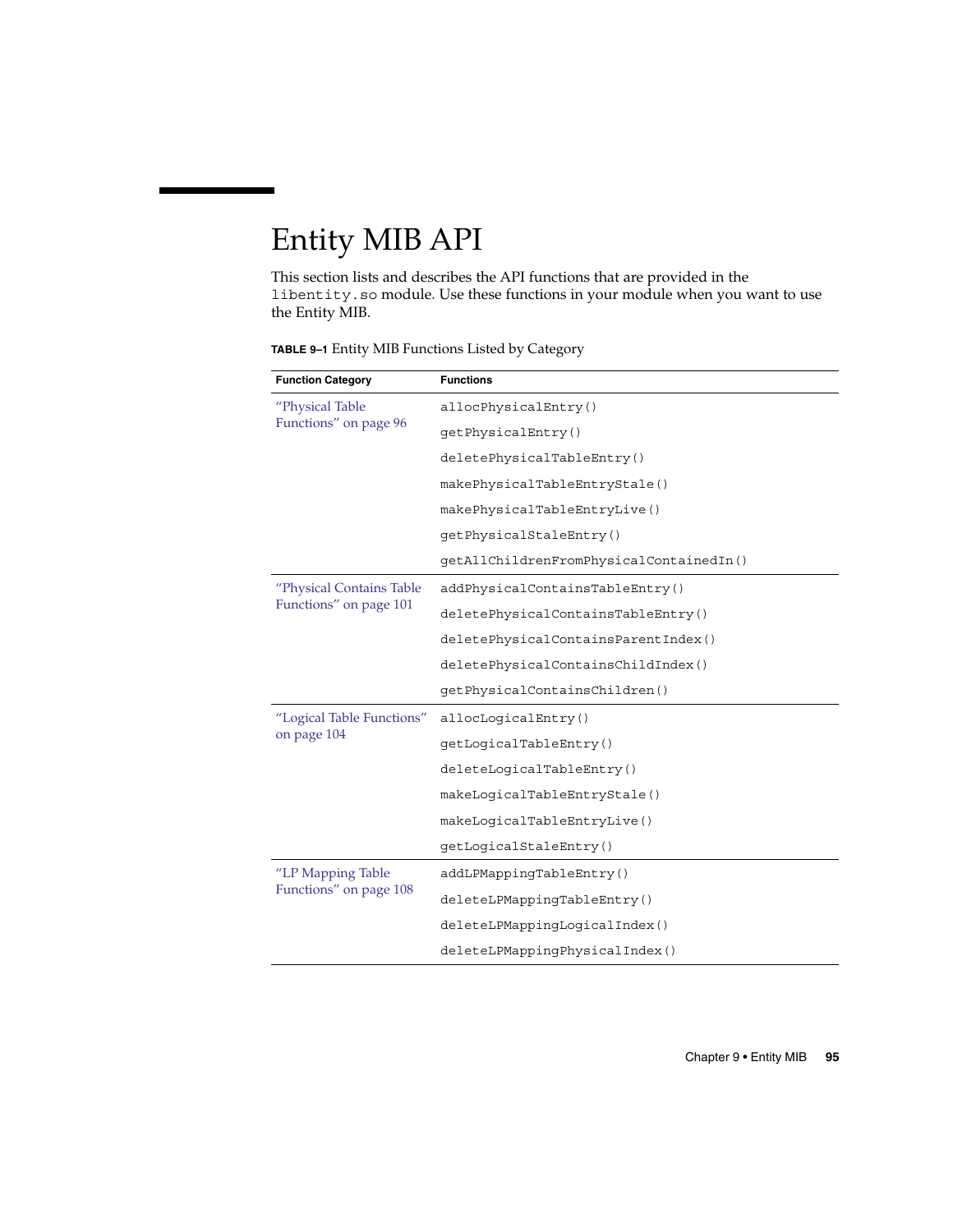# <span id="page-94-0"></span>Entity MIB API

This section lists and describes the API functions that are provided in the libentity.so module. Use these functions in your module when you want to use the Entity MIB.

| <b>Function Category</b>  | <b>Functions</b>                        |
|---------------------------|-----------------------------------------|
| "Physical Table           | allocPhysicalEntry()                    |
| Functions" on page 96     | getPhysicalEntry()                      |
|                           | deletePhysicalTableEntry()              |
|                           | makePhysicalTableEntryStale()           |
|                           | makePhysicalTableEntryLive()            |
|                           | getPhysicalStaleEntry()                 |
|                           | getAllChildrenFromPhysicalContainedIn() |
| "Physical Contains Table  | addPhysicalContainsTableEntry()         |
| Functions" on page 101    | deletePhysicalContainsTableEntry()      |
|                           | deletePhysicalContainsParentIndex()     |
|                           | deletePhysicalContainsChildIndex()      |
|                           | qetPhysicalContainsChildren()           |
| "Logical Table Functions" | allocLoqicalEntry()                     |
| on page 104               | qetLoqicalTableEntry()                  |
|                           | deleteLogicalTableEntry()               |
|                           | makeLogicalTableEntryStale()            |
|                           | makeLoqicalTableEntryLive()             |
|                           | qetLoqicalStaleEntry()                  |
| "LP Mapping Table         | addLPMappingTableEntry()                |
| Functions" on page 108    | deleteLPMappingTableEntry()             |
|                           | deleteLPMappingLogicalIndex()           |
|                           | deleteLPMappingPhysicalIndex()          |

**TABLE 9–1** Entity MIB Functions Listed by Category

Chapter 9 • Entity MIB **95**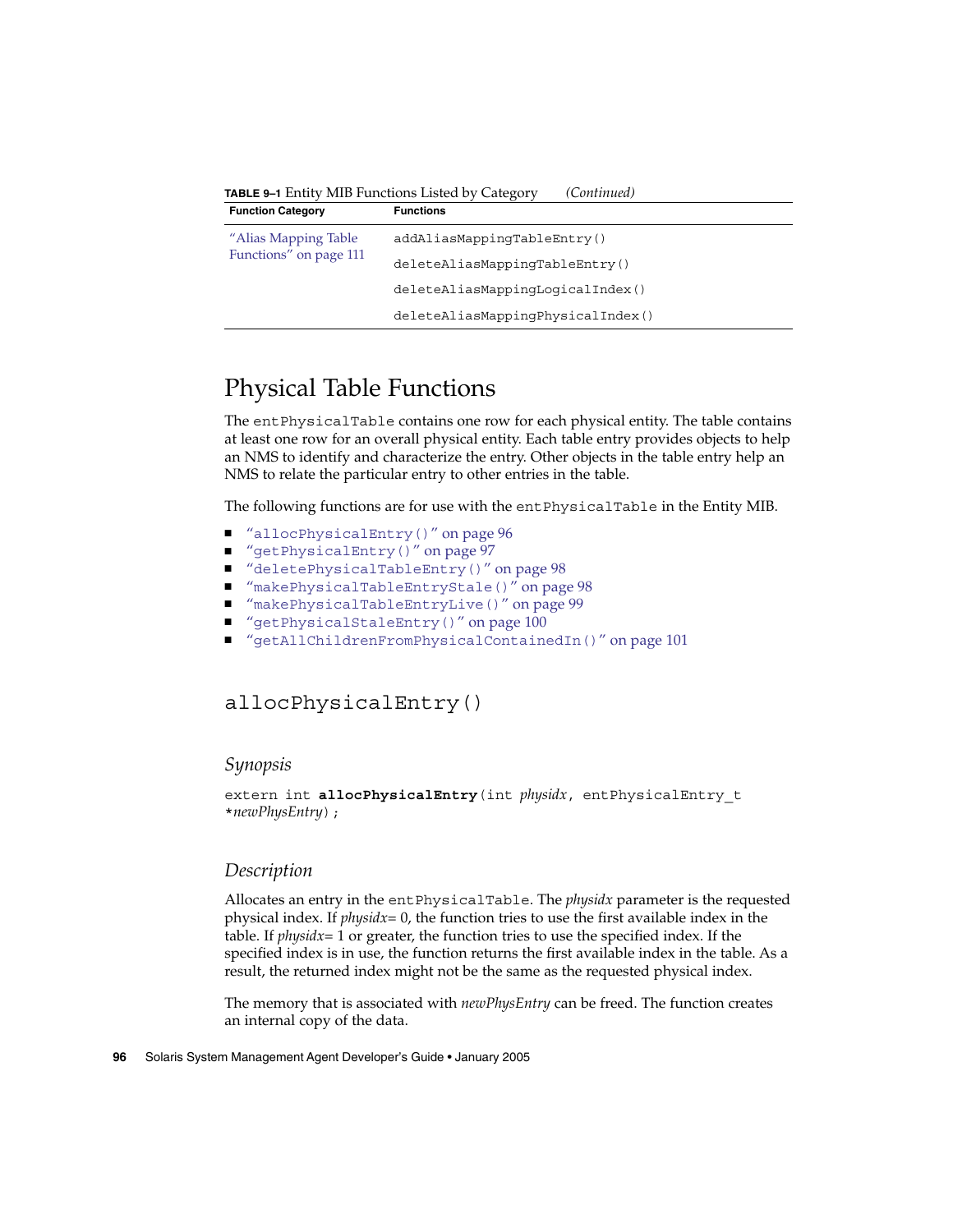<span id="page-95-0"></span>

| <b>Function Category</b> | <b>Functions</b>                  |
|--------------------------|-----------------------------------|
| "Alias Mapping Table"    | addAliasMappingTableEntry()       |
| Functions" on page 111   | deleteAliasMappingTableEntry()    |
|                          | deleteAliasMappinqLoqicalIndex()  |
|                          | deleteAliasMappinqPhysicalIndex() |

## Physical Table Functions

The entPhysicalTable contains one row for each physical entity. The table contains at least one row for an overall physical entity. Each table entry provides objects to help an NMS to identify and characterize the entry. Other objects in the table entry help an NMS to relate the particular entry to other entries in the table.

The following functions are for use with the entPhysicalTable in the Entity MIB.

- "allocPhysicalEntry()" on page 96
- "[getPhysicalEntry\(\)](#page-96-0)" on page 97
- "[deletePhysicalTableEntry\(\)](#page-97-0)" on page 98
- "[makePhysicalTableEntryStale\(\)](#page-97-0)" on page 98
- "[makePhysicalTableEntryLive\(\)](#page-98-0)" on page 99
- "[getPhysicalStaleEntry\(\)](#page-99-0)" on page 100
- "[getAllChildrenFromPhysicalContainedIn\(\)](#page-100-0)" on page 101

### allocPhysicalEntry()

#### *Synopsis*

extern int **allocPhysicalEntry**(int *physidx*, entPhysicalEntry\_t \**newPhysEntry*);

#### *Description*

Allocates an entry in the entPhysicalTable. The *physidx* parameter is the requested physical index. If *physidx*= 0, the function tries to use the first available index in the table. If *physidx*= 1 or greater, the function tries to use the specified index. If the specified index is in use, the function returns the first available index in the table. As a result, the returned index might not be the same as the requested physical index.

The memory that is associated with *newPhysEntry* can be freed. The function creates an internal copy of the data.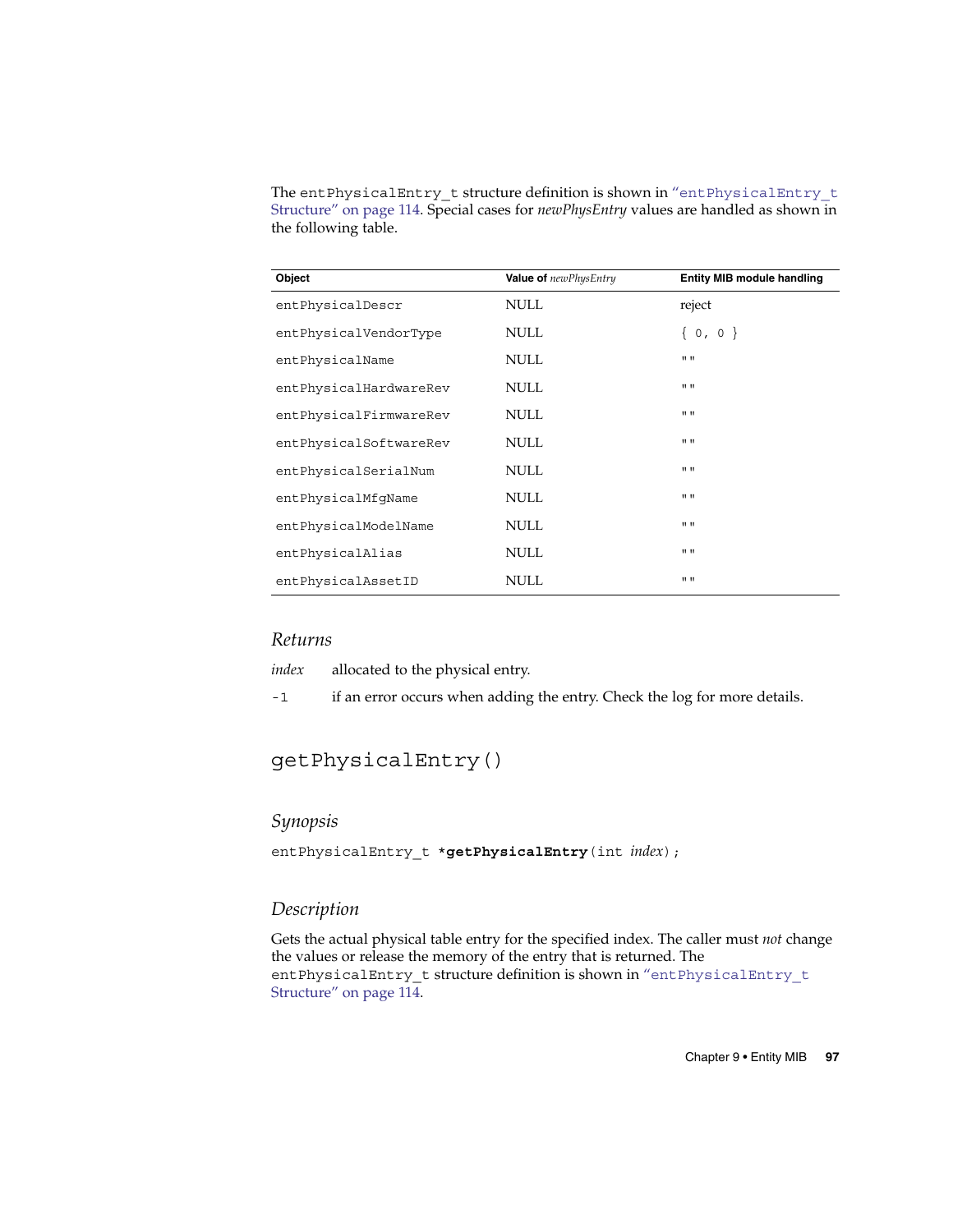<span id="page-96-0"></span>The entPhysicalEntry t structure definition is shown in "entPhysicalEntry t Structure" [on page 114.](#page-113-0) Special cases for *newPhysEntry* values are handled as shown in the following table.

| Object                 | Value of newPhysEntry | <b>Entity MIB module handling</b> |
|------------------------|-----------------------|-----------------------------------|
| entPhysicalDescr       | <b>NULL</b>           | reject                            |
| entPhysicalVendorType  | <b>NULL</b>           | $\{0, 0\}$                        |
| entPhysicalName        | <b>NULL</b>           | H H                               |
| entPhysicalHardwareRev | <b>NULL</b>           | $\mathbf{H}$                      |
| entPhysicalFirmwareRev | <b>NULL</b>           | H H                               |
| entPhysicalSoftwareRev | <b>NULL</b>           | H H                               |
| entPhysicalSerialNum   | <b>NULL</b>           | H H                               |
| entPhysicalMfqName     | <b>NULL</b>           | H H                               |
| entPhysicalModelName   | <b>NULL</b>           | H H                               |
| entPhysicalAlias       | <b>NULL</b>           | H H                               |
| entPhysicalAssetID     | <b>NULL</b>           | $\mathbf{H}$                      |

#### *Returns*

*index* allocated to the physical entry.

-1 if an error occurs when adding the entry. Check the log for more details.

## getPhysicalEntry()

#### *Synopsis*

entPhysicalEntry\_t \***getPhysicalEntry**(int *index*);

### *Description*

Gets the actual physical table entry for the specified index. The caller must *not* change the values or release the memory of the entry that is returned. The entPhysicalEntry\_t structure definition is shown in "[entPhysicalEntry\\_t](#page-113-0) Structure" [on page 114.](#page-113-0)

Chapter 9 • Entity MIB **97**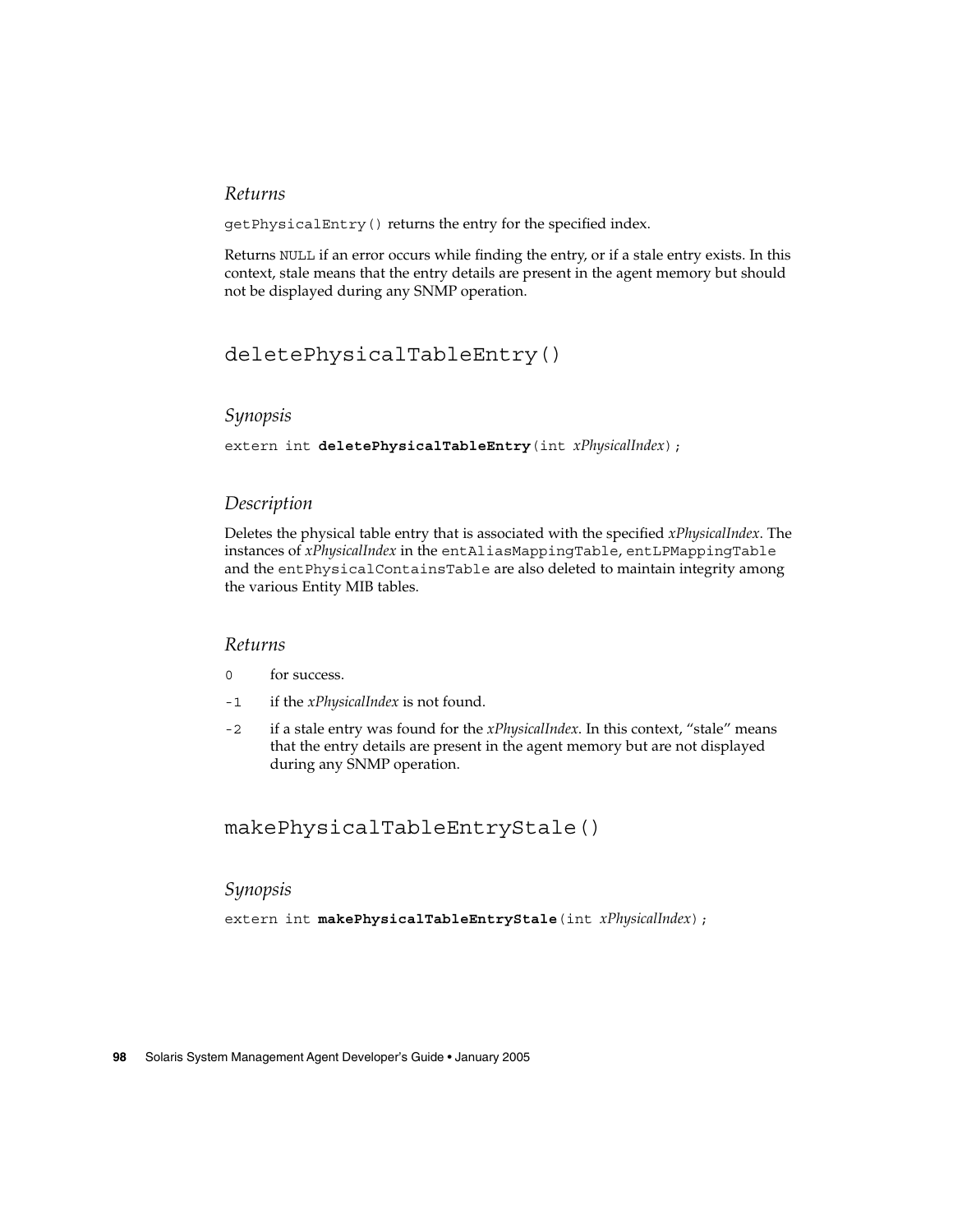#### <span id="page-97-0"></span>*Returns*

getPhysicalEntry() returns the entry for the specified index.

Returns NULL if an error occurs while finding the entry, or if a stale entry exists. In this context, stale means that the entry details are present in the agent memory but should not be displayed during any SNMP operation.

### deletePhysicalTableEntry()

#### *Synopsis*

extern int **deletePhysicalTableEntry**(int *xPhysicalIndex*);

#### *Description*

Deletes the physical table entry that is associated with the specified *xPhysicalIndex*. The instances of *xPhysicalIndex* in the entAliasMappingTable, entLPMappingTable and the entPhysicalContainsTable are also deleted to maintain integrity among the various Entity MIB tables.

#### *Returns*

- 0 for success.
- -1 if the *xPhysicalIndex* is not found.
- -2 if a stale entry was found for the *xPhysicalIndex*. In this context, "stale" means that the entry details are present in the agent memory but are not displayed during any SNMP operation.

makePhysicalTableEntryStale()

#### *Synopsis*

extern int **makePhysicalTableEntryStale**(int *xPhysicalIndex*);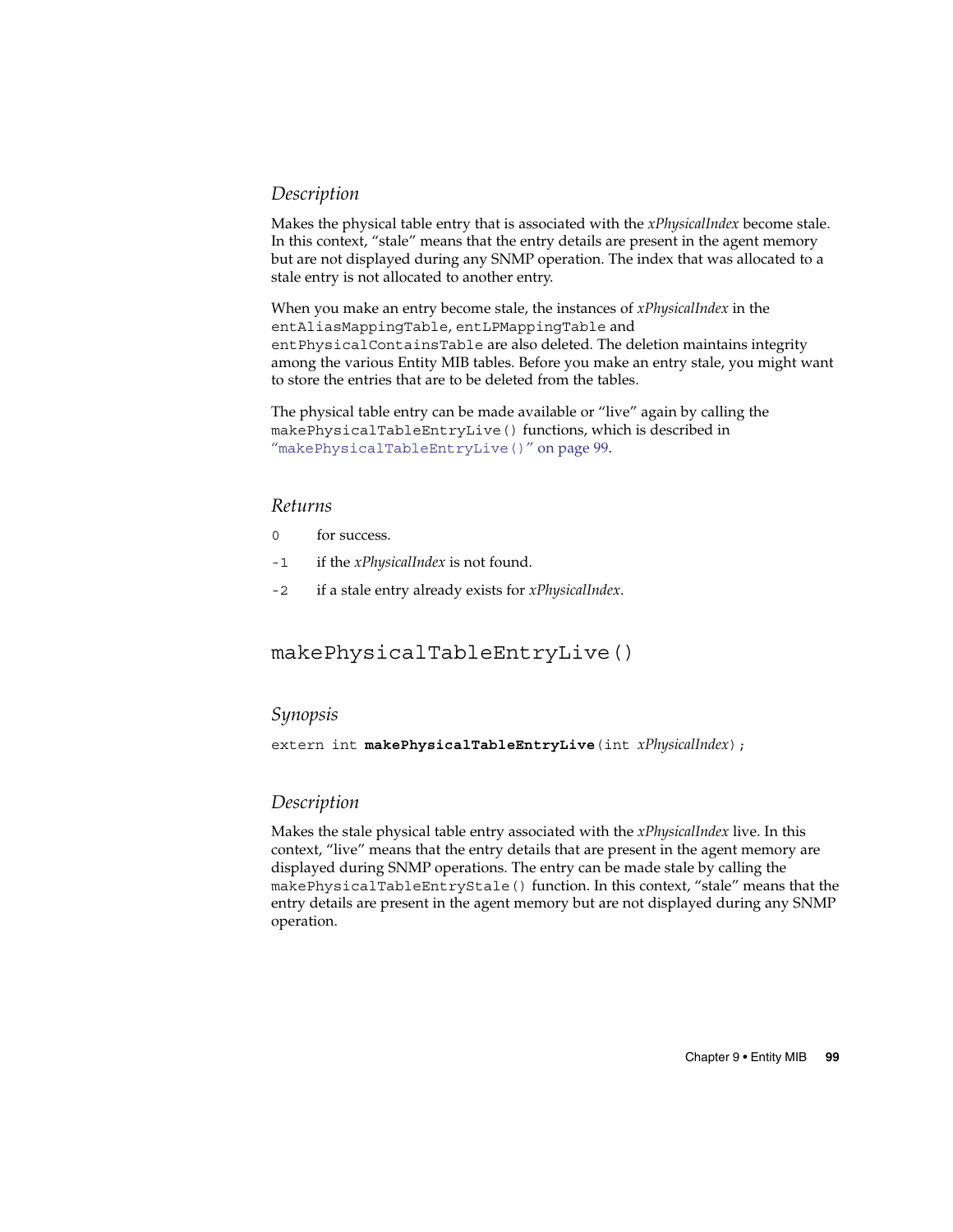<span id="page-98-0"></span>Makes the physical table entry that is associated with the *xPhysicalIndex* become stale. In this context, "stale" means that the entry details are present in the agent memory but are not displayed during any SNMP operation. The index that was allocated to a stale entry is not allocated to another entry.

When you make an entry become stale, the instances of *xPhysicalIndex* in the entAliasMappingTable, entLPMappingTable and entPhysicalContainsTable are also deleted. The deletion maintains integrity among the various Entity MIB tables. Before you make an entry stale, you might want to store the entries that are to be deleted from the tables.

The physical table entry can be made available or "live" again by calling the makePhysicalTableEntryLive() functions, which is described in "makePhysicalTableEntryLive()" on page 99.

#### *Returns*

- 0 for success.
- -1 if the *xPhysicalIndex* is not found.
- -2 if a stale entry already exists for *xPhysicalIndex*.

### makePhysicalTableEntryLive()

#### *Synopsis*

extern int **makePhysicalTableEntryLive**(int *xPhysicalIndex*);

### *Description*

Makes the stale physical table entry associated with the *xPhysicalIndex* live. In this context, "live" means that the entry details that are present in the agent memory are displayed during SNMP operations. The entry can be made stale by calling the makePhysicalTableEntryStale() function. In this context, "stale" means that the entry details are present in the agent memory but are not displayed during any SNMP operation.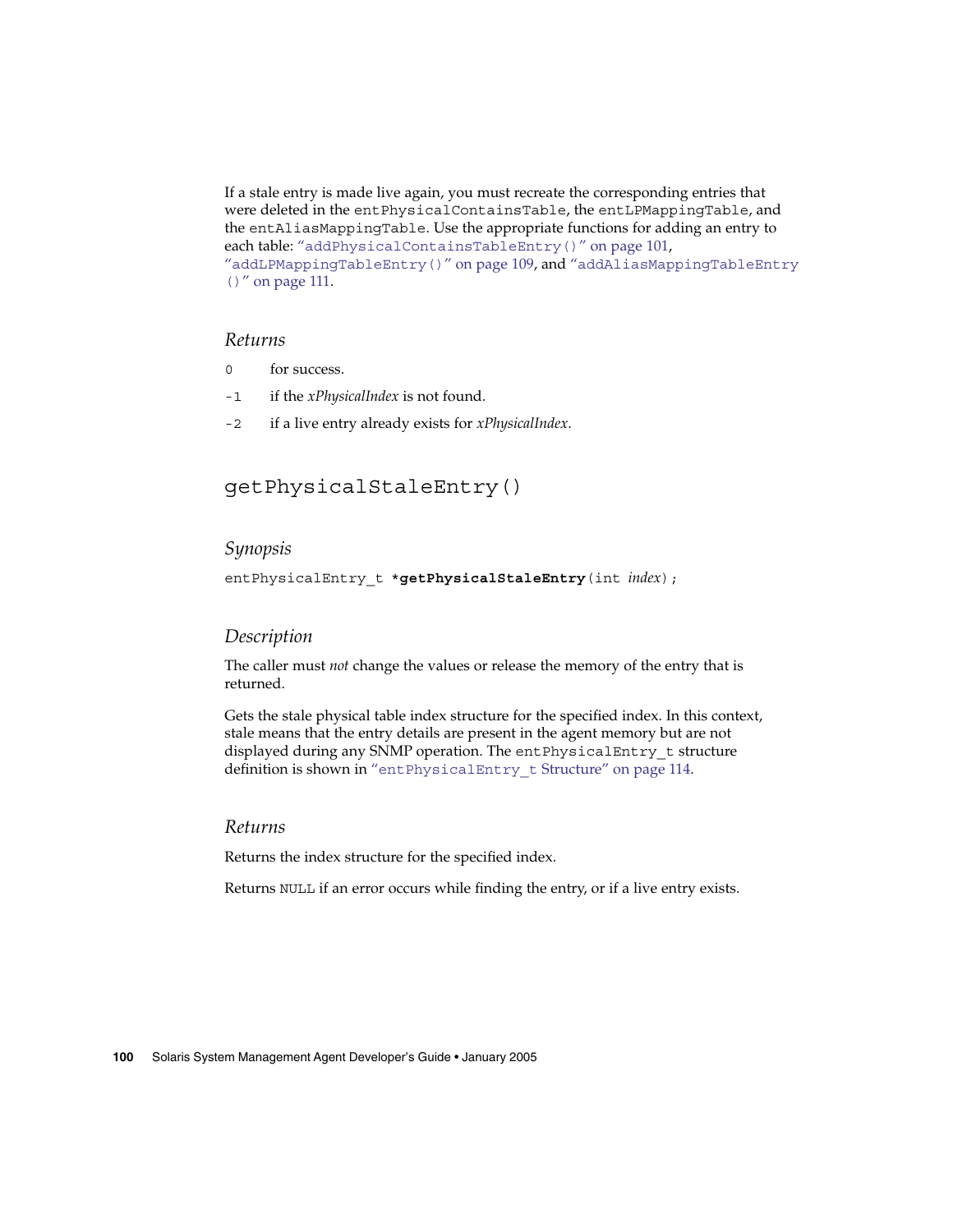<span id="page-99-0"></span>If a stale entry is made live again, you must recreate the corresponding entries that were deleted in the entPhysicalContainsTable, the entLPMappingTable, and the entAliasMappingTable. Use the appropriate functions for adding an entry to each table: "[addPhysicalContainsTableEntry\(\)](#page-100-0)" on page 101, "[addLPMappingTableEntry\(\)](#page-108-0)" on page 109, and "[addAliasMappingTableEntry](#page-110-0) ()" [on page 111.](#page-110-0)

#### *Returns*

- 0 for success.
- -1 if the *xPhysicalIndex* is not found.
- -2 if a live entry already exists for *xPhysicalIndex*.

### getPhysicalStaleEntry()

#### *Synopsis*

entPhysicalEntry\_t \***getPhysicalStaleEntry**(int *index*);

#### *Description*

The caller must *not* change the values or release the memory of the entry that is returned.

Gets the stale physical table index structure for the specified index. In this context, stale means that the entry details are present in the agent memory but are not displayed during any SNMP operation. The entPhysicalEntry t structure definition is shown in "[entPhysicalEntry\\_t](#page-113-0) Structure" on page 114.

#### *Returns*

Returns the index structure for the specified index.

Returns NULL if an error occurs while finding the entry, or if a live entry exists.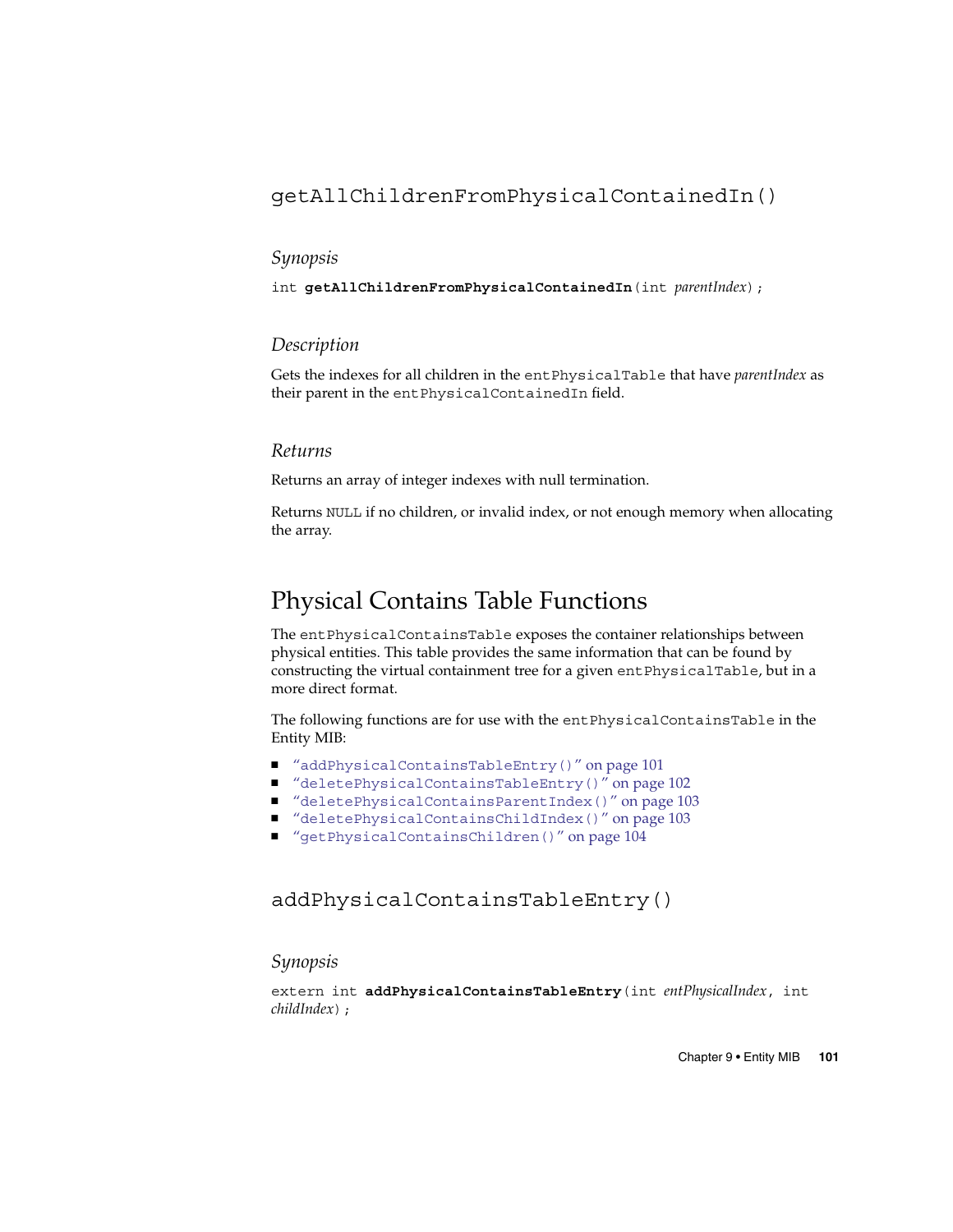## <span id="page-100-0"></span>getAllChildrenFromPhysicalContainedIn()

#### *Synopsis*

int **getAllChildrenFromPhysicalContainedIn**(int *parentIndex*);

#### *Description*

Gets the indexes for all children in the entPhysicalTable that have *parentIndex* as their parent in the entPhysicalContainedIn field.

#### *Returns*

Returns an array of integer indexes with null termination.

Returns NULL if no children, or invalid index, or not enough memory when allocating the array.

## Physical Contains Table Functions

The entPhysicalContainsTable exposes the container relationships between physical entities. This table provides the same information that can be found by constructing the virtual containment tree for a given entPhysicalTable, but in a more direct format.

The following functions are for use with the entPhysicalContainsTable in the Entity MIB:

- "addPhysicalContainsTableEntry()" on page 101
- "[deletePhysicalContainsTableEntry\(\)](#page-101-0)" on page 102
- "[deletePhysicalContainsParentIndex\(\)](#page-102-0)" on page 103
- "[deletePhysicalContainsChildIndex\(\)](#page-102-0)" on page 103
- "[getPhysicalContainsChildren\(\)](#page-103-0)" on page 104

### addPhysicalContainsTableEntry()

#### *Synopsis*

extern int **addPhysicalContainsTableEntry**(int *entPhysicalIndex*, int *childIndex*);

Chapter 9 • Entity MIB **101**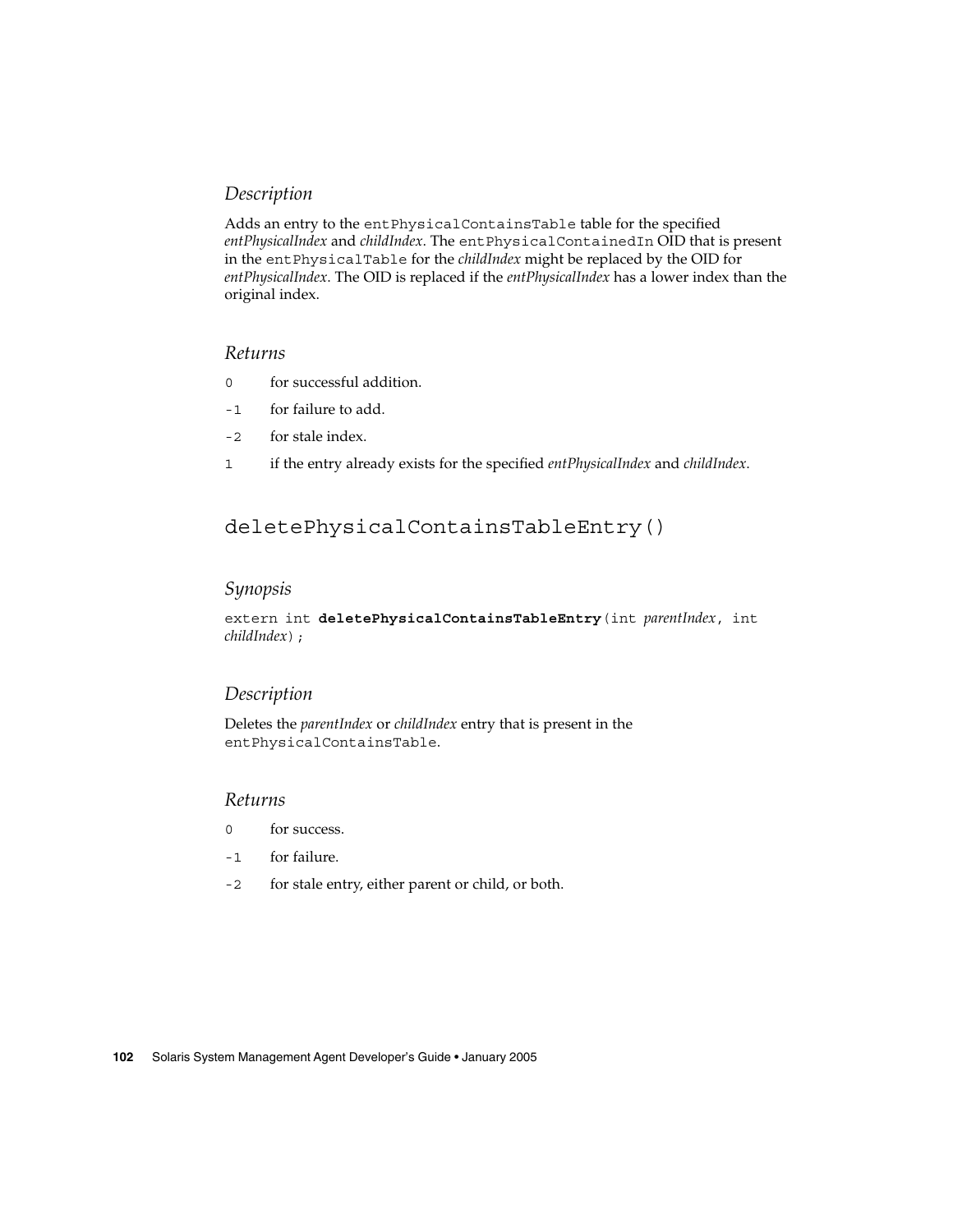<span id="page-101-0"></span>Adds an entry to the entPhysicalContainsTable table for the specified *entPhysicalIndex* and *childIndex*. The entPhysicalContainedIn OID that is present in the entPhysicalTable for the *childIndex* might be replaced by the OID for *entPhysicalIndex*. The OID is replaced if the *entPhysicalIndex* has a lower index than the original index.

#### *Returns*

- 0 for successful addition.
- -1 for failure to add.
- -2 for stale index.
- 1 if the entry already exists for the specified *entPhysicalIndex* and *childIndex*.

## deletePhysicalContainsTableEntry()

### *Synopsis*

extern int **deletePhysicalContainsTableEntry**(int *parentIndex*, int *childIndex*);

#### *Description*

Deletes the *parentIndex* or *childIndex* entry that is present in the entPhysicalContainsTable.

#### *Returns*

- 0 for success.
- -1 for failure.
- -2 for stale entry, either parent or child, or both.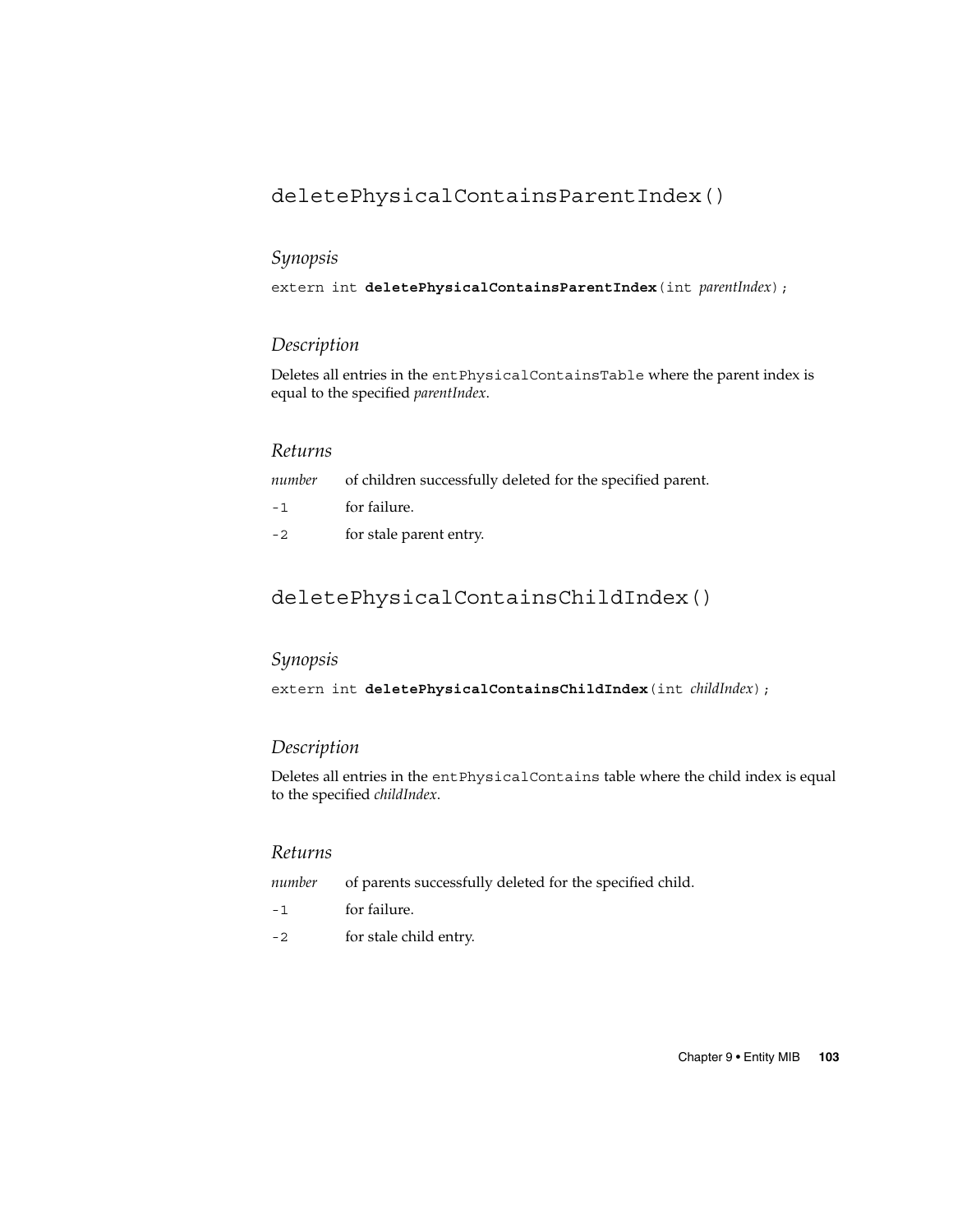## <span id="page-102-0"></span>deletePhysicalContainsParentIndex()

#### *Synopsis*

extern int **deletePhysicalContainsParentIndex**(int *parentIndex*);

#### *Description*

Deletes all entries in the entPhysicalContainsTable where the parent index is equal to the specified *parentIndex*.

#### *Returns*

*number* of children successfully deleted for the specified parent.

- -1 for failure.
- -2 for stale parent entry.

## deletePhysicalContainsChildIndex()

#### *Synopsis*

extern int **deletePhysicalContainsChildIndex**(int *childIndex*);

#### *Description*

Deletes all entries in the entPhysicalContains table where the child index is equal to the specified *childIndex*.

#### *Returns*

| of parents successfully deleted for the specified child.<br>number |  |  |
|--------------------------------------------------------------------|--|--|
|--------------------------------------------------------------------|--|--|

- -1 for failure.
- -2 for stale child entry.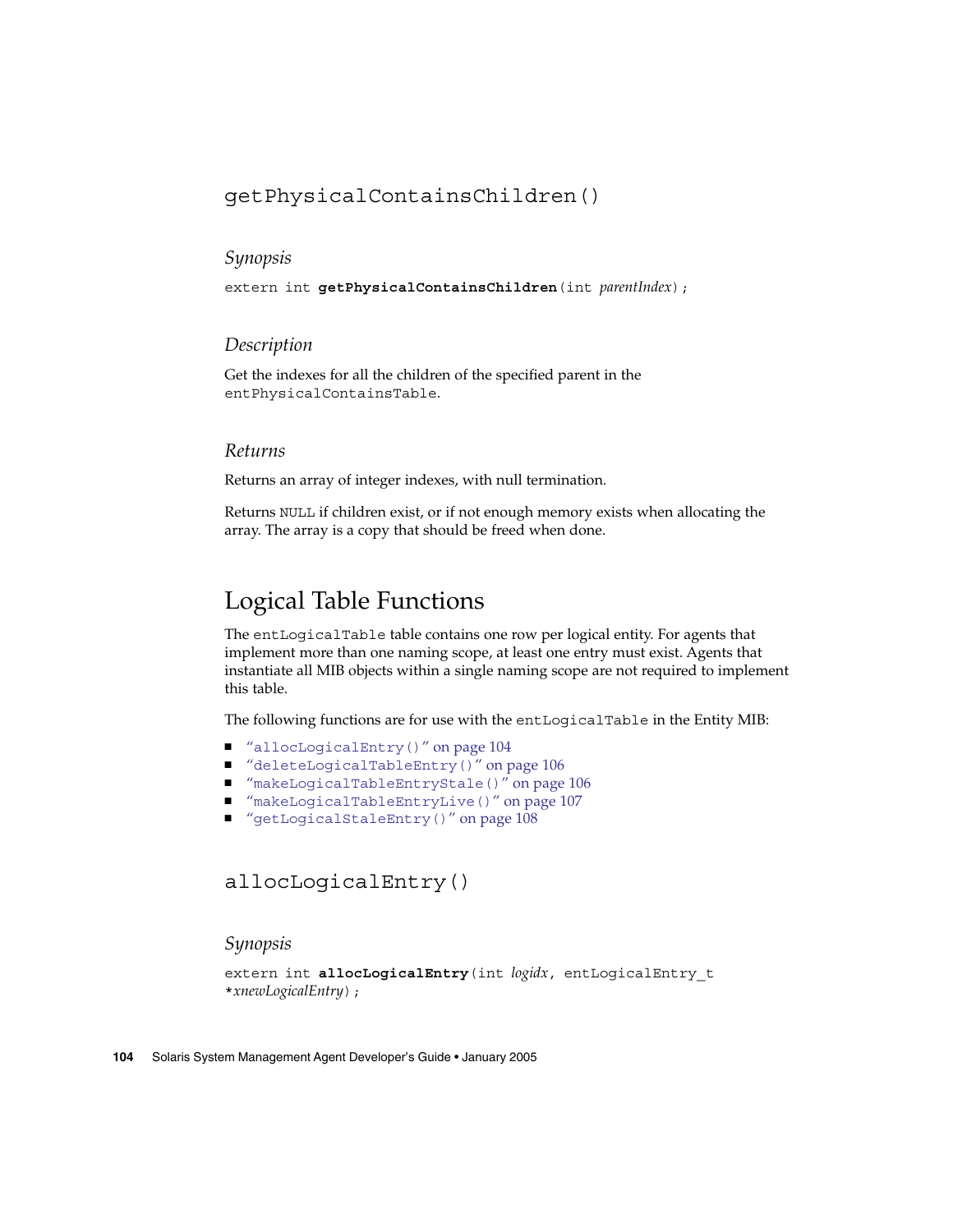### <span id="page-103-0"></span>getPhysicalContainsChildren()

#### *Synopsis*

extern int **getPhysicalContainsChildren**(int *parentIndex*);

#### *Description*

Get the indexes for all the children of the specified parent in the entPhysicalContainsTable.

#### *Returns*

Returns an array of integer indexes, with null termination.

Returns NULL if children exist, or if not enough memory exists when allocating the array. The array is a copy that should be freed when done.

## Logical Table Functions

The entLogicalTable table contains one row per logical entity. For agents that implement more than one naming scope, at least one entry must exist. Agents that instantiate all MIB objects within a single naming scope are not required to implement this table.

The following functions are for use with the entLogicalTable in the Entity MIB:

- "allocLogicalEntry()" on page 104
- "[deleteLogicalTableEntry\(\)](#page-105-0)" on page 106
- "[makeLogicalTableEntryStale\(\)](#page-105-0)" on page 106
- "[makeLogicalTableEntryLive\(\)](#page-106-0)" on page 107
- "[getLogicalStaleEntry\(\)](#page-107-0)" on page 108

### allocLogicalEntry()

#### *Synopsis*

extern int **allocLogicalEntry**(int *logidx*, entLogicalEntry\_t \**xnewLogicalEntry*);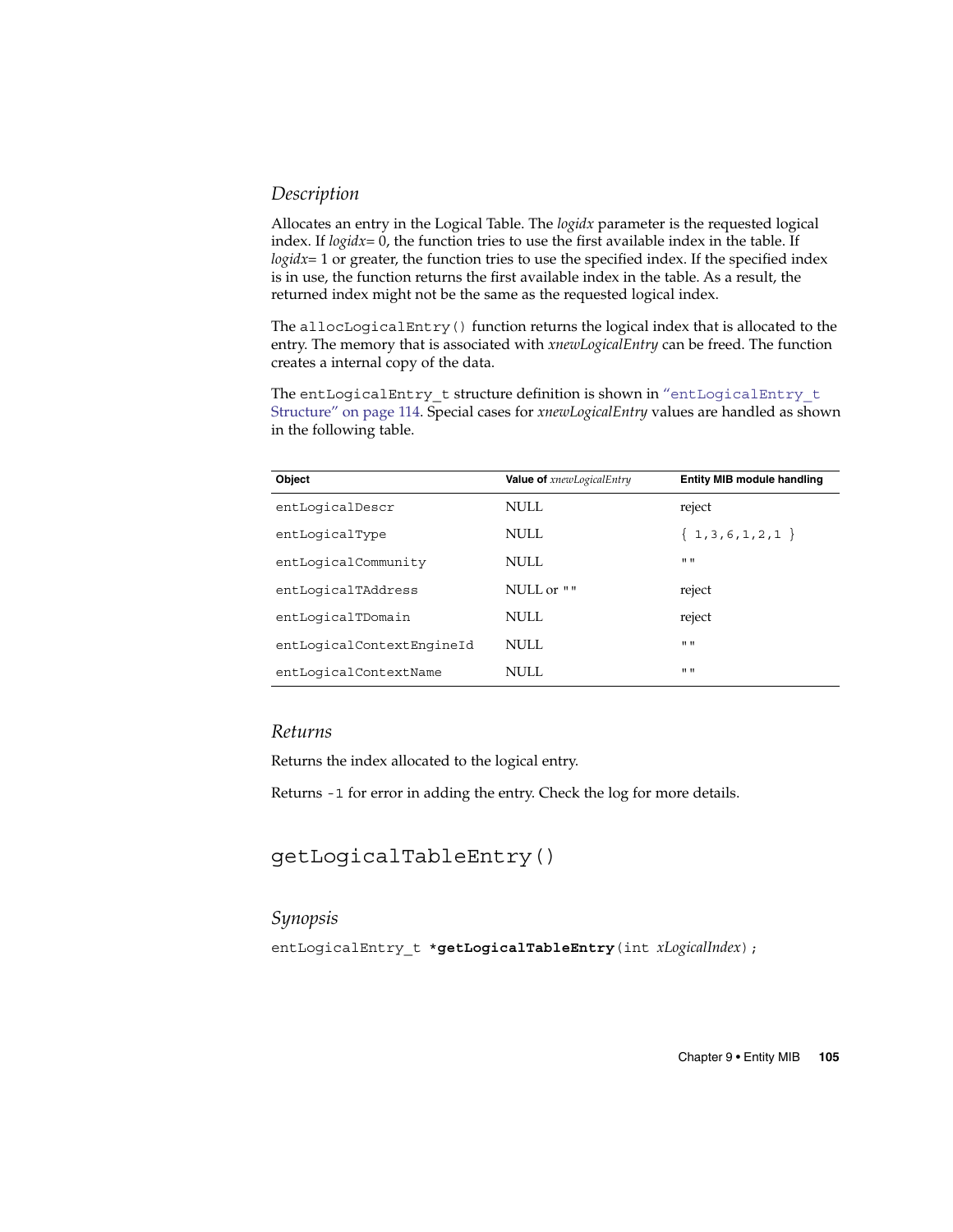Allocates an entry in the Logical Table. The *logidx* parameter is the requested logical index. If *logidx*= 0, the function tries to use the first available index in the table. If *logidx*= 1 or greater, the function tries to use the specified index. If the specified index is in use, the function returns the first available index in the table. As a result, the returned index might not be the same as the requested logical index.

The allocLogicalEntry() function returns the logical index that is allocated to the entry. The memory that is associated with *xnewLogicalEntry* can be freed. The function creates a internal copy of the data.

The entLogicalEntry\_t structure definition is shown in "[entLogicalEntry\\_t](#page-113-0) Structure" [on page 114.](#page-113-0) Special cases for *xnewLogicalEntry* values are handled as shown in the following table.

| <b>Object</b>             | <b>Value of</b> xnewLogicalEntry | <b>Entity MIB module handling</b> |
|---------------------------|----------------------------------|-----------------------------------|
| entLogicalDescr           | <b>NULL</b>                      | reject                            |
| entLoqicalType            | NULL.                            | $\{1,3,6,1,2,1\}$                 |
| entLoqicalCommunity       | <b>NULL</b>                      | $\mathbf{H}$                      |
| entLogicalTAddress        | NULL or ""                       | reject                            |
| entLogicalTDomain         | NULL.                            | reject                            |
| entLogicalContextEngineId | NULL.                            | $\mathbf{H}$                      |
| entLogicalContextName     | NULL.                            | 11 H                              |

#### *Returns*

Returns the index allocated to the logical entry.

Returns -1 for error in adding the entry. Check the log for more details.

```
getLogicalTableEntry()
```
#### *Synopsis*

entLogicalEntry\_t \***getLogicalTableEntry**(int *xLogicalIndex*);

Chapter 9 • Entity MIB **105**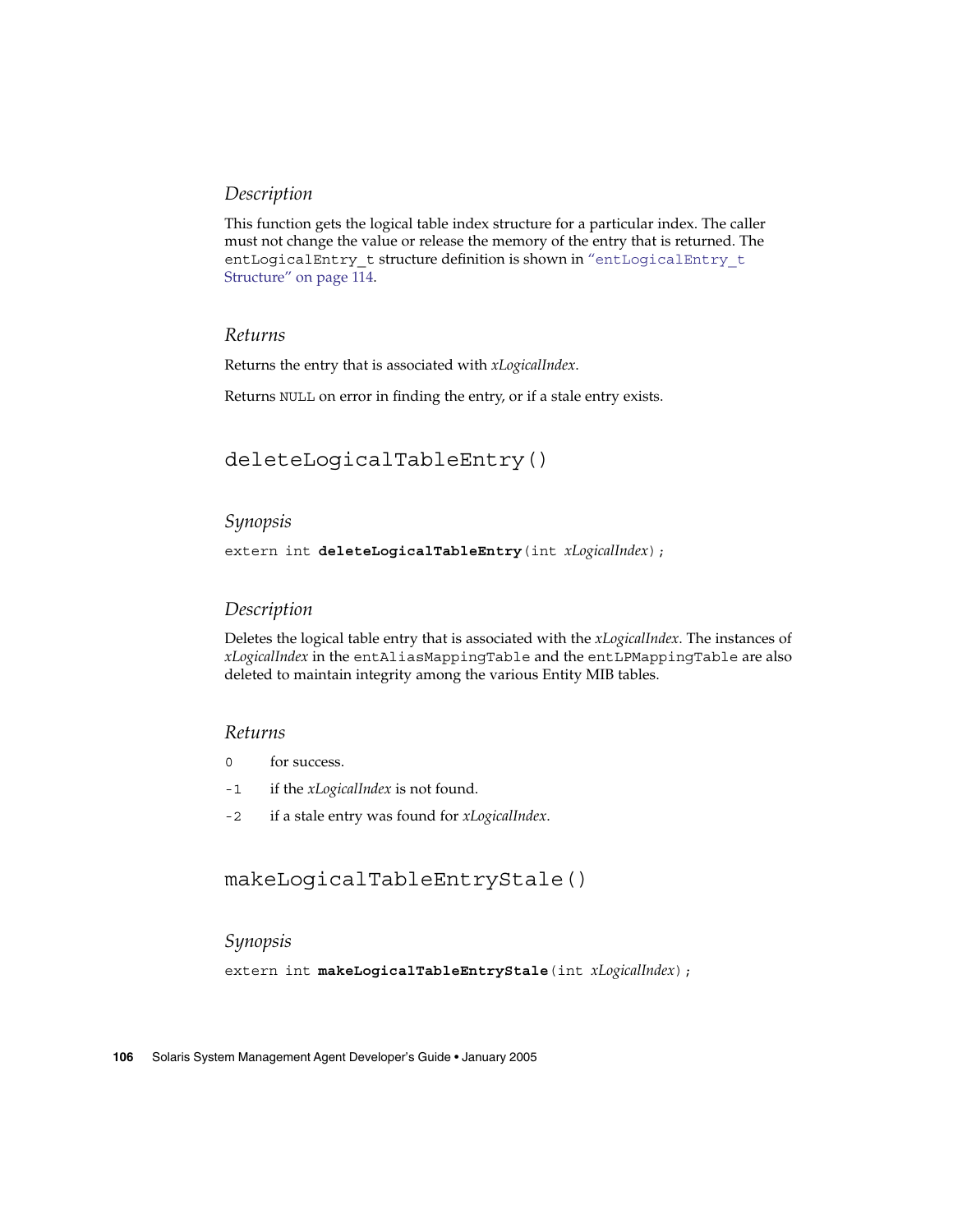<span id="page-105-0"></span>This function gets the logical table index structure for a particular index. The caller must not change the value or release the memory of the entry that is returned. The entLogicalEntry\_t structure definition is shown in "[entLogicalEntry\\_t](#page-113-0) Structure" [on page 114.](#page-113-0)

#### *Returns*

Returns the entry that is associated with *xLogicalIndex*.

Returns NULL on error in finding the entry, or if a stale entry exists.

## deleteLogicalTableEntry()

#### *Synopsis*

extern int **deleteLogicalTableEntry**(int *xLogicalIndex*);

#### *Description*

Deletes the logical table entry that is associated with the *xLogicalIndex*. The instances of *xLogicalIndex* in the entAliasMappingTable and the entLPMappingTable are also deleted to maintain integrity among the various Entity MIB tables.

#### *Returns*

- 0 for success.
- -1 if the *xLogicalIndex* is not found.
- -2 if a stale entry was found for *xLogicalIndex*.

### makeLogicalTableEntryStale()

#### *Synopsis*

extern int **makeLogicalTableEntryStale**(int *xLogicalIndex*);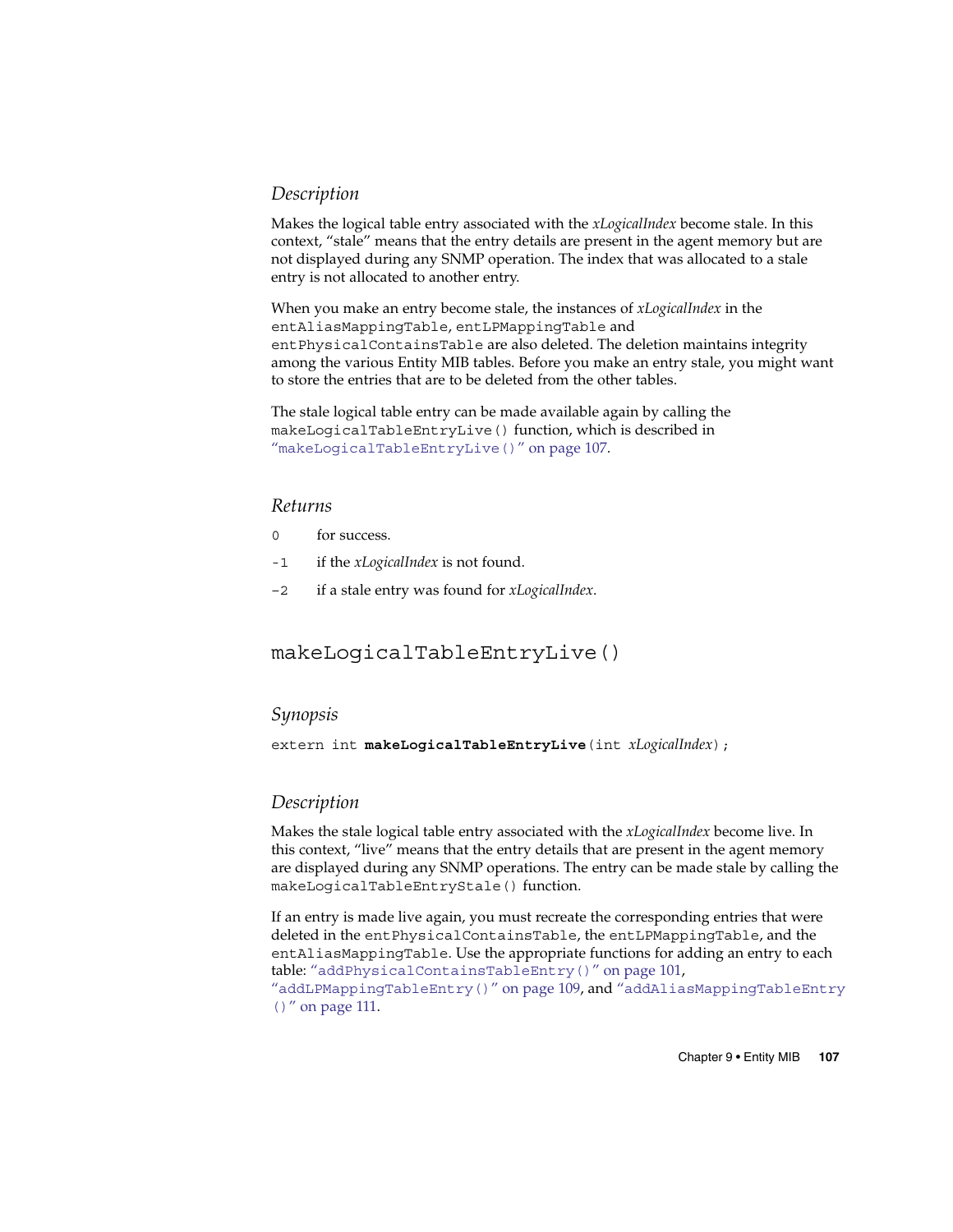<span id="page-106-0"></span>Makes the logical table entry associated with the *xLogicalIndex* become stale. In this context, "stale" means that the entry details are present in the agent memory but are not displayed during any SNMP operation. The index that was allocated to a stale entry is not allocated to another entry.

When you make an entry become stale, the instances of *xLogicalIndex* in the entAliasMappingTable, entLPMappingTable and entPhysicalContainsTable are also deleted. The deletion maintains integrity among the various Entity MIB tables. Before you make an entry stale, you might want to store the entries that are to be deleted from the other tables.

The stale logical table entry can be made available again by calling the makeLogicalTableEntryLive() function, which is described in "makeLogicalTableEntryLive()" on page 107.

#### *Returns*

- 0 for success.
- -1 if the *xLogicalIndex* is not found.
- –2 if a stale entry was found for *xLogicalIndex*.

### makeLogicalTableEntryLive()

#### *Synopsis*

extern int **makeLogicalTableEntryLive**(int *xLogicalIndex*);

### *Description*

Makes the stale logical table entry associated with the *xLogicalIndex* become live. In this context, "live" means that the entry details that are present in the agent memory are displayed during any SNMP operations. The entry can be made stale by calling the makeLogicalTableEntryStale() function.

If an entry is made live again, you must recreate the corresponding entries that were deleted in the entPhysicalContainsTable, the entLPMappingTable, and the entAliasMappingTable. Use the appropriate functions for adding an entry to each table: "[addPhysicalContainsTableEntry\(\)](#page-100-0)" on page 101, "[addLPMappingTableEntry\(\)](#page-108-0)" on page 109, and "[addAliasMappingTableEntry](#page-110-0) ()" [on page 111.](#page-110-0)

Chapter 9 • Entity MIB **107**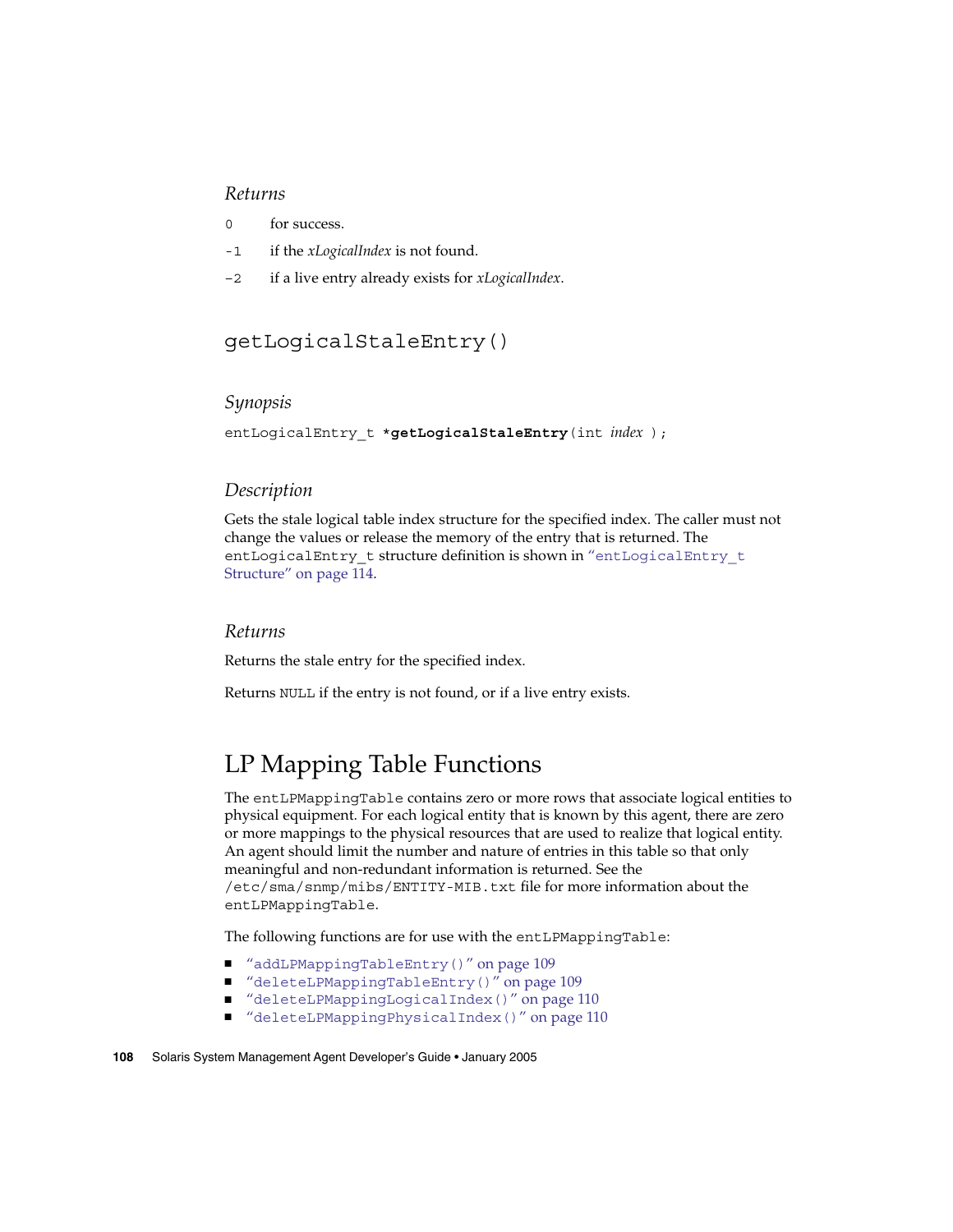#### <span id="page-107-0"></span>*Returns*

- 0 for success.
- -1 if the *xLogicalIndex* is not found.
- –2 if a live entry already exists for *xLogicalIndex*.

### getLogicalStaleEntry()

#### *Synopsis*

entLogicalEntry\_t \***getLogicalStaleEntry**(int *index* );

#### *Description*

Gets the stale logical table index structure for the specified index. The caller must not change the values or release the memory of the entry that is returned. The entLogicalEntry t structure definition is shown in "entLogicalEntry t Structure" [on page 114.](#page-113-0)

#### *Returns*

Returns the stale entry for the specified index.

Returns NULL if the entry is not found, or if a live entry exists.

## LP Mapping Table Functions

The entLPMappingTable contains zero or more rows that associate logical entities to physical equipment. For each logical entity that is known by this agent, there are zero or more mappings to the physical resources that are used to realize that logical entity. An agent should limit the number and nature of entries in this table so that only meaningful and non-redundant information is returned. See the /etc/sma/snmp/mibs/ENTITY-MIB.txt file for more information about the entLPMappingTable.

The following functions are for use with the entLPMappingTable:

- "[addLPMappingTableEntry\(\)](#page-108-0)" on page 109
- "[deleteLPMappingTableEntry\(\)](#page-108-0)" on page 109
- "[deleteLPMappingLogicalIndex\(\)](#page-109-0)" on page 110
- "[deleteLPMappingPhysicalIndex\(\)](#page-109-0)" on page 110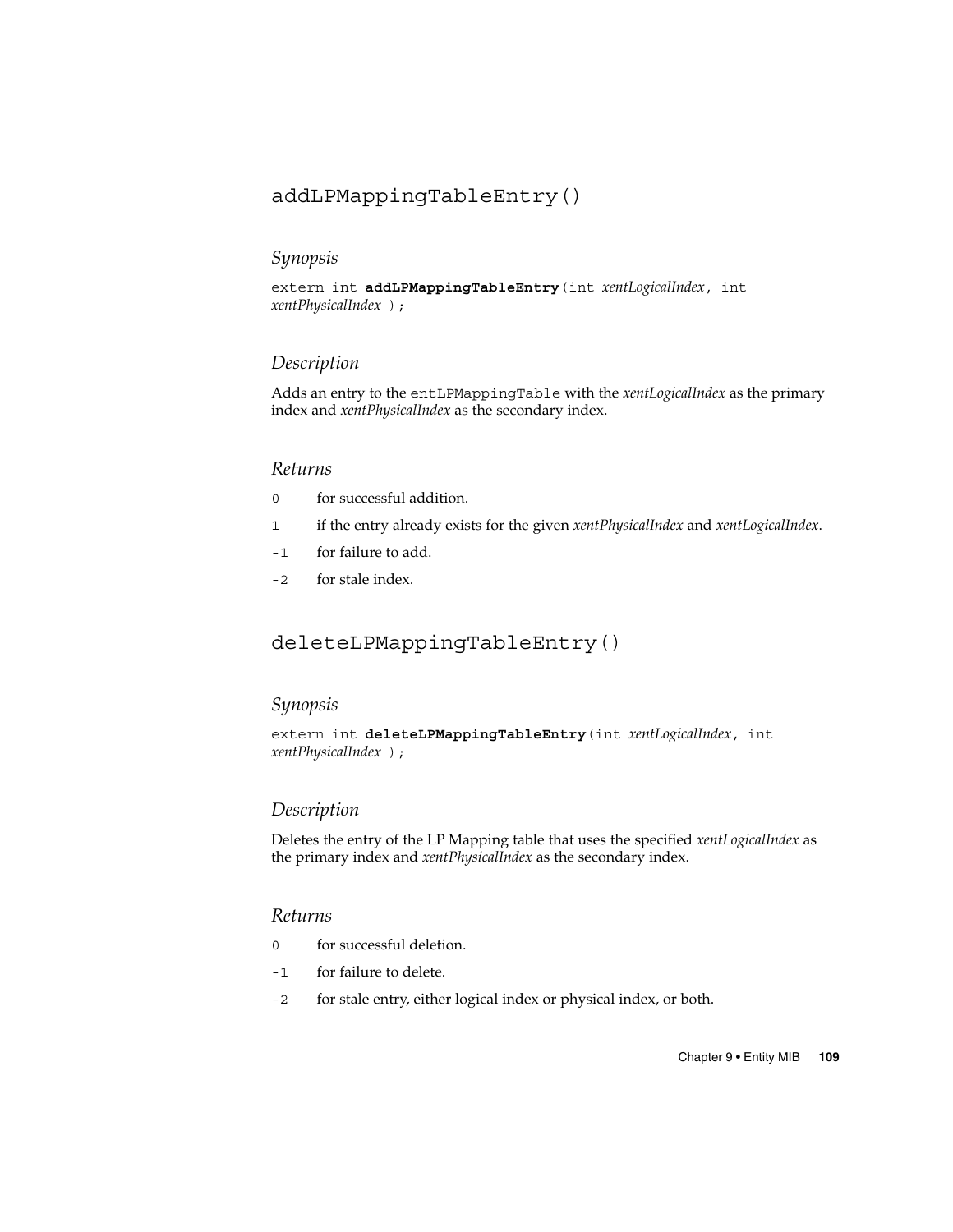### addLPMappingTableEntry()

#### *Synopsis*

extern int **addLPMappingTableEntry**(int *xentLogicalIndex*, int *xentPhysicalIndex* );

### *Description*

Adds an entry to the entLPMappingTable with the *xentLogicalIndex* as the primary index and *xentPhysicalIndex* as the secondary index.

#### *Returns*

- 0 for successful addition.
- 1 if the entry already exists for the given *xentPhysicalIndex* and *xentLogicalIndex*.
- -1 for failure to add.
- -2 for stale index.

## deleteLPMappingTableEntry()

#### *Synopsis*

extern int **deleteLPMappingTableEntry**(int *xentLogicalIndex*, int *xentPhysicalIndex* );

### *Description*

Deletes the entry of the LP Mapping table that uses the specified *xentLogicalIndex* as the primary index and *xentPhysicalIndex* as the secondary index.

#### *Returns*

- 0 for successful deletion.
- -1 for failure to delete.
- -2 for stale entry, either logical index or physical index, or both.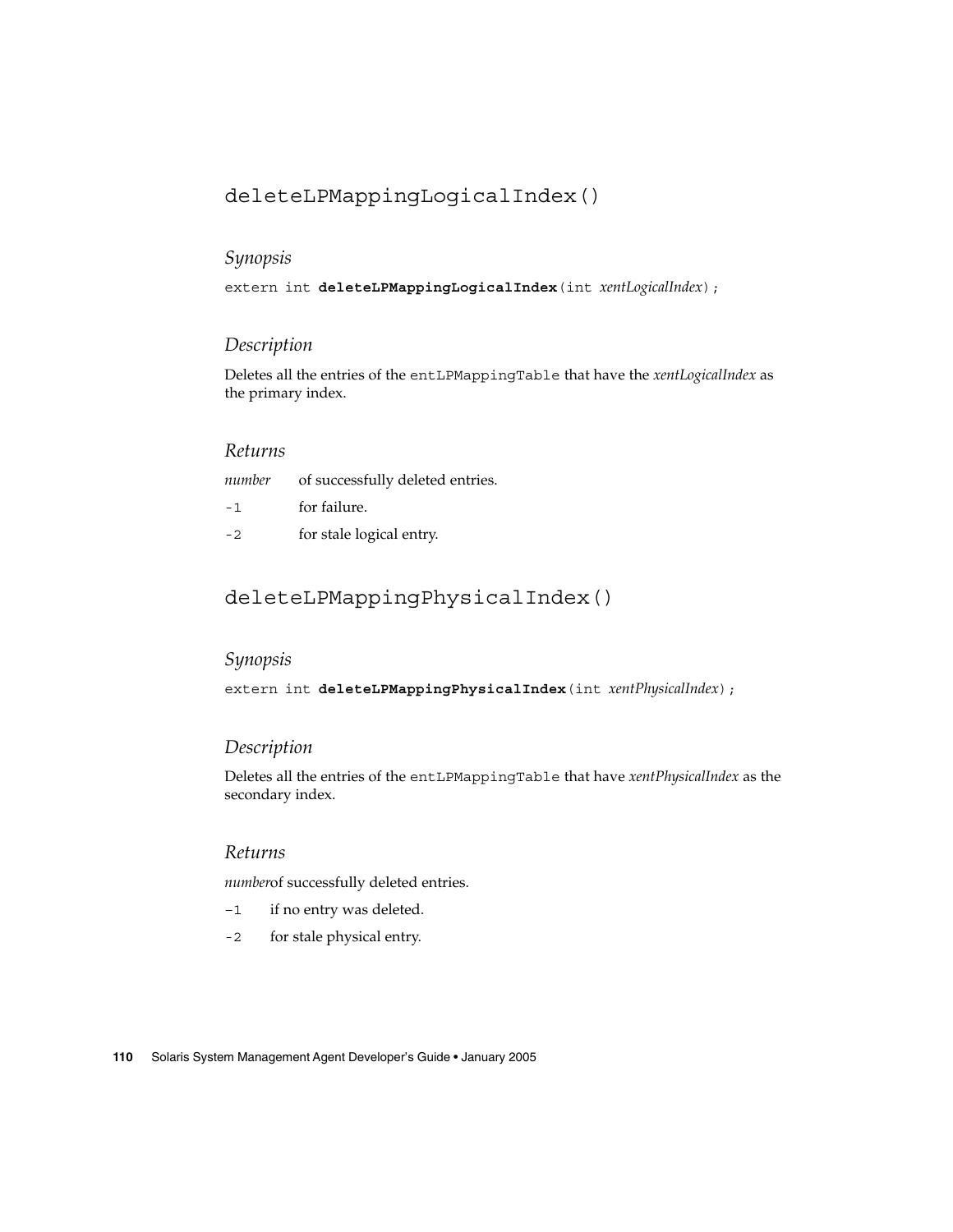## deleteLPMappingLogicalIndex()

#### *Synopsis*

extern int **deleteLPMappingLogicalIndex**(int *xentLogicalIndex*);

### *Description*

Deletes all the entries of the entLPMappingTable that have the *xentLogicalIndex* as the primary index.

#### *Returns*

|      | <i>number</i> of successfully deleted entries. |
|------|------------------------------------------------|
| $-1$ | for failure.                                   |
| $-2$ | for stale logical entry.                       |

## deleteLPMappingPhysicalIndex()

### *Synopsis*

extern int **deleteLPMappingPhysicalIndex**(int *xentPhysicalIndex*);

### *Description*

Deletes all the entries of the entLPMappingTable that have *xentPhysicalIndex* as the secondary index.

### *Returns*

*number*of successfully deleted entries.

- –1 if no entry was deleted.
- -2 for stale physical entry.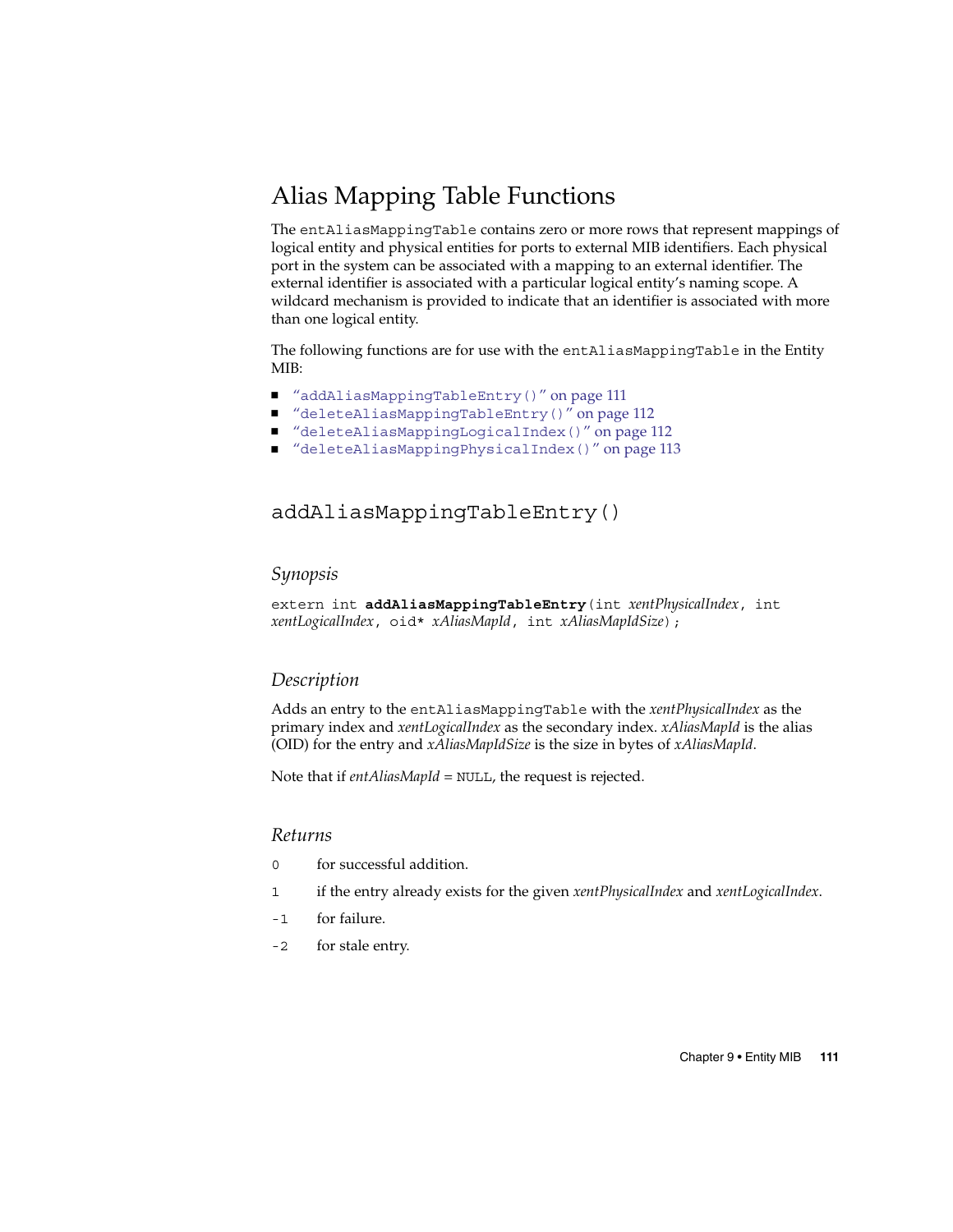## Alias Mapping Table Functions

The entAliasMappingTable contains zero or more rows that represent mappings of logical entity and physical entities for ports to external MIB identifiers. Each physical port in the system can be associated with a mapping to an external identifier. The external identifier is associated with a particular logical entity's naming scope. A wildcard mechanism is provided to indicate that an identifier is associated with more than one logical entity.

The following functions are for use with the entAliasMappingTable in the Entity MIB:

- "addAliasMappingTableEntry()" on page 111
- "[deleteAliasMappingTableEntry\(\)](#page-111-0)" on page 112
- "[deleteAliasMappingLogicalIndex\(\)](#page-111-0)" on page 112
- "[deleteAliasMappingPhysicalIndex\(\)](#page-112-0)" on page 113

## addAliasMappingTableEntry()

#### *Synopsis*

extern int **addAliasMappingTableEntry**(int *xentPhysicalIndex*, int *xentLogicalIndex*, oid\* *xAliasMapId*, int *xAliasMapIdSize*);

#### *Description*

Adds an entry to the entAliasMappingTable with the *xentPhysicalIndex* as the primary index and *xentLogicalIndex* as the secondary index. *xAliasMapId* is the alias (OID) for the entry and *xAliasMapIdSize* is the size in bytes of *xAliasMapId*.

Note that if *entAliasMapId* = NULL, the request is rejected.

#### *Returns*

- 0 for successful addition.
- 1 if the entry already exists for the given *xentPhysicalIndex* and *xentLogicalIndex*.
- -1 for failure.
- -2 for stale entry.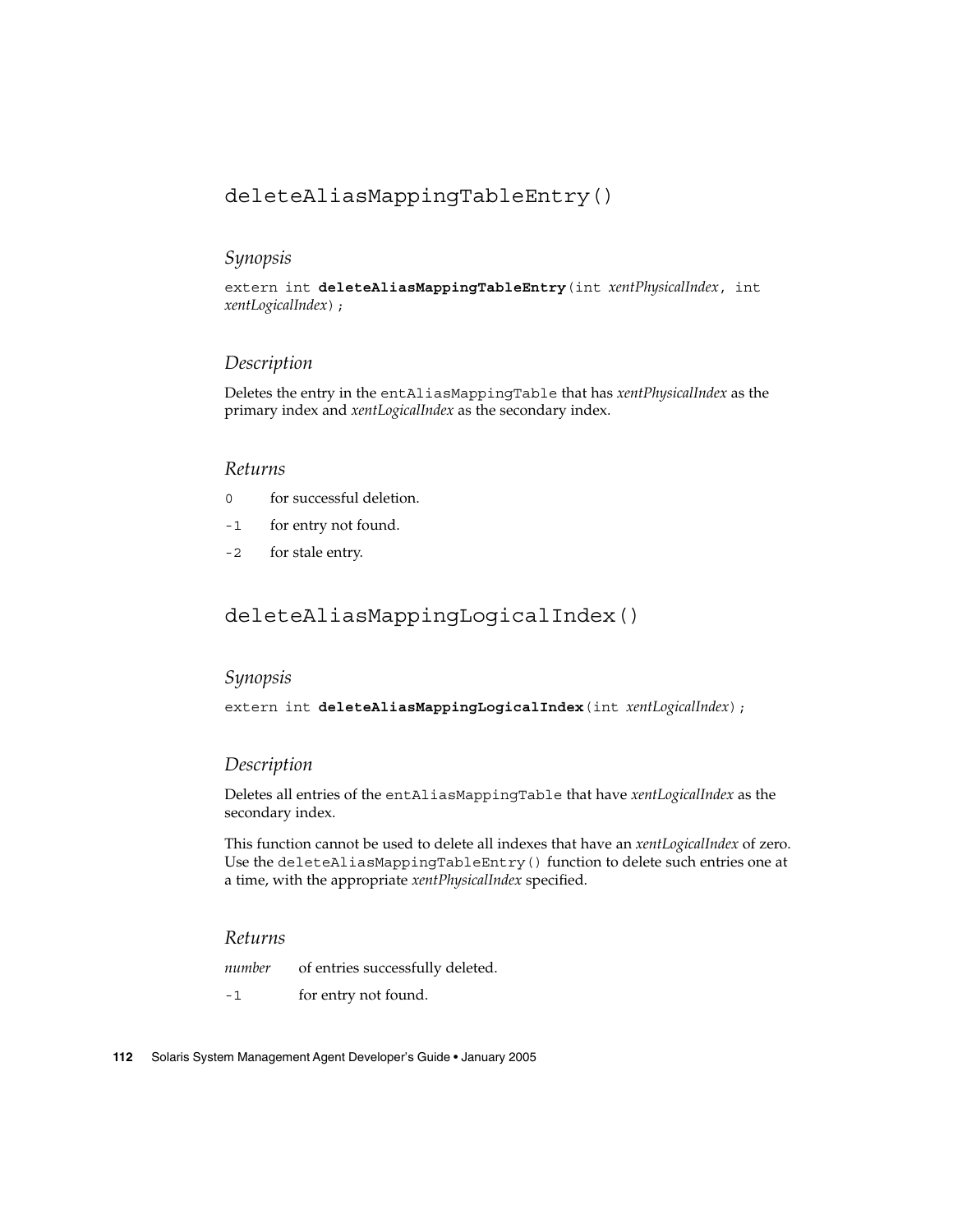## <span id="page-111-0"></span>deleteAliasMappingTableEntry()

#### *Synopsis*

extern int **deleteAliasMappingTableEntry**(int *xentPhysicalIndex*, int *xentLogicalIndex*);

#### *Description*

Deletes the entry in the entAliasMappingTable that has *xentPhysicalIndex* as the primary index and *xentLogicalIndex* as the secondary index.

#### *Returns*

- 0 for successful deletion.
- -1 for entry not found.
- -2 for stale entry.

### deleteAliasMappingLogicalIndex()

#### *Synopsis*

extern int **deleteAliasMappingLogicalIndex**(int *xentLogicalIndex*);

### *Description*

Deletes all entries of the entAliasMappingTable that have *xentLogicalIndex* as the secondary index.

This function cannot be used to delete all indexes that have an *xentLogicalIndex* of zero. Use the deleteAliasMappingTableEntry() function to delete such entries one at a time, with the appropriate *xentPhysicalIndex* specified.

#### *Returns*

| number | of entries successfully deleted. |
|--------|----------------------------------|
|        |                                  |

-1 for entry not found.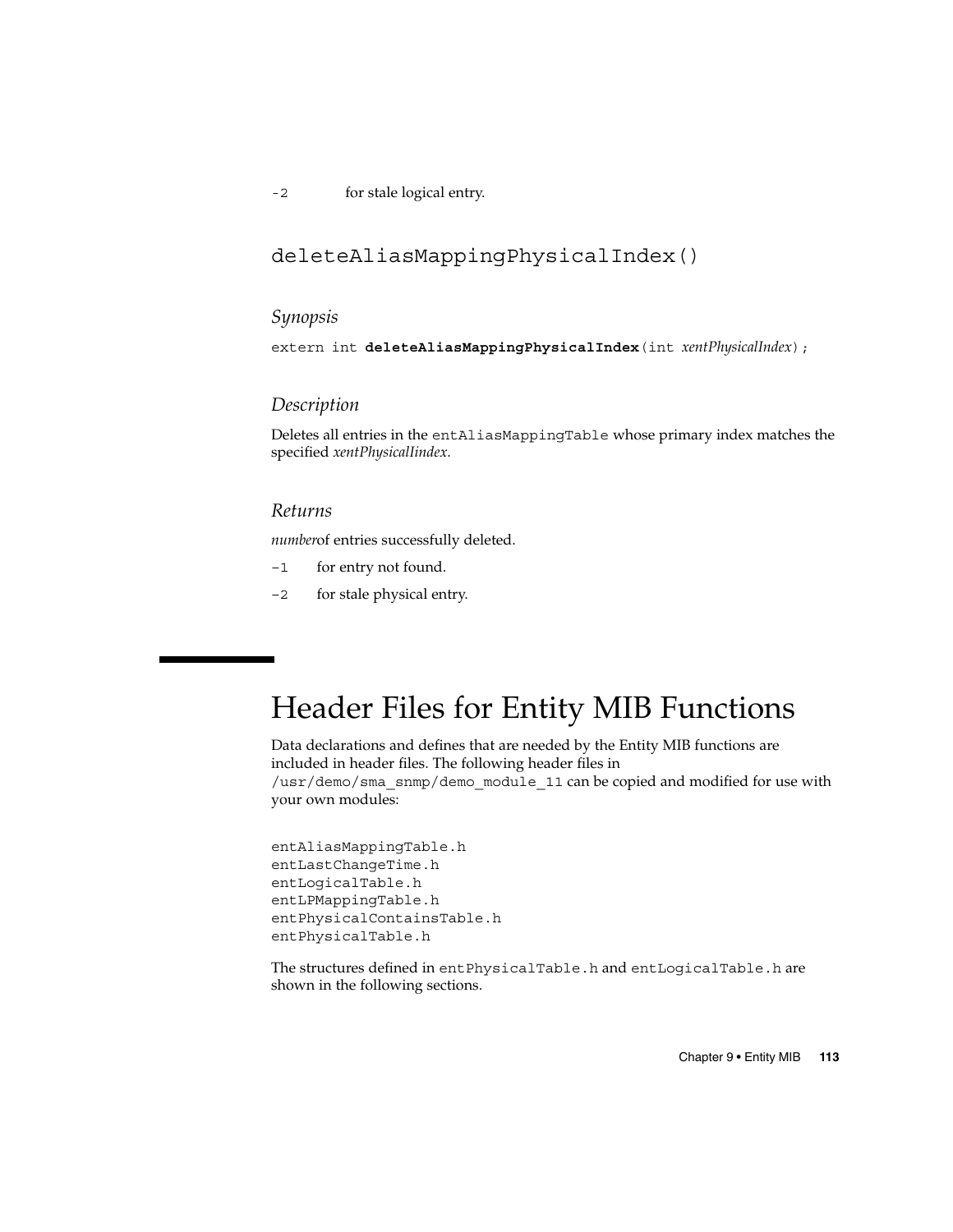<span id="page-112-0"></span>-2 for stale logical entry.

### deleteAliasMappingPhysicalIndex()

#### *Synopsis*

extern int **deleteAliasMappingPhysicalIndex**(int *xentPhysicalIndex*);

#### *Description*

Deletes all entries in the entAliasMappingTable whose primary index matches the specified *xentPhysicalIindex*.

#### *Returns*

*number*of entries successfully deleted.

- –1 for entry not found.
- –2 for stale physical entry.

## Header Files for Entity MIB Functions

Data declarations and defines that are needed by the Entity MIB functions are included in header files. The following header files in /usr/demo/sma\_snmp/demo\_module\_11 can be copied and modified for use with your own modules:

```
entAliasMappingTable.h
entLastChangeTime.h
entLogicalTable.h
entLPMappingTable.h
entPhysicalContainsTable.h
entPhysicalTable.h
```
The structures defined in entPhysicalTable.h and entLogicalTable.h are shown in the following sections.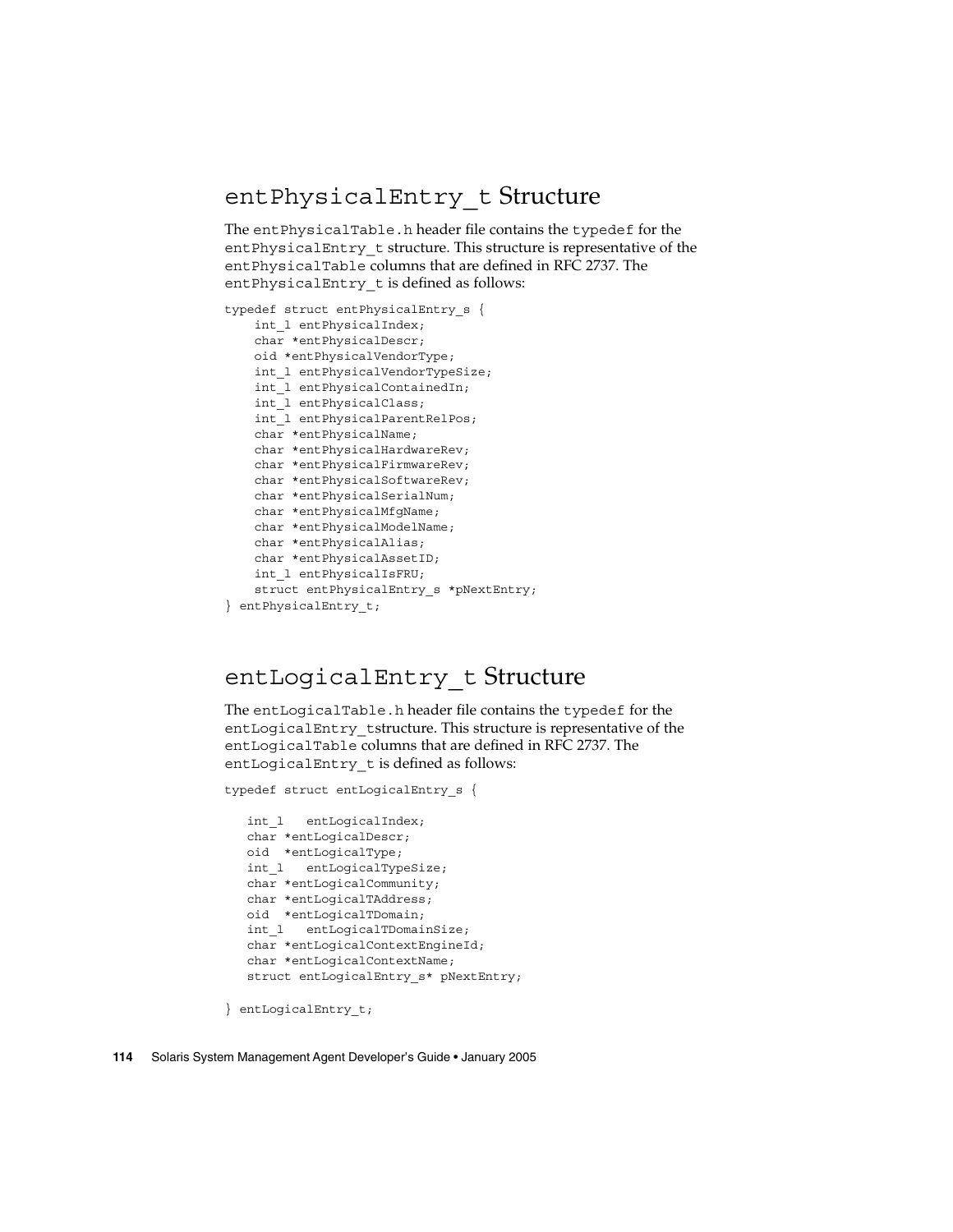## entPhysicalEntry\_t Structure

The entPhysicalTable.h header file contains the typedef for the entPhysicalEntry t structure. This structure is representative of the entPhysicalTable columns that are defined in RFC 2737. The entPhysicalEntry\_t is defined as follows:

```
typedef struct entPhysicalEntry_s {
   int_l entPhysicalIndex;
   char *entPhysicalDescr;
   oid *entPhysicalVendorType;
   int_l entPhysicalVendorTypeSize;
    int_l entPhysicalContainedIn;
    int_l entPhysicalClass;
    int 1 entPhysicalParentRelPos;
   char *entPhysicalName;
   char *entPhysicalHardwareRev;
   char *entPhysicalFirmwareRev;
   char *entPhysicalSoftwareRev;
   char *entPhysicalSerialNum;
    char *entPhysicalMfgName;
    char *entPhysicalModelName;
    char *entPhysicalAlias;
    char *entPhysicalAssetID;
    int_l entPhysicalIsFRU;
    struct entPhysicalEntry_s *pNextEntry;
} entPhysicalEntry_t;
```
## entLogicalEntry\_t Structure

The entLogicalTable.h header file contains the typedef for the entLogicalEntry\_tstructure. This structure is representative of the entLogicalTable columns that are defined in RFC 2737. The entLogicalEntry\_t is defined as follows:

```
typedef struct entLogicalEntry_s {
  int 1 entLogicalIndex;
  char *entLogicalDescr;
  oid *entLogicalType;
  int 1 entLogicalTypeSize;
  char *entLogicalCommunity;
  char *entLogicalTAddress;
  oid *entLogicalTDomain;
  int_l entLogicalTDomainSize;
  char *entLogicalContextEngineId;
  char *entLogicalContextName;
  struct entLogicalEntry_s* pNextEntry;
```

```
} entLogicalEntry_t;
```
**114** Solaris System Management Agent Developer's Guide • January 2005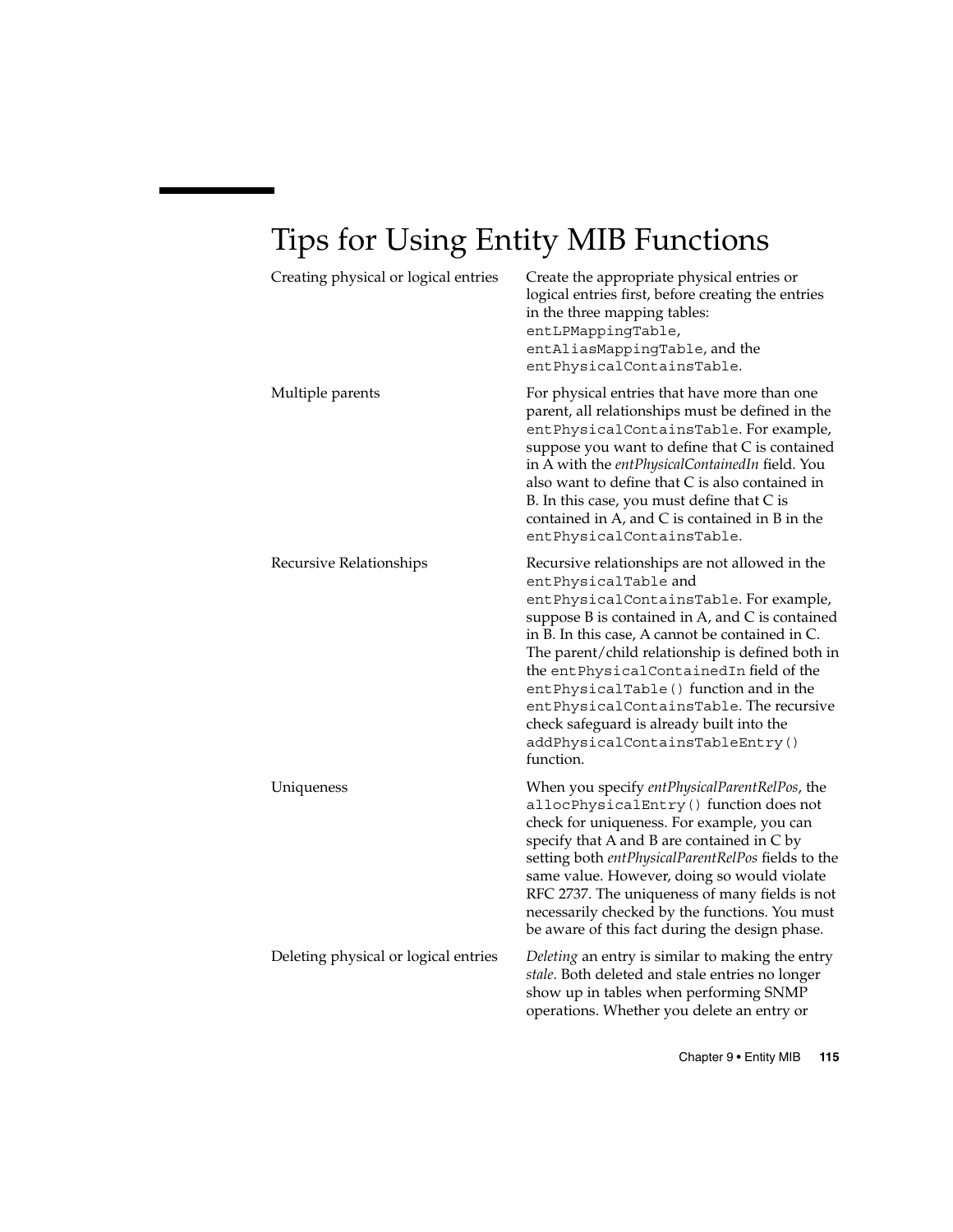# Tips for Using Entity MIB Functions

| Creating physical or logical entries | Create the appropriate physical entries or<br>logical entries first, before creating the entries<br>in the three mapping tables:<br>entLPMappingTable,<br>entAliasMappingTable, and the<br>entPhysicalContainsTable.                                                                                                                                                                                                                                                                                    |
|--------------------------------------|---------------------------------------------------------------------------------------------------------------------------------------------------------------------------------------------------------------------------------------------------------------------------------------------------------------------------------------------------------------------------------------------------------------------------------------------------------------------------------------------------------|
| Multiple parents                     | For physical entries that have more than one<br>parent, all relationships must be defined in the<br>entPhysicalContainsTable. For example,<br>suppose you want to define that C is contained<br>in A with the entPhysicalContainedIn field. You<br>also want to define that C is also contained in<br>B. In this case, you must define that C is<br>contained in A, and C is contained in B in the<br>entPhysicalContainsTable.                                                                         |
| Recursive Relationships              | Recursive relationships are not allowed in the<br>entPhysicalTable and<br>entPhysicalContainsTable. For example,<br>suppose B is contained in A, and C is contained<br>in B. In this case, A cannot be contained in C.<br>The parent/child relationship is defined both in<br>the entPhysicalContainedIn field of the<br>entPhysicalTable() function and in the<br>entPhysicalContainsTable. The recursive<br>check safeguard is already built into the<br>addPhysicalContainsTableEntry()<br>function. |
| Uniqueness                           | When you specify entPhysicalParentRelPos, the<br>allocPhysicalEntry () function does not<br>check for uniqueness. For example, you can<br>specify that A and B are contained in C by<br>setting both entPhysicalParentRelPos fields to the<br>same value. However, doing so would violate<br>RFC 2737. The uniqueness of many fields is not<br>necessarily checked by the functions. You must<br>be aware of this fact during the design phase.                                                         |
| Deleting physical or logical entries | Deleting an entry is similar to making the entry<br>stale. Both deleted and stale entries no longer<br>show up in tables when performing SNMP<br>operations. Whether you delete an entry or                                                                                                                                                                                                                                                                                                             |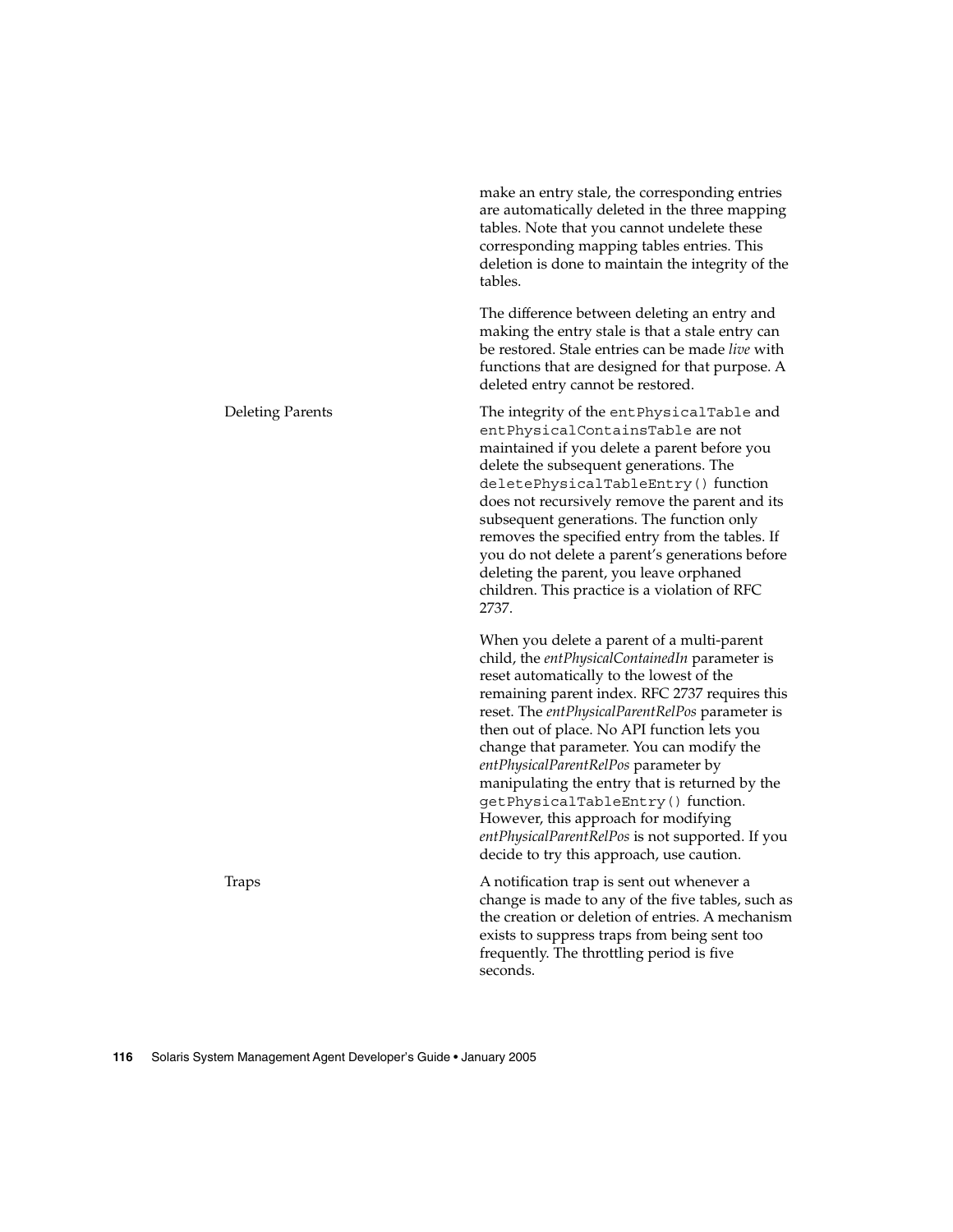|                         | corresponding mapping tables entries. This<br>deletion is done to maintain the integrity of the<br>tables.                                                                                                                                                                                                                                                                                                                                                                                                                                                                                                        |
|-------------------------|-------------------------------------------------------------------------------------------------------------------------------------------------------------------------------------------------------------------------------------------------------------------------------------------------------------------------------------------------------------------------------------------------------------------------------------------------------------------------------------------------------------------------------------------------------------------------------------------------------------------|
|                         | The difference between deleting an entry and<br>making the entry stale is that a stale entry can<br>be restored. Stale entries can be made live with<br>functions that are designed for that purpose. A<br>deleted entry cannot be restored.                                                                                                                                                                                                                                                                                                                                                                      |
| <b>Deleting Parents</b> | The integrity of the entPhysicalTable and<br>entPhysicalContainsTable are not<br>maintained if you delete a parent before you<br>delete the subsequent generations. The<br>deletePhysicalTableEntry() function<br>does not recursively remove the parent and its<br>subsequent generations. The function only<br>removes the specified entry from the tables. If<br>you do not delete a parent's generations before<br>deleting the parent, you leave orphaned<br>children. This practice is a violation of RFC<br>2737.                                                                                          |
|                         | When you delete a parent of a multi-parent<br>child, the entPhysicalContainedIn parameter is<br>reset automatically to the lowest of the<br>remaining parent index. RFC 2737 requires this<br>reset. The entPhysicalParentRelPos parameter is<br>then out of place. No API function lets you<br>change that parameter. You can modify the<br>entPhysicalParentRelPos parameter by<br>manipulating the entry that is returned by the<br>getPhysicalTableEntry() function.<br>However, this approach for modifying<br>entPhysicalParentRelPos is not supported. If you<br>decide to try this approach, use caution. |
| <b>Traps</b>            | A notification trap is sent out whenever a<br>change is made to any of the five tables, such as<br>the creation or deletion of entries. A mechanism<br>exists to suppress traps from being sent too<br>frequently. The throttling period is five<br>seconds.                                                                                                                                                                                                                                                                                                                                                      |

make an entry stale, the corresponding entries are automatically deleted in the three mapping tables. Note that you cannot undelete these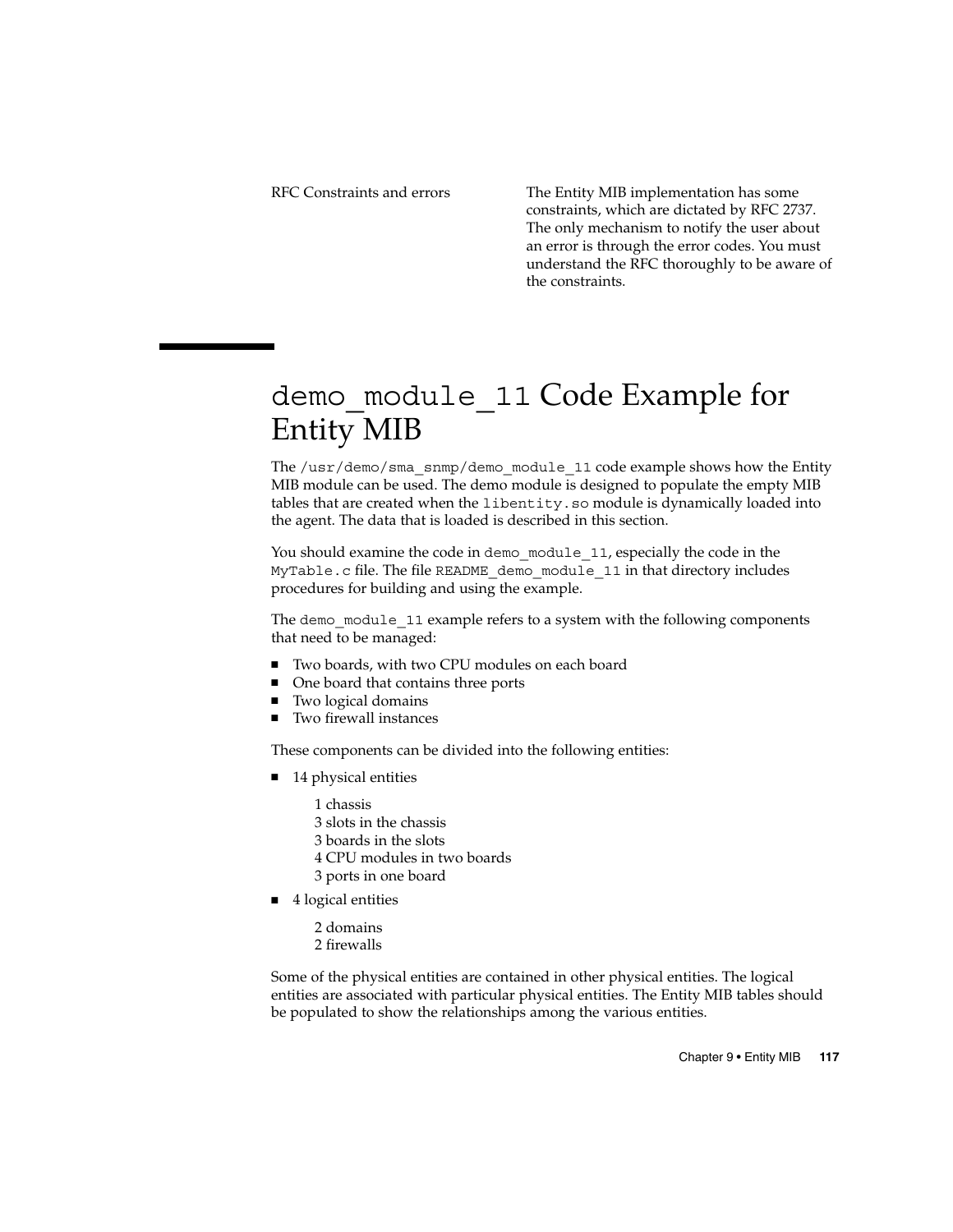RFC Constraints and errors The Entity MIB implementation has some constraints, which are dictated by RFC 2737. The only mechanism to notify the user about an error is through the error codes. You must understand the RFC thoroughly to be aware of the constraints.

## demo\_module\_11 Code Example for Entity MIB

The /usr/demo/sma\_snmp/demo\_module\_11 code example shows how the Entity MIB module can be used. The demo module is designed to populate the empty MIB tables that are created when the libentity.so module is dynamically loaded into the agent. The data that is loaded is described in this section.

You should examine the code in demo module 11, especially the code in the MyTable.c file. The file README\_demo\_module\_11 in that directory includes procedures for building and using the example.

The demo module 11 example refers to a system with the following components that need to be managed:

- Two boards, with two CPU modules on each board
- One board that contains three ports
- Two logical domains
- Two firewall instances

These components can be divided into the following entities:

- 14 physical entities
	- 1 chassis 3 slots in the chassis 3 boards in the slots 4 CPU modules in two boards 3 ports in one board
- 4 logical entities
	- 2 domains 2 firewalls

Some of the physical entities are contained in other physical entities. The logical entities are associated with particular physical entities. The Entity MIB tables should be populated to show the relationships among the various entities.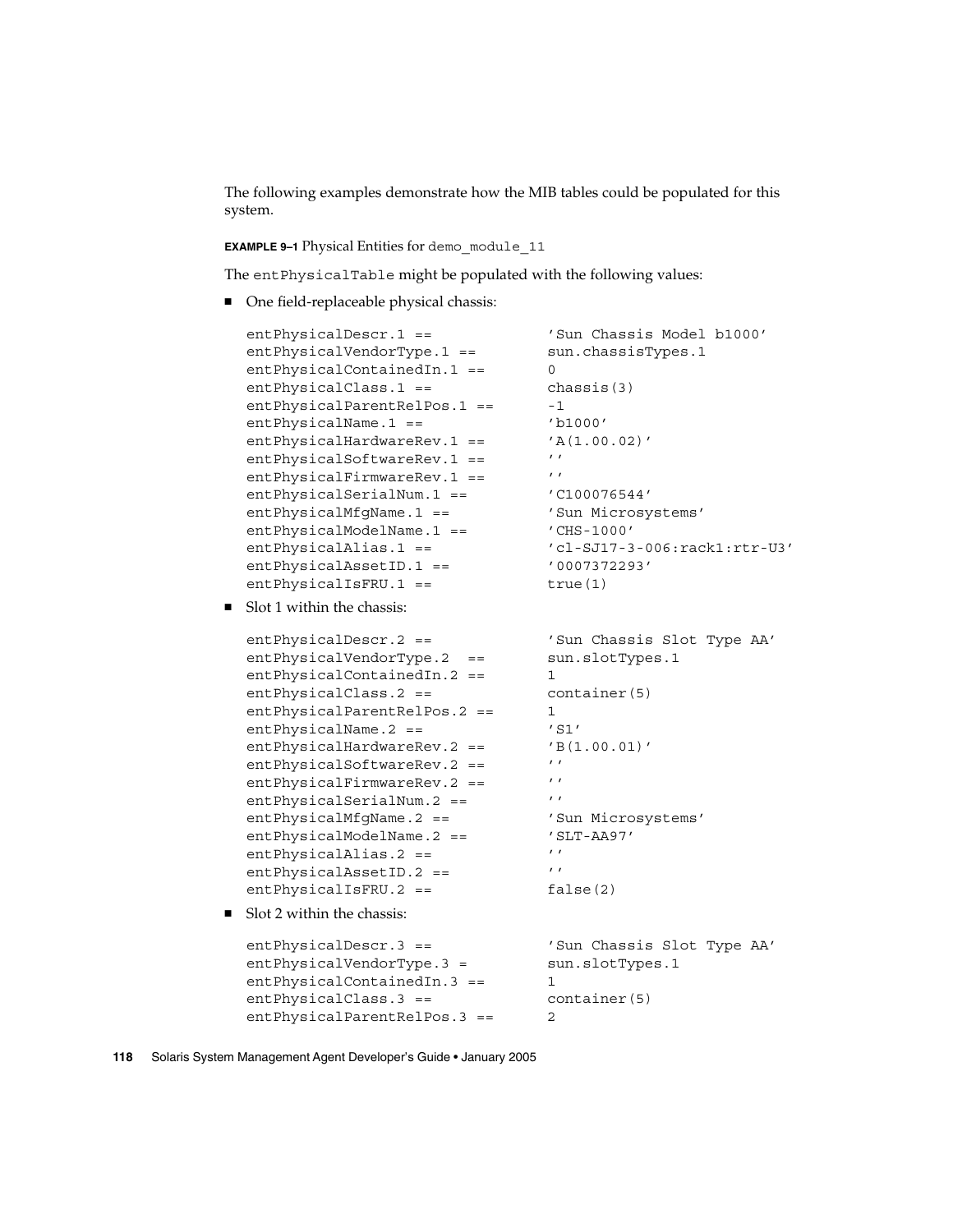The following examples demonstrate how the MIB tables could be populated for this system.

**EXAMPLE 9–1** Physical Entities for demo\_module\_11

The entPhysicalTable might be populated with the following values:

■ One field-replaceable physical chassis:

```
entPhysicalDescr.1 == 'Sun Chassis Model b1000'
  entPhysicalVendorType.1 == sun.chassisTypes.1
  entPhysicalContainedIn.1 == 0
  entPhysicalClass.1 == chassis(3)
  entPhysicalParentRelPos.1 == -1
  entPhysicalName.1 == 'b1000'
  entPhysicalHardwareRev.1 == 'A(1.00.02)'
  entPhysicalSoftwareRev.1 == ''
  entPhysicalFirmwareRev.1 == ''
  entPhysicalSerialNum.1 == 'C100076544'
  entPhysicalMfgName.1 == 'Sun Microsystems'
  entPhysicalModelName.1 == 'CHS-1000'
  entPhysicalAlias.1 == C = \begin{bmatrix} c & 1-SJ17-3-006:rack1:rtr-U3' \\ 0 & 0 & 0 & 0 & 0 \end{bmatrix}entPhysicalAssetID.1 ==
  entPhysicalISFRU.1 == true(1)■ Slot 1 within the chassis:
  entPhysicalDescr.2 == 'Sun Chassis Slot Type AA'
  entPhysicalVendorType.2 == sun.slotTypes.1
  entPhysicalContainedIn.2 == 1
  entPhysicalClass.2 == container(5)
  entPhysicalParentRelPos.2 == 1<br>entPhysicalName.2 == 'S1'
  entPhysicsicalName.2 ==entPhysicalHardwareRev.2 == 'B(1.00.01)'
  entPhysicalSoftwareRev.2 == ''
  entPhysicalFirmwareRev.2 == ''<br>entPhysicalSerialNum 2 == '''
  entPhysicalSerialNum.2 ==
  entPhysicalMfgName.2 == 'Sun Microsystems'
  entPhysicalModelName.2 == 'SLT-AA97'
  entPhysicalAlias.2 ==
```
■ Slot 2 within the chassis:

entPhysicalAssetID.2 ==

entPhysicalIsFRU.2 == false(2)

```
entPhysicalDescr.3 == 'Sun Chassis Slot Type AA'
entPhysicalVendorType.3 = sun.slotTypes.1
entPhysicalContainedIn.3 == 1
entPhysicalClass.3 == container(5)
entPhysicalParentRelPos.3 == 2
```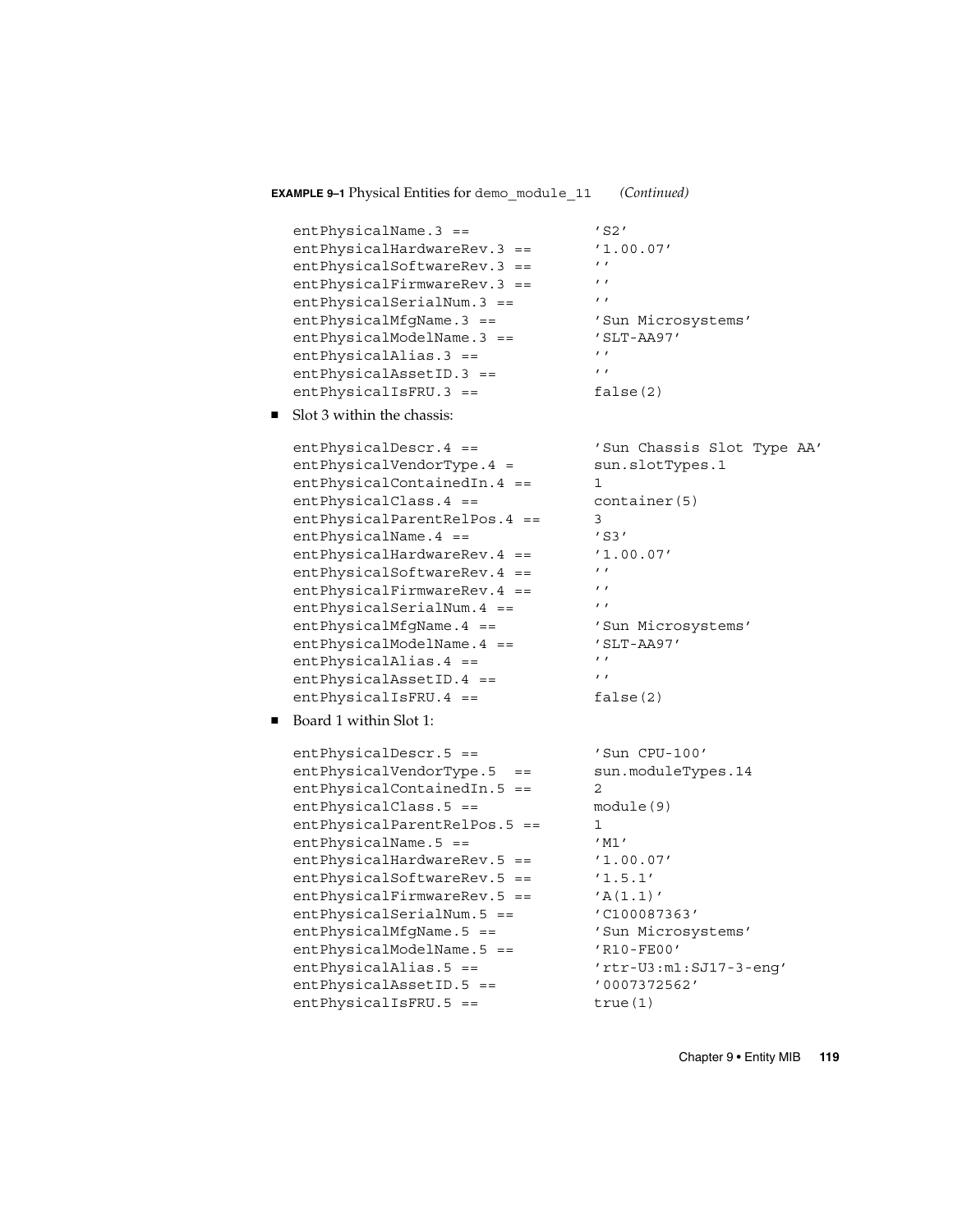entPhysicalName.3 == 'S2'<br>entPhysicalHardwareRev.3 == '1.00.07' entPhysicalHardwareRev.3 == '1 entPhysicalSoftwareRev.3 == entPhysicalFirmwareRev.3 ==  $''$ <br>entPhysicalSerialNum 3 ==  $''$ entPhysicalSerialNum.3 == entPhysicalMfgName.3 == 'Sun Microsystems'<br>entPhysicalModelName.3 == 'SLT-AA97' entPhysicalModelName.3 == entPhysicalAlias.3 ==  $'$ ''<br>entPhysicalAssetID 3 ==  $'$ '' entPhysicalAssetID.3 == entPhysicalIsFRU.3 == false(2) ■ Slot 3 within the chassis: entPhysicalDescr.4 == 'Sun Chassis Slot Type AA' entPhysicalVendorType.4 =  $\text{sun.slotTypes.1}$ <br>entPhysicalContainedIn.4 ==  $\text{1}$ entPhysicalContainedIn.4 == 1<br>entPhysicalClass.4 == container(5)  $entPhysicsicalClass.4 ==$ entPhysicalParentRelPos.4 == 3 entPhysicalName.4 == 'S3'<br>entPhysicalHardwareRev.4 == '1.00.07' entPhysicalHardwareRev.4 == entPhysicalSoftwareRev.4 == '' entPhysicalFirmwareRev.4 == ''<br>entPhysicalSerialNum 4 -- ''' entPhysicalSerialNum.4 ==  $\qquad$ ''<br>entPhysicalMfgName.4 == 'Sun Microsystems'  $entPhysicalMfgName.4 ==$ entPhysicalModelName.4 == 'SLT-AA97'<br>entPhysicalAlias.4 == '''  $entPhysicsalllias .4 ==$ <br>antPhysicalAssetID 4 ==  $'$ entPhysicalAssetID.4 == entPhysicalIsFRU.4 == false(2) ■ Board 1 within Slot 1: entPhysicalDescr.5 == 'Sun CPU-100' entPhysicalVendorType.5 == sun.moduleTypes.14 entPhysicalContainedIn.5 == 2 entPhysicalClass.5 == module(9) entPhysicalParentRelPos.5 == 1 entPhysicalName.5 ==  $'M1'$ entPhysicalHardwareRev.5 == '1.00.07'

entPhysicalSoftwareRev.5 == '1.5.1' entPhysicalFirmwareRev.5 == 'A(1.1)' entPhysicalSerialNum.5 == 'C100087363' entPhysicalMfgName.5 == 'Sun Microsystems' entPhysicalModelName.5 == entPhysicalModelName.5 == 'R10-FE00'<br>entPhysicalAlias.5 == 'rtr-U3:m1:SJ17-3-eng'<br>entPhysicalAssetID.5 == '0007372562' entPhysicalAssetID.5 == entPhysicalIsFRU.5 == true(1)

Chapter 9 • Entity MIB **119**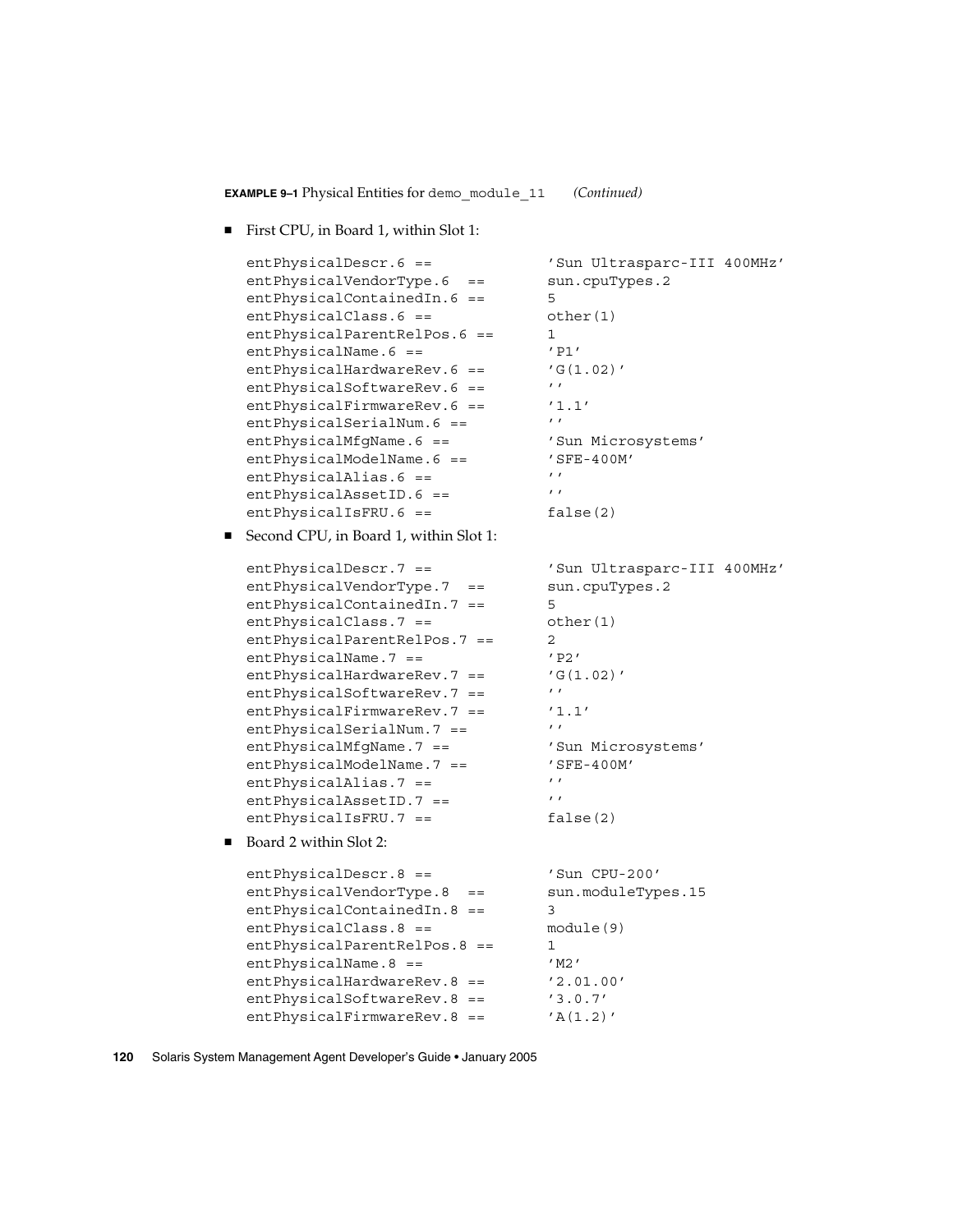**EXAMPLE 9–1** Physical Entities for demo\_module\_11 *(Continued)*

■ First CPU, in Board 1, within Slot 1:

```
entPhysicalDescr.6 == \qquad 'Sun Ultrasparc-III 400MHz'
  entPhysicalVendorType.6 == sun.cpuTypes.2
  entPhysicalContainedIn.6 == 5
  entPhysicalClass.6 == other(1)
  entPhysicalParentRelPos.6 == 1
  entPhysicalName.6 == 'P1'entPhysicalHardwareRev.6 == 'G(1.02)'
  entPhysicalSoftwareRev.6 == ''
  entPhysicalFirmwareRev.6 == '1.1'
  entPhysicalSerialNum.6 == 'entPhysicalMfgName.6 == 'Sun Microsystems'<br>entPhysicalModelName.6 == 'SFE-400M'
  entPhysicsicalModelName.6 ==entPhysicalAlias.6 == 'entPhysicalAssetID.6 == 'entPhysicalIsFRU.6 == false(2)
■ Second CPU, in Board 1, within Slot 1:
  entPhysicalDescr.7 == 'Sun Ultrasparc-III 400MHz'
  entPhysicalVendorType.7 == sun.cpuTypes.2
  entPhysicalContainedIn.7 == 5
  entPhysicalClass.7 == other(1)
  entPhysicalParentRelPos.7 == 2
  entPhysicalName.7 == 'P2'entPhysicalHardwareRev.7 == 'G(1.02)'<br>ontPhysicalSoftwarePex.7 = - '
  entPhysicalSoftwareRev.7 == ''<br>entPhysicalFirmwareRev.7 == '1.1'
  entPhysicalFirmwareRev.7 ==
  entPhysicalSerialNum.7 == 'entPhysicalMfgName.7 == 'Sun Microsystems'<br>entPhysicalModelName.7 == 'SFE-400M'
  entPhysicsicalModelName.7 ==entPhysicalAlias.7 ==entPhysicalAssetID.7 ==
  entPhysicalIsFRU.7 == false(2)
■ Board 2 within Slot 2:
  entPhysicalDescr.8 == 'Sun CPU-200'
  entPhysicalVendorType.8 == sun.moduleTypes.15
  entPhysicalContainedIn.8 == 3
  entPhysicalClass.8 == module(9)
  entPhysicalParentRelPos.8 == 1
  entPhysicalName.8 == 'M2'entPhysicalHardwareRev.8 == '2.01.00'
  entPhysicalSoftwareRev.8 == '3.0.7'
  entPhysicalFirmwareRev.8 == 'A(1.2)'
```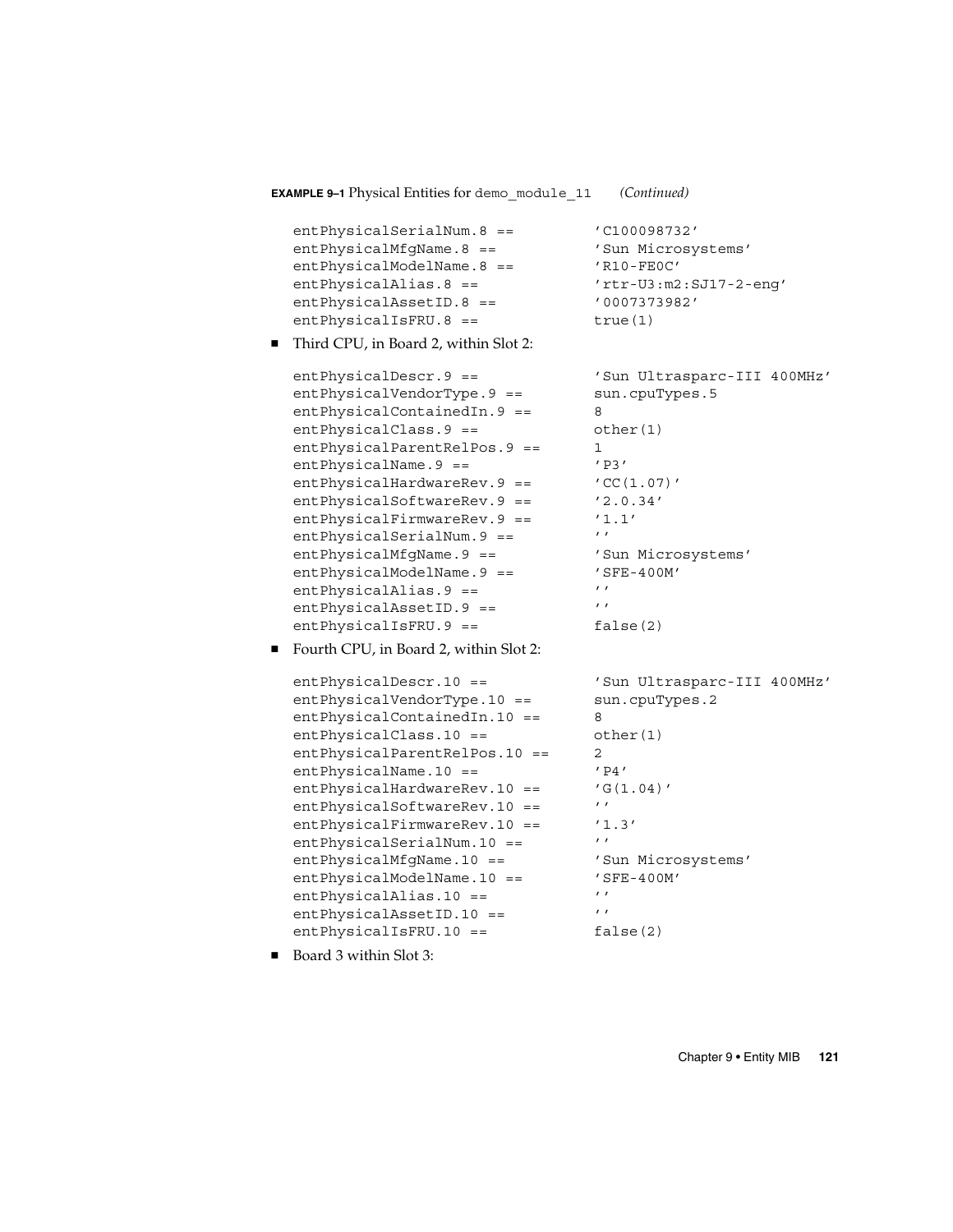```
entPhysicalSerialNum.8 == 'C100098732'entPhysicalMfgName.8 == 'Sun Microsystems'<br>entPhysicalModelName.8 == 'R10-FE0C'
entPhysicalModelName.8 ==
entPhysicalAlias.8 == 'rtr-U3:m2:SJ17-2-eng'
entPhysicalAssetID.8 == '0007373982'
entPhysicalISFRU.8 == true(1)
```
■ Third CPU, in Board 2, within Slot 2:

```
entPhysicalDescr.9 == 'Sun Ultrasparc-III 400MHz'
entPhysicalVendorType.9 == sun.cpuTypes.5
entPhysicalContainedIn.9 == 8
entPhysicalClass.9 == other(1)entPhysicalParentRelPos.9 == 1
entPhysicalName.9 == 'Py'entPhysicalHardwareRev.9 == CC(1.07)'<br>entPhysicalSoftwareRev.9 == 72.0.34'entPhysicalSoftwareRev.9 ==
entPhysicalFirmwareRev.9 == '1.1'
entPhysicalSerialNum.9 == 'entPhysicalMfqName.9 == 'Sun Microsystems'
entPhysicalModelName.9 == 'SFE-400M'
entPhysicalalias.9 ==<br>antPhysicalAssetTD 9 ==entPhysicalAssetID.9 ==
entPhysicalIsFRU.9 == false(2)
```
■ Fourth CPU, in Board 2, within Slot 2:

```
entPhysicalDescr.10 == 'Sun Ultrasparc-III 400MHz'
entPhysicalVendorType.10 == sun.cpuTypes.2
entPhysicalContainedIn.10 == 8
entPhysicalClass.10 == other(1)
entPhysicalParentRelPos.10 == 2
entPhysicalName.10 == 'P4'
entPhysicalHardwareRev.10 == 'G(1.04)'
entPhysicalSoftwareRev.10 == ''
entPhysicalFirmwareRev.10 == '1.3'
entPhysicalSerialNum.10 == ''
entPhysicalMfgName.10 == \qquad 'Sun Microsystems'<br>entPhysicalModelName.10 == \qquad 'SFE-400M'
entPhysicalModelName.10 == 'Si<br>antPhysicalAlias 10 == 'entPhysicalAlias.10 == '''<br>entPhysicalAssetID.10 == '''
entPhysicalAssetID.10 ==
entPhysicalIsFRU.10 == false(2)
```
■ Board 3 within Slot 3: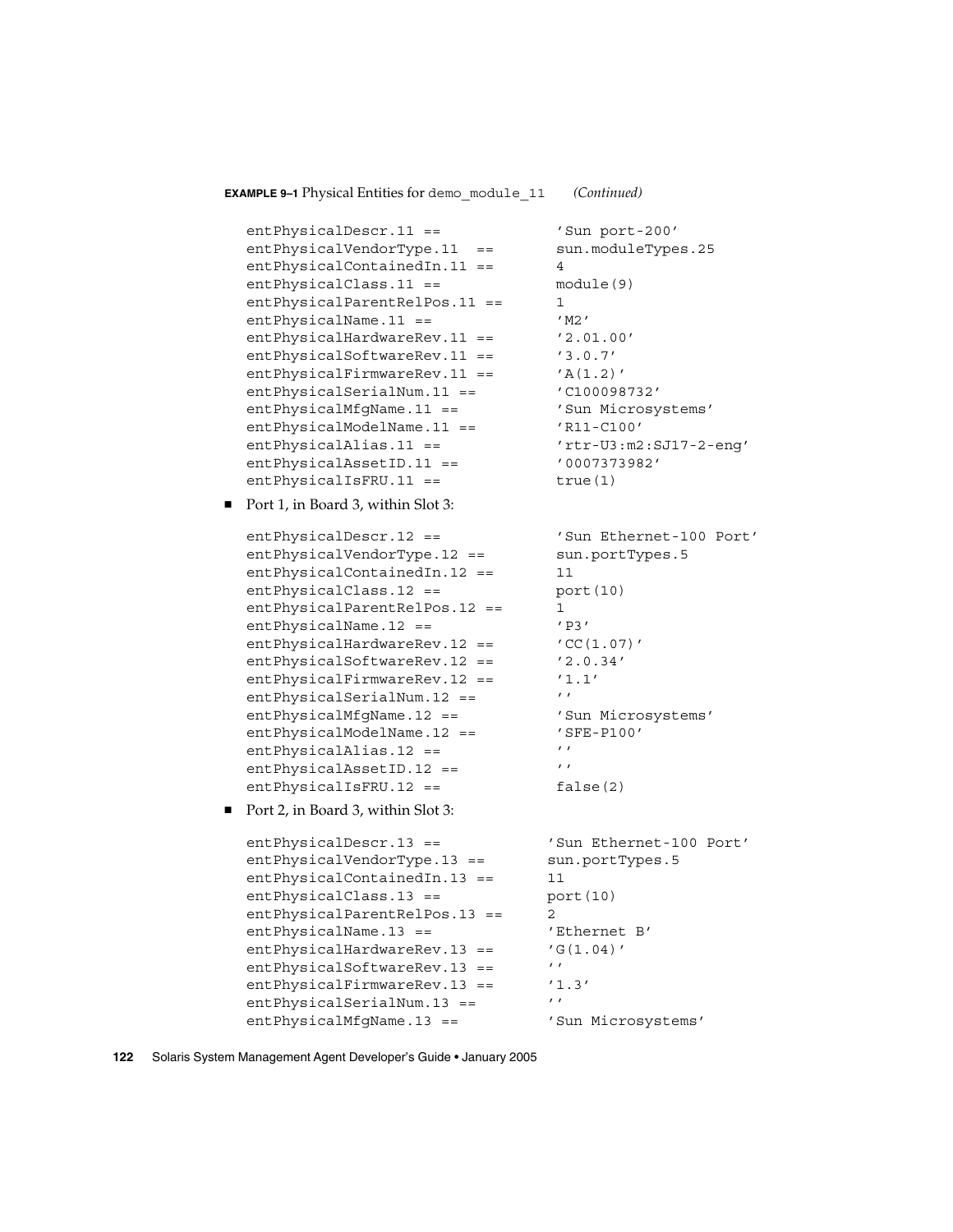**EXAMPLE 9–1** Physical Entities for demo\_module\_11 *(Continued)*

```
entPhysicalDescr.11 == 'Sun port-200'
  entPhysicalVendorType.11 == sun.moduleTypes.25
  entPhysicalContainedIn.11 == 4
  entPhysicalClass.11 == module(9)
  entPhysicalParentRelPos.11 == 1
  entPhysicalName.11 == 'M2'
  entPhysicalHardwareRev.11 == '2.01.00'
  entPhysicalSoftwareRev.11 == '3.0.7'
  entPhysicalFirmwareRev.11 == 'A(1.2)'entPhysicalSerialNum.11 == 'C100098732'
  entPhysicalMfgName.11 == 'Sun Microsystems'<br>entPhysicalModelName.11 == 'YR11-C100'
  entPhysicalModelName.11 ==
  entPhysicalAlias.11 == 'rtr-U3:m2:SJ17-2-eng'
  entPhysicalAssetID.11 == '0007373982'
  entPhysicalIsFRU.11 == true(1)
■ Port 1, in Board 3, within Slot 3:
  entPhysicalDescr.12 == 'Sun Ethernet-100 Port'
  entPhysicalVendorType.12 == sun.portTypes.5
  entPhysicalContainedIn.12 == 11
  entPhysicalClass.12 == port(10)
  entPhysicalParentRelPos.12 == 1
  entPhysicalName.12 == 'P3'
  entPhysicalHardwareRev.12 == \text{CC}(1.07)'
  entPhysicalSoftwareRev.12 == '2.0.34'
  entPhysicalFirmwareRev.12 == '1.1'
  entPhysicalSerialNum.12 == 'entPhysicalMfgName.12 == 'Sun Microsystems'
  entPhysicalModelName.12 == 'SFE-P100'
  entPhysicalAlias.12 == 'entPhysicalAssetID.12 == 'entPhysicalIsFRU.12 == false(2)
■ Port 2, in Board 3, within Slot 3:
  entPhysicalDescr.13 == 'Sun Ethernet-100 Port'
  entPhysicalVendorType.13 == sun.portTypes.5
  entPhysicalContainedIn.13 == 11
  entPhysicalClass.13 == port(10)
  entPhysicalParentRelPos.13 == 2
```

```
entPhysicalName.13 == 'Ethernet B'
entPhysicalHardwareRev.13 == 'G(1.04)'
entPhysicalSoftwareRev.13 == ''<br>entPhysicalFirmwareRev.13 == '1.3'
entPhysicalFirmwareRev.13 ==
entPhysicalSerialNum.13 == ''
entPhysicalMfgName.13 == 'Sun Microsystems'
```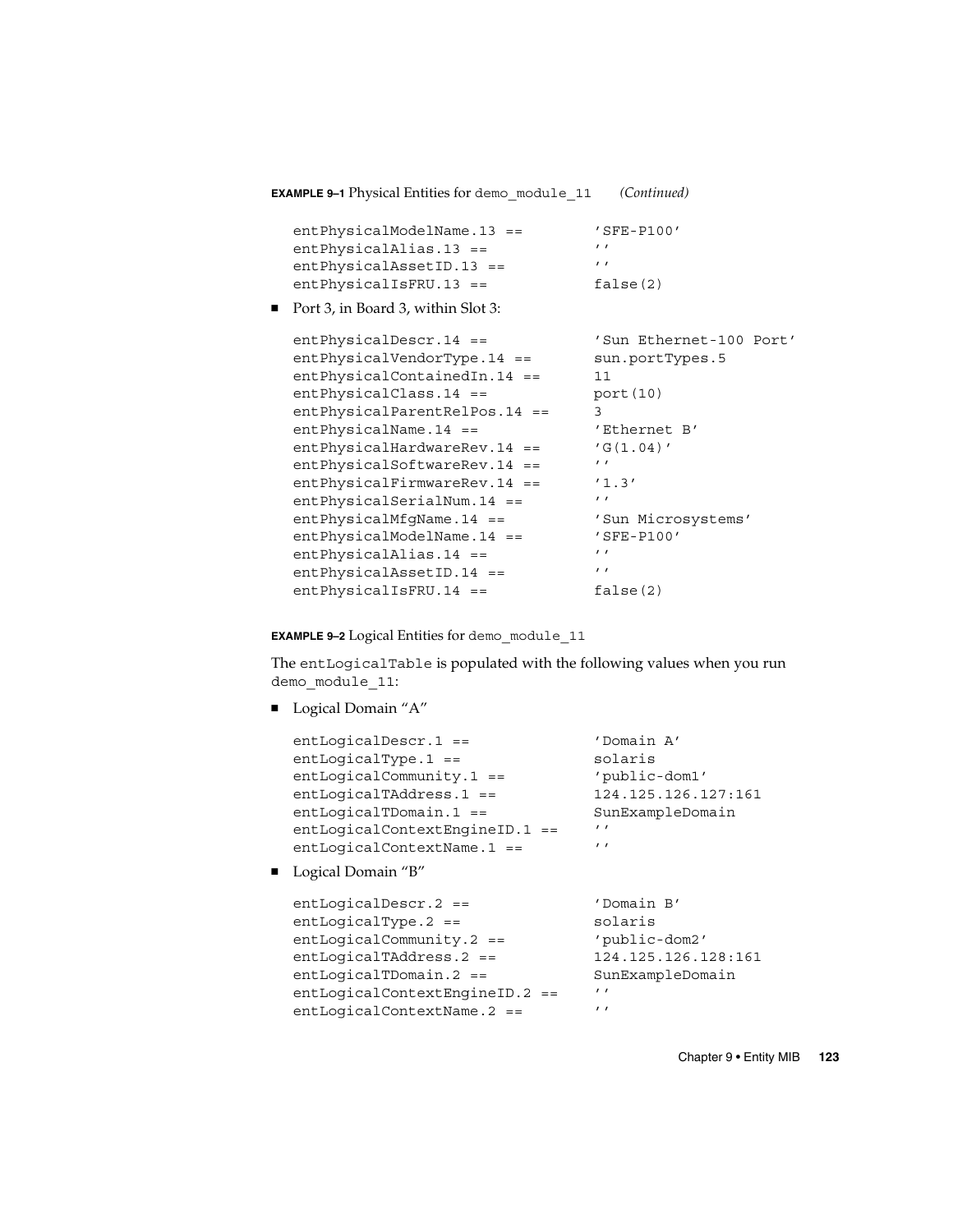**EXAMPLE 9–1** Physical Entities for demo\_module\_11 *(Continued)*

| $entPhysicalModelName.13 ==$ | $'$ SFE-P100' |
|------------------------------|---------------|
| $entPhysicalAlias.13 ==$     | $\prime$      |
| $entPhysicalAssetID.13 ==$   | $\mathbf{r}$  |
| $entPhysicalISFRU.13 ==$     | false(2)      |

■ Port 3, in Board 3, within Slot 3:

| 'Sun Ethernet-100 Port' |
|-------------------------|
| sun.portTypes.5         |
| 11                      |
| port (10)               |
| 3                       |
| 'Ethernet B'            |
| 'G(1.04)'               |
| $\prime$                |
| '1.3'                   |
| $\prime$                |
| 'Sun Microsystems'      |
| $'$ SFE-P100'           |
| $\prime$                |
| $\prime$                |
| false(2)                |
|                         |

**EXAMPLE 9–2** Logical Entities for demo\_module\_11

The entLogicalTable is populated with the following values when you run demo\_module\_11:

■ Logical Domain "A"

| $entLogicalDescri.1 ==$        | 'Domain A'          |
|--------------------------------|---------------------|
| $entLogicalType.1 ==$          | solaris             |
| $entLogicalCommunity.1 ==$     | 'public-dom1'       |
| $entLogicalTAddress.1 ==$      | 124.125.126.127:161 |
| $entLogicalTDomain.1 ==$       | SunExampleDomain    |
| entLogicalContextEngineID.1 == | $\prime$            |
| entLogicalContextName.1 ==     | $\prime$            |
| Logical Domain "B"             |                     |
| $entLogicalDescri.2 ==$        | 'Domain B'          |
| $entLogicalType.2 ==$          | solaris             |
| $entLogical Community.2 ==$    | 'public-dom2'       |
| $entLogicalTAddress.2 ==$      | 124.125.126.128:161 |
| $entLogicalTDomain.2 ==$       | SunExampleDomain    |
| entLogicalContextEngineID.2 == | $\prime$            |
| $entLogicalContextName.2 ==$   | $\prime$            |

Chapter 9 • Entity MIB **123**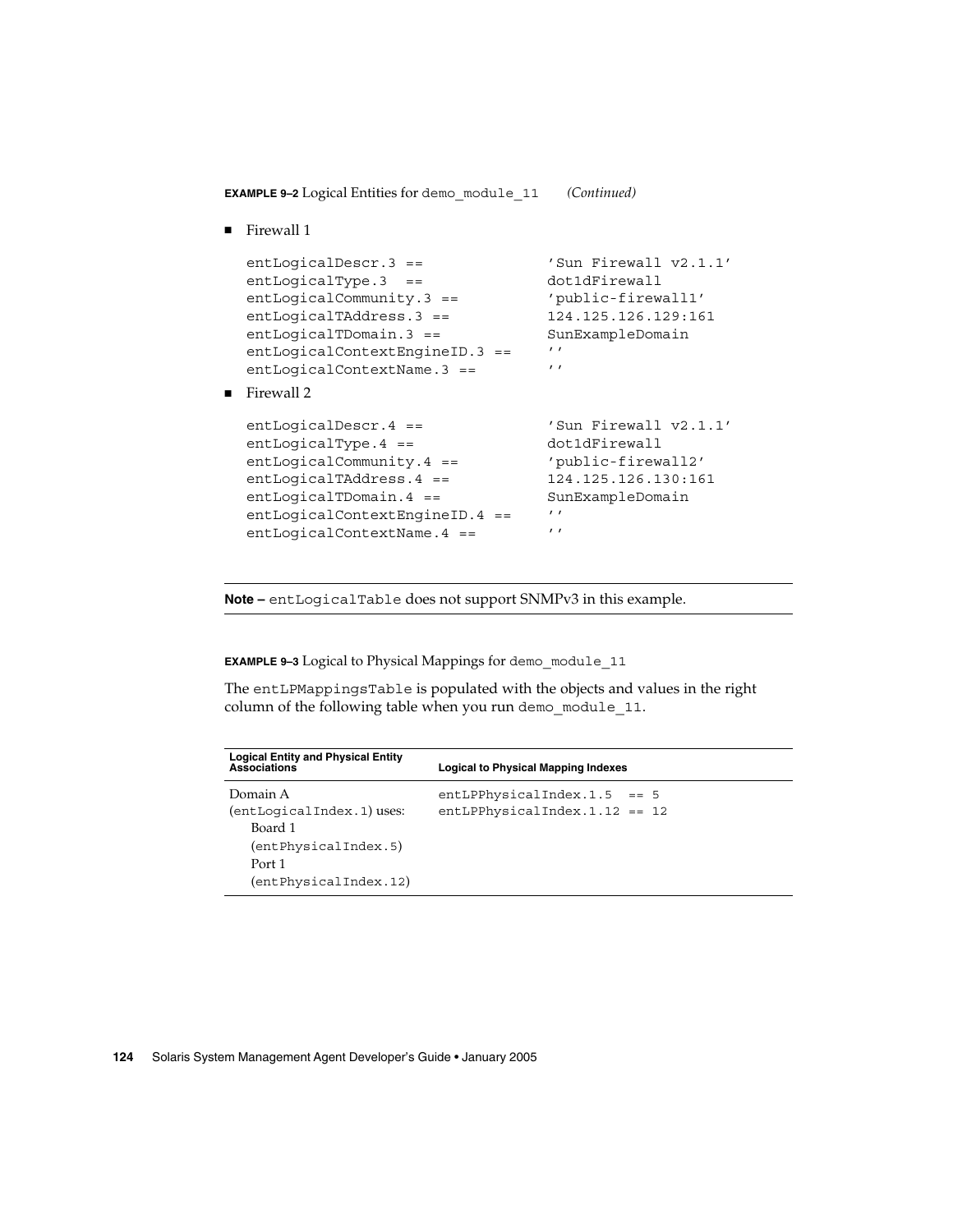**EXAMPLE 9–2** Logical Entities for demo\_module\_11 *(Continued)*

```
■ Firewall 1
  entLogicalDescr.3 == 'Sun Firewall v2.1.1'
  entLogicalType.3 == dot1dFirewall
  entLogicalCommunity.3 == 'public-firewall1'
  entLogicalTAddress.3 == 124.125.126.129:161
  entLogicalTDomain.3 == SunExampleDomain<br>entLogicalContextEngineID.3 == ''
  entLogicalContextEngineID.3 == ''<br>entLogicalContextName 3 == '''
  entLogicalContextName.3 ==
■ Firewall 2
  entLogicalDescr.4 == 'Sun Firewall v2.1.1'
  entLogicalType.4 == dot1dFirewall
  entLogicalCommunity.4 == 'public-firewall2'
  entLogicalTAddress.4 == 124.125.126.130:161
  entLogicalTDomain.4 == SunExampleDomain
  entLogicalContextEngineID.4 == ''<br>entLogicalContextName 4 -- '''
  entLogicalContextName.4 ==
```
**Note –** entLogicalTable does not support SNMPv3 in this example.

**EXAMPLE 9–3** Logical to Physical Mappings for demo\_module\_11

The entLPMappingsTable is populated with the objects and values in the right column of the following table when you run demo\_module\_11.

| <b>Logical Entity and Physical Entity</b><br><b>Associations</b>                                           | <b>Logical to Physical Mapping Indexes</b>                       |
|------------------------------------------------------------------------------------------------------------|------------------------------------------------------------------|
| Domain A<br>(entLoqicalIndex.1)uses:<br>Board 1<br>(entPhysicalIndex.5)<br>Port 1<br>(entPhysicalIndex.12) | $entLPPhysicalIndex.1.5 == 5$<br>$entLPPhysicalIndex.1.12 == 12$ |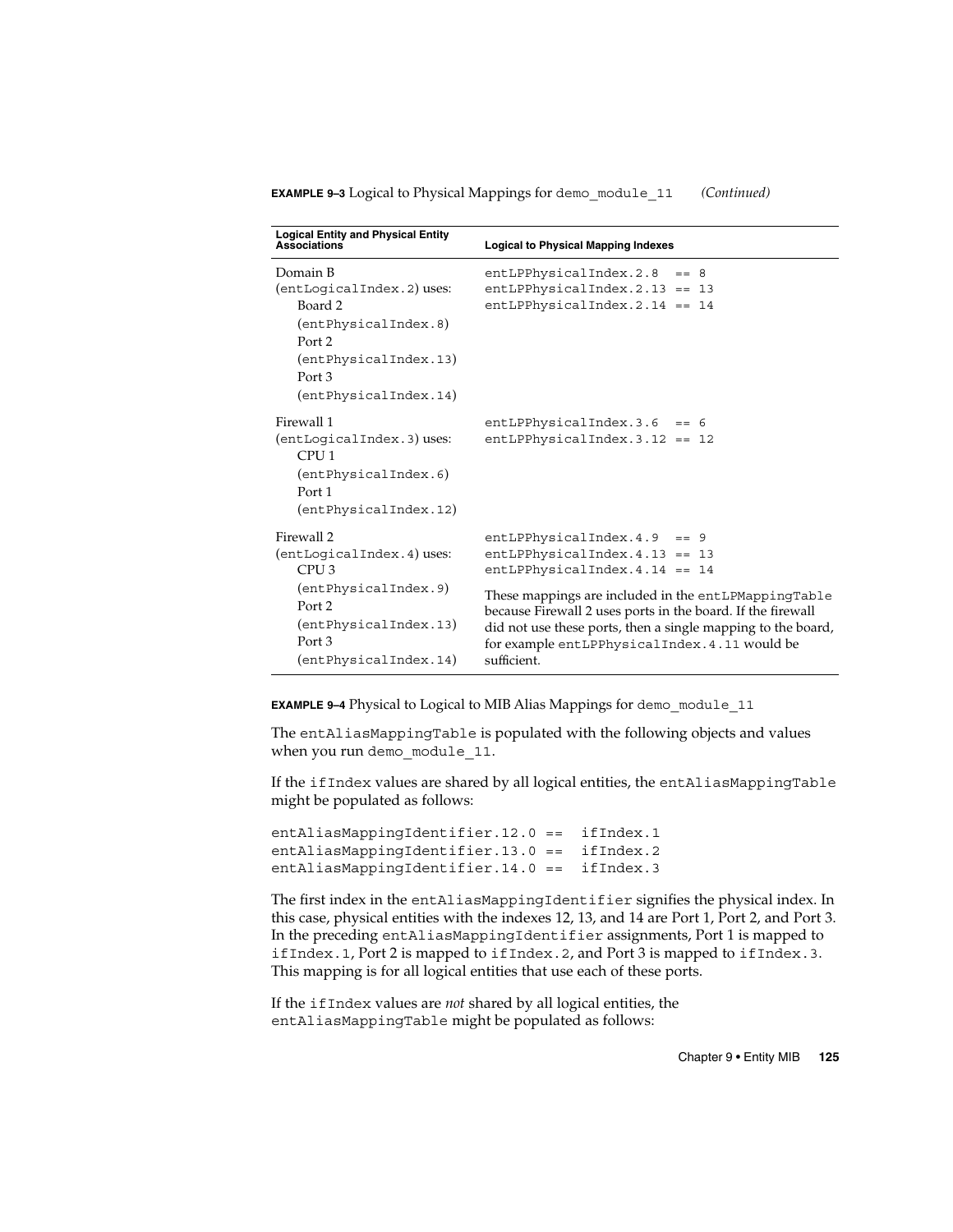| <b>EXAMPLE 9-3</b> Logical to Physical Mappings for demo_module_11 |  | (Continued) |
|--------------------------------------------------------------------|--|-------------|
|                                                                    |  |             |

| <b>Logical Entity and Physical Entity</b><br>Associations                                                                                                            | <b>Logical to Physical Mapping Indexes</b>                                                                                                                                                                                                          |
|----------------------------------------------------------------------------------------------------------------------------------------------------------------------|-----------------------------------------------------------------------------------------------------------------------------------------------------------------------------------------------------------------------------------------------------|
| Domain B<br>(entLogicalIndex.2) uses:<br>Board 2<br>(entPhysicalIndex.8)<br>Port <sub>2</sub><br>(entPhysicalIndex.13)<br>Port <sub>3</sub><br>(entPhysicalIndex.14) | entLPPhysicalIndex.2.8<br>$=-8$<br>$entLPPhysicalIndex.2.13 == 13$<br>$entLPPhysicalIndex.2.14 == 14$                                                                                                                                               |
| Firewall 1<br>(entLogicalIndex.3) uses:<br>CPU <sub>1</sub><br>(entPhysicalIndex.6)<br>Port 1<br>(entPhysicalIndex.12)                                               | $entLPPhysicalIndex.3.6 == 6$<br>$entLPPhysicalIndex.3.12 == 12$                                                                                                                                                                                    |
| Firewall 2<br>(entLogicalIndex.4) uses:<br>CPU <sub>3</sub>                                                                                                          | $entLPPhysicalIndex.4.9 == 9$<br>$entLPPhysicalIndex.4.13 == 13$<br>$entLPPhysicalIndex.4.14 == 14$                                                                                                                                                 |
| (entPhysicalIndex.9)<br>Port <sub>2</sub><br>(entPhysicalIndex.13)<br>Port <sub>3</sub><br>(entPhysicalIndex.14)                                                     | These mappings are included in the entLPMappingTable<br>because Firewall 2 uses ports in the board. If the firewall<br>did not use these ports, then a single mapping to the board,<br>for example entLPPhysicalIndex. 4.11 would be<br>sufficient. |

**EXAMPLE 9–4** Physical to Logical to MIB Alias Mappings for demo\_module\_11

The entAliasMappingTable is populated with the following objects and values when you run demo\_module\_11.

If the ifIndex values are shared by all logical entities, the entAliasMappingTable might be populated as follows:

```
entAliasMappingIdentifier.12.0 == ifIndex.1
entAliasMappingIdentifier.13.0 == ifIndex.2
entAliasMappingIdentifier.14.0 == ifIndex.3
```
The first index in the entAliasMappingIdentifier signifies the physical index. In this case, physical entities with the indexes 12, 13, and 14 are Port 1, Port 2, and Port 3. In the preceding entAliasMappingIdentifier assignments, Port 1 is mapped to ifIndex.1, Port 2 is mapped to ifIndex.2, and Port 3 is mapped to ifIndex.3. This mapping is for all logical entities that use each of these ports.

If the ifIndex values are *not* shared by all logical entities, the entAliasMappingTable might be populated as follows: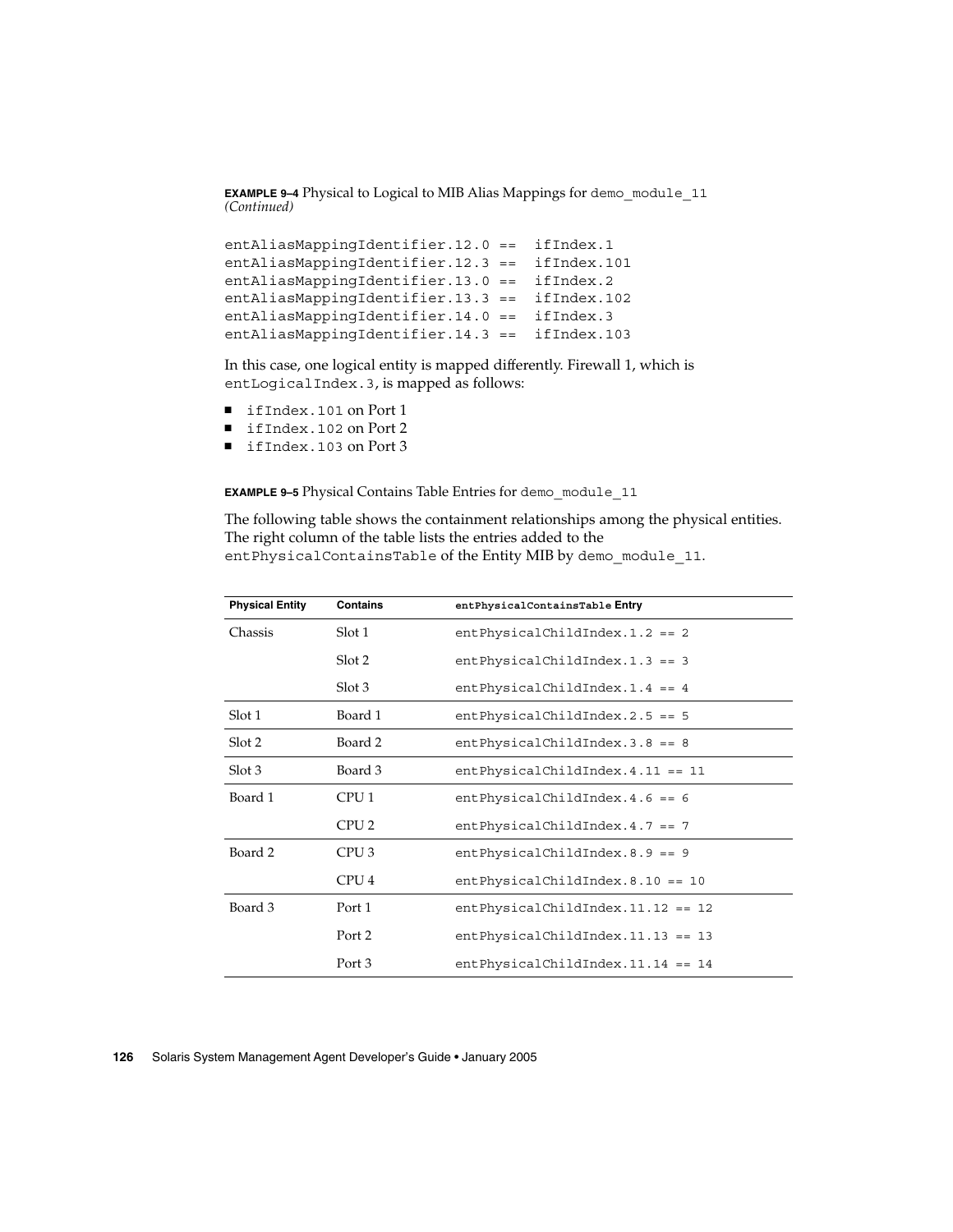**EXAMPLE 9–4** Physical to Logical to MIB Alias Mappings for demo\_module\_11 *(Continued)*

entAliasMappingIdentifier.12.0 == ifIndex.1 entAliasMappingIdentifier.12.3 == ifIndex.101 entAliasMappingIdentifier.13.0 == ifIndex.2 entAliasMappingIdentifier.13.3 == ifIndex.102 entAliasMappingIdentifier.14.0 == ifIndex.3 entAliasMappingIdentifier.14.3 == ifIndex.103

In this case, one logical entity is mapped differently. Firewall 1, which is entLogicalIndex.3, is mapped as follows:

- ifIndex.101 on Port 1
- ifIndex.102 on Port 2
- ifIndex.103 on Port 3

**EXAMPLE 9–5** Physical Contains Table Entries for demo\_module\_11

The following table shows the containment relationships among the physical entities. The right column of the table lists the entries added to the entPhysicalContainsTable of the Entity MIB by demo\_module\_11.

| <b>Physical Entity</b> | <b>Contains</b>  | entPhysicalContainsTable Entry    |  |
|------------------------|------------------|-----------------------------------|--|
| Chassis                | Slot 1           | $entPhysicalChildren.1.2 == 2$    |  |
|                        | Slot 2           | $entPhysicalChildren.1.3 == 3$    |  |
|                        | Slot 3           | $entPhysicalChildren.1.4 == 4$    |  |
| Slot 1                 | Board 1          | $entPhysicalChildren.2.5 == 5$    |  |
| Slot 2                 | Board 2          | $entPhysicalChildren.3.8 == 8$    |  |
| Slot 3                 | Board 3          | $entPhysicalChildren.4.11 == 11$  |  |
| Board 1                | CPU <sub>1</sub> | $entPhysicalChildren.4.6 == 6$    |  |
|                        | CPU <sub>2</sub> | $entPhysicalChildren.4.7 == 7$    |  |
| Board 2                | CPU <sub>3</sub> | $entPhysicalChildren.8.9 == 9$    |  |
|                        | CPU <sub>4</sub> | $entPhysicalChildren.8.10 == 10$  |  |
| Board 3                | Port 1           | $entPhysicalChildren.11.12 == 12$ |  |
|                        | Port 2           | $entPhysicalChildren.11.13 == 13$ |  |
|                        | Port 3           | $entPhysicalChildren.11.14 == 14$ |  |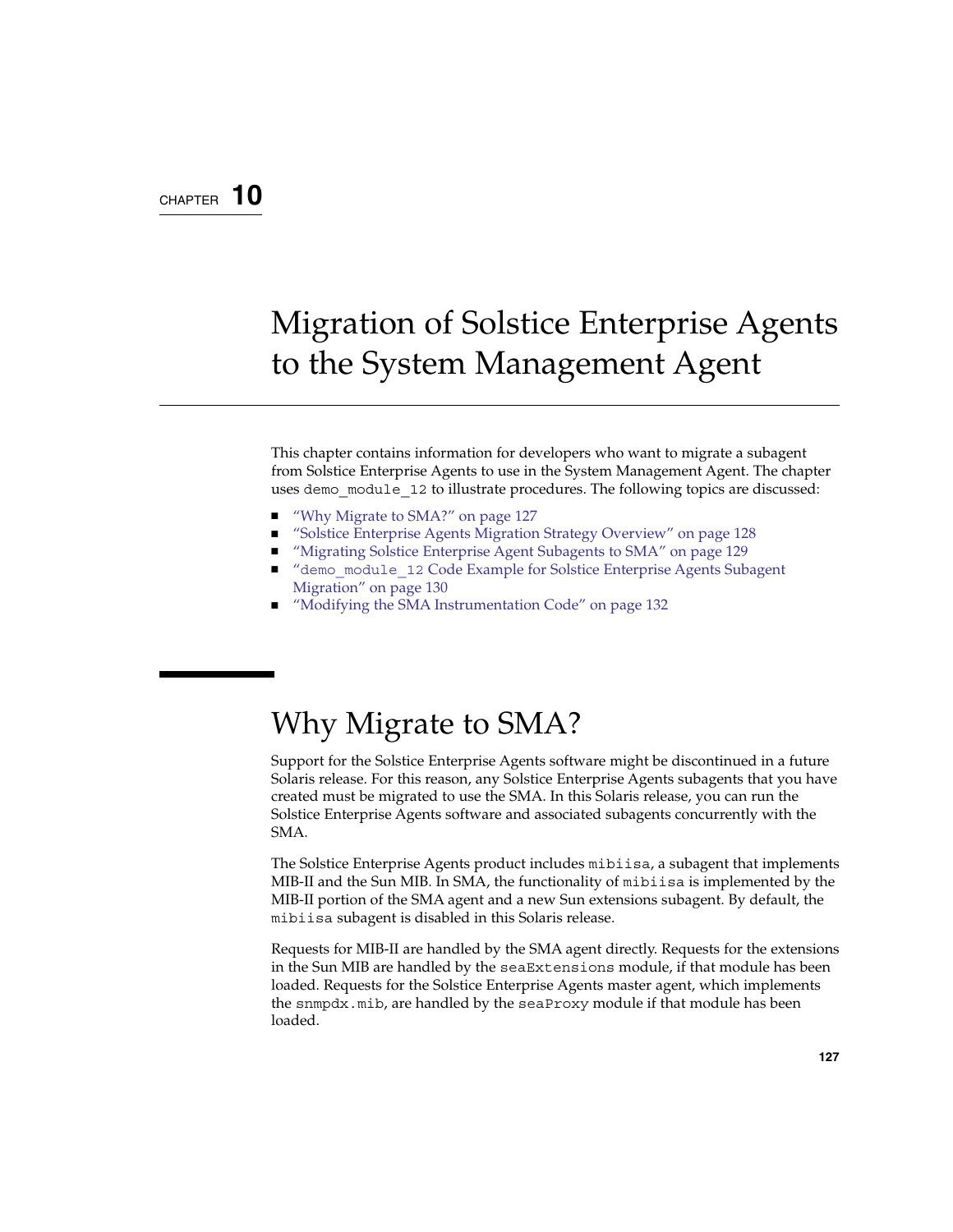## CHAPTER **10**

# Migration of Solstice Enterprise Agents to the System Management Agent

This chapter contains information for developers who want to migrate a subagent from Solstice Enterprise Agents to use in the System Management Agent. The chapter uses demo\_module\_12 to illustrate procedures. The following topics are discussed:

- *"Why Migrate to SMA?"* on page 127
- ["Solstice Enterprise Agents Migration Strategy Overview"](#page-127-0) on page 128
- *"*Migrating Solstice Enterprise Agent Subagents to SMA" on page 129
- "demo\_module\_12 [Code Example for Solstice Enterprise Agents Subagent](#page-129-0) Migration" [on page 130](#page-129-0)
- ["Modifying the SMA Instrumentation Code"](#page-131-0) on page 132

## Why Migrate to SMA?

Support for the Solstice Enterprise Agents software might be discontinued in a future Solaris release. For this reason, any Solstice Enterprise Agents subagents that you have created must be migrated to use the SMA. In this Solaris release, you can run the Solstice Enterprise Agents software and associated subagents concurrently with the SMA.

The Solstice Enterprise Agents product includes mibiisa, a subagent that implements MIB-II and the Sun MIB. In SMA, the functionality of mibiisa is implemented by the MIB-II portion of the SMA agent and a new Sun extensions subagent. By default, the mibiisa subagent is disabled in this Solaris release.

Requests for MIB-II are handled by the SMA agent directly. Requests for the extensions in the Sun MIB are handled by the seaExtensions module, if that module has been loaded. Requests for the Solstice Enterprise Agents master agent, which implements the snmpdx.mib, are handled by the seaProxy module if that module has been loaded.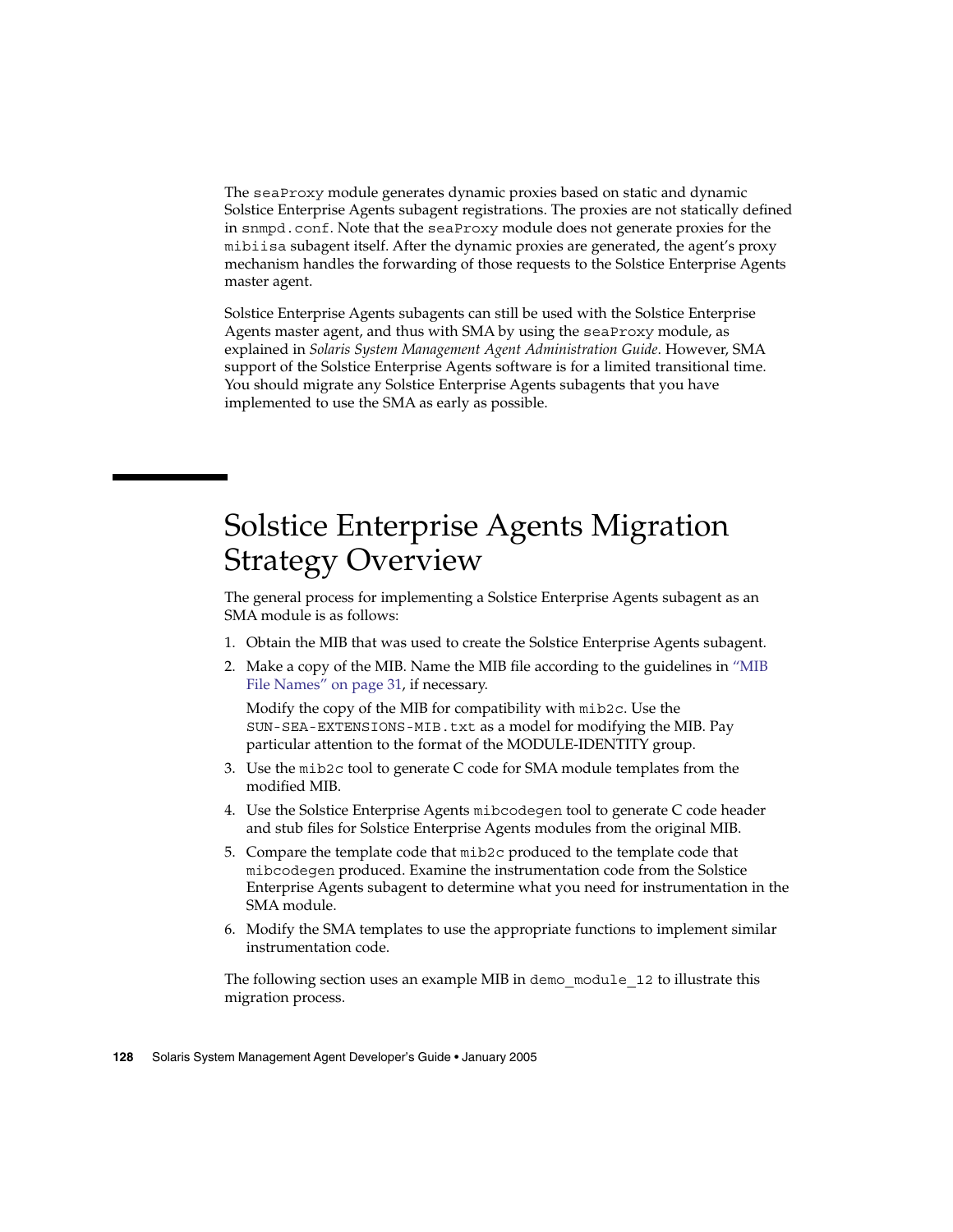<span id="page-127-0"></span>The seaProxy module generates dynamic proxies based on static and dynamic Solstice Enterprise Agents subagent registrations. The proxies are not statically defined in snmpd.conf. Note that the seaProxy module does not generate proxies for the mibiisa subagent itself. After the dynamic proxies are generated, the agent's proxy mechanism handles the forwarding of those requests to the Solstice Enterprise Agents master agent.

Solstice Enterprise Agents subagents can still be used with the Solstice Enterprise Agents master agent, and thus with SMA by using the seaProxy module, as explained in *Solaris System Management Agent Administration Guide*. However, SMA support of the Solstice Enterprise Agents software is for a limited transitional time. You should migrate any Solstice Enterprise Agents subagents that you have implemented to use the SMA as early as possible.

## Solstice Enterprise Agents Migration Strategy Overview

The general process for implementing a Solstice Enterprise Agents subagent as an SMA module is as follows:

- 1. Obtain the MIB that was used to create the Solstice Enterprise Agents subagent.
- 2. Make a copy of the MIB. Name the MIB file according to the guidelines in ["MIB](#page-30-0) [File Names"](#page-30-0) on page 31, if necessary.

Modify the copy of the MIB for compatibility with mib2c. Use the SUN-SEA-EXTENSIONS-MIB.txt as a model for modifying the MIB. Pay particular attention to the format of the MODULE-IDENTITY group.

- 3. Use the mib2c tool to generate C code for SMA module templates from the modified MIB.
- 4. Use the Solstice Enterprise Agents mibcodegen tool to generate C code header and stub files for Solstice Enterprise Agents modules from the original MIB.
- 5. Compare the template code that mib2c produced to the template code that mibcodegen produced. Examine the instrumentation code from the Solstice Enterprise Agents subagent to determine what you need for instrumentation in the SMA module.
- 6. Modify the SMA templates to use the appropriate functions to implement similar instrumentation code.

The following section uses an example MIB in demo\_module\_12 to illustrate this migration process.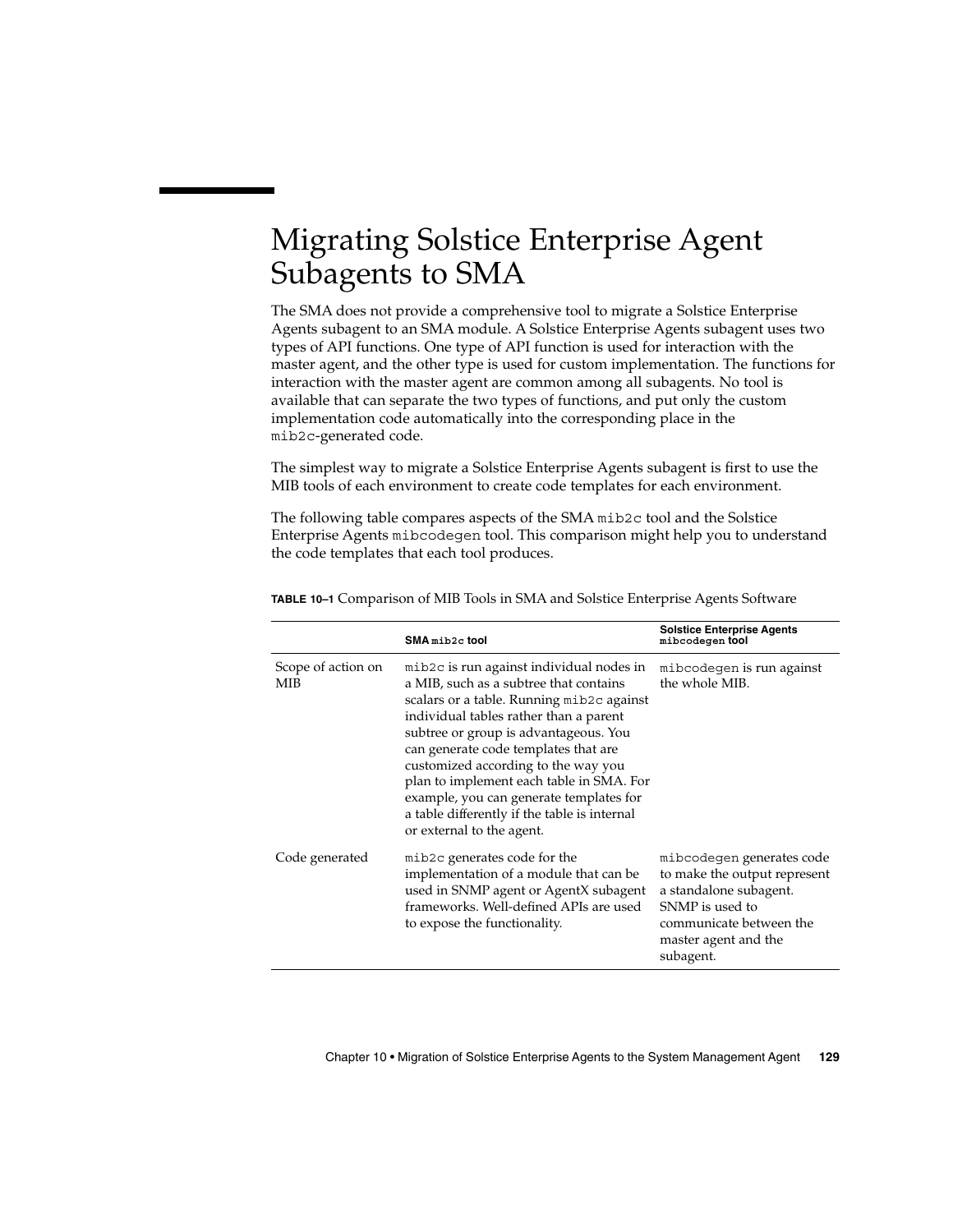## <span id="page-128-0"></span>Migrating Solstice Enterprise Agent Subagents to SMA

The SMA does not provide a comprehensive tool to migrate a Solstice Enterprise Agents subagent to an SMA module. A Solstice Enterprise Agents subagent uses two types of API functions. One type of API function is used for interaction with the master agent, and the other type is used for custom implementation. The functions for interaction with the master agent are common among all subagents. No tool is available that can separate the two types of functions, and put only the custom implementation code automatically into the corresponding place in the mib2c-generated code.

The simplest way to migrate a Solstice Enterprise Agents subagent is first to use the MIB tools of each environment to create code templates for each environment.

The following table compares aspects of the SMA mib2c tool and the Solstice Enterprise Agents mibcodegen tool. This comparison might help you to understand the code templates that each tool produces.

|                                  | SMA mib2c tool                                                                                                                                                                                                                                                                                                                                                                                                                                                                     | <b>Solstice Enterprise Agents</b><br>mibcodegen tool                                                                                                                   |
|----------------------------------|------------------------------------------------------------------------------------------------------------------------------------------------------------------------------------------------------------------------------------------------------------------------------------------------------------------------------------------------------------------------------------------------------------------------------------------------------------------------------------|------------------------------------------------------------------------------------------------------------------------------------------------------------------------|
| Scope of action on<br><b>MIB</b> | mib <sub>2</sub> c is run against individual nodes in<br>a MIB, such as a subtree that contains<br>scalars or a table. Running mib2c against<br>individual tables rather than a parent<br>subtree or group is advantageous. You<br>can generate code templates that are<br>customized according to the way you<br>plan to implement each table in SMA. For<br>example, you can generate templates for<br>a table differently if the table is internal<br>or external to the agent. | mibcodegen is run against<br>the whole MIB.                                                                                                                            |
| Code generated                   | mib <sub>2</sub> c generates code for the<br>implementation of a module that can be<br>used in SNMP agent or AgentX subagent<br>frameworks. Well-defined APIs are used<br>to expose the functionality.                                                                                                                                                                                                                                                                             | mibcodegen generates code<br>to make the output represent<br>a standalone subagent.<br>SNMP is used to<br>communicate between the<br>master agent and the<br>subagent. |

**TABLE 10–1** Comparison of MIB Tools in SMA and Solstice Enterprise Agents Software

Chapter 10 • Migration of Solstice Enterprise Agents to the System Management Agent **129**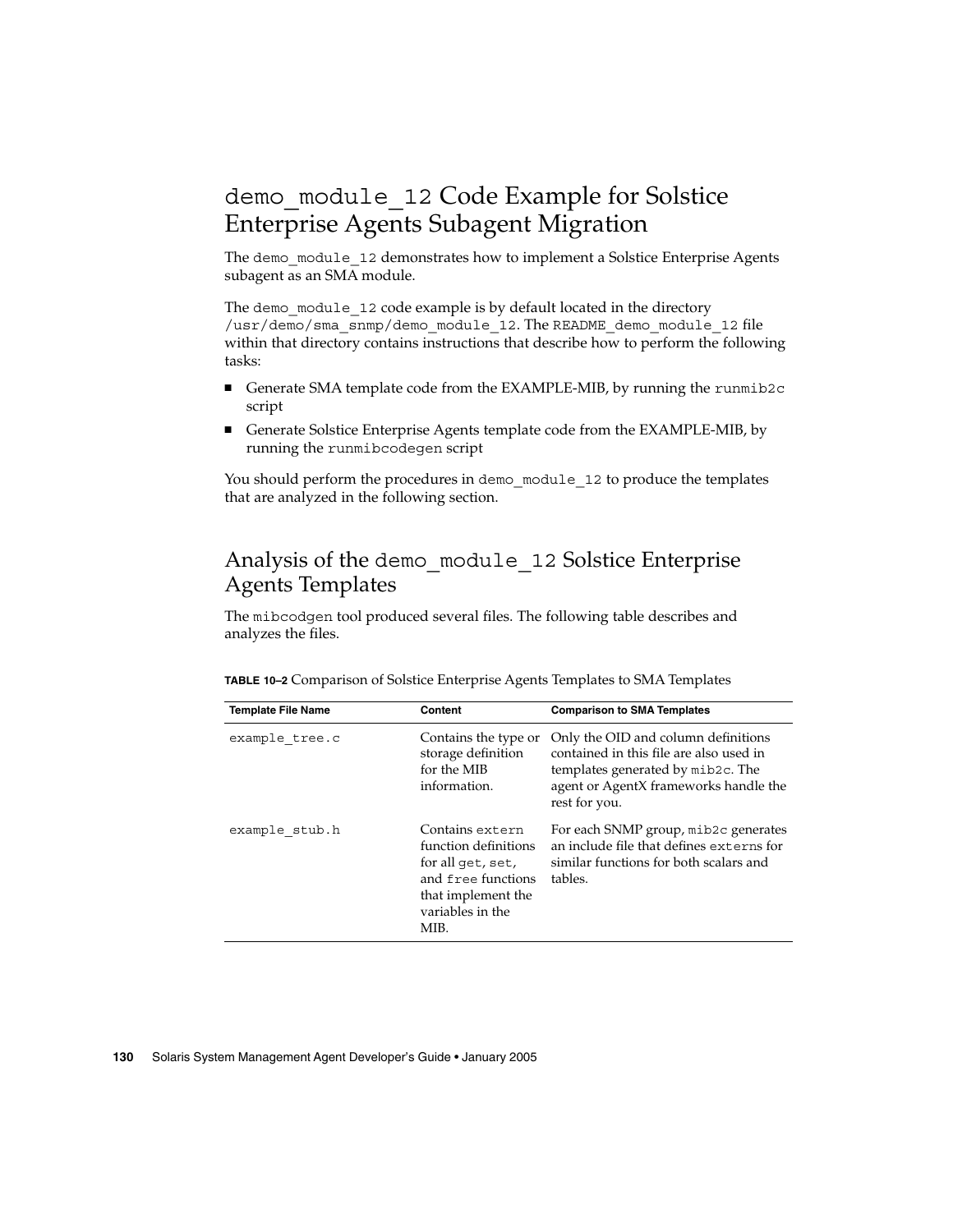## <span id="page-129-0"></span>demo\_module\_12 Code Example for Solstice Enterprise Agents Subagent Migration

The demo\_module\_12 demonstrates how to implement a Solstice Enterprise Agents subagent as an SMA module.

The demo\_module\_12 code example is by default located in the directory /usr/demo/sma\_snmp/demo\_module\_12. The README\_demo\_module\_12 file within that directory contains instructions that describe how to perform the following tasks:

- Generate SMA template code from the EXAMPLE-MIB, by running the runmib2c script
- Generate Solstice Enterprise Agents template code from the EXAMPLE-MIB, by running the runmibcodegen script

You should perform the procedures in demo\_module\_12 to produce the templates that are analyzed in the following section.

## Analysis of the demo\_module\_12 Solstice Enterprise Agents Templates

The mibcodgen tool produced several files. The following table describes and analyzes the files.

| <b>Template File Name</b> | Content                                                                                                                              | <b>Comparison to SMA Templates</b>                                                                                                                                            |
|---------------------------|--------------------------------------------------------------------------------------------------------------------------------------|-------------------------------------------------------------------------------------------------------------------------------------------------------------------------------|
| example tree.c            | Contains the type or<br>storage definition<br>for the MIB<br>information.                                                            | Only the OID and column definitions<br>contained in this file are also used in<br>templates generated by mib2c. The<br>agent or AgentX frameworks handle the<br>rest for you. |
| example stub.h            | Contains extern<br>function definitions<br>for all get, set,<br>and free functions<br>that implement the<br>variables in the<br>MIB. | For each SNMP group, mib2c generates<br>an include file that defines externs for<br>similar functions for both scalars and<br>tables.                                         |

**TABLE 10–2** Comparison of Solstice Enterprise Agents Templates to SMA Templates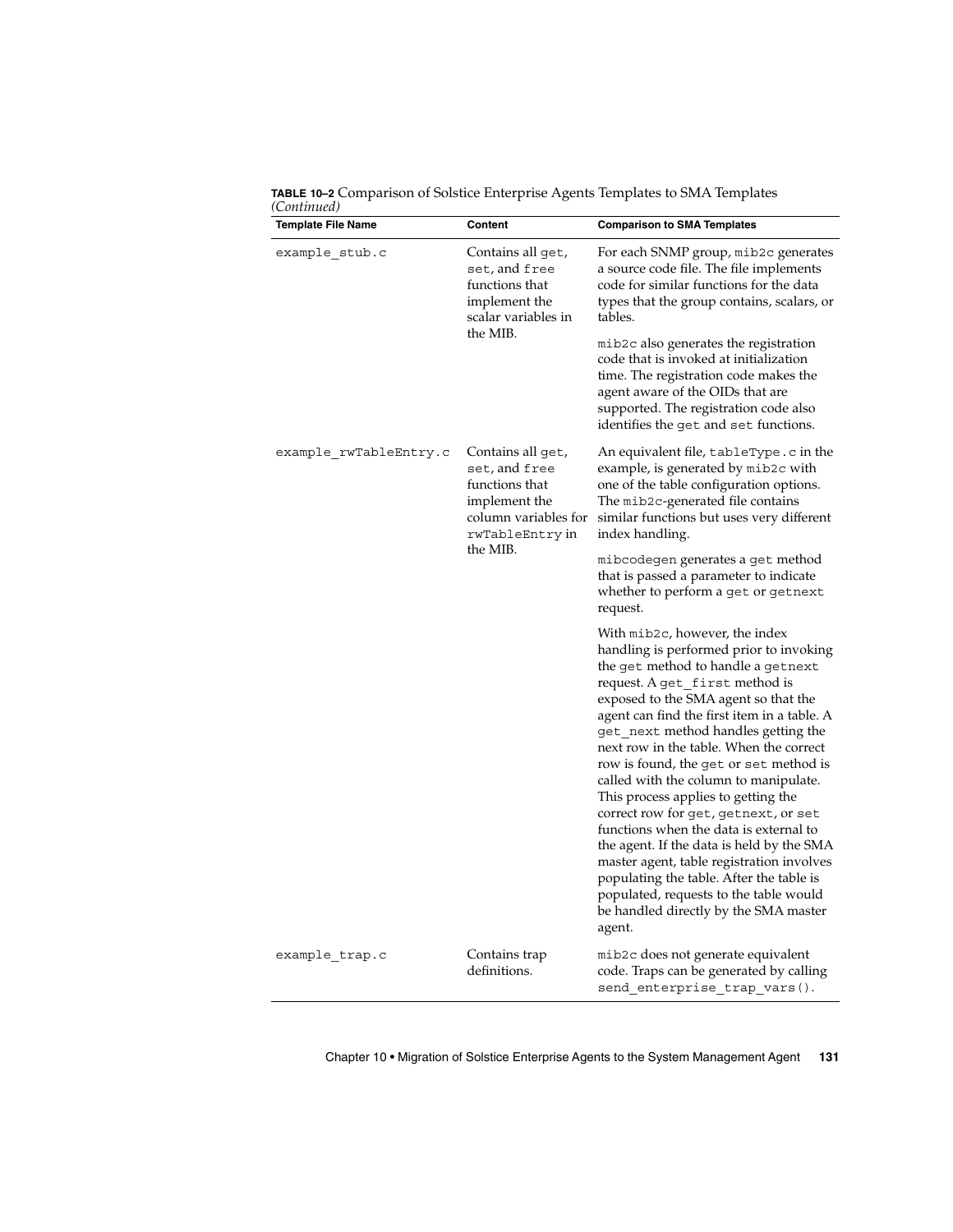| <b>Template File Name</b> | Content                                                                                                                      | <b>Comparison to SMA Templates</b>                                                                                                                                                                                                                                                                                                                                                                                                                                                                                                                                                                                                                                                                                                                                        |
|---------------------------|------------------------------------------------------------------------------------------------------------------------------|---------------------------------------------------------------------------------------------------------------------------------------------------------------------------------------------------------------------------------------------------------------------------------------------------------------------------------------------------------------------------------------------------------------------------------------------------------------------------------------------------------------------------------------------------------------------------------------------------------------------------------------------------------------------------------------------------------------------------------------------------------------------------|
| example_stub.c            | Contains all get,<br>set, and free<br>functions that<br>implement the<br>scalar variables in                                 | For each SNMP group, mib2c generates<br>a source code file. The file implements<br>code for similar functions for the data<br>types that the group contains, scalars, or<br>tables.                                                                                                                                                                                                                                                                                                                                                                                                                                                                                                                                                                                       |
|                           | the MIB.                                                                                                                     | mib2c also generates the registration<br>code that is invoked at initialization<br>time. The registration code makes the<br>agent aware of the OIDs that are<br>supported. The registration code also<br>identifies the get and set functions.                                                                                                                                                                                                                                                                                                                                                                                                                                                                                                                            |
| example rwTableEntry.c    | Contains all get,<br>set, and free<br>functions that<br>implement the<br>column variables for<br>rwTableEntry in<br>the MIB. | An equivalent file, tableType.c in the<br>example, is generated by mib2c with<br>one of the table configuration options.<br>The mib2c-generated file contains<br>similar functions but uses very different<br>index handling.                                                                                                                                                                                                                                                                                                                                                                                                                                                                                                                                             |
|                           |                                                                                                                              | mibcodegen generates a get method<br>that is passed a parameter to indicate<br>whether to perform a get or getnext<br>request.                                                                                                                                                                                                                                                                                                                                                                                                                                                                                                                                                                                                                                            |
|                           |                                                                                                                              | With mib2c, however, the index<br>handling is performed prior to invoking<br>the get method to handle a getnext<br>request. A get_first method is<br>exposed to the SMA agent so that the<br>agent can find the first item in a table. A<br>get_next method handles getting the<br>next row in the table. When the correct<br>row is found, the get or set method is<br>called with the column to manipulate.<br>This process applies to getting the<br>correct row for get, getnext, or set<br>functions when the data is external to<br>the agent. If the data is held by the SMA<br>master agent, table registration involves<br>populating the table. After the table is<br>populated, requests to the table would<br>be handled directly by the SMA master<br>agent. |
| example_trap.c            | Contains trap<br>definitions.                                                                                                | mib2c does not generate equivalent<br>code. Traps can be generated by calling<br>send_enterprise_trap_vars().                                                                                                                                                                                                                                                                                                                                                                                                                                                                                                                                                                                                                                                             |

**TABLE 10–2** Comparison of Solstice Enterprise Agents Templates to SMA Templates *(Continued)*

Chapter 10 • Migration of Solstice Enterprise Agents to the System Management Agent **131**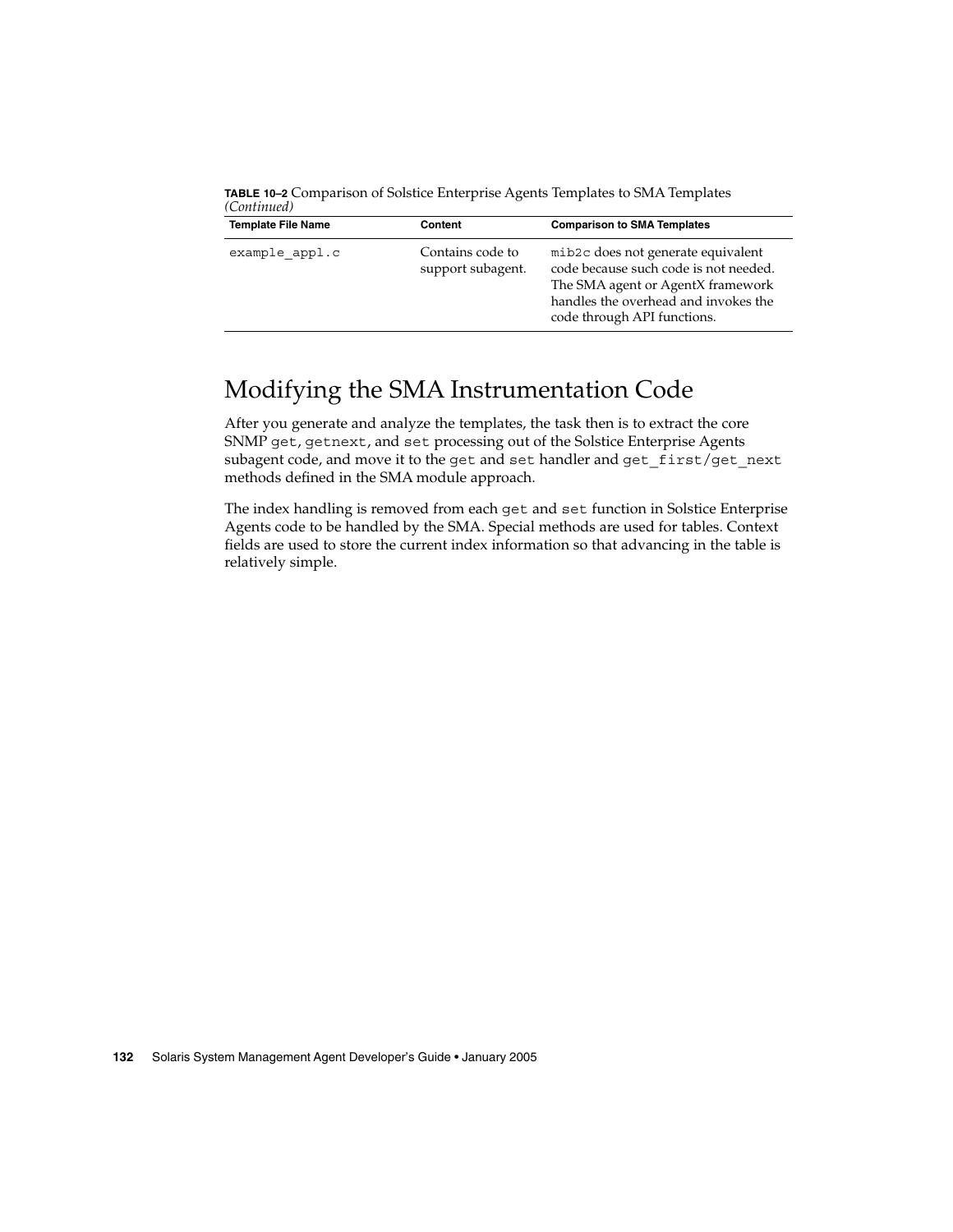| <i>comment</i>            |                                       |                                                                                                                                                                                                      |
|---------------------------|---------------------------------------|------------------------------------------------------------------------------------------------------------------------------------------------------------------------------------------------------|
| <b>Template File Name</b> | Content                               | <b>Comparison to SMA Templates</b>                                                                                                                                                                   |
| example appl.c            | Contains code to<br>support subagent. | mib <sub>2</sub> c does not generate equivalent<br>code because such code is not needed.<br>The SMA agent or AgentX framework<br>handles the overhead and invokes the<br>code through API functions. |

<span id="page-131-0"></span>**TABLE 10–2** Comparison of Solstice Enterprise Agents Templates to SMA Templates *(Continued)*

## Modifying the SMA Instrumentation Code

After you generate and analyze the templates, the task then is to extract the core SNMP get, getnext, and set processing out of the Solstice Enterprise Agents subagent code, and move it to the get and set handler and get\_first/get\_next methods defined in the SMA module approach.

The index handling is removed from each get and set function in Solstice Enterprise Agents code to be handled by the SMA. Special methods are used for tables. Context fields are used to store the current index information so that advancing in the table is relatively simple.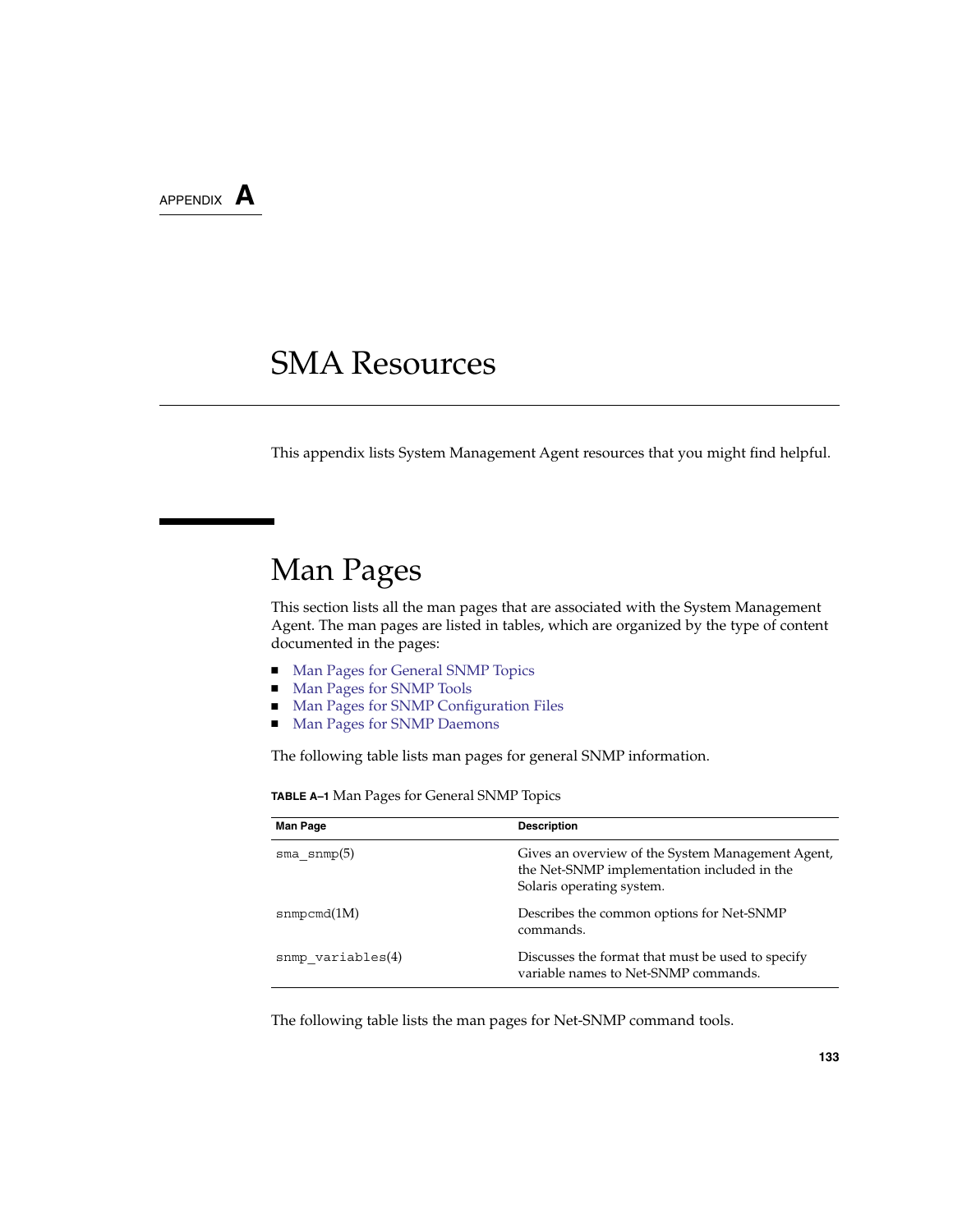APPENDIX **A**

## SMA Resources

This appendix lists System Management Agent resources that you might find helpful.

# Man Pages

This section lists all the man pages that are associated with the System Management Agent. The man pages are listed in tables, which are organized by the type of content documented in the pages:

- Man Pages for General SNMP Topics
- [Man Pages for SNMP Tools](#page-133-0)
- [Man Pages for SNMP Configuration Files](#page-134-0)
- [Man Pages for SNMP Daemons](#page-135-0)

The following table lists man pages for general SNMP information.

| <b>Man Page</b>         | <b>Description</b>                                                                                                            |
|-------------------------|-------------------------------------------------------------------------------------------------------------------------------|
| $s$ ma $s$ nmp $(5)$    | Gives an overview of the System Management Agent,<br>the Net-SNMP implementation included in the<br>Solaris operating system. |
| $s$ nmpcmd $(1M)$       | Describes the common options for Net-SNMP<br>commands.                                                                        |
| $s$ nmp variables $(4)$ | Discusses the format that must be used to specify<br>variable names to Net-SNMP commands.                                     |

**TABLE A–1** Man Pages for General SNMP Topics

The following table lists the man pages for Net-SNMP command tools.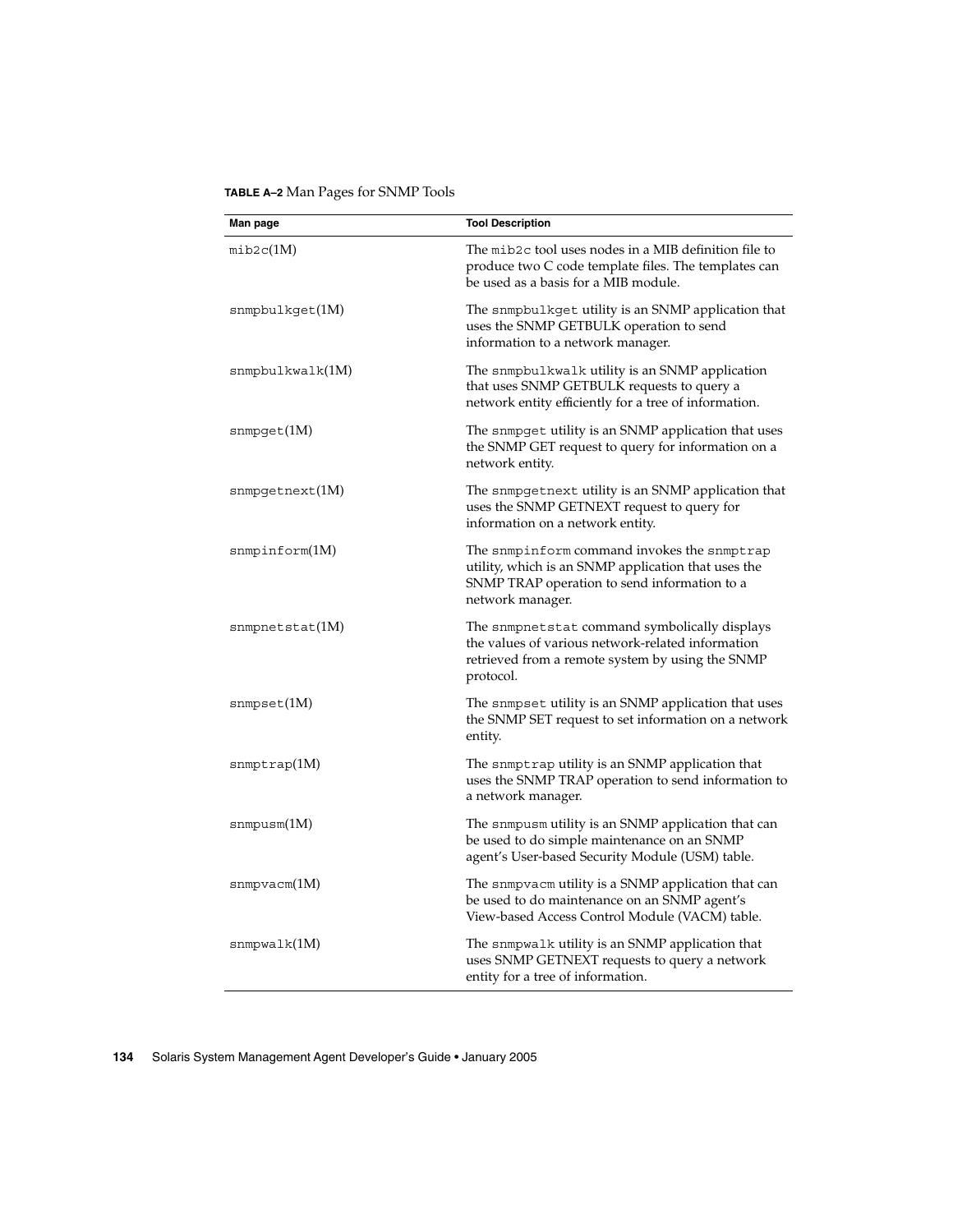### <span id="page-133-0"></span>**TABLE A–2** Man Pages for SNMP Tools

| Man page               | <b>Tool Description</b>                                                                                                                                                |
|------------------------|------------------------------------------------------------------------------------------------------------------------------------------------------------------------|
| $\text{mib2c}(1M)$     | The mib2c tool uses nodes in a MIB definition file to<br>produce two C code template files. The templates can<br>be used as a basis for a MIB module.                  |
| $s$ nmpbulkget $(1M)$  | The snmpbulkget utility is an SNMP application that<br>uses the SNMP GETBULK operation to send<br>information to a network manager.                                    |
| $s$ nmpbulkwalk $(1M)$ | The snmpbulkwalk utility is an SNMP application<br>that uses SNMP GETBULK requests to query a<br>network entity efficiently for a tree of information.                 |
| $s$ nmpget $(1M)$      | The snmpget utility is an SNMP application that uses<br>the SNMP GET request to query for information on a<br>network entity.                                          |
| $s$ nmpgetnext $(1M)$  | The snmpgetnext utility is an SNMP application that<br>uses the SNMP GETNEXT request to query for<br>information on a network entity.                                  |
| $s$ nmpinform $(1M)$   | The snmpinform command invokes the snmptrap<br>utility, which is an SNMP application that uses the<br>SNMP TRAP operation to send information to a<br>network manager. |
| $s$ nmpnetstat $(M)$   | The snmpnetstat command symbolically displays<br>the values of various network-related information<br>retrieved from a remote system by using the SNMP<br>protocol.    |
| $s$ nmpset $(1M)$      | The snmpset utility is an SNMP application that uses<br>the SNMP SET request to set information on a network<br>entity.                                                |
| $s$ nmptrap $(1M)$     | The snmptrap utility is an SNMP application that<br>uses the SNMP TRAP operation to send information to<br>a network manager.                                          |
| $s$ nmpusm $(1M)$      | The snmpusm utility is an SNMP application that can<br>be used to do simple maintenance on an SNMP<br>agent's User-based Security Module (USM) table.                  |
| $s$ nmpvacm $(1M)$     | The snmpvacm utility is a SNMP application that can<br>be used to do maintenance on an SNMP agent's<br>View-based Access Control Module (VACM) table.                  |
| snmpwall(1M)           | The snmpwalk utility is an SNMP application that<br>uses SNMP GETNEXT requests to query a network<br>entity for a tree of information.                                 |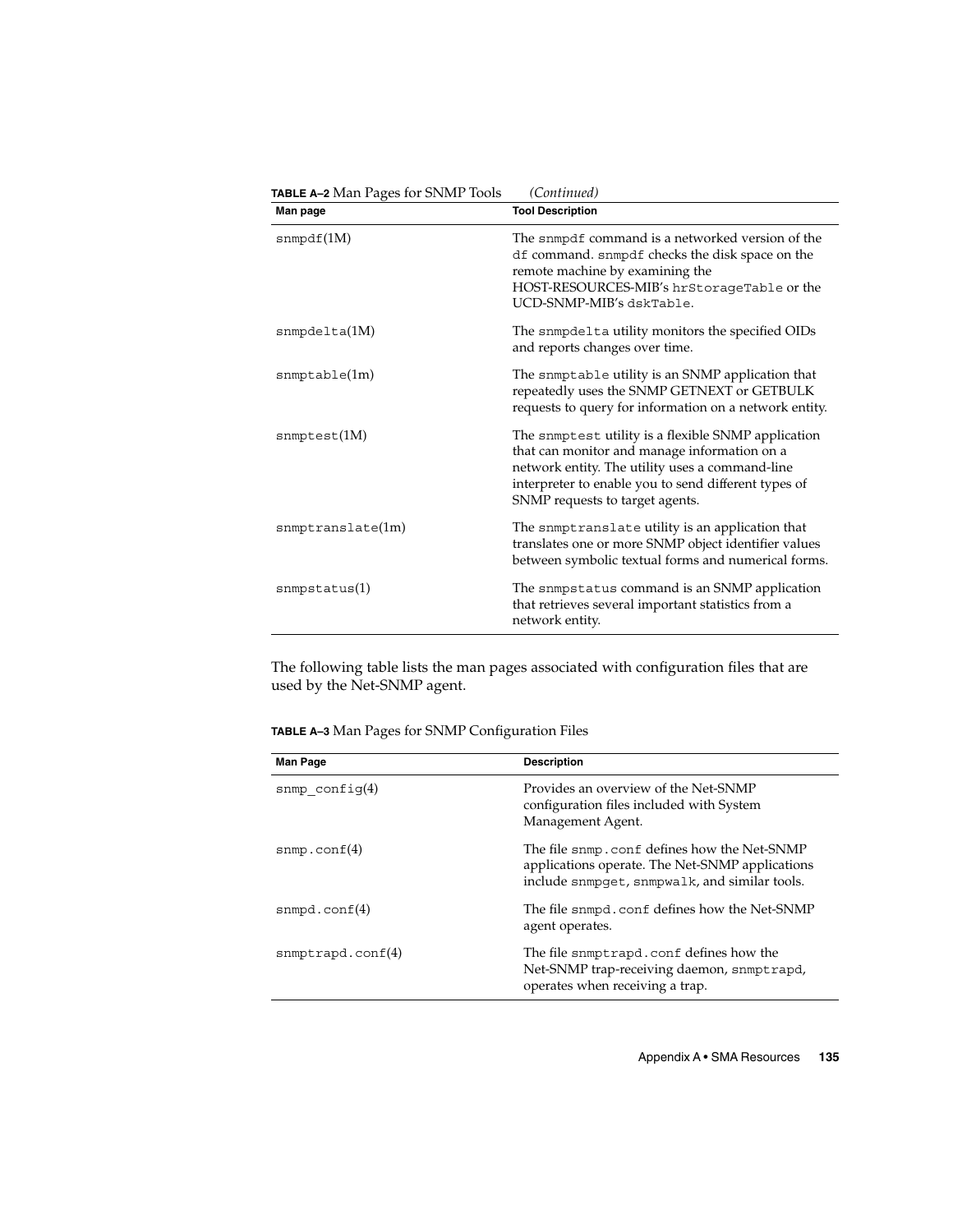<span id="page-134-0"></span>

| TABLE A-2 Man Pages for SNMP Tools | (Continued)                                                                                                                                                                                                                                       |
|------------------------------------|---------------------------------------------------------------------------------------------------------------------------------------------------------------------------------------------------------------------------------------------------|
| Man page                           | <b>Tool Description</b>                                                                                                                                                                                                                           |
| $s$ nmpd $f(1M)$                   | The snmpdf command is a networked version of the<br>df command. snmpdf checks the disk space on the<br>remote machine by examining the<br>HOST-RESOURCES-MIB's hrStorageTable or the<br>UCD-SNMP-MIB's dskTable.                                  |
| $s$ nmpdelta $(1M)$                | The snmpdelta utility monitors the specified OIDs<br>and reports changes over time.                                                                                                                                                               |
| $s$ nmptable $(1m)$                | The snmptable utility is an SNMP application that<br>repeatedly uses the SNMP GETNEXT or GETBULK<br>requests to query for information on a network entity.                                                                                        |
| $s$ nmptest $(1M)$                 | The snmptest utility is a flexible SNMP application<br>that can monitor and manage information on a<br>network entity. The utility uses a command-line<br>interpreter to enable you to send different types of<br>SNMP requests to target agents. |
| $s$ nmptranslate $(1m)$            | The snmptranslate utility is an application that<br>translates one or more SNMP object identifier values<br>between symbolic textual forms and numerical forms.                                                                                   |
| sumpstate(s(1)                     | The snmpstatus command is an SNMP application<br>that retrieves several important statistics from a<br>network entity.                                                                                                                            |

The following table lists the man pages associated with configuration files that are used by the Net-SNMP agent.

| TABLE A-3 Man Pages for SNMP Configuration Files |  |  |  |
|--------------------------------------------------|--|--|--|
|                                                  |  |  |  |

| <b>Man Page</b>         | <b>Description</b>                                                                                                                              |
|-------------------------|-------------------------------------------------------------------------------------------------------------------------------------------------|
| $s$ nmp confiq $(4)$    | Provides an overview of the Net-SNMP<br>configuration files included with System<br>Management Agent.                                           |
| smmp.conf(4)            | The file snmp.conf defines how the Net-SNMP<br>applications operate. The Net-SNMP applications<br>include snmpget, snmpwalk, and similar tools. |
| $s$ nmpd.con $f(4)$     | The file snmpd.conf defines how the Net-SNMP<br>agent operates.                                                                                 |
| $s$ nmptrapd.conf $(4)$ | The file snmptrapd.conf defines how the<br>Net-SNMP trap-receiving daemon, snmptrapd,<br>operates when receiving a trap.                        |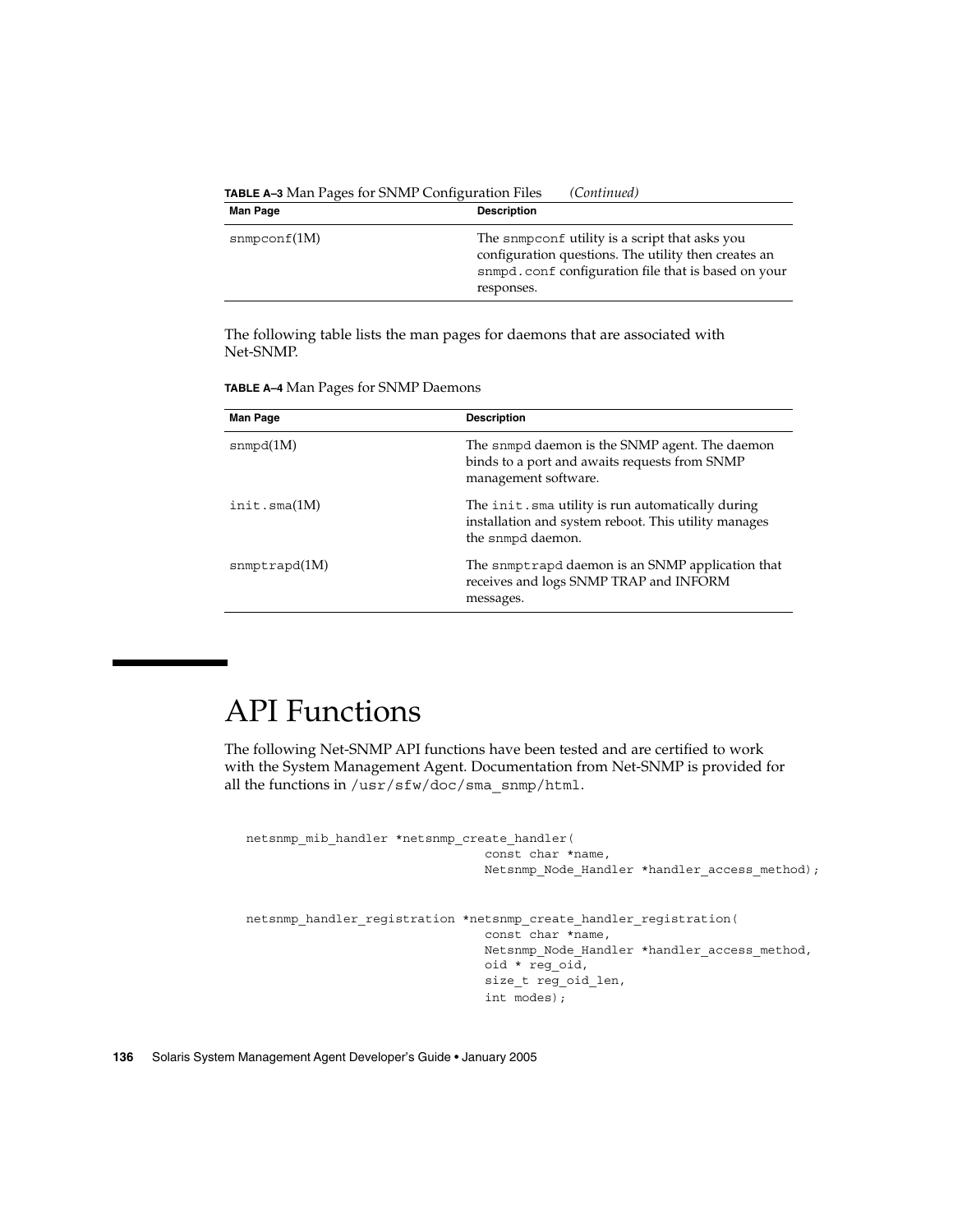<span id="page-135-0"></span>

| TABLE A-3 Man Pages for SNMP Configuration Files | (Continued)                                                                                                                                                                 |
|--------------------------------------------------|-----------------------------------------------------------------------------------------------------------------------------------------------------------------------------|
| <b>Man Page</b>                                  | <b>Description</b>                                                                                                                                                          |
| $smm$ conf $(1M)$                                | The snmpconf utility is a script that asks you<br>configuration questions. The utility then creates an<br>snmpd.conf configuration file that is based on your<br>responses. |

The following table lists the man pages for daemons that are associated with Net-SNMP.

**TABLE A–4** Man Pages for SNMP Daemons

| <b>Man Page</b>       | <b>Description</b>                                                                                                            |
|-----------------------|-------------------------------------------------------------------------------------------------------------------------------|
| $s$ nmpd $(1M)$       | The snmpd daemon is the SNMP agent. The daemon<br>binds to a port and awaits requests from SNMP<br>management software.       |
| $init.\text{sma}(1M)$ | The init.sma utility is run automatically during<br>installation and system reboot. This utility manages<br>the snmpd daemon. |
| snmptrapd(M)          | The snmptrapd daemon is an SNMP application that<br>receives and logs SNMP TRAP and INFORM<br>messages.                       |

# API Functions

The following Net-SNMP API functions have been tested and are certified to work with the System Management Agent. Documentation from Net-SNMP is provided for all the functions in /usr/sfw/doc/sma\_snmp/html.

```
netsnmp_mib_handler *netsnmp_create_handler(
                                const char *name,
                                Netsnmp_Node_Handler *handler_access_method);
netsnmp_handler_registration *netsnmp_create_handler_registration(
                                const char *name,
                                Netsnmp_Node_Handler *handler_access_method,
                                oid * reg_oid,
                                size t reg oid len,
                                int modes);
```
**136** Solaris System Management Agent Developer's Guide • January 2005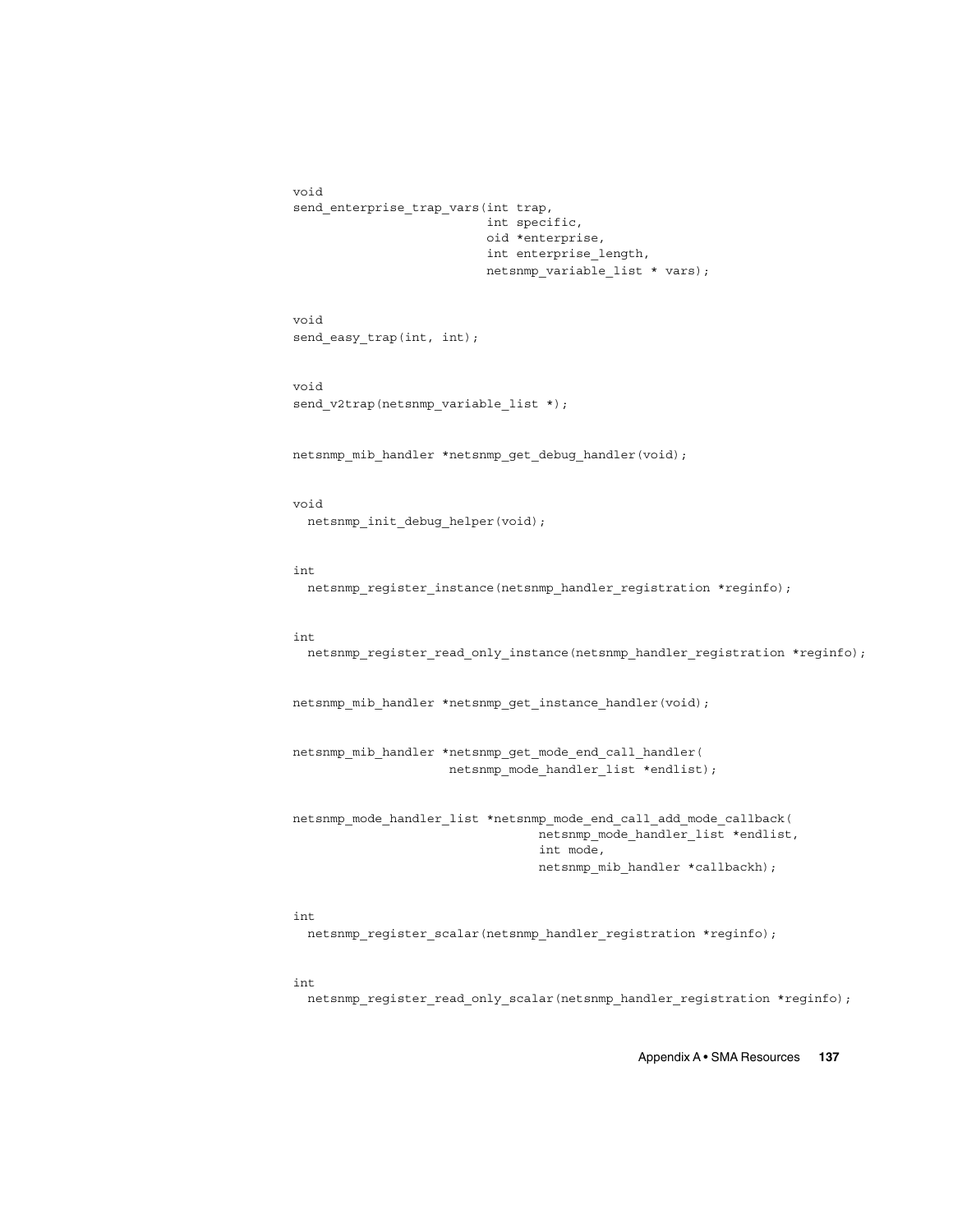```
void
send_enterprise_trap_vars(int trap,
                          int specific,
                          oid *enterprise,
                          int enterprise_length,
                          netsnmp variable list * vars);
void
send easy trap(int, int);
void
send_v2trap(netsnmp_variable_list *);
netsnmp_mib_handler *netsnmp_get_debug_handler(void);
void
 netsnmp_init_debug_helper(void);
int
 netsnmp_register_instance(netsnmp_handler_registration *reginfo);
int
 netsnmp_register_read_only_instance(netsnmp_handler_registration *reginfo);
netsnmp_mib_handler *netsnmp_get_instance_handler(void);
netsnmp_mib_handler *netsnmp_get_mode_end_call_handler(
                     netsnmp_mode_handler_list *endlist);
netsnmp_mode_handler_list *netsnmp_mode_end_call_add_mode_callback(
                                 netsnmp_mode_handler_list *endlist,
                                 int mode,
                                 netsnmp_mib_handler *callbackh);
int
 netsnmp_register_scalar(netsnmp_handler_registration *reginfo);
int
 netsnmp_register_read_only_scalar(netsnmp_handler_registration *reginfo);
```
Appendix A • SMA Resources **137**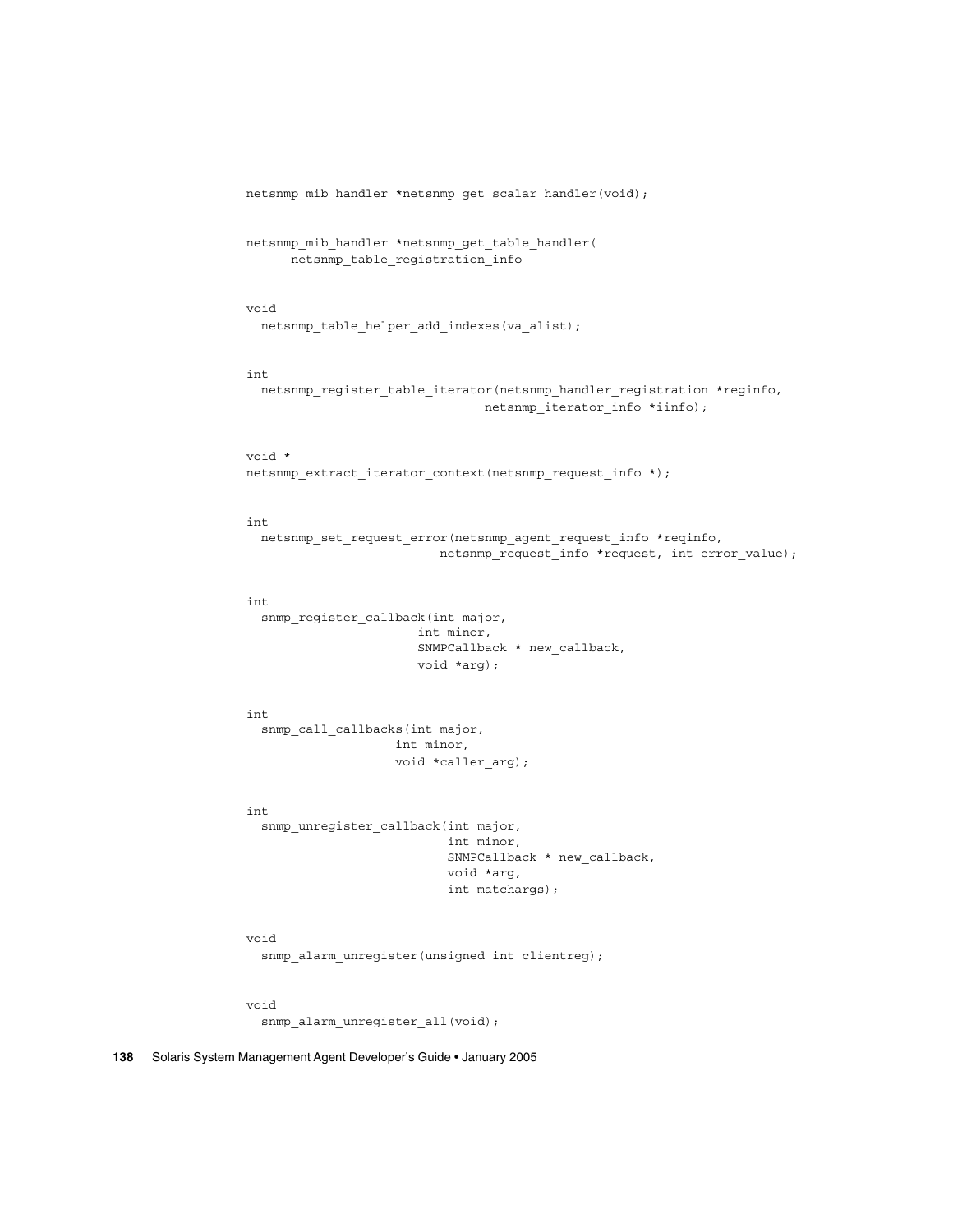```
netsnmp_mib_handler *netsnmp_get_scalar_handler(void);
netsnmp_mib_handler *netsnmp_get_table_handler(
      netsnmp_table_registration_info
void
  netsnmp_table_helper_add_indexes(va_alist);
int
  netsnmp_register_table_iterator(netsnmp_handler_registration *reginfo,
                                netsnmp_iterator_info *iinfo);
void *
netsnmp_extract_iterator_context(netsnmp_request_info *);
int
 netsnmp_set_request_error(netsnmp_agent_request_info *reqinfo,
                          netsnmp_request_info *request, int error_value);
int
  snmp_register_callback(int major,
                       int minor,
                       SNMPCallback * new_callback,
                       void *arg);
int
  snmp_call_callbacks(int major,
                    int minor,
                    void *caller_arg);
int
  snmp_unregister_callback(int major,
                           int minor,
                           SNMPCallback * new_callback,
                           void *arg,
                           int matchargs);
void
  snmp_alarm_unregister(unsigned int clientreg);
void
  snmp_alarm_unregister_all(void);
```
**138** Solaris System Management Agent Developer's Guide • January 2005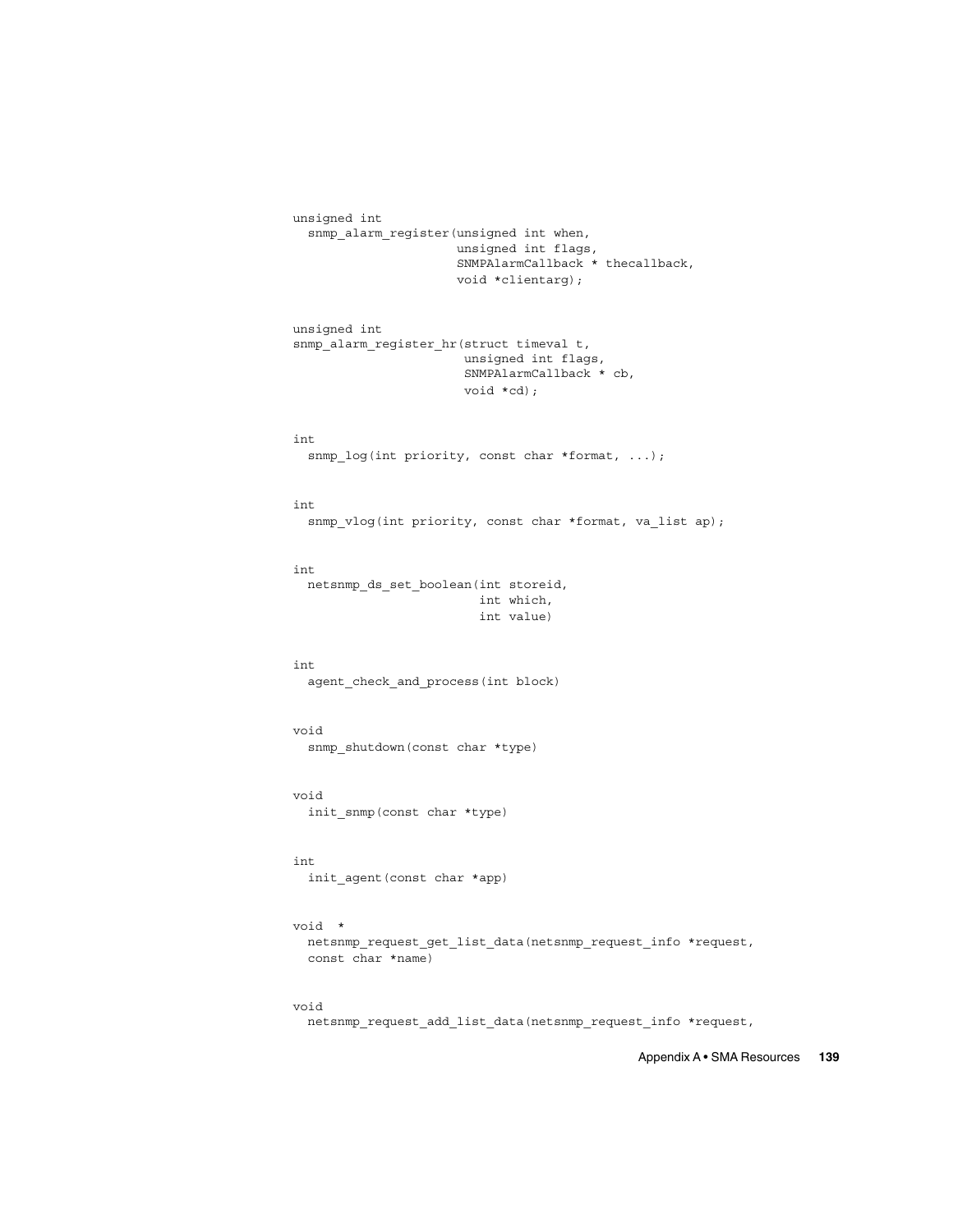```
unsigned int
  snmp alarm register(unsigned int when,
                      unsigned int flags,
                      SNMPAlarmCallback * thecallback,
                      void *clientarg);
unsigned int
snmp alarm register hr(struct timeval t,
                      unsigned int flags,
                       SNMPAlarmCallback * cb,
                       void *cd);
int
  snmp log(int priority, const char *format, ...);
int
  snmp_vlog(int priority, const char *format, va_list ap);
int
 netsnmp_ds_set_boolean(int storeid,
                         int which,
                         int value)
int
  agent check and process(int block)
void
  snmp_shutdown(const char *type)
void
  init_snmp(const char *type)
int
  init_agent(const char *app)
void *
 netsnmp_request_get_list_data(netsnmp_request_info *request,
 const char *name)
void
 netsnmp_request_add_list_data(netsnmp_request_info *request,
```
Appendix A • SMA Resources **139**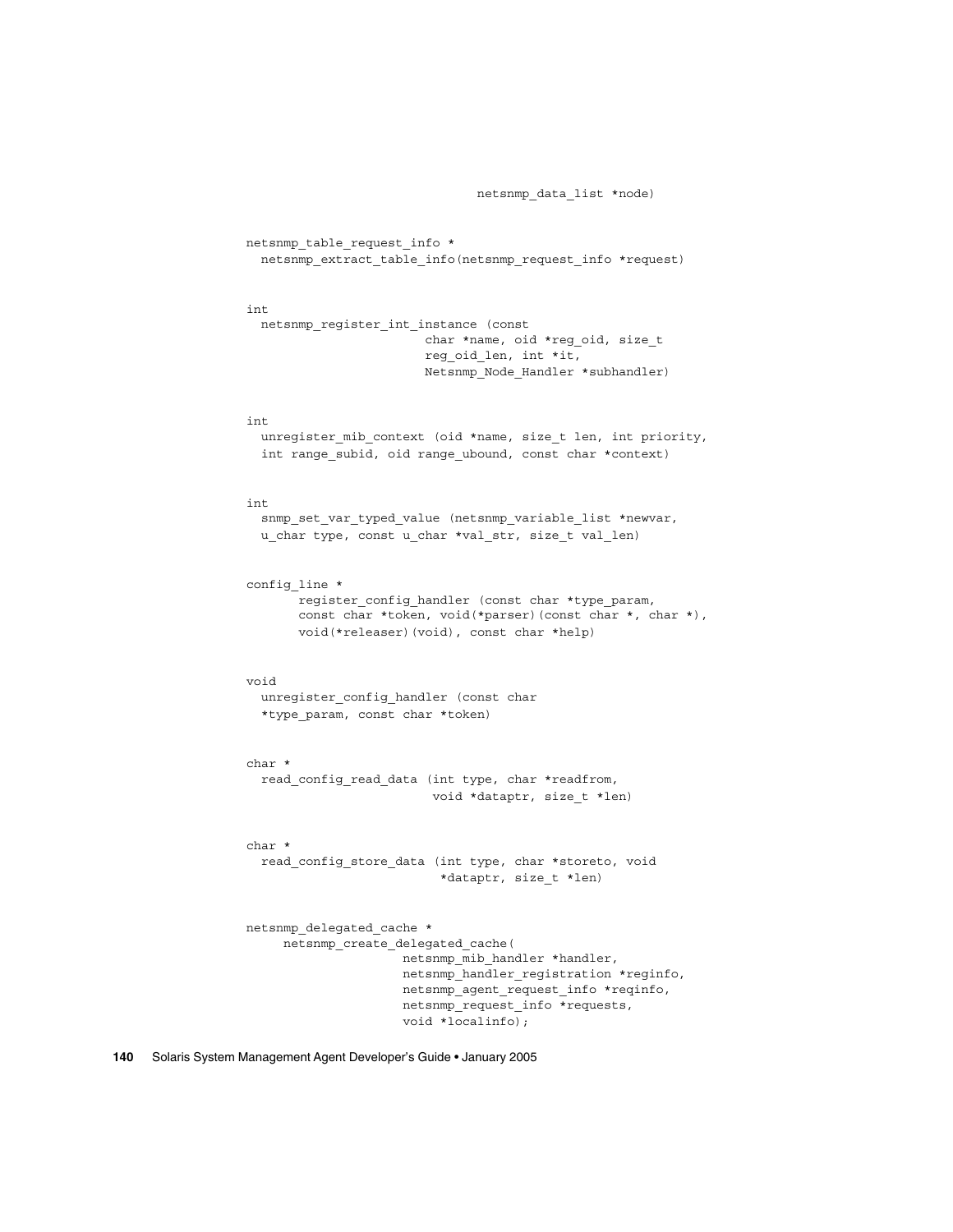netsnmp\_data\_list \*node)

```
netsnmp_table_request_info *
 netsnmp_extract_table_info(netsnmp_request_info *request)
```
#### int

```
netsnmp_register_int_instance (const
                     char *name, oid *reg_oid, size_t
                      reg_oid_len, int *it,
                      Netsnmp_Node_Handler *subhandler)
```
#### int

```
unregister_mib_context (oid *name, size_t len, int priority,
int range_subid, oid range_ubound, const char *context)
```
#### int

snmp\_set\_var\_typed\_value (netsnmp\_variable\_list \*newvar, u\_char type, const u\_char \*val\_str, size\_t val\_len)

#### config\_line \*

```
register_config_handler (const char *type_param,
const char *token, void(*parser)(const char *, char *),
void(*releaser)(void), const char *help)
```
#### void

```
unregister config handler (const char
*type_param, const char *token)
```
#### char \*

read\_config\_read\_data (int type, char \*readfrom, void \*dataptr, size\_t \*len)

#### char \* read\_config\_store\_data (int type, char \*storeto, void \*dataptr, size\_t \*len)

```
netsnmp_delegated_cache *
     netsnmp_create_delegated_cache(
                     netsnmp_mib_handler *handler,
                     netsnmp_handler_registration *reginfo,
                     netsnmp agent request info *reqinfo,
                     netsnmp_request_info *requests,
                     void *localinfo);
```
#### **140** Solaris System Management Agent Developer's Guide • January 2005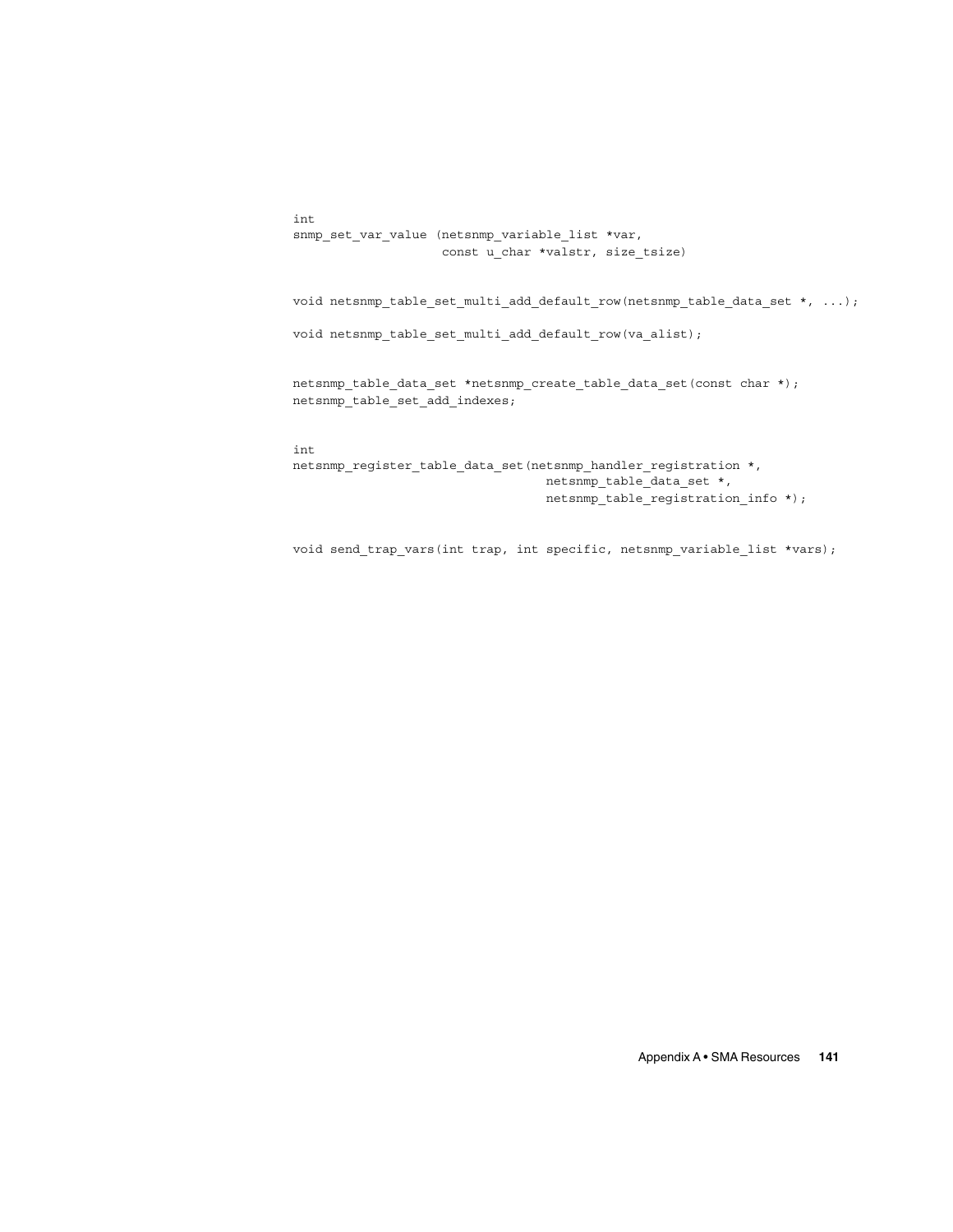```
int
snmp_set_var_value (netsnmp_variable_list *var,
                   const u_char *valstr, size_tsize)
void netsnmp_table_set_multi_add_default_row(netsnmp_table_data_set *, ...);
void netsnmp_table_set_multi_add_default_row(va_alist);
netsnmp_table_data_set *netsnmp_create_table_data_set(const char *);
netsnmp_table_set_add_indexes;
int
netsnmp_register_table_data_set(netsnmp_handler_registration *,
                                 netsnmp_table_data_set *,
                                  netsnmp_table_registration_info *);
```
void send trap vars(int trap, int specific, netsnmp variable list \*vars);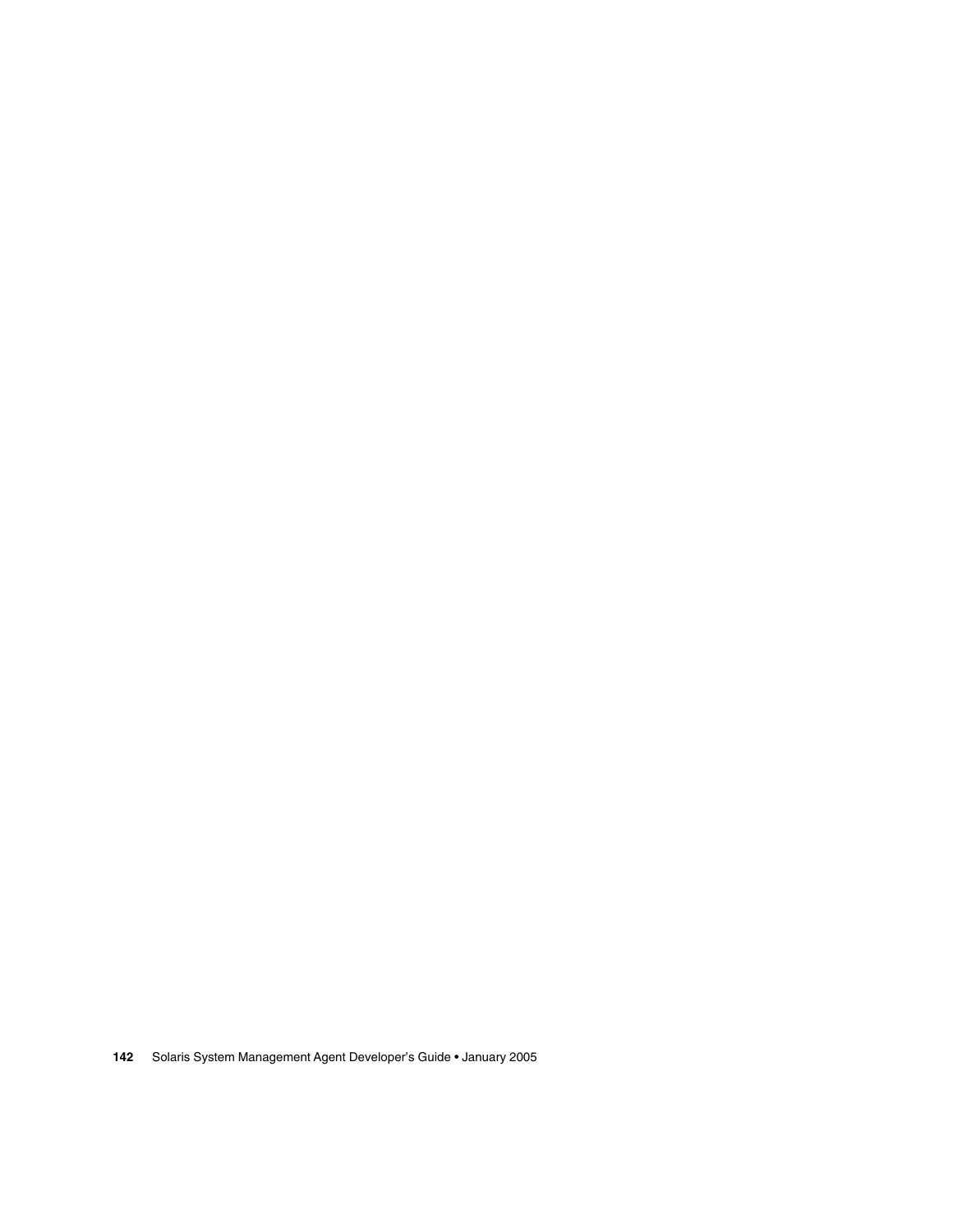Solaris System Management Agent Developer's Guide • January 2005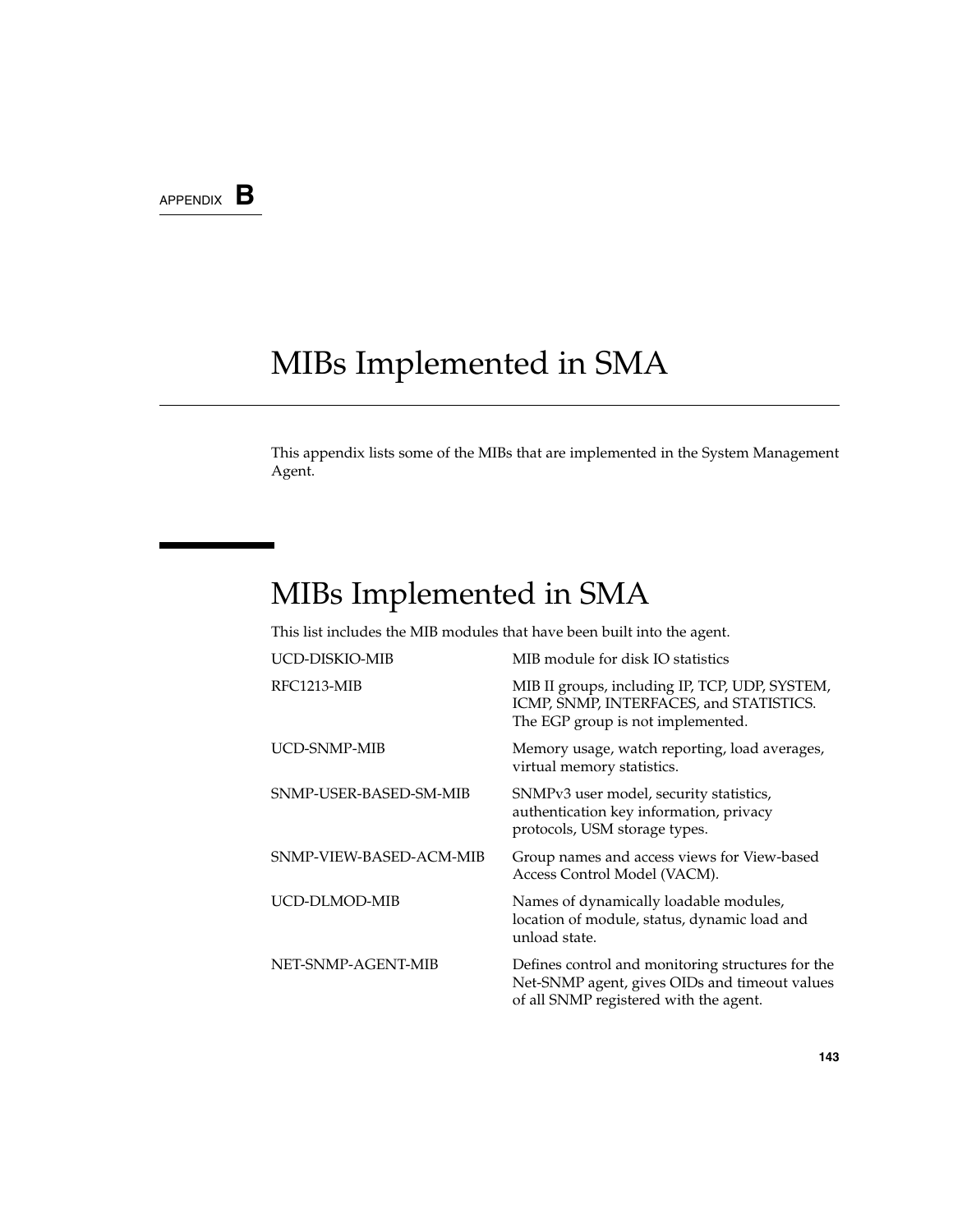APPENDIX **B**

# MIBs Implemented in SMA

This appendix lists some of the MIBs that are implemented in the System Management Agent.

# MIBs Implemented in SMA

This list includes the MIB modules that have been built into the agent.

| UCD-DISKIO-MIB          | MIB module for disk IO statistics                                                                                                            |
|-------------------------|----------------------------------------------------------------------------------------------------------------------------------------------|
| RFC1213-MIB             | MIB II groups, including IP, TCP, UDP, SYSTEM,<br>ICMP, SNMP, INTERFACES, and STATISTICS.<br>The EGP group is not implemented.               |
| UCD-SNMP-MIB            | Memory usage, watch reporting, load averages,<br>virtual memory statistics.                                                                  |
| SNMP-USER-BASED-SM-MIB  | SNMPv3 user model, security statistics,<br>authentication key information, privacy<br>protocols, USM storage types.                          |
| SNMP-VIEW-BASED-ACM-MIB | Group names and access views for View-based<br>Access Control Model (VACM).                                                                  |
| UCD-DLMOD-MIB           | Names of dynamically loadable modules,<br>location of module, status, dynamic load and<br>unload state.                                      |
| NET-SNMP-AGENT-MIB      | Defines control and monitoring structures for the<br>Net-SNMP agent, gives OIDs and timeout values<br>of all SNMP registered with the agent. |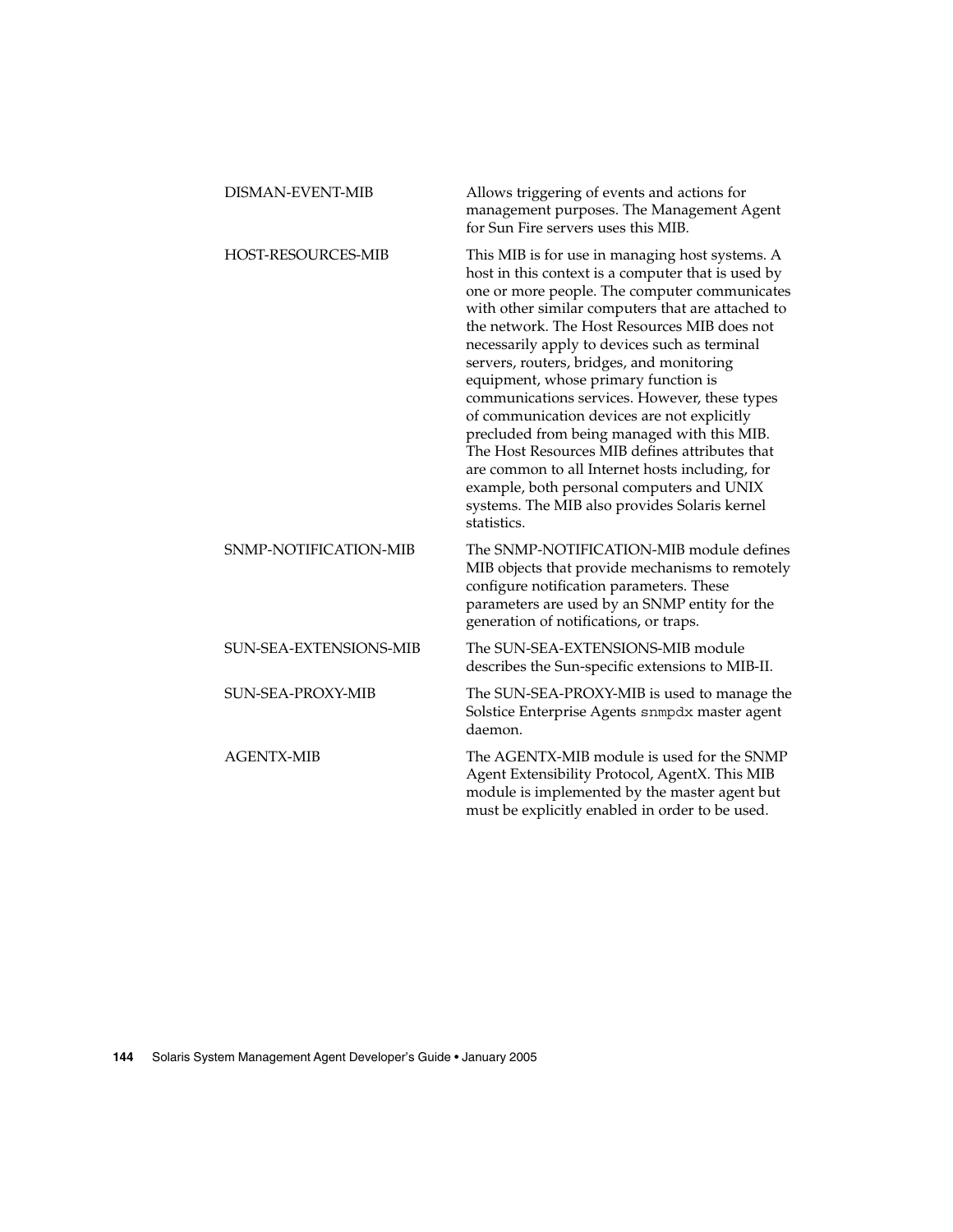| DISMAN-EVENT-MIB          | Allows triggering of events and actions for<br>management purposes. The Management Agent<br>for Sun Fire servers uses this MIB.                                                                                                                                                                                                                                                                                                                                                                                                                                                                                                                                                                                                                                    |
|---------------------------|--------------------------------------------------------------------------------------------------------------------------------------------------------------------------------------------------------------------------------------------------------------------------------------------------------------------------------------------------------------------------------------------------------------------------------------------------------------------------------------------------------------------------------------------------------------------------------------------------------------------------------------------------------------------------------------------------------------------------------------------------------------------|
| <b>HOST-RESOURCES-MIB</b> | This MIB is for use in managing host systems. A<br>host in this context is a computer that is used by<br>one or more people. The computer communicates<br>with other similar computers that are attached to<br>the network. The Host Resources MIB does not<br>necessarily apply to devices such as terminal<br>servers, routers, bridges, and monitoring<br>equipment, whose primary function is<br>communications services. However, these types<br>of communication devices are not explicitly<br>precluded from being managed with this MIB.<br>The Host Resources MIB defines attributes that<br>are common to all Internet hosts including, for<br>example, both personal computers and UNIX<br>systems. The MIB also provides Solaris kernel<br>statistics. |
| SNMP-NOTIFICATION-MIB     | The SNMP-NOTIFICATION-MIB module defines<br>MIB objects that provide mechanisms to remotely<br>configure notification parameters. These<br>parameters are used by an SNMP entity for the<br>generation of notifications, or traps.                                                                                                                                                                                                                                                                                                                                                                                                                                                                                                                                 |
| SUN-SEA-EXTENSIONS-MIB    | The SUN-SEA-EXTENSIONS-MIB module<br>describes the Sun-specific extensions to MIB-II.                                                                                                                                                                                                                                                                                                                                                                                                                                                                                                                                                                                                                                                                              |
| <b>SUN-SEA-PROXY-MIB</b>  | The SUN-SEA-PROXY-MIB is used to manage the<br>Solstice Enterprise Agents snmpdx master agent<br>daemon.                                                                                                                                                                                                                                                                                                                                                                                                                                                                                                                                                                                                                                                           |
| <b>AGENTX-MIB</b>         | The AGENTX-MIB module is used for the SNMP<br>Agent Extensibility Protocol, AgentX. This MIB<br>module is implemented by the master agent but<br>must be explicitly enabled in order to be used.                                                                                                                                                                                                                                                                                                                                                                                                                                                                                                                                                                   |

**144** Solaris System Management Agent Developer's Guide • January 2005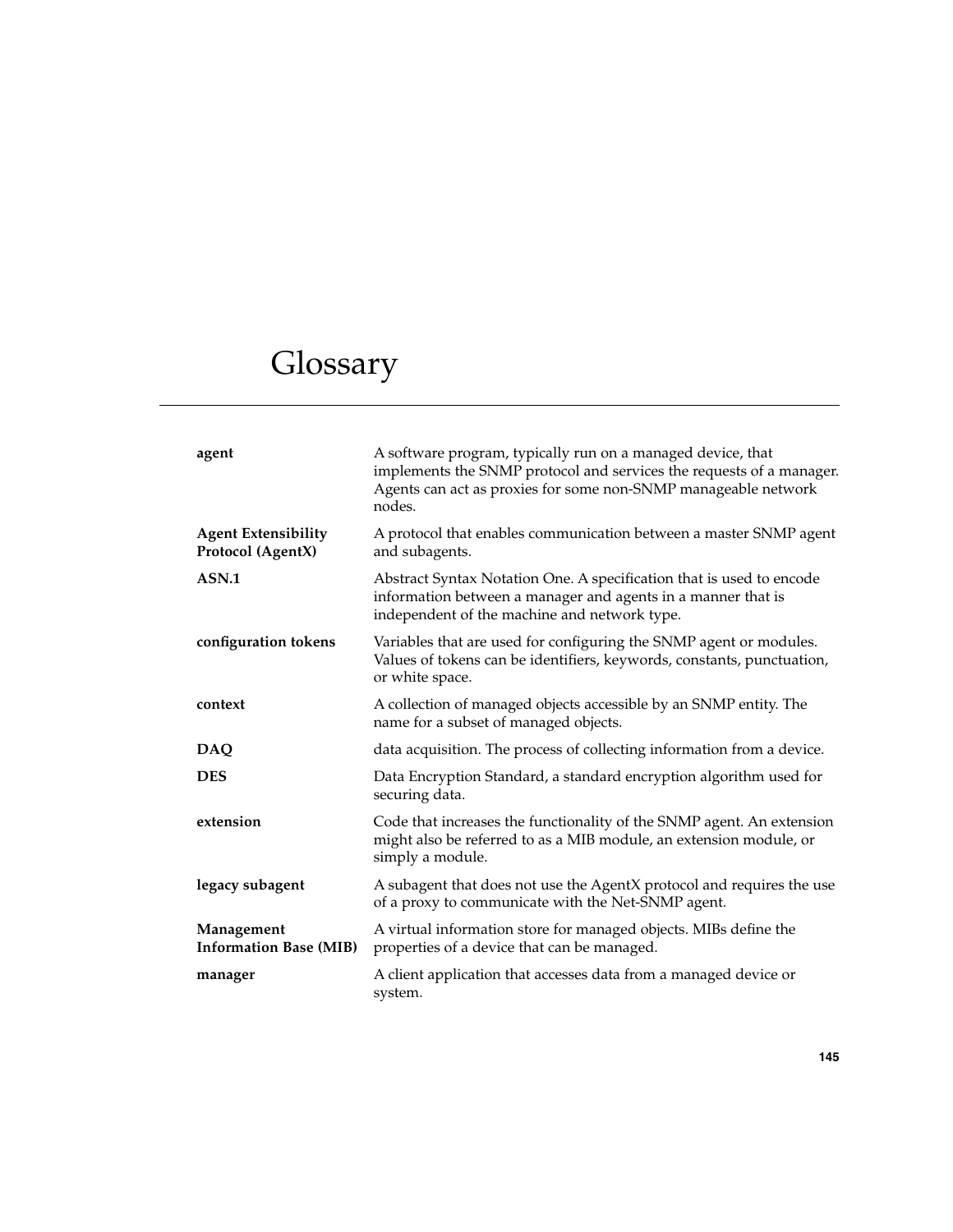# Glossary

| agent                                           | A software program, typically run on a managed device, that<br>implements the SNMP protocol and services the requests of a manager.<br>Agents can act as proxies for some non-SNMP manageable network<br>nodes. |
|-------------------------------------------------|-----------------------------------------------------------------------------------------------------------------------------------------------------------------------------------------------------------------|
| <b>Agent Extensibility</b><br>Protocol (AgentX) | A protocol that enables communication between a master SNMP agent<br>and subagents.                                                                                                                             |
| ASN.1                                           | Abstract Syntax Notation One. A specification that is used to encode<br>information between a manager and agents in a manner that is<br>independent of the machine and network type.                            |
| configuration tokens                            | Variables that are used for configuring the SNMP agent or modules.<br>Values of tokens can be identifiers, keywords, constants, punctuation,<br>or white space.                                                 |
| context                                         | A collection of managed objects accessible by an SNMP entity. The<br>name for a subset of managed objects.                                                                                                      |
| <b>DAQ</b>                                      | data acquisition. The process of collecting information from a device.                                                                                                                                          |
| <b>DES</b>                                      | Data Encryption Standard, a standard encryption algorithm used for<br>securing data.                                                                                                                            |
| extension                                       | Code that increases the functionality of the SNMP agent. An extension<br>might also be referred to as a MIB module, an extension module, or<br>simply a module.                                                 |
| legacy subagent                                 | A subagent that does not use the AgentX protocol and requires the use<br>of a proxy to communicate with the Net-SNMP agent.                                                                                     |
| Management<br><b>Information Base (MIB)</b>     | A virtual information store for managed objects. MIBs define the<br>properties of a device that can be managed.                                                                                                 |
| manager                                         | A client application that accesses data from a managed device or<br>system.                                                                                                                                     |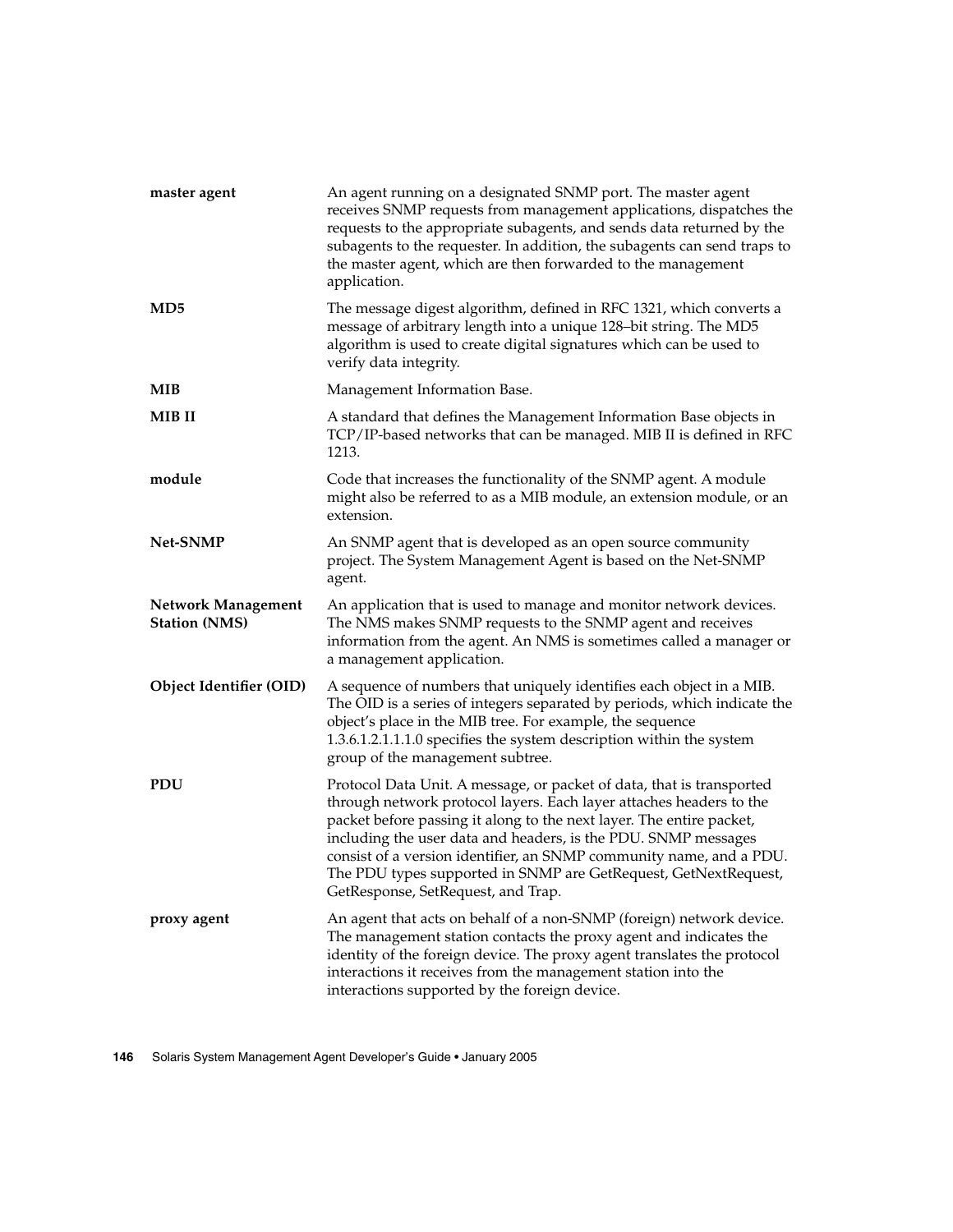| master agent                                      | An agent running on a designated SNMP port. The master agent<br>receives SNMP requests from management applications, dispatches the<br>requests to the appropriate subagents, and sends data returned by the<br>subagents to the requester. In addition, the subagents can send traps to<br>the master agent, which are then forwarded to the management<br>application.                                                                                               |
|---------------------------------------------------|------------------------------------------------------------------------------------------------------------------------------------------------------------------------------------------------------------------------------------------------------------------------------------------------------------------------------------------------------------------------------------------------------------------------------------------------------------------------|
| MD <sub>5</sub>                                   | The message digest algorithm, defined in RFC 1321, which converts a<br>message of arbitrary length into a unique 128-bit string. The MD5<br>algorithm is used to create digital signatures which can be used to<br>verify data integrity.                                                                                                                                                                                                                              |
| <b>MIB</b>                                        | Management Information Base.                                                                                                                                                                                                                                                                                                                                                                                                                                           |
| <b>MIB II</b>                                     | A standard that defines the Management Information Base objects in<br>TCP/IP-based networks that can be managed. MIB II is defined in RFC<br>1213.                                                                                                                                                                                                                                                                                                                     |
| module                                            | Code that increases the functionality of the SNMP agent. A module<br>might also be referred to as a MIB module, an extension module, or an<br>extension.                                                                                                                                                                                                                                                                                                               |
| <b>Net-SNMP</b>                                   | An SNMP agent that is developed as an open source community<br>project. The System Management Agent is based on the Net-SNMP<br>agent.                                                                                                                                                                                                                                                                                                                                 |
| <b>Network Management</b><br><b>Station (NMS)</b> | An application that is used to manage and monitor network devices.<br>The NMS makes SNMP requests to the SNMP agent and receives<br>information from the agent. An NMS is sometimes called a manager or<br>a management application.                                                                                                                                                                                                                                   |
| Object Identifier (OID)                           | A sequence of numbers that uniquely identifies each object in a MIB.<br>The OID is a series of integers separated by periods, which indicate the<br>object's place in the MIB tree. For example, the sequence<br>1.3.6.1.2.1.1.1.0 specifies the system description within the system<br>group of the management subtree.                                                                                                                                              |
| <b>PDU</b>                                        | Protocol Data Unit. A message, or packet of data, that is transported<br>through network protocol layers. Each layer attaches headers to the<br>packet before passing it along to the next layer. The entire packet,<br>including the user data and headers, is the PDU. SNMP messages<br>consist of a version identifier, an SNMP community name, and a PDU.<br>The PDU types supported in SNMP are GetRequest, GetNextRequest,<br>GetResponse, SetRequest, and Trap. |
| proxy agent                                       | An agent that acts on behalf of a non-SNMP (foreign) network device.<br>The management station contacts the proxy agent and indicates the<br>identity of the foreign device. The proxy agent translates the protocol<br>interactions it receives from the management station into the<br>interactions supported by the foreign device.                                                                                                                                 |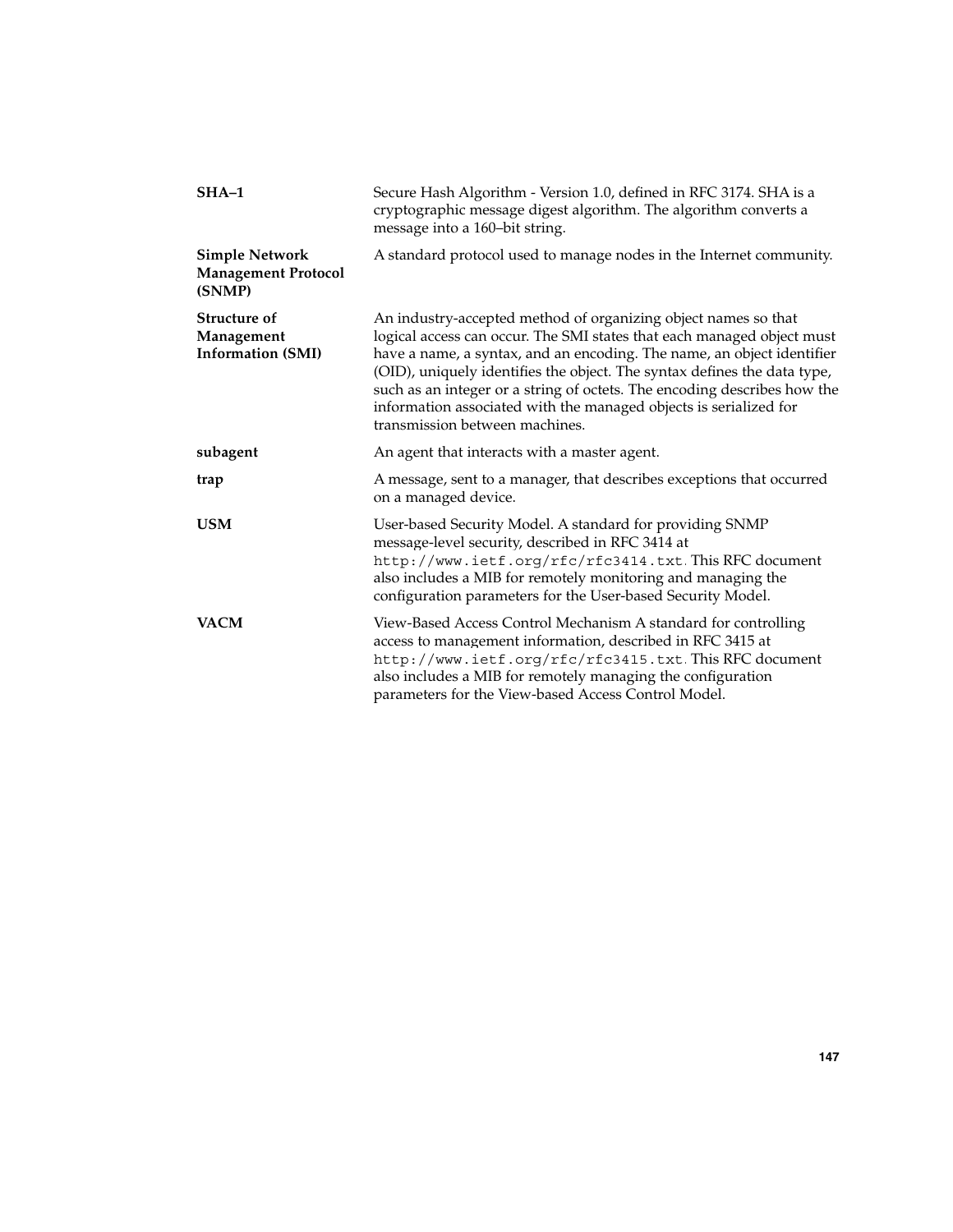| $SHA-1$                                                       | Secure Hash Algorithm - Version 1.0, defined in RFC 3174. SHA is a<br>cryptographic message digest algorithm. The algorithm converts a<br>message into a 160-bit string.                                                                                                                                                                                                                                                                                                          |
|---------------------------------------------------------------|-----------------------------------------------------------------------------------------------------------------------------------------------------------------------------------------------------------------------------------------------------------------------------------------------------------------------------------------------------------------------------------------------------------------------------------------------------------------------------------|
| <b>Simple Network</b><br><b>Management Protocol</b><br>(SNMP) | A standard protocol used to manage nodes in the Internet community.                                                                                                                                                                                                                                                                                                                                                                                                               |
| Structure of<br>Management<br><b>Information (SMI)</b>        | An industry-accepted method of organizing object names so that<br>logical access can occur. The SMI states that each managed object must<br>have a name, a syntax, and an encoding. The name, an object identifier<br>(OID), uniquely identifies the object. The syntax defines the data type,<br>such as an integer or a string of octets. The encoding describes how the<br>information associated with the managed objects is serialized for<br>transmission between machines. |
| subagent                                                      | An agent that interacts with a master agent.                                                                                                                                                                                                                                                                                                                                                                                                                                      |
| trap                                                          | A message, sent to a manager, that describes exceptions that occurred<br>on a managed device.                                                                                                                                                                                                                                                                                                                                                                                     |
| <b>USM</b>                                                    | User-based Security Model. A standard for providing SNMP<br>message-level security, described in RFC 3414 at<br>http://www.ietf.org/rfc/rfc3414.txt.This RFC document<br>also includes a MIB for remotely monitoring and managing the<br>configuration parameters for the User-based Security Model.                                                                                                                                                                              |
| <b>VACM</b>                                                   | View-Based Access Control Mechanism A standard for controlling<br>access to management information, described in RFC 3415 at<br>http://www.ietf.org/rfc/rfc3415.txt.This RFC document<br>also includes a MIB for remotely managing the configuration<br>parameters for the View-based Access Control Model.                                                                                                                                                                       |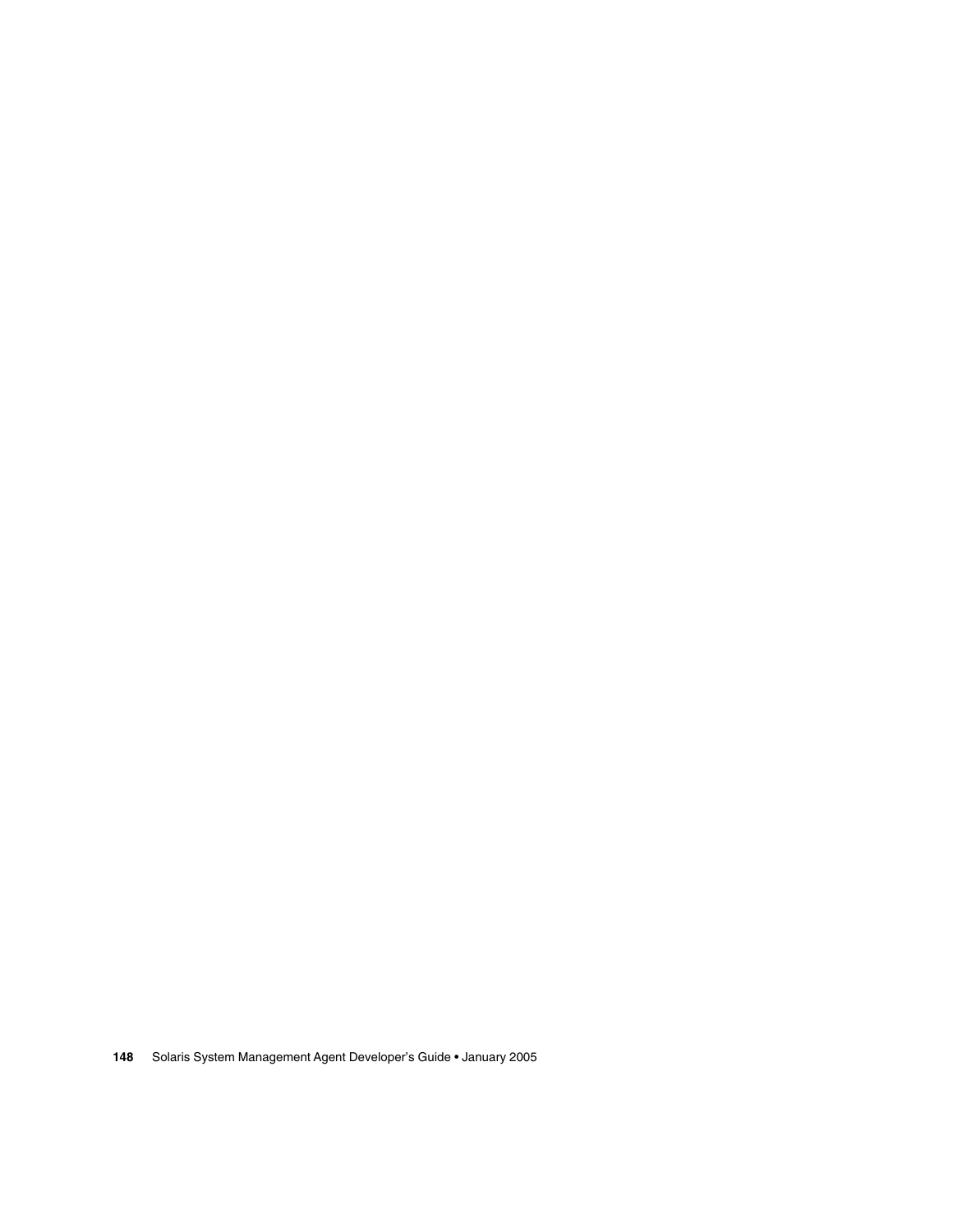Solaris System Management Agent Developer's Guide • January 2005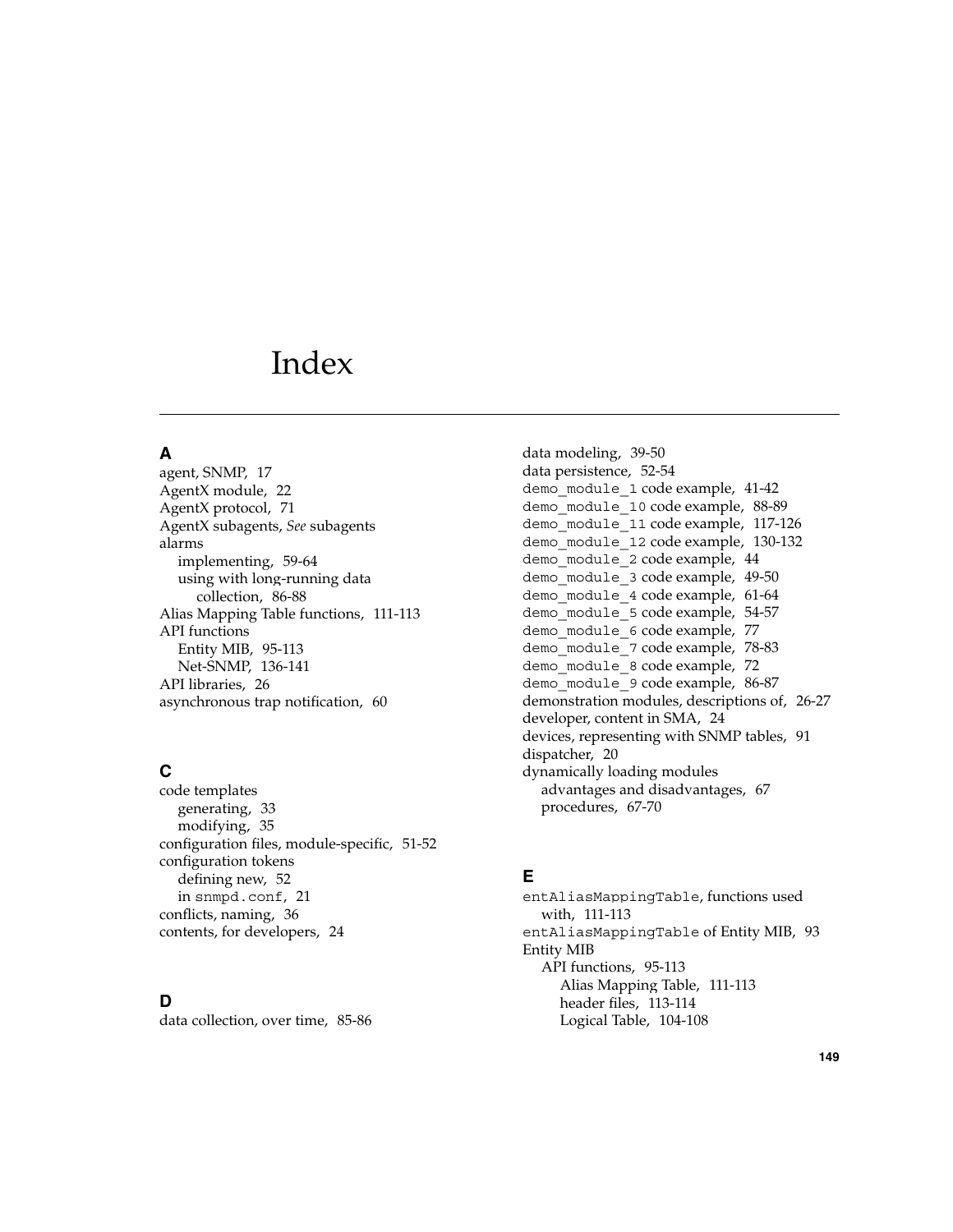# Index

#### **A**

agent, SNMP, [17](#page-16-0) AgentX module, [22](#page-21-0) AgentX protocol, [71](#page-70-0) AgentX subagents, *See* subagents alarms implementing, [59-64](#page-58-0) using with long-running data collection, [86-88](#page-85-0) Alias Mapping Table functions, [111-113](#page-110-0) API functions Entity MIB, [95-113](#page-94-0) Net-SNMP, [136-141](#page-135-0) API libraries, [26](#page-25-0) asynchronous trap notification, [60](#page-59-0)

## **C**

code templates generating, [33](#page-32-0) modifying, [35](#page-34-0) configuration files, module-specific, [51-52](#page-50-0) configuration tokens defining new, [52](#page-51-0) in snmpd.conf, [21](#page-20-0) conflicts, naming, [36](#page-35-0) contents, for developers, [24](#page-23-0)

#### **D**

data collection, over time, [85-86](#page-84-0)

data modeling, [39-50](#page-38-0) data persistence, [52-54](#page-51-0) demo\_module\_1 code example, [41-42](#page-40-0) demo\_module\_10 code example, [88-89](#page-87-0) demo\_module\_11 code example, [117-126](#page-116-0) demo\_module\_12 code example, [130-132](#page-129-0) demo\_module\_2 code example, [44](#page-43-0) demo\_module\_3 code example, [49-50](#page-48-0) demo\_module\_4 code example, [61-64](#page-60-0) demo\_module\_5 code example, [54-57](#page-53-0) demo module 6 code example, [77](#page-76-0) demo\_module\_7 code example, [78-83](#page-77-0) demo\_module\_8 code example, [72](#page-71-0) demo\_module\_9 code example, [86-87](#page-85-0) demonstration modules, descriptions of, [26-27](#page-25-0) developer, content in SMA, [24](#page-23-0) devices, representing with SNMP tables, [91](#page-90-0) dispatcher, [20](#page-19-0) dynamically loading modules advantages and disadvantages, [67](#page-66-0) procedures, [67-70](#page-66-0)

#### **E**

entAliasMappingTable, functions used with, [111-113](#page-110-0) entAliasMappingTable of Entity MIB, [93](#page-92-0) Entity MIB API functions, [95-113](#page-94-0) Alias Mapping Table, [111-113](#page-110-0) header files, [113-114](#page-112-0) Logical Table, [104-108](#page-103-0)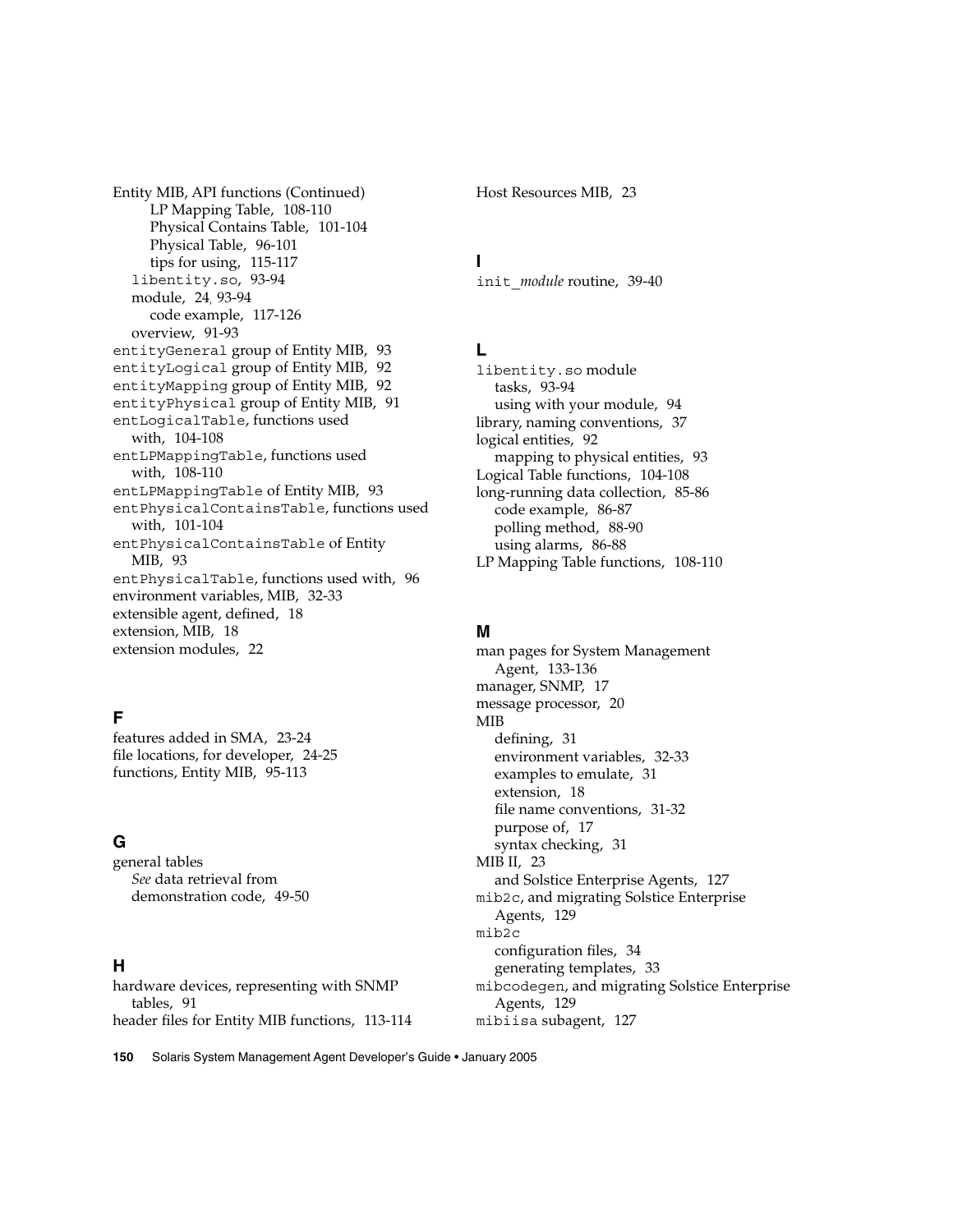Entity MIB, API functions (Continued) LP Mapping Table, [108-110](#page-107-0) Physical Contains Table, [101-104](#page-100-0) Physical Table, [96-101](#page-95-0) tips for using, [115-117](#page-114-0) libentity.so, [93-94](#page-92-0) module, [24,](#page-23-0) [93-94](#page-92-0) code example, [117-126](#page-116-0) overview, [91-93](#page-90-0) entityGeneral group of Entity MIB, [93](#page-92-0) entityLogical group of Entity MIB, [92](#page-91-0) entityMapping group of Entity MIB, [92](#page-91-0) entityPhysical group of Entity MIB, [91](#page-90-0) entLogicalTable, functions used with, [104-108](#page-103-0) entLPMappingTable, functions used with, [108-110](#page-107-0) entLPMappingTable of Entity MIB, [93](#page-92-0) entPhysicalContainsTable, functions used with, [101-104](#page-100-0) entPhysicalContainsTable of Entity MIB, [93](#page-92-0) entPhysicalTable, functions used with, [96](#page-95-0) environment variables, MIB, [32-33](#page-31-0) extensible agent, defined, [18](#page-17-0) extension, MIB, [18](#page-17-0) extension modules, [22](#page-21-0)

### **F**

features added in SMA, [23-24](#page-22-0) file locations, for developer, [24-25](#page-23-0) functions, Entity MIB, [95-113](#page-94-0)

#### **G**

general tables *See* data retrieval from demonstration code, [49-50](#page-48-0)

#### **H**

hardware devices, representing with SNMP tables, [91](#page-90-0) header files for Entity MIB functions, [113-114](#page-112-0) Host Resources MIB, [23](#page-22-0)

#### **I**

init\_*module* routine, [39-40](#page-38-0)

#### **L**

libentity.so module tasks, [93-94](#page-92-0) using with your module, [94](#page-93-0) library, naming conventions, [37](#page-36-0) logical entities, [92](#page-91-0) mapping to physical entities, [93](#page-92-0) Logical Table functions, [104-108](#page-103-0) long-running data collection, [85-86](#page-84-0) code example, [86-87](#page-85-0) polling method, [88-90](#page-87-0) using alarms, [86-88](#page-85-0) LP Mapping Table functions, [108-110](#page-107-0)

#### **M**

man pages for System Management Agent, [133-136](#page-132-0) manager, SNMP, [17](#page-16-0) message processor, [20](#page-19-0) MIB defining, [31](#page-30-0) environment variables, [32-33](#page-31-0) examples to emulate, [31](#page-30-0) extension, [18](#page-17-0) file name conventions, [31-32](#page-30-0) purpose of, [17](#page-16-0) syntax checking, [31](#page-30-0) MIB II, [23](#page-22-0) and Solstice Enterprise Agents, [127](#page-126-0) mib2c, and migrating Solstice Enterprise Agents, [129](#page-128-0) mib2c configuration files, [34](#page-33-0) generating templates, [33](#page-32-0) mibcodegen, and migrating Solstice Enterprise Agents, [129](#page-128-0) mibiisa subagent, [127](#page-126-0)

**150** Solaris System Management Agent Developer's Guide • January 2005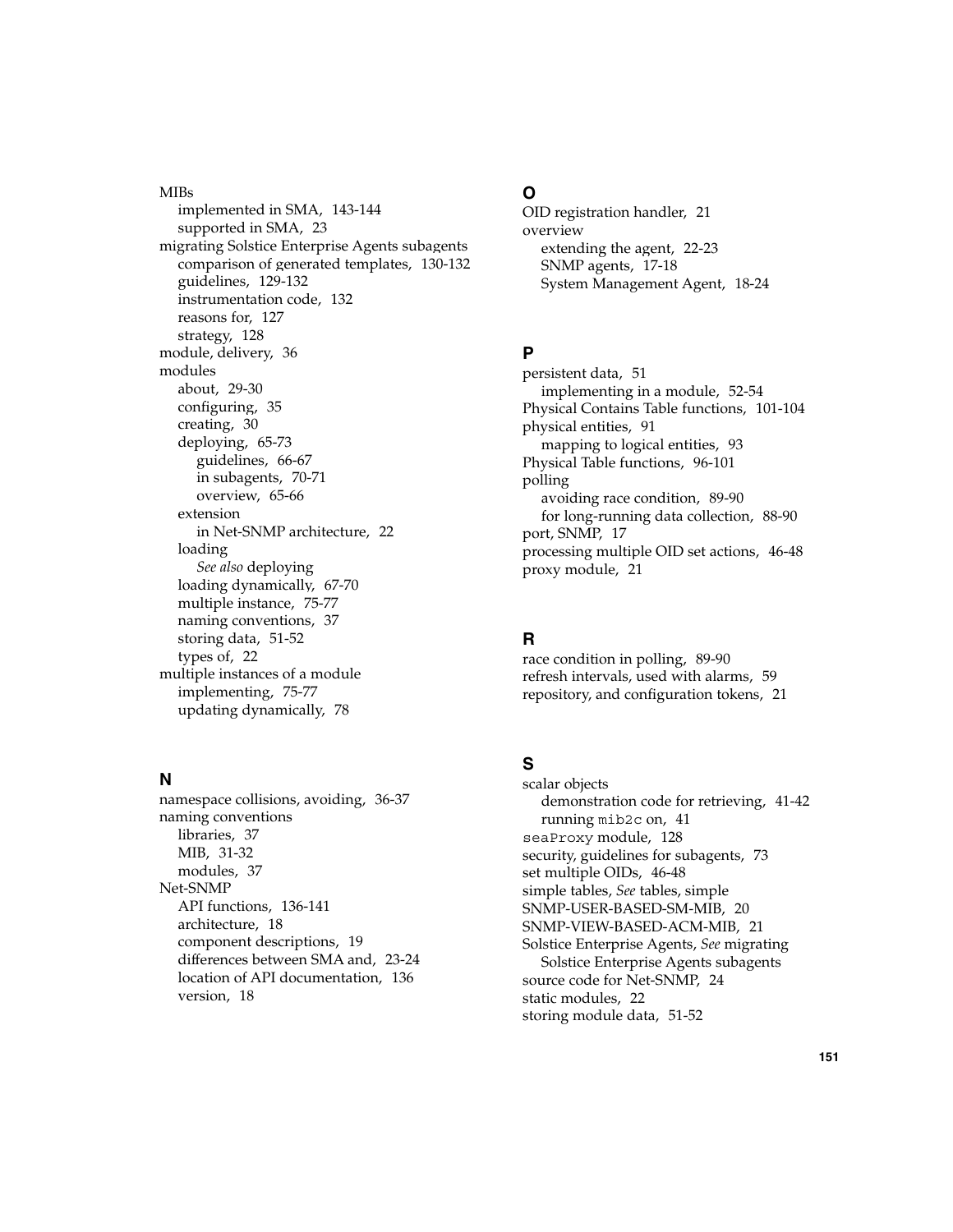MIBs implemented in SMA, [143-144](#page-142-0) supported in SMA, [23](#page-22-0) migrating Solstice Enterprise Agents subagents comparison of generated templates, [130-132](#page-129-0) guidelines, [129-132](#page-128-0) instrumentation code, [132](#page-131-0) reasons for, [127](#page-126-0) strategy, [128](#page-127-0) module, delivery, [36](#page-35-0) modules about, [29-30](#page-28-0) configuring, [35](#page-34-0) creating, [30](#page-29-0) deploying, [65-73](#page-64-0) guidelines, [66-67](#page-65-0) in subagents, [70-71](#page-69-0) overview, [65-66](#page-64-0) extension in Net-SNMP architecture, [22](#page-21-0) loading *See also* deploying loading dynamically, [67-70](#page-66-0) multiple instance, [75-77](#page-74-0) naming conventions, [37](#page-36-0) storing data, [51-52](#page-50-0) types of, [22](#page-21-0) multiple instances of a module implementing, [75-77](#page-74-0) updating dynamically, [78](#page-77-0)

#### **N**

namespace collisions, avoiding, [36-37](#page-35-0) naming conventions libraries, [37](#page-36-0) MIB, [31-32](#page-30-0) modules, [37](#page-36-0) Net-SNMP API functions, [136-141](#page-135-0) architecture, [18](#page-17-0) component descriptions, [19](#page-18-0) differences between SMA and, [23-24](#page-22-0) location of API documentation, [136](#page-135-0) version, [18](#page-17-0)

#### **O**

OID registration handler, [21](#page-20-0) overview extending the agent, [22-23](#page-21-0) SNMP agents, [17-18](#page-16-0) System Management Agent, [18-24](#page-17-0)

#### **P**

persistent data, [51](#page-50-0) implementing in a module, [52-54](#page-51-0) Physical Contains Table functions, [101-104](#page-100-0) physical entities, [91](#page-90-0) mapping to logical entities, [93](#page-92-0) Physical Table functions, [96-101](#page-95-0) polling avoiding race condition, [89-90](#page-88-0) for long-running data collection, [88-90](#page-87-0) port, SNMP, [17](#page-16-0) processing multiple OID set actions, [46-48](#page-45-0) proxy module, [21](#page-20-0)

#### **R**

race condition in polling, [89-90](#page-88-0) refresh intervals, used with alarms, [59](#page-58-0) repository, and configuration tokens, [21](#page-20-0)

### **S**

scalar objects demonstration code for retrieving, [41-42](#page-40-0) running mib2c on, [41](#page-40-0) seaProxy module, [128](#page-127-0) security, guidelines for subagents, [73](#page-72-0) set multiple OIDs, [46-48](#page-45-0) simple tables, *See* tables, simple SNMP-USER-BASED-SM-MIB, [20](#page-19-0) SNMP-VIEW-BASED-ACM-MIB, [21](#page-20-0) Solstice Enterprise Agents, *See* migrating Solstice Enterprise Agents subagents source code for Net-SNMP, [24](#page-23-0) static modules, [22](#page-21-0) storing module data, [51-52](#page-50-0)